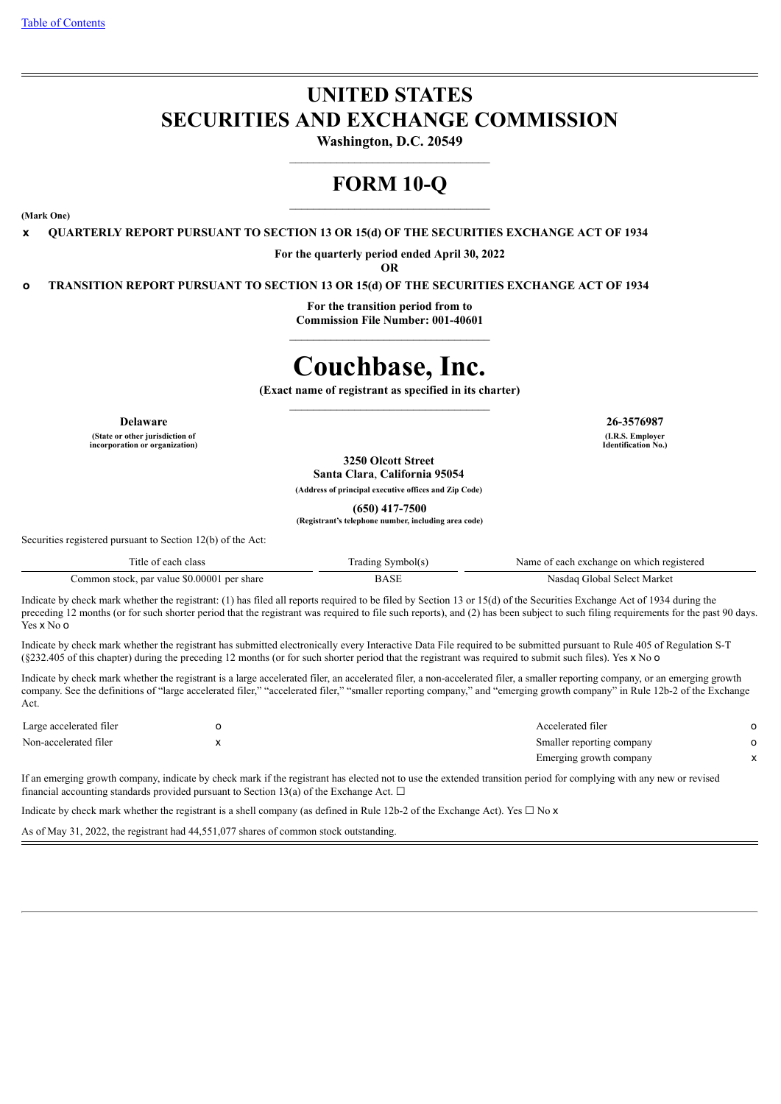# **UNITED STATES SECURITIES AND EXCHANGE COMMISSION**

**Washington, D.C. 20549**  $\mathcal{L}_\text{max}$ 

# **FORM 10-Q**

**(Mark One)**

**x QUARTERLY REPORT PURSUANT TO SECTION 13 OR 15(d) OF THE SECURITIES EXCHANGE ACT OF 1934**

**For the quarterly period ended April 30, 2022**

**OR**

**o TRANSITION REPORT PURSUANT TO SECTION 13 OR 15(d) OF THE SECURITIES EXCHANGE ACT OF 1934**

**For the transition period from to**

**Commission File Number: 001-40601**  $\mathcal{L}_\text{max}$ 

# **Couchbase, Inc.**

**(Exact name of registrant as specified in its charter)**  $\mathcal{L}_\text{max}$ 

**(State or other jurisdiction of incorporation or organization)**

**Delaware 26-3576987 (I.R.S. Employer Identification No.)**

**3250 Olcott Street**

**Santa Clara**, **California 95054**

**(Address of principal executive offices and Zip Code)**

**(650) 417-7500**

**(Registrant's telephone number, including area code)**

Securities registered pursuant to Section 12(b) of the Act:

| . itle<br>clas<br>∗ ∩ t                                     | adın<br>mr   | or<br>registereg<br>Name<br>which<br>. nange |
|-------------------------------------------------------------|--------------|----------------------------------------------|
| )000°<br>`ommon<br>share<br>par value '<br><b>STOC</b><br>. | $\sim$<br>`` | Mark<br>obal<br>elect                        |

Indicate by check mark whether the registrant: (1) has filed all reports required to be filed by Section 13 or 15(d) of the Securities Exchange Act of 1934 during the preceding 12 months (or for such shorter period that the registrant was required to file such reports), and (2) has been subject to such filing requirements for the past 90 days. Yes x No o

Indicate by check mark whether the registrant has submitted electronically every Interactive Data File required to be submitted pursuant to Rule 405 of Regulation S-T (§232.405 of this chapter) during the preceding 12 months (or for such shorter period that the registrant was required to submit such files). Yes x No o

Indicate by check mark whether the registrant is a large accelerated filer, an accelerated filer, a non-accelerated filer, a smaller reporting company, or an emerging growth company. See the definitions of "large accelerated filer," "accelerated filer," "smaller reporting company," and "emerging growth company" in Rule 12b-2 of the Exchange Act.

| Accelerated filer         |  |
|---------------------------|--|
| Smaller reporting company |  |
| Emerging growth company   |  |
|                           |  |

If an emerging growth company, indicate by check mark if the registrant has elected not to use the extended transition period for complying with any new or revised financial accounting standards provided pursuant to Section 13(a) of the Exchange Act.  $\Box$ 

Indicate by check mark whether the registrant is a shell company (as defined in Rule 12b-2 of the Exchange Act). Yes  $\Box$  No x

<span id="page-0-0"></span>As of May 31, 2022, the registrant had 44,551,077 shares of common stock outstanding.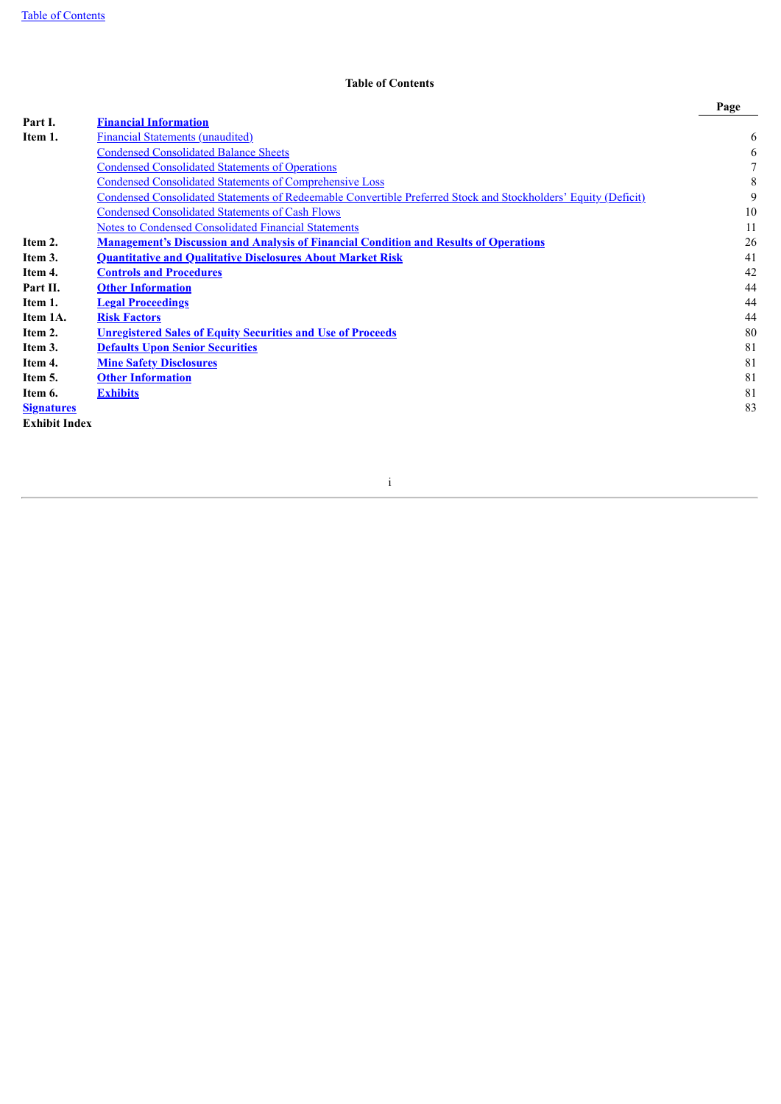# **Table of Contents**

|                      |                                                                                                                | Page |
|----------------------|----------------------------------------------------------------------------------------------------------------|------|
| Part I.              | <b>Financial Information</b>                                                                                   |      |
| Item 1.              | <b>Financial Statements (unaudited)</b>                                                                        | 6    |
|                      | <b>Condensed Consolidated Balance Sheets</b>                                                                   | 6    |
|                      | <b>Condensed Consolidated Statements of Operations</b>                                                         |      |
|                      | <b>Condensed Consolidated Statements of Comprehensive Loss</b>                                                 | 8    |
|                      | Condensed Consolidated Statements of Redeemable Convertible Preferred Stock and Stockholders' Equity (Deficit) | 9    |
|                      | <b>Condensed Consolidated Statements of Cash Flows</b>                                                         | 10   |
|                      | Notes to Condensed Consolidated Financial Statements                                                           | 11   |
| Item 2.              | <b>Management's Discussion and Analysis of Financial Condition and Results of Operations</b>                   | 26   |
| Item 3.              | <b>Ouantitative and Qualitative Disclosures About Market Risk</b>                                              | 41   |
| Item 4.              | <b>Controls and Procedures</b>                                                                                 | 42   |
| Part II.             | <b>Other Information</b>                                                                                       | 44   |
| Item 1.              | <b>Legal Proceedings</b>                                                                                       | 44   |
| Item 1A.             | <b>Risk Factors</b>                                                                                            | 44   |
| Item 2.              | <b>Unregistered Sales of Equity Securities and Use of Proceeds</b>                                             | 80   |
| Item 3.              | <b>Defaults Upon Senior Securities</b>                                                                         | 81   |
| Item 4.              | <b>Mine Safety Disclosures</b>                                                                                 | 81   |
| Item 5.              | <b>Other Information</b>                                                                                       | 81   |
| Item 6.              | <b>Exhibits</b>                                                                                                | 81   |
| <b>Signatures</b>    |                                                                                                                | 83   |
| <b>Exhibit Index</b> |                                                                                                                |      |
|                      |                                                                                                                |      |

# i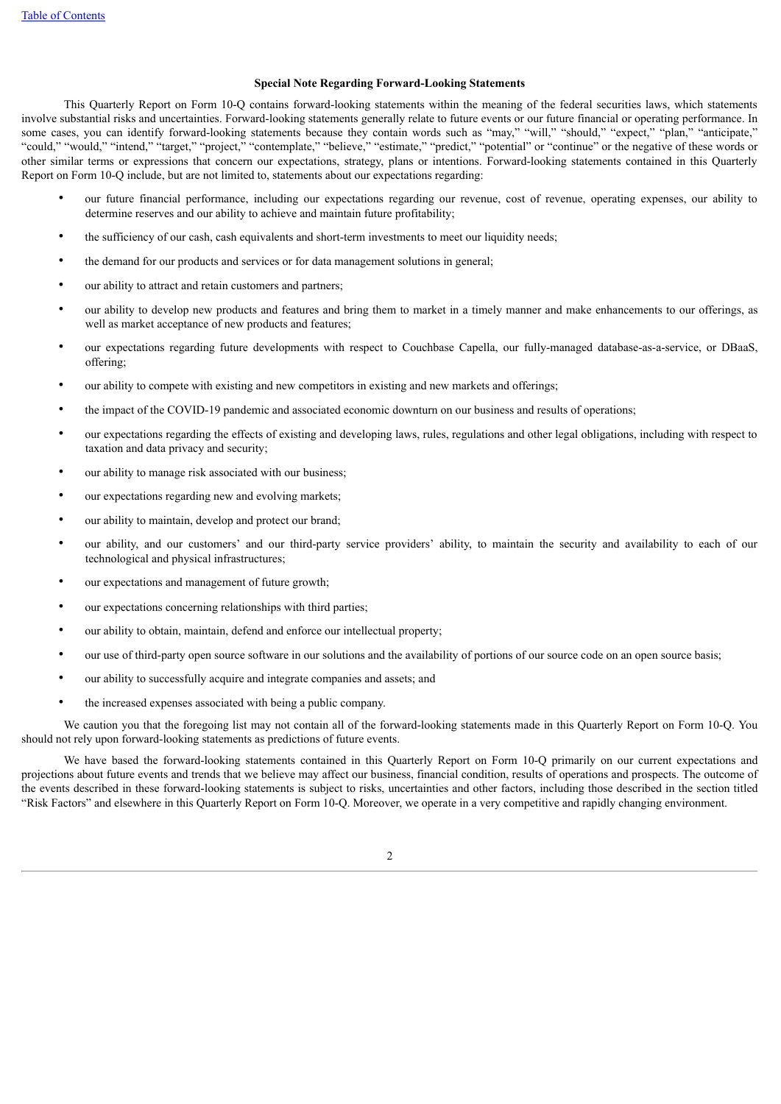## **Special Note Regarding Forward-Looking Statements**

This Quarterly Report on Form 10-Q contains forward-looking statements within the meaning of the federal securities laws, which statements involve substantial risks and uncertainties. Forward-looking statements generally relate to future events or our future financial or operating performance. In some cases, you can identify forward-looking statements because they contain words such as "may," "will," "should," "expect," "plan," "anticipate," "could," "would," "intend," "target," "project," "contemplate," "believe," "estimate," "predict," "potential" or "continue" or the negative of these words or other similar terms or expressions that concern our expectations, strategy, plans or intentions. Forward-looking statements contained in this Quarterly Report on Form 10-Q include, but are not limited to, statements about our expectations regarding:

- our future financial performance, including our expectations regarding our revenue, cost of revenue, operating expenses, our ability to determine reserves and our ability to achieve and maintain future profitability;
- the sufficiency of our cash, cash equivalents and short-term investments to meet our liquidity needs;
- the demand for our products and services or for data management solutions in general;
- our ability to attract and retain customers and partners;
- our ability to develop new products and features and bring them to market in a timely manner and make enhancements to our offerings, as well as market acceptance of new products and features;
- our expectations regarding future developments with respect to Couchbase Capella, our fully-managed database-as-a-service, or DBaaS, offering;
- our ability to compete with existing and new competitors in existing and new markets and offerings;
- the impact of the COVID-19 pandemic and associated economic downturn on our business and results of operations;
- our expectations regarding the effects of existing and developing laws, rules, regulations and other legal obligations, including with respect to taxation and data privacy and security;
- our ability to manage risk associated with our business;
- our expectations regarding new and evolving markets;
- our ability to maintain, develop and protect our brand;
- our ability, and our customers' and our third-party service providers' ability, to maintain the security and availability to each of our technological and physical infrastructures;
- our expectations and management of future growth;
- our expectations concerning relationships with third parties;
- our ability to obtain, maintain, defend and enforce our intellectual property;
- our use of third-party open source software in our solutions and the availability of portions of our source code on an open source basis;
- our ability to successfully acquire and integrate companies and assets; and
- the increased expenses associated with being a public company.

We caution you that the foregoing list may not contain all of the forward-looking statements made in this Quarterly Report on Form 10-Q. You should not rely upon forward-looking statements as predictions of future events.

We have based the forward-looking statements contained in this Quarterly Report on Form 10-Q primarily on our current expectations and projections about future events and trends that we believe may affect our business, financial condition, results of operations and prospects. The outcome of the events described in these forward-looking statements is subject to risks, uncertainties and other factors, including those described in the section titled "Risk Factors" and elsewhere in this Quarterly Report on Form 10-Q. Moreover, we operate in a very competitive and rapidly changing environment.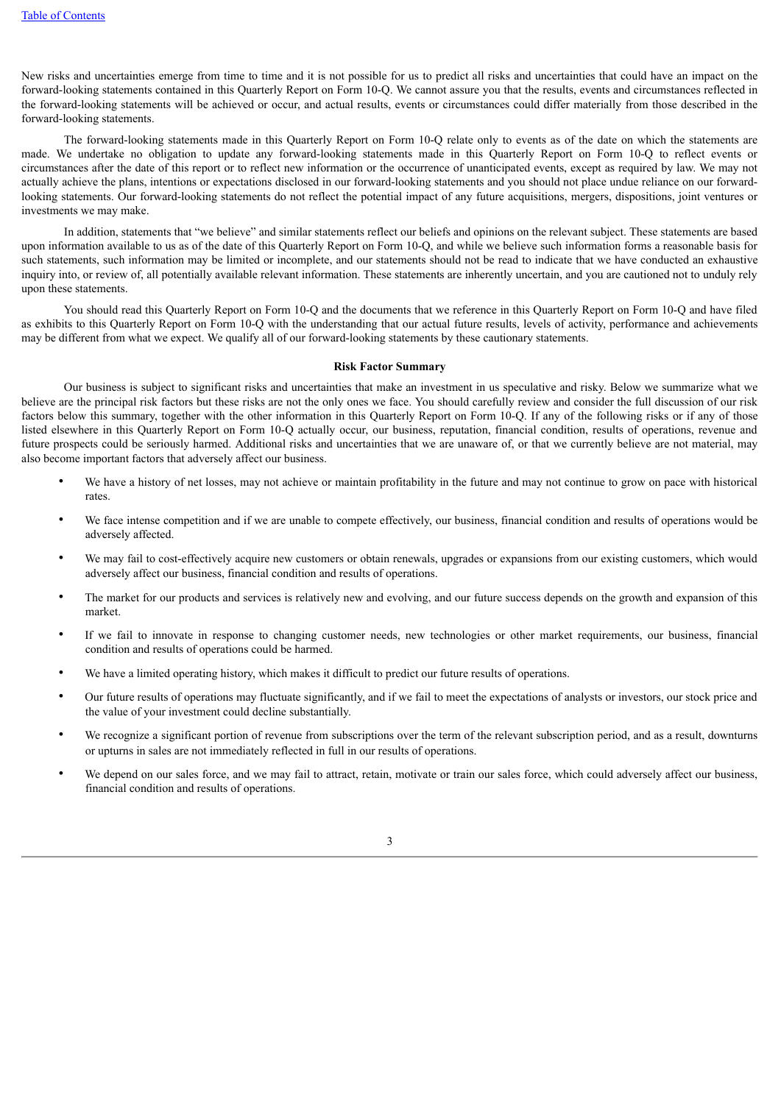New risks and uncertainties emerge from time to time and it is not possible for us to predict all risks and uncertainties that could have an impact on the forward-looking statements contained in this Quarterly Report on Form 10-Q. We cannot assure you that the results, events and circumstances reflected in the forward-looking statements will be achieved or occur, and actual results, events or circumstances could differ materially from those described in the forward-looking statements.

The forward-looking statements made in this Quarterly Report on Form 10-Q relate only to events as of the date on which the statements are made. We undertake no obligation to update any forward-looking statements made in this Quarterly Report on Form 10-Q to reflect events or circumstances after the date of this report or to reflect new information or the occurrence of unanticipated events, except as required by law. We may not actually achieve the plans, intentions or expectations disclosed in our forward-looking statements and you should not place undue reliance on our forwardlooking statements. Our forward-looking statements do not reflect the potential impact of any future acquisitions, mergers, dispositions, joint ventures or investments we may make.

In addition, statements that "we believe" and similar statements reflect our beliefs and opinions on the relevant subject. These statements are based upon information available to us as of the date of this Quarterly Report on Form 10-Q, and while we believe such information forms a reasonable basis for such statements, such information may be limited or incomplete, and our statements should not be read to indicate that we have conducted an exhaustive inquiry into, or review of, all potentially available relevant information. These statements are inherently uncertain, and you are cautioned not to unduly rely upon these statements.

You should read this Quarterly Report on Form 10-Q and the documents that we reference in this Quarterly Report on Form 10-Q and have filed as exhibits to this Quarterly Report on Form 10-Q with the understanding that our actual future results, levels of activity, performance and achievements may be different from what we expect. We qualify all of our forward-looking statements by these cautionary statements.

### **Risk Factor Summary**

Our business is subject to significant risks and uncertainties that make an investment in us speculative and risky. Below we summarize what we believe are the principal risk factors but these risks are not the only ones we face. You should carefully review and consider the full discussion of our risk factors below this summary, together with the other information in this Quarterly Report on Form 10-Q. If any of the following risks or if any of those listed elsewhere in this Quarterly Report on Form 10-Q actually occur, our business, reputation, financial condition, results of operations, revenue and future prospects could be seriously harmed. Additional risks and uncertainties that we are unaware of, or that we currently believe are not material, may also become important factors that adversely affect our business.

- We have a history of net losses, may not achieve or maintain profitability in the future and may not continue to grow on pace with historical rates.
- We face intense competition and if we are unable to compete effectively, our business, financial condition and results of operations would be adversely affected.
- We may fail to cost-effectively acquire new customers or obtain renewals, upgrades or expansions from our existing customers, which would adversely affect our business, financial condition and results of operations.
- The market for our products and services is relatively new and evolving, and our future success depends on the growth and expansion of this market.
- If we fail to innovate in response to changing customer needs, new technologies or other market requirements, our business, financial condition and results of operations could be harmed.
- We have a limited operating history, which makes it difficult to predict our future results of operations.
- Our future results of operations may fluctuate significantly, and if we fail to meet the expectations of analysts or investors, our stock price and the value of your investment could decline substantially.
- We recognize a significant portion of revenue from subscriptions over the term of the relevant subscription period, and as a result, downturns or upturns in sales are not immediately reflected in full in our results of operations.
- We depend on our sales force, and we may fail to attract, retain, motivate or train our sales force, which could adversely affect our business, financial condition and results of operations.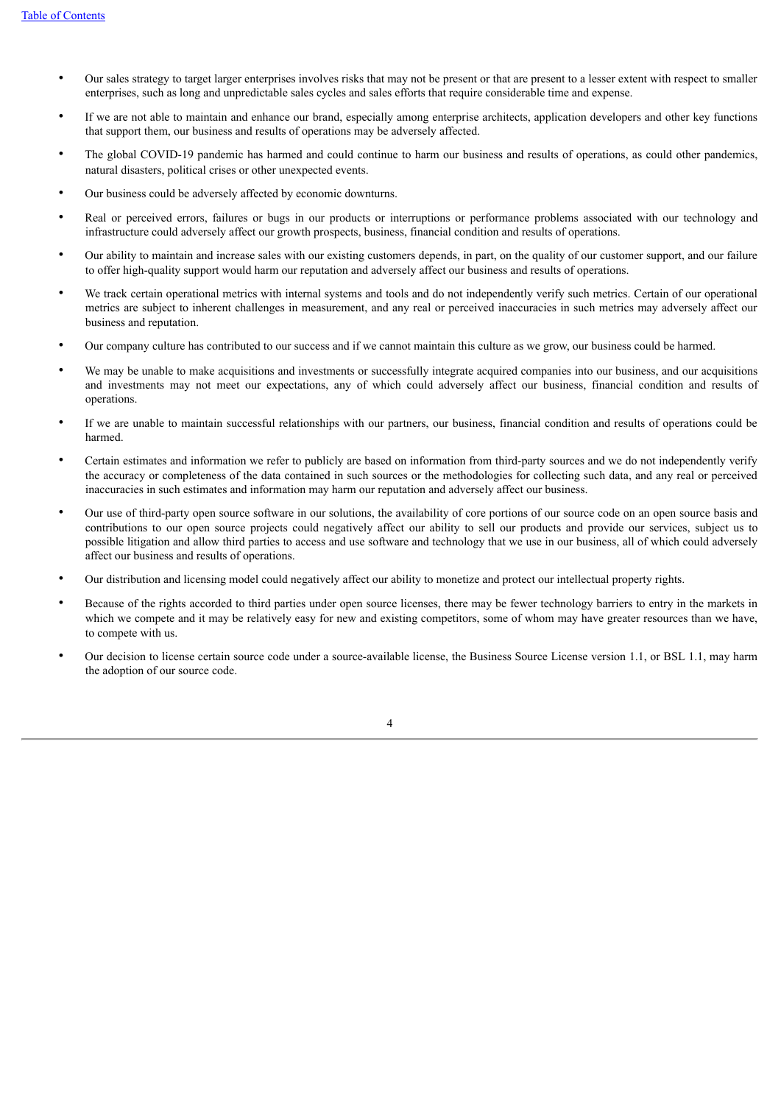- Our sales strategy to target larger enterprises involves risks that may not be present or that are present to a lesser extent with respect to smaller enterprises, such as long and unpredictable sales cycles and sales efforts that require considerable time and expense.
- If we are not able to maintain and enhance our brand, especially among enterprise architects, application developers and other key functions that support them, our business and results of operations may be adversely affected.
- The global COVID-19 pandemic has harmed and could continue to harm our business and results of operations, as could other pandemics, natural disasters, political crises or other unexpected events.
- Our business could be adversely affected by economic downturns.
- Real or perceived errors, failures or bugs in our products or interruptions or performance problems associated with our technology and infrastructure could adversely affect our growth prospects, business, financial condition and results of operations.
- Our ability to maintain and increase sales with our existing customers depends, in part, on the quality of our customer support, and our failure to offer high-quality support would harm our reputation and adversely affect our business and results of operations.
- We track certain operational metrics with internal systems and tools and do not independently verify such metrics. Certain of our operational metrics are subject to inherent challenges in measurement, and any real or perceived inaccuracies in such metrics may adversely affect our business and reputation.
- Our company culture has contributed to our success and if we cannot maintain this culture as we grow, our business could be harmed.
- We may be unable to make acquisitions and investments or successfully integrate acquired companies into our business, and our acquisitions and investments may not meet our expectations, any of which could adversely affect our business, financial condition and results of operations.
- If we are unable to maintain successful relationships with our partners, our business, financial condition and results of operations could be harmed.
- Certain estimates and information we refer to publicly are based on information from third-party sources and we do not independently verify the accuracy or completeness of the data contained in such sources or the methodologies for collecting such data, and any real or perceived inaccuracies in such estimates and information may harm our reputation and adversely affect our business.
- Our use of third-party open source software in our solutions, the availability of core portions of our source code on an open source basis and contributions to our open source projects could negatively affect our ability to sell our products and provide our services, subject us to possible litigation and allow third parties to access and use software and technology that we use in our business, all of which could adversely affect our business and results of operations.
- Our distribution and licensing model could negatively affect our ability to monetize and protect our intellectual property rights.
- Because of the rights accorded to third parties under open source licenses, there may be fewer technology barriers to entry in the markets in which we compete and it may be relatively easy for new and existing competitors, some of whom may have greater resources than we have. to compete with us.
- Our decision to license certain source code under a source-available license, the Business Source License version 1.1, or BSL 1.1, may harm the adoption of our source code.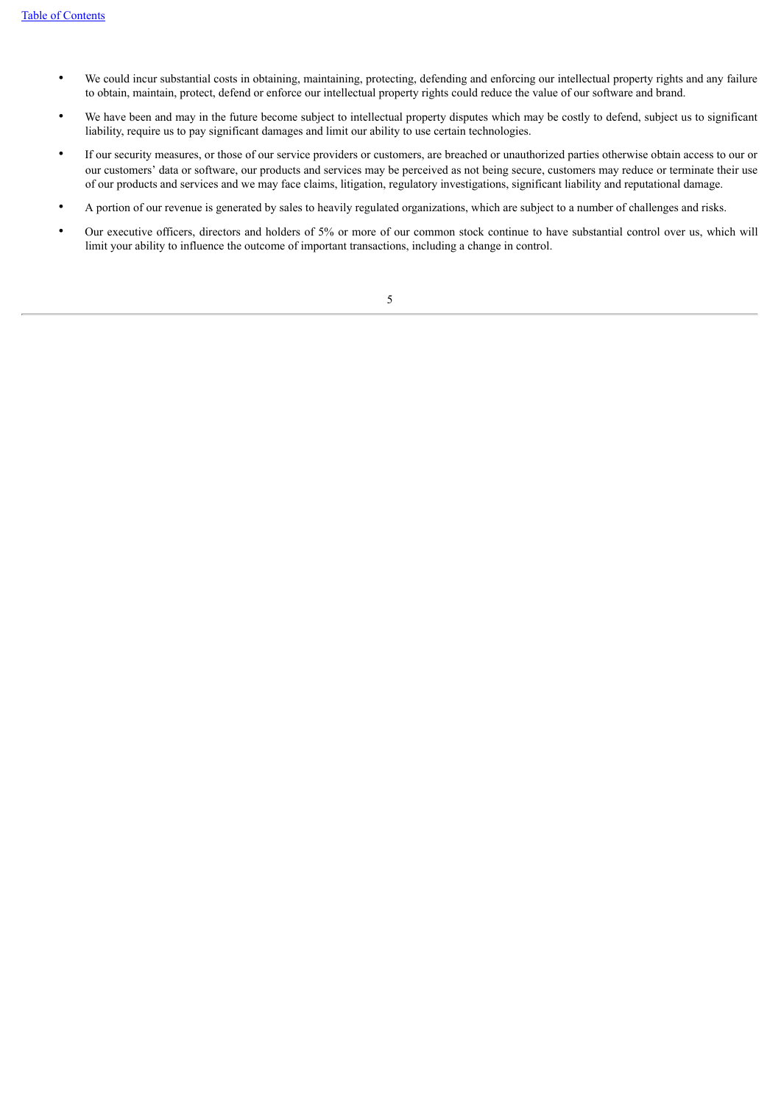- We could incur substantial costs in obtaining, maintaining, protecting, defending and enforcing our intellectual property rights and any failure to obtain, maintain, protect, defend or enforce our intellectual property rights could reduce the value of our software and brand.
- We have been and may in the future become subject to intellectual property disputes which may be costly to defend, subject us to significant liability, require us to pay significant damages and limit our ability to use certain technologies.
- If our security measures, or those of our service providers or customers, are breached or unauthorized parties otherwise obtain access to our or our customers' data or software, our products and services may be perceived as not being secure, customers may reduce or terminate their use of our products and services and we may face claims, litigation, regulatory investigations, significant liability and reputational damage.
- A portion of our revenue is generated by sales to heavily regulated organizations, which are subject to a number of challenges and risks.
- <span id="page-5-0"></span>• Our executive officers, directors and holders of 5% or more of our common stock continue to have substantial control over us, which will limit your ability to influence the outcome of important transactions, including a change in control.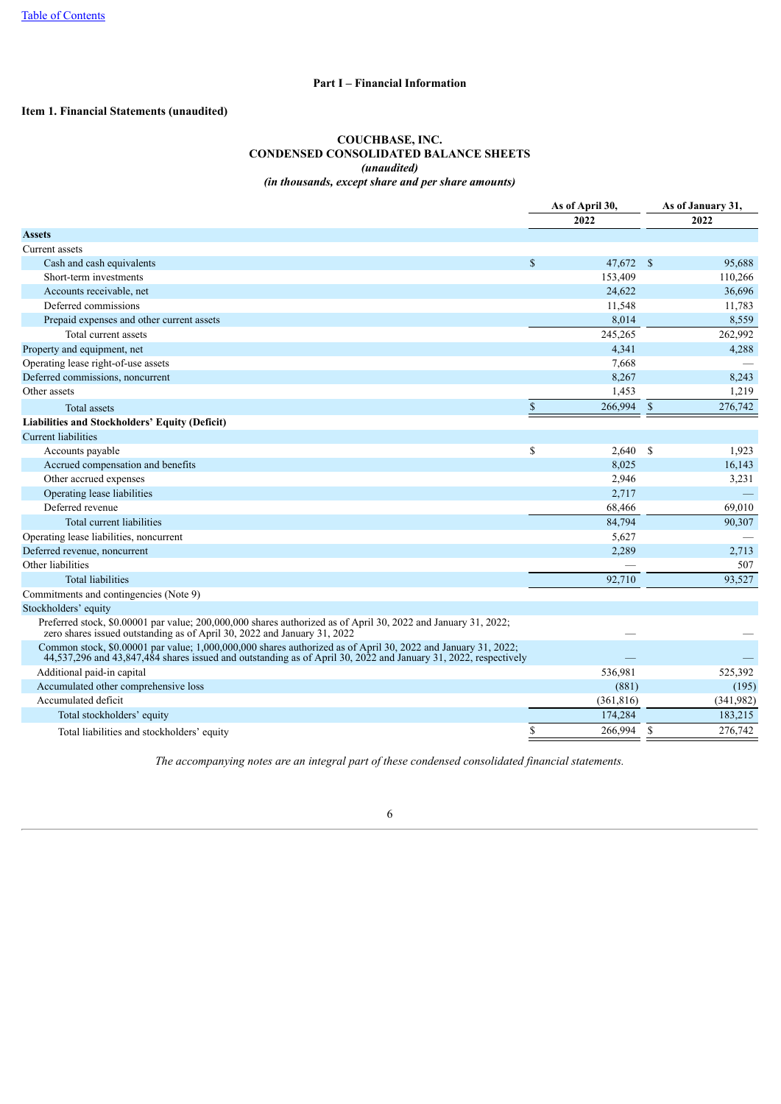# **Part I – Financial Information**

# <span id="page-6-1"></span><span id="page-6-0"></span>**Item 1. Financial Statements (unaudited)**

# **COUCHBASE, INC. CONDENSED CONSOLIDATED BALANCE SHEETS** *(unaudited) (in thousands, except share and per share amounts)*

|                                                                                                                                                                                                                                  |             | As of April 30, |              | As of January 31, |
|----------------------------------------------------------------------------------------------------------------------------------------------------------------------------------------------------------------------------------|-------------|-----------------|--------------|-------------------|
|                                                                                                                                                                                                                                  |             | 2022            |              | 2022              |
| <b>Assets</b>                                                                                                                                                                                                                    |             |                 |              |                   |
| Current assets                                                                                                                                                                                                                   |             |                 |              |                   |
| Cash and cash equivalents                                                                                                                                                                                                        | $\mathbf S$ | 47,672 \$       |              | 95.688            |
| Short-term investments                                                                                                                                                                                                           |             | 153,409         |              | 110,266           |
| Accounts receivable, net                                                                                                                                                                                                         |             | 24,622          |              | 36,696            |
| Deferred commissions                                                                                                                                                                                                             |             | 11,548          |              | 11,783            |
| Prepaid expenses and other current assets                                                                                                                                                                                        |             | 8,014           |              | 8,559             |
| Total current assets                                                                                                                                                                                                             |             | 245,265         |              | 262,992           |
| Property and equipment, net                                                                                                                                                                                                      |             | 4,341           |              | 4,288             |
| Operating lease right-of-use assets                                                                                                                                                                                              |             | 7,668           |              |                   |
| Deferred commissions, noncurrent                                                                                                                                                                                                 |             | 8,267           |              | 8,243             |
| Other assets                                                                                                                                                                                                                     |             | 1,453           |              | 1,219             |
| <b>Total assets</b>                                                                                                                                                                                                              | $\mathbf S$ | 266,994         | $\mathbb{S}$ | 276,742           |
| <b>Liabilities and Stockholders' Equity (Deficit)</b>                                                                                                                                                                            |             |                 |              |                   |
| <b>Current liabilities</b>                                                                                                                                                                                                       |             |                 |              |                   |
| Accounts payable                                                                                                                                                                                                                 | \$          | 2,640           | -S           | 1,923             |
| Accrued compensation and benefits                                                                                                                                                                                                |             | 8,025           |              | 16,143            |
| Other accrued expenses                                                                                                                                                                                                           |             | 2,946           |              | 3,231             |
| Operating lease liabilities                                                                                                                                                                                                      |             | 2,717           |              |                   |
| Deferred revenue                                                                                                                                                                                                                 |             | 68,466          |              | 69,010            |
| Total current liabilities                                                                                                                                                                                                        |             | 84,794          |              | 90,307            |
| Operating lease liabilities, noncurrent                                                                                                                                                                                          |             | 5,627           |              |                   |
| Deferred revenue, noncurrent                                                                                                                                                                                                     |             | 2,289           |              | 2,713             |
| Other liabilities                                                                                                                                                                                                                |             |                 |              | 507               |
| <b>Total liabilities</b>                                                                                                                                                                                                         |             | 92,710          |              | 93,527            |
| Commitments and contingencies (Note 9)                                                                                                                                                                                           |             |                 |              |                   |
| Stockholders' equity                                                                                                                                                                                                             |             |                 |              |                   |
| Preferred stock, \$0.00001 par value; 200,000,000 shares authorized as of April 30, 2022 and January 31, 2022;<br>zero shares issued outstanding as of April 30, 2022 and January 31, 2022                                       |             |                 |              |                   |
| Common stock, \$0.00001 par value; 1,000,000,000 shares authorized as of April 30, 2022 and January 31, 2022;<br>44,537,296 and 43,847,484 shares issued and outstanding as of April 30, 2022 and January 31, 2022, respectively |             |                 |              |                   |
| Additional paid-in capital                                                                                                                                                                                                       |             | 536,981         |              | 525,392           |
| Accumulated other comprehensive loss                                                                                                                                                                                             |             | (881)           |              | (195)             |
| Accumulated deficit                                                                                                                                                                                                              |             | (361, 816)      |              | (341,982)         |
| Total stockholders' equity                                                                                                                                                                                                       |             | 174,284         |              | 183,215           |
| Total liabilities and stockholders' equity                                                                                                                                                                                       | \$          | 266,994 \$      |              | 276,742           |

<span id="page-6-2"></span>*The accompanying notes are an integral part of these condensed consolidated financial statements.*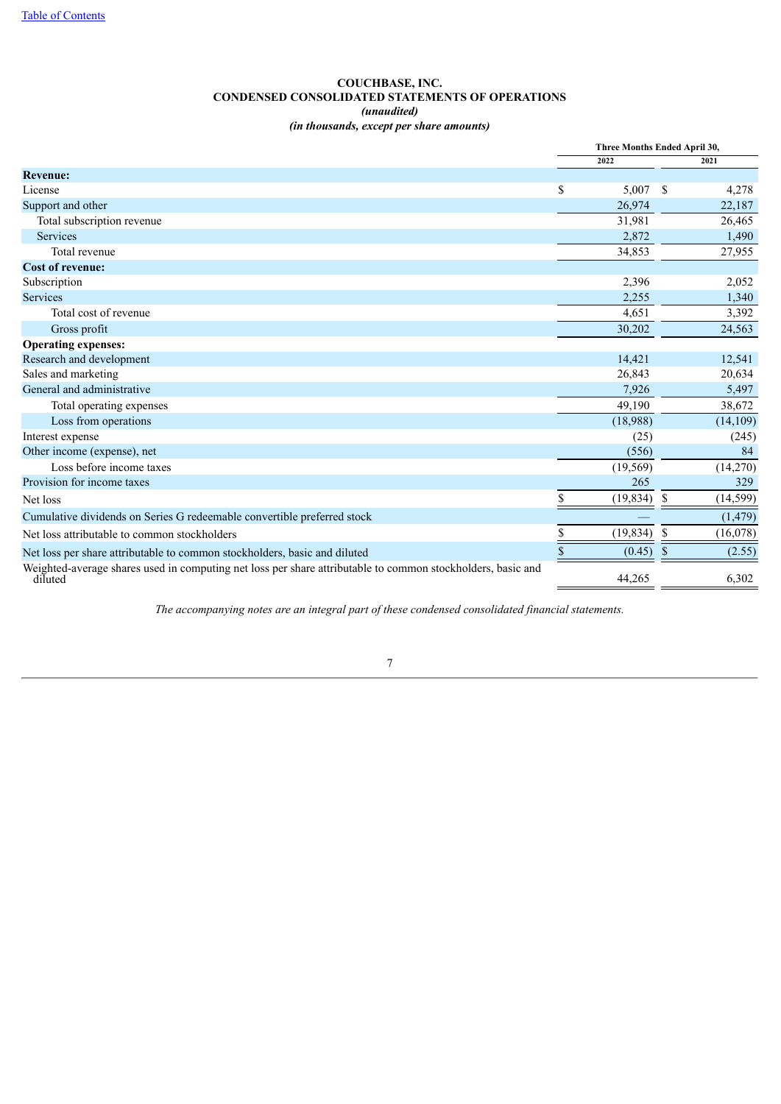# **COUCHBASE, INC. CONDENSED CONSOLIDATED STATEMENTS OF OPERATIONS** *(unaudited) (in thousands, except per share amounts)*

|                                                                                                                        | Three Months Ended April 30, |           |               |           |  |
|------------------------------------------------------------------------------------------------------------------------|------------------------------|-----------|---------------|-----------|--|
|                                                                                                                        |                              | 2022      |               | 2021      |  |
| <b>Revenue:</b>                                                                                                        |                              |           |               |           |  |
| License                                                                                                                | \$                           | 5,007     | - \$          | 4,278     |  |
| Support and other                                                                                                      |                              | 26,974    |               | 22,187    |  |
| Total subscription revenue                                                                                             |                              | 31,981    |               | 26,465    |  |
| <b>Services</b>                                                                                                        |                              | 2,872     |               | 1,490     |  |
| Total revenue                                                                                                          |                              | 34,853    |               | 27,955    |  |
| <b>Cost of revenue:</b>                                                                                                |                              |           |               |           |  |
| Subscription                                                                                                           |                              | 2,396     |               | 2,052     |  |
| <b>Services</b>                                                                                                        |                              | 2,255     |               | 1,340     |  |
| Total cost of revenue                                                                                                  |                              | 4,651     |               | 3,392     |  |
| Gross profit                                                                                                           |                              | 30,202    |               | 24,563    |  |
| <b>Operating expenses:</b>                                                                                             |                              |           |               |           |  |
| Research and development                                                                                               |                              | 14,421    |               | 12,541    |  |
| Sales and marketing                                                                                                    |                              | 26,843    |               | 20,634    |  |
| General and administrative                                                                                             |                              | 7,926     |               | 5,497     |  |
| Total operating expenses                                                                                               |                              | 49,190    |               | 38,672    |  |
| Loss from operations                                                                                                   |                              | (18,988)  |               | (14,109)  |  |
| Interest expense                                                                                                       |                              | (25)      |               | (245)     |  |
| Other income (expense), net                                                                                            |                              | (556)     |               | 84        |  |
| Loss before income taxes                                                                                               |                              | (19, 569) |               | (14,270)  |  |
| Provision for income taxes                                                                                             |                              | 265       |               | 329       |  |
| Net loss                                                                                                               |                              | (19, 834) | <sup>\$</sup> | (14, 599) |  |
| Cumulative dividends on Series G redeemable convertible preferred stock                                                |                              |           |               | (1, 479)  |  |
| Net loss attributable to common stockholders                                                                           | \$                           | (19, 834) | \$            | (16,078)  |  |
| Net loss per share attributable to common stockholders, basic and diluted                                              | \$                           | (0.45)    | <sup>\$</sup> | (2.55)    |  |
| Weighted-average shares used in computing net loss per share attributable to common stockholders, basic and<br>diluted |                              | 44,265    |               | 6,302     |  |
|                                                                                                                        |                              |           |               |           |  |

<span id="page-7-0"></span>*The accompanying notes are an integral part of these condensed consolidated financial statements.*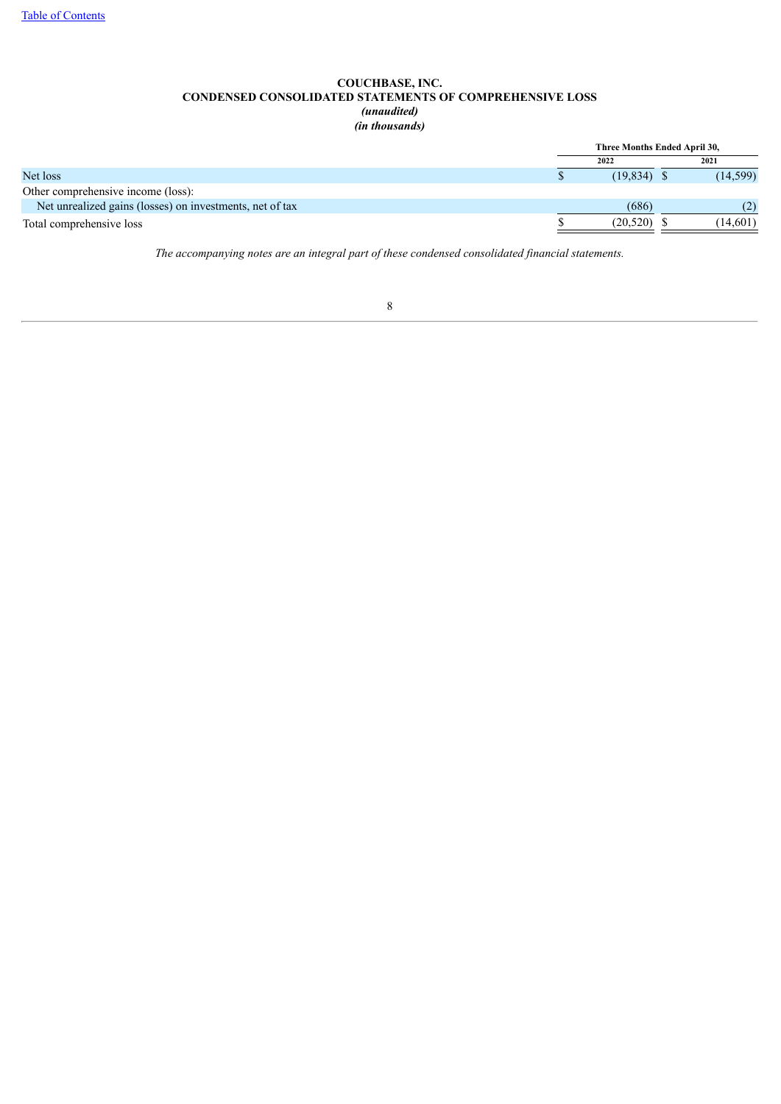# **COUCHBASE, INC. CONDENSED CONSOLIDATED STATEMENTS OF COMPREHENSIVE LOSS** *(unaudited) (in thousands)*

|                                                          | Three Months Ended April 30, |  |           |  |  |
|----------------------------------------------------------|------------------------------|--|-----------|--|--|
|                                                          | 2022                         |  | 2021      |  |  |
| Net loss                                                 | (19.834)                     |  | (14, 599) |  |  |
| Other comprehensive income (loss):                       |                              |  |           |  |  |
| Net unrealized gains (losses) on investments, net of tax | (686)                        |  |           |  |  |
| Total comprehensive loss                                 | (20.520)                     |  | (14,601)  |  |  |

<span id="page-8-0"></span>*The accompanying notes are an integral part of these condensed consolidated financial statements.*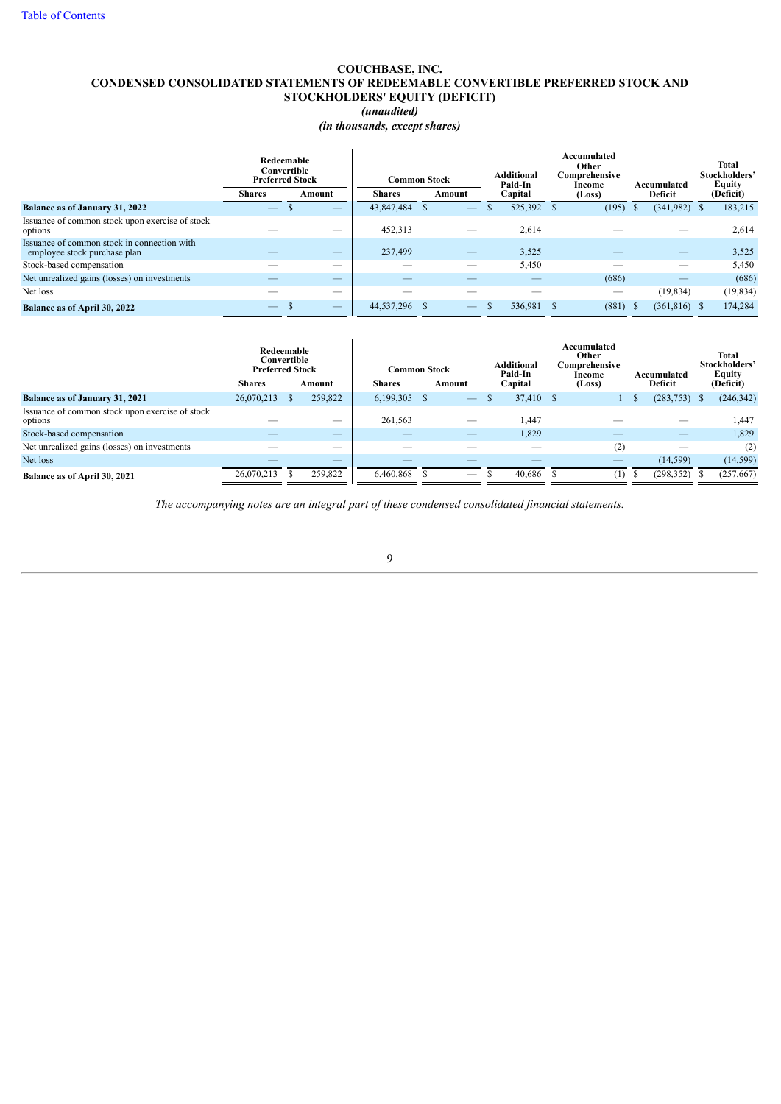# **COUCHBASE, INC. CONDENSED CONSOLIDATED STATEMENTS OF REDEEMABLE CONVERTIBLE PREFERRED STOCK AND STOCKHOLDERS' EQUITY (DEFICIT)** *(unaudited)*

# *(in thousands, except shares)*

|                                                                             |                          | Redeemable<br>Convertible<br><b>Preferred Stock</b> | <b>Common Stock</b> |                          |  | Accumulated<br>Other<br><b>Additional</b><br>Comprehensive<br>Paid-In<br>Income |  |                               |     | Accumulated    |           | Total<br>Stockholders'<br><b>Equity</b> |
|-----------------------------------------------------------------------------|--------------------------|-----------------------------------------------------|---------------------|--------------------------|--|---------------------------------------------------------------------------------|--|-------------------------------|-----|----------------|-----------|-----------------------------------------|
|                                                                             | <b>Shares</b>            | Amount                                              | <b>Shares</b>       | Amount                   |  | Capital                                                                         |  | (Loss)                        |     | Deficit        | (Deficit) |                                         |
| <b>Balance as of January 31, 2022</b>                                       | $\overline{\phantom{0}}$ |                                                     | 43,847,484          | $\overline{\phantom{m}}$ |  | 525,392                                                                         |  | (195)                         | - 5 | $(341,982)$ \$ |           | 183,215                                 |
| Issuance of common stock upon exercise of stock<br>options                  |                          |                                                     | 452,313             |                          |  | 2,614                                                                           |  |                               |     |                |           | 2,614                                   |
| Issuance of common stock in connection with<br>employee stock purchase plan |                          |                                                     | 237,499             |                          |  | 3,525                                                                           |  |                               |     |                |           | 3,525                                   |
| Stock-based compensation                                                    |                          | $\overline{\phantom{a}}$                            |                     |                          |  | 5,450                                                                           |  |                               |     |                |           | 5,450                                   |
| Net unrealized gains (losses) on investments                                |                          | __                                                  |                     |                          |  | $\sim$                                                                          |  | (686)                         |     |                |           | (686)                                   |
| Net loss                                                                    |                          |                                                     |                     |                          |  |                                                                                 |  | $\overbrace{\phantom{12332}}$ |     | (19, 834)      |           | (19, 834)                               |
| Balance as of April 30, 2022                                                | $-$                      | --                                                  | 44.537.296          | $\overline{\phantom{0}}$ |  | 536.981                                                                         |  | (881)                         |     | $(361,816)$ \$ |           | 174.284                                 |

|                                                            | Redeemable<br>Convertible<br><b>Preferred Stock</b> |          |         | Accumulated<br>Other<br><b>Additional</b><br>Comprehensive<br><b>Common Stock</b><br>Paid-In<br>Accumulated<br>Income |  |                          |  |         |  |        |    |                | Total<br>Stockholders'<br>Equity |            |
|------------------------------------------------------------|-----------------------------------------------------|----------|---------|-----------------------------------------------------------------------------------------------------------------------|--|--------------------------|--|---------|--|--------|----|----------------|----------------------------------|------------|
|                                                            | <b>Shares</b>                                       |          | Amount  | <b>Shares</b>                                                                                                         |  | Amount                   |  | Capital |  | (Loss) |    | Deficit        | (Deficit)                        |            |
| <b>Balance as of January 31, 2021</b>                      | 26,070,213                                          | <b>S</b> | 259,822 | 6,199,305                                                                                                             |  |                          |  | 37.410  |  |        | .b | $(283,753)$ \$ |                                  | (246, 342) |
| Issuance of common stock upon exercise of stock<br>options |                                                     |          | –       | 261,563                                                                                                               |  |                          |  | 1,447   |  |        |    |                |                                  | .447       |
| Stock-based compensation                                   |                                                     |          |         |                                                                                                                       |  |                          |  | 1,829   |  |        |    |                |                                  | 1,829      |
| Net unrealized gains (losses) on investments               |                                                     |          | __      |                                                                                                                       |  |                          |  |         |  | (2)    |    |                |                                  | (2)        |
| Net loss                                                   |                                                     |          |         |                                                                                                                       |  |                          |  |         |  |        |    | (14, 599)      |                                  | (14, 599)  |
| Balance as of April 30, 2021                               | 26,070,213                                          |          | 259,822 | 6,460,868                                                                                                             |  | $\overline{\phantom{m}}$ |  | 40,686  |  | (1)    |    | (298, 352)     |                                  | (257, 667) |

<span id="page-9-0"></span>*The accompanying notes are an integral part of these condensed consolidated financial statements.*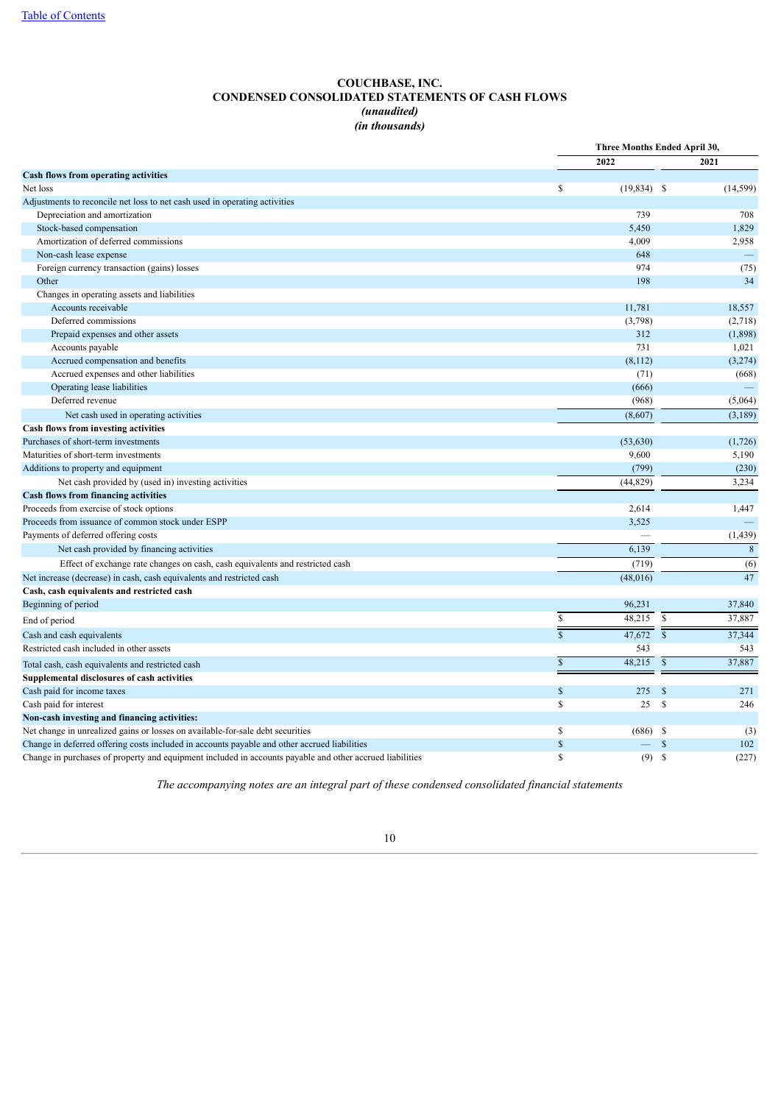# **COUCHBASE, INC. CONDENSED CONSOLIDATED STATEMENTS OF CASH FLOWS** *(unaudited) (in thousands)*

|                                                                                                          | Three Months Ended April 30, |               |                         |                          |
|----------------------------------------------------------------------------------------------------------|------------------------------|---------------|-------------------------|--------------------------|
|                                                                                                          |                              | 2022          |                         | 2021                     |
| <b>Cash flows from operating activities</b>                                                              |                              |               |                         |                          |
| Net loss                                                                                                 | S                            | $(19,834)$ \$ |                         | (14, 599)                |
| Adjustments to reconcile net loss to net cash used in operating activities                               |                              |               |                         |                          |
| Depreciation and amortization                                                                            |                              | 739           |                         | 708                      |
| Stock-based compensation                                                                                 |                              | 5,450         |                         | 1,829                    |
| Amortization of deferred commissions                                                                     |                              | 4,009         |                         | 2,958                    |
| Non-cash lease expense                                                                                   |                              | 648           |                         | $\equiv$                 |
| Foreign currency transaction (gains) losses                                                              |                              | 974           |                         | (75)                     |
| Other                                                                                                    |                              | 198           |                         | 34                       |
| Changes in operating assets and liabilities                                                              |                              |               |                         |                          |
| Accounts receivable                                                                                      |                              | 11,781        |                         | 18,557                   |
| Deferred commissions                                                                                     |                              | (3,798)       |                         | (2,718)                  |
| Prepaid expenses and other assets                                                                        |                              | 312           |                         | (1,898)                  |
| Accounts payable                                                                                         |                              | 731           |                         | 1,021                    |
| Accrued compensation and benefits                                                                        |                              | (8,112)       |                         | (3,274)                  |
| Accrued expenses and other liabilities                                                                   |                              | (71)          |                         | (668)                    |
| Operating lease liabilities                                                                              |                              | (666)         |                         | $\overline{\phantom{a}}$ |
| Deferred revenue                                                                                         |                              | (968)         |                         | (5,064)                  |
| Net cash used in operating activities                                                                    |                              | (8,607)       |                         | (3, 189)                 |
| Cash flows from investing activities                                                                     |                              |               |                         |                          |
| Purchases of short-term investments                                                                      |                              | (53, 630)     |                         | (1,726)                  |
| Maturities of short-term investments                                                                     |                              | 9,600         |                         | 5,190                    |
| Additions to property and equipment                                                                      |                              | (799)         |                         | (230)                    |
| Net cash provided by (used in) investing activities                                                      |                              | (44, 829)     |                         | 3,234                    |
| <b>Cash flows from financing activities</b>                                                              |                              |               |                         |                          |
| Proceeds from exercise of stock options                                                                  |                              | 2,614         |                         | 1,447                    |
| Proceeds from issuance of common stock under ESPP                                                        |                              | 3,525         |                         | $\overline{\phantom{a}}$ |
| Payments of deferred offering costs                                                                      |                              |               |                         | (1, 439)                 |
| Net cash provided by financing activities                                                                |                              | 6,139         |                         | $8\phantom{1}$           |
| Effect of exchange rate changes on cash, cash equivalents and restricted cash                            |                              | (719)         |                         | (6)                      |
| Net increase (decrease) in cash, cash equivalents and restricted cash                                    |                              | (48, 016)     |                         | 47                       |
| Cash, cash equivalents and restricted cash                                                               |                              |               |                         |                          |
| Beginning of period                                                                                      |                              | 96,231        |                         | 37,840                   |
| End of period                                                                                            | \$                           | 48,215        | $\mathbf{s}$            | 37,887                   |
| Cash and cash equivalents                                                                                | $\overline{s}$               | 47,672        | $\overline{\mathsf{s}}$ | 37,344                   |
| Restricted cash included in other assets                                                                 |                              | 543           |                         | 543                      |
| Total cash, cash equivalents and restricted cash                                                         | $\mathbf S$                  | 48,215        | $\mathbf{\hat{s}}$      | 37,887                   |
| Supplemental disclosures of cash activities                                                              |                              |               |                         |                          |
| Cash paid for income taxes                                                                               | $\mathbb S$                  | 275           | $\mathcal{S}$           | 271                      |
| Cash paid for interest                                                                                   | $\mathbb{S}$                 | 25            | \$                      | 246                      |
| Non-cash investing and financing activities:                                                             |                              |               |                         |                          |
| Net change in unrealized gains or losses on available-for-sale debt securities                           | \$                           | (686)         | \$                      | (3)                      |
| Change in deferred offering costs included in accounts payable and other accrued liabilities             | $\mathbb S$                  |               | $\mathbf S$             | 102                      |
| Change in purchases of property and equipment included in accounts payable and other accrued liabilities | $\mathbf S$                  | (9)           | $\mathbf S$             | (227)                    |

<span id="page-10-0"></span>*The accompanying notes are an integral part of these condensed consolidated financial statements*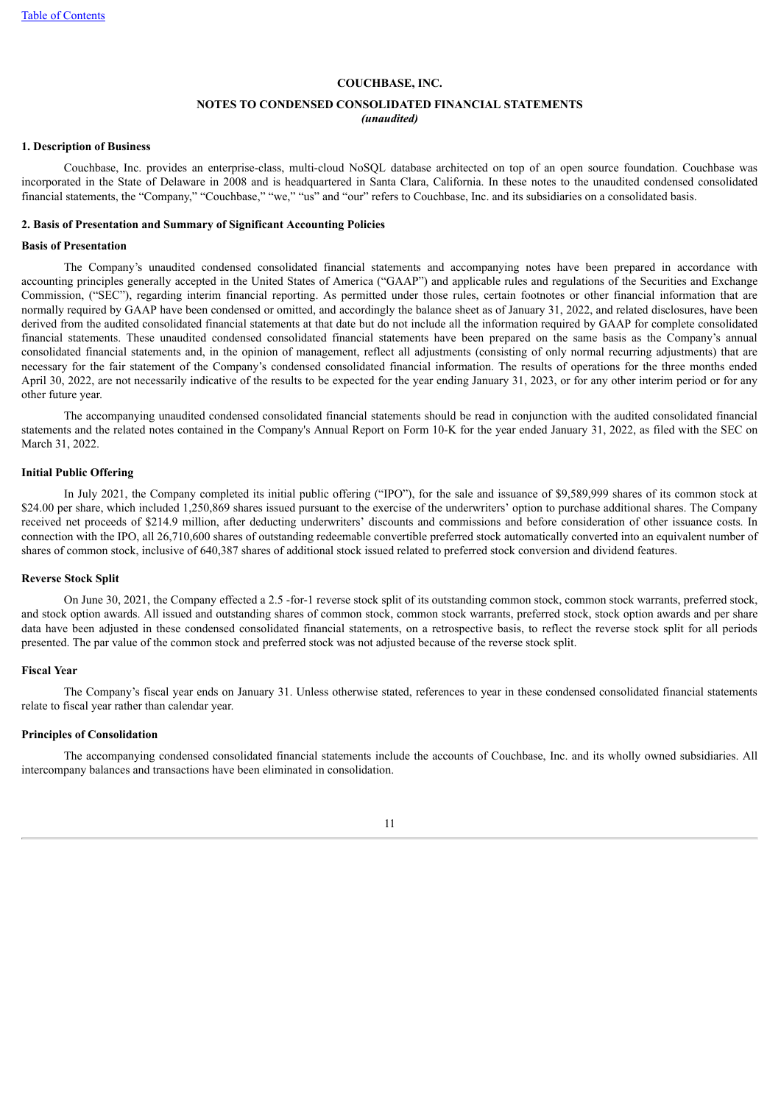## **COUCHBASE, INC.**

# **NOTES TO CONDENSED CONSOLIDATED FINANCIAL STATEMENTS**

## *(unaudited)*

#### **1. Description of Business**

Couchbase, Inc. provides an enterprise-class, multi-cloud NoSQL database architected on top of an open source foundation. Couchbase was incorporated in the State of Delaware in 2008 and is headquartered in Santa Clara, California. In these notes to the unaudited condensed consolidated financial statements, the "Company," "Couchbase," "we," "us" and "our" refers to Couchbase, Inc. and its subsidiaries on a consolidated basis.

# **2. Basis of Presentation and Summary of Significant Accounting Policies**

#### **Basis of Presentation**

The Company's unaudited condensed consolidated financial statements and accompanying notes have been prepared in accordance with accounting principles generally accepted in the United States of America ("GAAP") and applicable rules and regulations of the Securities and Exchange Commission, ("SEC"), regarding interim financial reporting. As permitted under those rules, certain footnotes or other financial information that are normally required by GAAP have been condensed or omitted, and accordingly the balance sheet as of January 31, 2022, and related disclosures, have been derived from the audited consolidated financial statements at that date but do not include all the information required by GAAP for complete consolidated financial statements. These unaudited condensed consolidated financial statements have been prepared on the same basis as the Company's annual consolidated financial statements and, in the opinion of management, reflect all adjustments (consisting of only normal recurring adjustments) that are necessary for the fair statement of the Company's condensed consolidated financial information. The results of operations for the three months ended April 30, 2022, are not necessarily indicative of the results to be expected for the year ending January 31, 2023, or for any other interim period or for any other future year.

The accompanying unaudited condensed consolidated financial statements should be read in conjunction with the audited consolidated financial statements and the related notes contained in the Company's Annual Report on Form 10-K for the year ended January 31, 2022, as filed with the SEC on March 31, 2022.

## **Initial Public Offering**

In July 2021, the Company completed its initial public offering ("IPO"), for the sale and issuance of \$9,589,999 shares of its common stock at \$24.00 per share, which included 1,250,869 shares issued pursuant to the exercise of the underwriters' option to purchase additional shares. The Company received net proceeds of \$214.9 million, after deducting underwriters' discounts and commissions and before consideration of other issuance costs. In connection with the IPO, all 26,710,600 shares of outstanding redeemable convertible preferred stock automatically converted into an equivalent number of shares of common stock, inclusive of 640,387 shares of additional stock issued related to preferred stock conversion and dividend features.

## **Reverse Stock Split**

On June 30, 2021, the Company effected a 2.5 -for-1 reverse stock split of its outstanding common stock, common stock warrants, preferred stock, and stock option awards. All issued and outstanding shares of common stock, common stock warrants, preferred stock, stock option awards and per share data have been adjusted in these condensed consolidated financial statements, on a retrospective basis, to reflect the reverse stock split for all periods presented. The par value of the common stock and preferred stock was not adjusted because of the reverse stock split.

## **Fiscal Year**

The Company's fiscal year ends on January 31. Unless otherwise stated, references to year in these condensed consolidated financial statements relate to fiscal year rather than calendar year.

#### **Principles of Consolidation**

The accompanying condensed consolidated financial statements include the accounts of Couchbase, Inc. and its wholly owned subsidiaries. All intercompany balances and transactions have been eliminated in consolidation.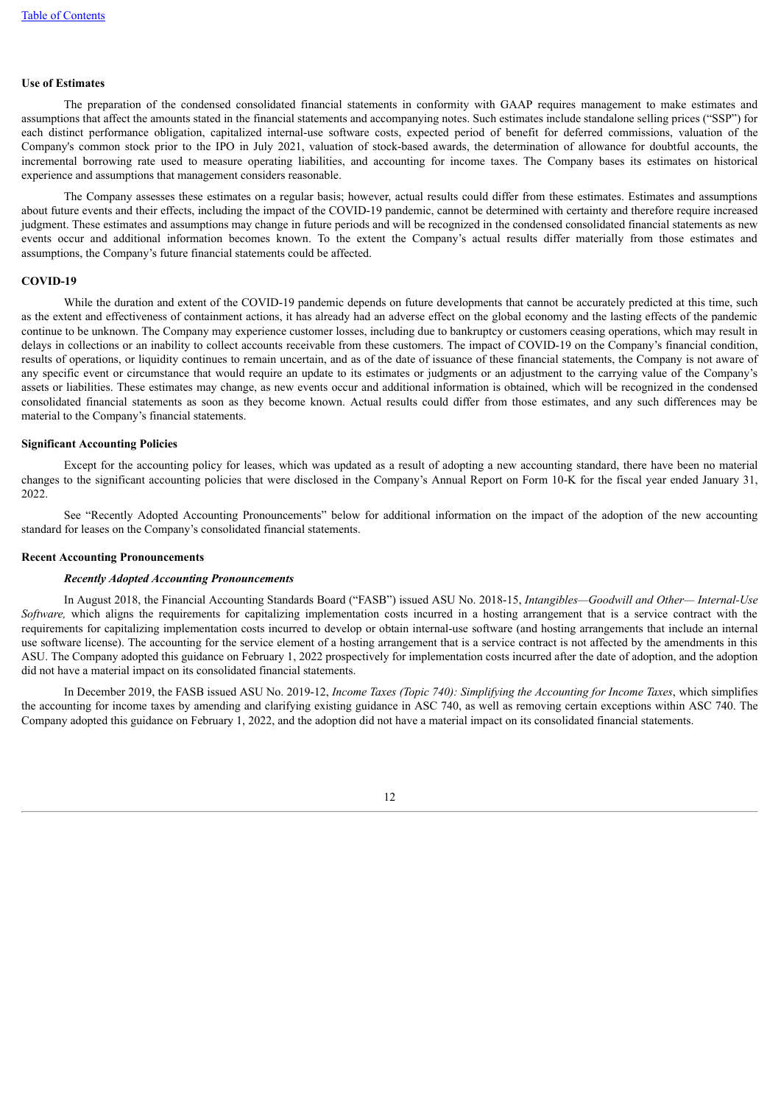#### **Use of Estimates**

The preparation of the condensed consolidated financial statements in conformity with GAAP requires management to make estimates and assumptions that affect the amounts stated in the financial statements and accompanying notes. Such estimates include standalone selling prices ("SSP") for each distinct performance obligation, capitalized internal-use software costs, expected period of benefit for deferred commissions, valuation of the Company's common stock prior to the IPO in July 2021, valuation of stock-based awards, the determination of allowance for doubtful accounts, the incremental borrowing rate used to measure operating liabilities, and accounting for income taxes. The Company bases its estimates on historical experience and assumptions that management considers reasonable.

The Company assesses these estimates on a regular basis; however, actual results could differ from these estimates. Estimates and assumptions about future events and their effects, including the impact of the COVID-19 pandemic, cannot be determined with certainty and therefore require increased judgment. These estimates and assumptions may change in future periods and will be recognized in the condensed consolidated financial statements as new events occur and additional information becomes known. To the extent the Company's actual results differ materially from those estimates and assumptions, the Company's future financial statements could be affected.

## **COVID-19**

While the duration and extent of the COVID-19 pandemic depends on future developments that cannot be accurately predicted at this time, such as the extent and effectiveness of containment actions, it has already had an adverse effect on the global economy and the lasting effects of the pandemic continue to be unknown. The Company may experience customer losses, including due to bankruptcy or customers ceasing operations, which may result in delays in collections or an inability to collect accounts receivable from these customers. The impact of COVID-19 on the Company's financial condition, results of operations, or liquidity continues to remain uncertain, and as of the date of issuance of these financial statements, the Company is not aware of any specific event or circumstance that would require an update to its estimates or judgments or an adjustment to the carrying value of the Company's assets or liabilities. These estimates may change, as new events occur and additional information is obtained, which will be recognized in the condensed consolidated financial statements as soon as they become known. Actual results could differ from those estimates, and any such differences may be material to the Company's financial statements.

#### **Significant Accounting Policies**

Except for the accounting policy for leases, which was updated as a result of adopting a new accounting standard, there have been no material changes to the significant accounting policies that were disclosed in the Company's Annual Report on Form 10-K for the fiscal year ended January 31, 2022.

See "Recently Adopted Accounting Pronouncements" below for additional information on the impact of the adoption of the new accounting standard for leases on the Company's consolidated financial statements.

#### **Recent Accounting Pronouncements**

## *Recently Adopted Accounting Pronouncements*

In August 2018, the Financial Accounting Standards Board ("FASB") issued ASU No. 2018-15, *Intangibles—Goodwill and Other— Internal-Use Software,* which aligns the requirements for capitalizing implementation costs incurred in a hosting arrangement that is a service contract with the requirements for capitalizing implementation costs incurred to develop or obtain internal-use software (and hosting arrangements that include an internal use software license). The accounting for the service element of a hosting arrangement that is a service contract is not affected by the amendments in this ASU. The Company adopted this guidance on February 1, 2022 prospectively for implementation costs incurred after the date of adoption, and the adoption did not have a material impact on its consolidated financial statements.

In December 2019, the FASB issued ASU No. 2019-12, *Income Taxes (Topic 740): Simplifying the Accounting for Income Taxes*, which simplifies the accounting for income taxes by amending and clarifying existing guidance in ASC 740, as well as removing certain exceptions within ASC 740. The Company adopted this guidance on February 1, 2022, and the adoption did not have a material impact on its consolidated financial statements.

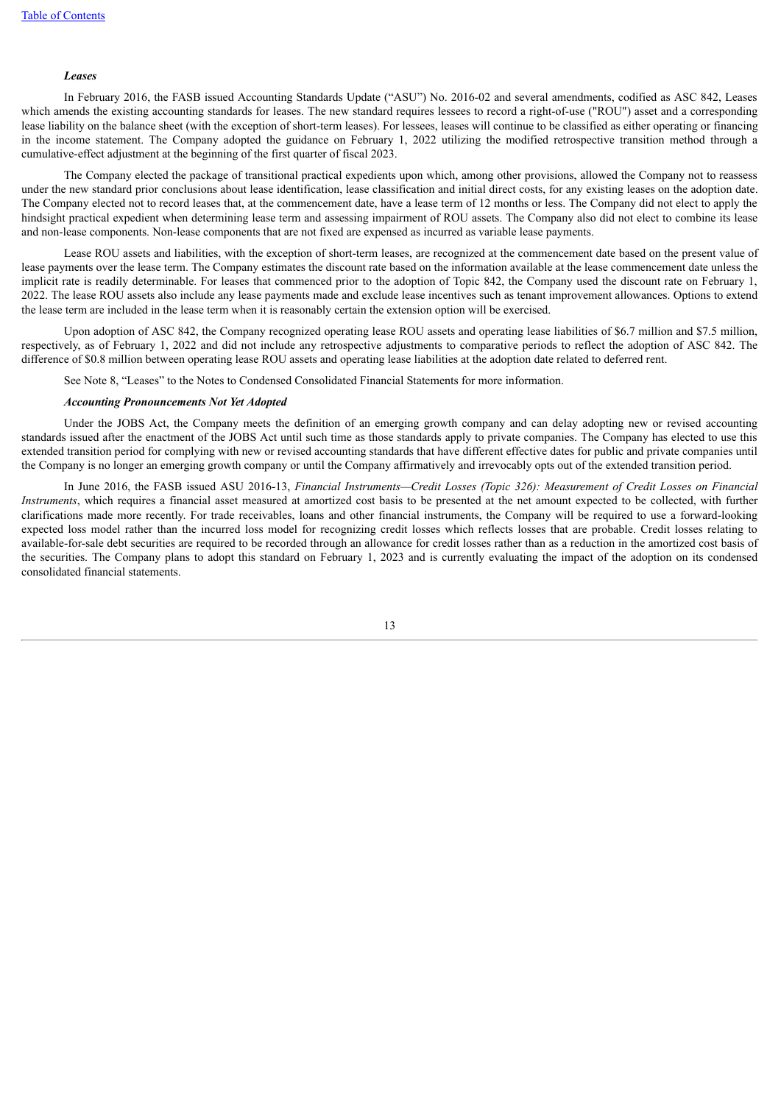## *Leases*

In February 2016, the FASB issued Accounting Standards Update ("ASU") No. 2016-02 and several amendments, codified as ASC 842, Leases which amends the existing accounting standards for leases. The new standard requires lessees to record a right-of-use ("ROU") asset and a corresponding lease liability on the balance sheet (with the exception of short-term leases). For lessees, leases will continue to be classified as either operating or financing in the income statement. The Company adopted the guidance on February 1, 2022 utilizing the modified retrospective transition method through a cumulative-effect adjustment at the beginning of the first quarter of fiscal 2023.

The Company elected the package of transitional practical expedients upon which, among other provisions, allowed the Company not to reassess under the new standard prior conclusions about lease identification, lease classification and initial direct costs, for any existing leases on the adoption date. The Company elected not to record leases that, at the commencement date, have a lease term of 12 months or less. The Company did not elect to apply the hindsight practical expedient when determining lease term and assessing impairment of ROU assets. The Company also did not elect to combine its lease and non-lease components. Non-lease components that are not fixed are expensed as incurred as variable lease payments.

Lease ROU assets and liabilities, with the exception of short-term leases, are recognized at the commencement date based on the present value of lease payments over the lease term. The Company estimates the discount rate based on the information available at the lease commencement date unless the implicit rate is readily determinable. For leases that commenced prior to the adoption of Topic 842, the Company used the discount rate on February 1, 2022. The lease ROU assets also include any lease payments made and exclude lease incentives such as tenant improvement allowances. Options to extend the lease term are included in the lease term when it is reasonably certain the extension option will be exercised.

Upon adoption of ASC 842, the Company recognized operating lease ROU assets and operating lease liabilities of \$6.7 million and \$7.5 million, respectively, as of February 1, 2022 and did not include any retrospective adjustments to comparative periods to reflect the adoption of ASC 842. The difference of \$0.8 million between operating lease ROU assets and operating lease liabilities at the adoption date related to deferred rent.

See Note 8, "Leases" to the Notes to Condensed Consolidated Financial Statements for more information.

## *Accounting Pronouncements Not Yet Adopted*

Under the JOBS Act, the Company meets the definition of an emerging growth company and can delay adopting new or revised accounting standards issued after the enactment of the JOBS Act until such time as those standards apply to private companies. The Company has elected to use this extended transition period for complying with new or revised accounting standards that have different effective dates for public and private companies until the Company is no longer an emerging growth company or until the Company affirmatively and irrevocably opts out of the extended transition period.

In June 2016, the FASB issued ASU 2016-13, *Financial Instruments—Credit Losses (Topic 326): Measurement of Credit Losses on Financial Instruments*, which requires a financial asset measured at amortized cost basis to be presented at the net amount expected to be collected, with further clarifications made more recently. For trade receivables, loans and other financial instruments, the Company will be required to use a forward-looking expected loss model rather than the incurred loss model for recognizing credit losses which reflects losses that are probable. Credit losses relating to available-for-sale debt securities are required to be recorded through an allowance for credit losses rather than as a reduction in the amortized cost basis of the securities. The Company plans to adopt this standard on February 1, 2023 and is currently evaluating the impact of the adoption on its condensed consolidated financial statements.

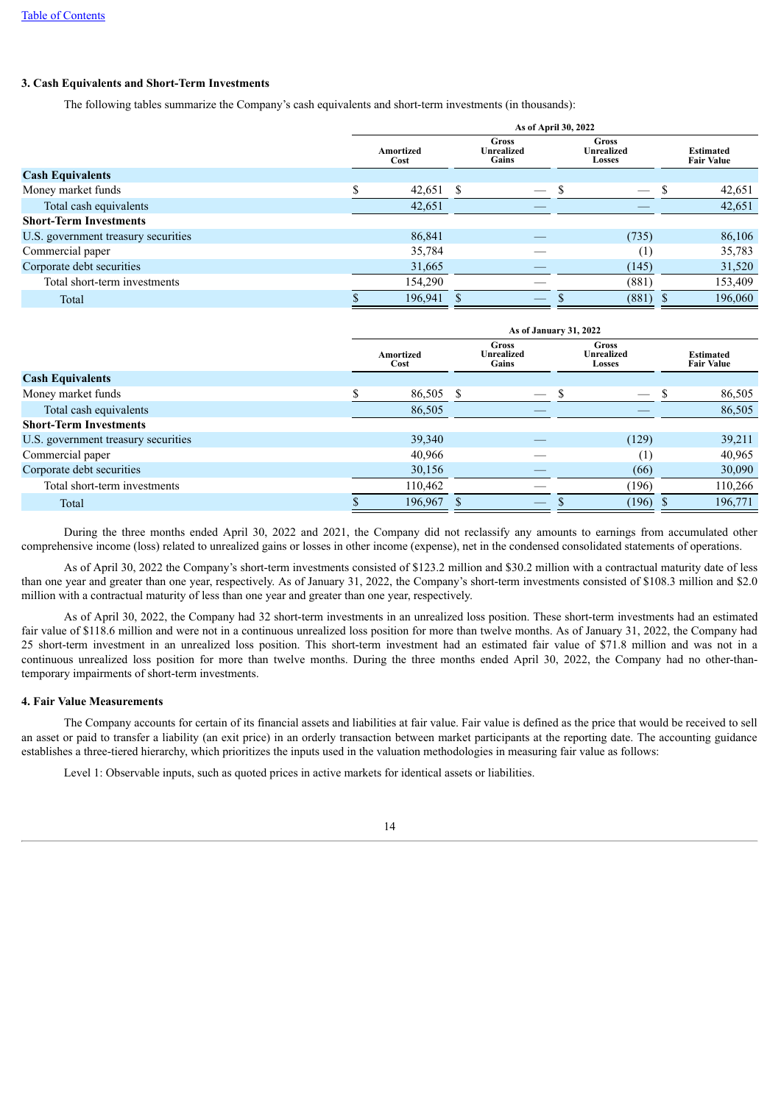# **3. Cash Equivalents and Short-Term Investments**

The following tables summarize the Company's cash equivalents and short-term investments (in thousands):

|                                     | As of April 30, 2022 |         |                                            |                          |  |                                                    |  |                                       |  |  |  |
|-------------------------------------|----------------------|---------|--------------------------------------------|--------------------------|--|----------------------------------------------------|--|---------------------------------------|--|--|--|
|                                     | Amortized<br>Cost    |         | <b>Gross</b><br><b>Unrealized</b><br>Gains |                          |  | <b>Gross</b><br><b>Unrealized</b><br><b>Losses</b> |  | <b>Estimated</b><br><b>Fair Value</b> |  |  |  |
| <b>Cash Equivalents</b>             |                      |         |                                            |                          |  |                                                    |  |                                       |  |  |  |
| Money market funds                  |                      | 42,651  | -S                                         | $\overline{\phantom{0}}$ |  |                                                    |  | 42,651                                |  |  |  |
| Total cash equivalents              |                      | 42,651  |                                            |                          |  |                                                    |  | 42,651                                |  |  |  |
| <b>Short-Term Investments</b>       |                      |         |                                            |                          |  |                                                    |  |                                       |  |  |  |
| U.S. government treasury securities |                      | 86,841  |                                            |                          |  | (735)                                              |  | 86,106                                |  |  |  |
| Commercial paper                    |                      | 35,784  |                                            |                          |  | (1)                                                |  | 35,783                                |  |  |  |
| Corporate debt securities           |                      | 31,665  |                                            |                          |  | (145)                                              |  | 31,520                                |  |  |  |
| Total short-term investments        |                      | 154,290 |                                            |                          |  | (881)                                              |  | 153,409                               |  |  |  |
| Total                               |                      | 196,941 |                                            |                          |  | (881)                                              |  | 196,060                               |  |  |  |

|                                     | As of January 31, 2022 |                   |   |                                            |                                             |       |  |                                       |  |  |  |
|-------------------------------------|------------------------|-------------------|---|--------------------------------------------|---------------------------------------------|-------|--|---------------------------------------|--|--|--|
|                                     |                        | Amortized<br>Cost |   | <b>Gross</b><br><b>Unrealized</b><br>Gains | <b>Gross</b><br><b>Unrealized</b><br>Losses |       |  | <b>Estimated</b><br><b>Fair Value</b> |  |  |  |
| <b>Cash Equivalents</b>             |                        |                   |   |                                            |                                             |       |  |                                       |  |  |  |
| Money market funds                  |                        | 86,505            | S |                                            |                                             |       |  | 86,505                                |  |  |  |
| Total cash equivalents              |                        | 86,505            |   |                                            |                                             |       |  | 86,505                                |  |  |  |
| <b>Short-Term Investments</b>       |                        |                   |   |                                            |                                             |       |  |                                       |  |  |  |
| U.S. government treasury securities |                        | 39,340            |   |                                            |                                             | (129) |  | 39,211                                |  |  |  |
| Commercial paper                    |                        | 40,966            |   |                                            |                                             | (1)   |  | 40,965                                |  |  |  |
| Corporate debt securities           |                        | 30,156            |   |                                            |                                             | (66)  |  | 30,090                                |  |  |  |
| Total short-term investments        |                        | 110,462           |   |                                            |                                             | (196) |  | 110,266                               |  |  |  |
| Total                               |                        | 196,967           |   |                                            |                                             | (196) |  | 196,771                               |  |  |  |

During the three months ended April 30, 2022 and 2021, the Company did not reclassify any amounts to earnings from accumulated other comprehensive income (loss) related to unrealized gains or losses in other income (expense), net in the condensed consolidated statements of operations.

As of April 30, 2022 the Company's short-term investments consisted of \$123.2 million and \$30.2 million with a contractual maturity date of less than one year and greater than one year, respectively. As of January 31, 2022, the Company's short-term investments consisted of \$108.3 million and \$2.0 million with a contractual maturity of less than one year and greater than one year, respectively.

As of April 30, 2022, the Company had 32 short-term investments in an unrealized loss position. These short-term investments had an estimated fair value of \$118.6 million and were not in a continuous unrealized loss position for more than twelve months. As of January 31, 2022, the Company had 25 short-term investment in an unrealized loss position. This short-term investment had an estimated fair value of \$71.8 million and was not in a continuous unrealized loss position for more than twelve months. During the three months ended April 30, 2022, the Company had no other-thantemporary impairments of short-term investments.

# **4. Fair Value Measurements**

The Company accounts for certain of its financial assets and liabilities at fair value. Fair value is defined as the price that would be received to sell an asset or paid to transfer a liability (an exit price) in an orderly transaction between market participants at the reporting date. The accounting guidance establishes a three-tiered hierarchy, which prioritizes the inputs used in the valuation methodologies in measuring fair value as follows:

Level 1: Observable inputs, such as quoted prices in active markets for identical assets or liabilities.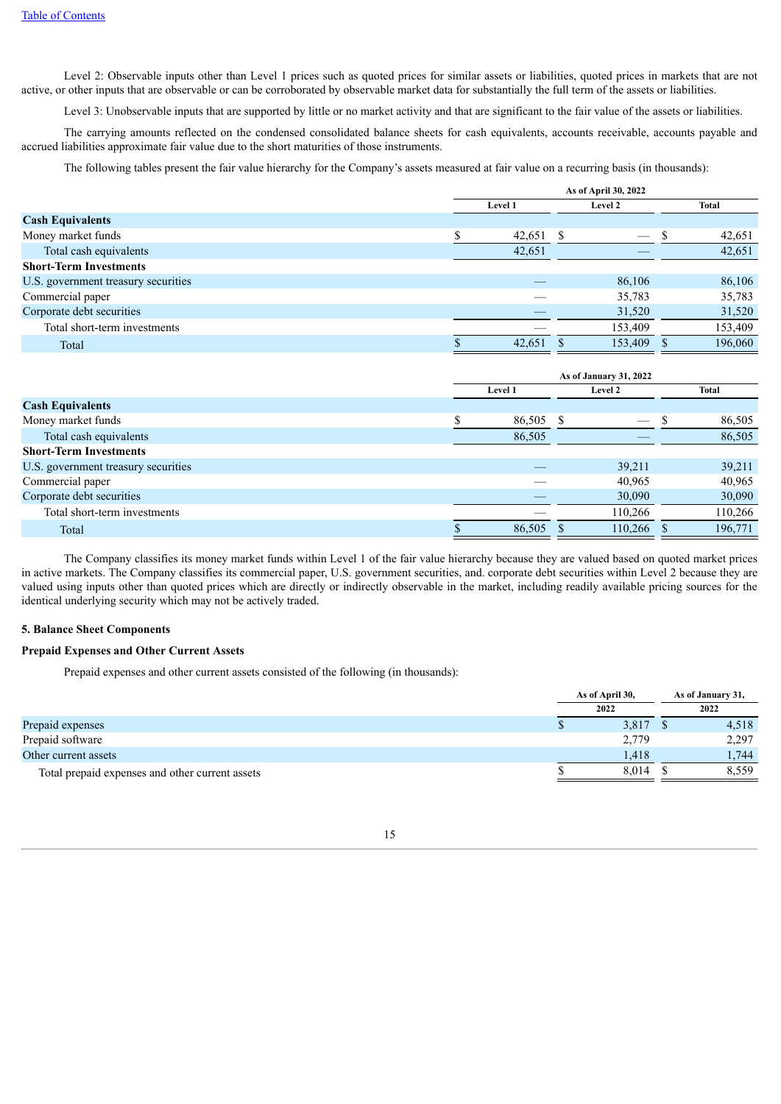Level 2: Observable inputs other than Level 1 prices such as quoted prices for similar assets or liabilities, quoted prices in markets that are not active, or other inputs that are observable or can be corroborated by observable market data for substantially the full term of the assets or liabilities.

Level 3: Unobservable inputs that are supported by little or no market activity and that are significant to the fair value of the assets or liabilities.

The carrying amounts reflected on the condensed consolidated balance sheets for cash equivalents, accounts receivable, accounts payable and accrued liabilities approximate fair value due to the short maturities of those instruments.

The following tables present the fair value hierarchy for the Company's assets measured at fair value on a recurring basis (in thousands):

|                                     | As of April 30, 2022 |             |  |         |  |              |  |  |  |
|-------------------------------------|----------------------|-------------|--|---------|--|--------------|--|--|--|
|                                     | Level 1              |             |  | Level 2 |  | <b>Total</b> |  |  |  |
| <b>Cash Equivalents</b>             |                      |             |  |         |  |              |  |  |  |
| Money market funds                  | ¢                    | $42,651$ \$ |  |         |  | 42,651       |  |  |  |
| Total cash equivalents              |                      | 42,651      |  |         |  | 42,651       |  |  |  |
| <b>Short-Term Investments</b>       |                      |             |  |         |  |              |  |  |  |
| U.S. government treasury securities |                      |             |  | 86,106  |  | 86,106       |  |  |  |
| Commercial paper                    |                      |             |  | 35,783  |  | 35,783       |  |  |  |
| Corporate debt securities           |                      |             |  | 31,520  |  | 31,520       |  |  |  |
| Total short-term investments        |                      |             |  | 153,409 |  | 153,409      |  |  |  |
| Total                               |                      | 42,651      |  | 153,409 |  | 196,060      |  |  |  |

|                                     | As of January 31, 2022 |           |  |                          |  |         |
|-------------------------------------|------------------------|-----------|--|--------------------------|--|---------|
|                                     |                        | Level 1   |  | Level 2                  |  | Total   |
| <b>Cash Equivalents</b>             |                        |           |  |                          |  |         |
| Money market funds                  |                        | 86,505 \$ |  | $\overline{\phantom{m}}$ |  | 86,505  |
| Total cash equivalents              |                        | 86,505    |  |                          |  | 86,505  |
| <b>Short-Term Investments</b>       |                        |           |  |                          |  |         |
| U.S. government treasury securities |                        |           |  | 39,211                   |  | 39,211  |
| Commercial paper                    |                        |           |  | 40,965                   |  | 40,965  |
| Corporate debt securities           |                        |           |  | 30,090                   |  | 30,090  |
| Total short-term investments        |                        |           |  | 110,266                  |  | 110,266 |
| Total                               |                        | 86,505    |  | 110,266                  |  | 196,771 |

The Company classifies its money market funds within Level 1 of the fair value hierarchy because they are valued based on quoted market prices in active markets. The Company classifies its commercial paper, U.S. government securities, and. corporate debt securities within Level 2 because they are valued using inputs other than quoted prices which are directly or indirectly observable in the market, including readily available pricing sources for the identical underlying security which may not be actively traded.

# **5. Balance Sheet Components**

## **Prepaid Expenses and Other Current Assets**

Prepaid expenses and other current assets consisted of the following (in thousands):

|                                                 |  | As of April 30,<br>2022 |  | As of January 31,<br>2022 |  |
|-------------------------------------------------|--|-------------------------|--|---------------------------|--|
|                                                 |  |                         |  |                           |  |
| Prepaid expenses                                |  | 3,817                   |  | 4,518                     |  |
| Prepaid software                                |  | 2,779                   |  | 2,297                     |  |
| Other current assets                            |  | l.418                   |  | .744                      |  |
| Total prepaid expenses and other current assets |  | 8.014                   |  | 8.559                     |  |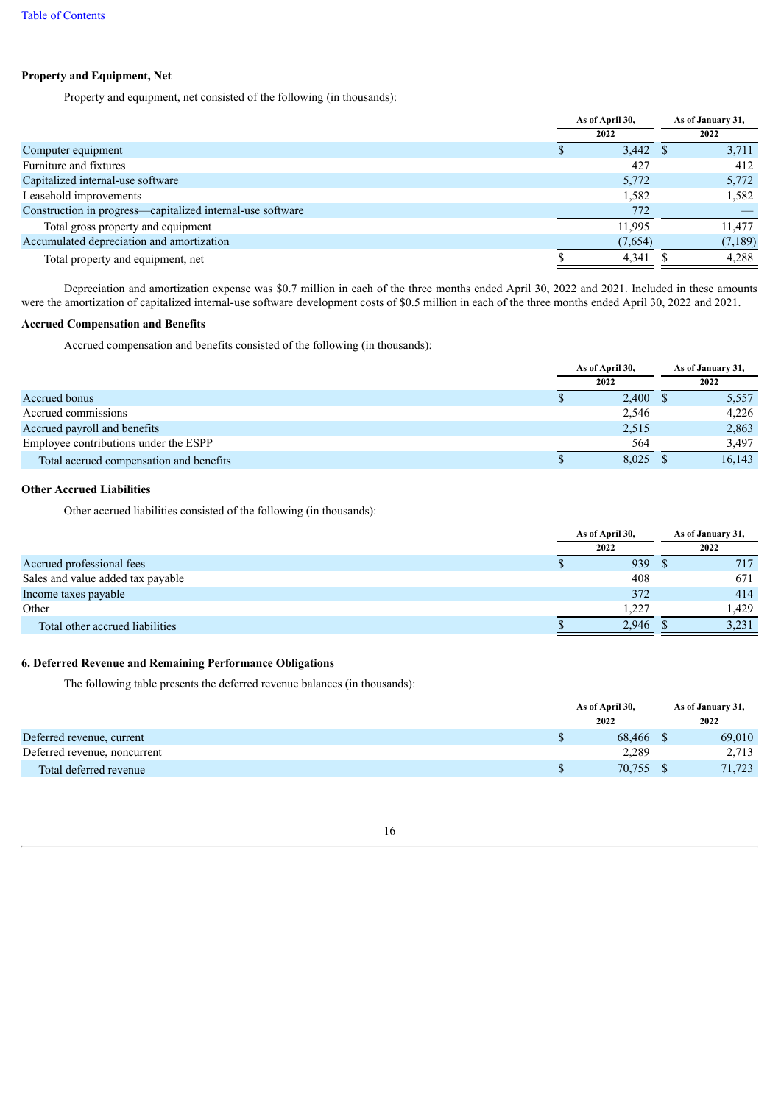# **Property and Equipment, Net**

Property and equipment, net consisted of the following (in thousands):

|                                                            | As of April 30, | As of January 31, |       |
|------------------------------------------------------------|-----------------|-------------------|-------|
|                                                            | 2022            | 2022              |       |
| Computer equipment                                         | 3,442           |                   | 3,711 |
| Furniture and fixtures                                     | 427             |                   | 412   |
| Capitalized internal-use software                          | 5,772           |                   | 5,772 |
| Leasehold improvements                                     | 1,582           |                   | 1,582 |
| Construction in progress—capitalized internal-use software | 772             |                   |       |
| Total gross property and equipment                         | 11.995          | 11.477            |       |
| Accumulated depreciation and amortization                  | (7,654)         | (7,189)           |       |
| Total property and equipment, net                          | 4,341           |                   | 4,288 |
|                                                            |                 |                   |       |

Depreciation and amortization expense was \$0.7 million in each of the three months ended April 30, 2022 and 2021. Included in these amounts were the amortization of capitalized internal-use software development costs of \$0.5 million in each of the three months ended April 30, 2022 and 2021.

# **Accrued Compensation and Benefits**

Accrued compensation and benefits consisted of the following (in thousands):

|                                         | As of April 30, |       | As of January 31, |
|-----------------------------------------|-----------------|-------|-------------------|
|                                         | 2022            |       | 2022              |
| Accrued bonus                           |                 | 2,400 | 5,557             |
| Accrued commissions                     |                 | 2,546 | 4,226             |
| Accrued payroll and benefits            |                 | 2,515 | 2,863             |
| Employee contributions under the ESPP   |                 | 564   | 3,497             |
| Total accrued compensation and benefits |                 | 8.025 | 16,143            |
|                                         |                 |       |                   |

# **Other Accrued Liabilities**

Other accrued liabilities consisted of the following (in thousands):

|                                   | As of April 30, |  | As of January 31, |
|-----------------------------------|-----------------|--|-------------------|
|                                   | 2022            |  | 2022              |
| Accrued professional fees         | 939             |  | 717               |
| Sales and value added tax payable | 408             |  | 671               |
| Income taxes payable              | 372             |  | 414               |
| Other                             | 1.227           |  | L <sub>429</sub>  |
| Total other accrued liabilities   | 2.946           |  | 3.231             |

# **6. Deferred Revenue and Remaining Performance Obligations**

The following table presents the deferred revenue balances (in thousands):

|                              | As of April 30, |  | As of January 31, |  |
|------------------------------|-----------------|--|-------------------|--|
|                              | 2022            |  | 2022              |  |
| Deferred revenue, current    | 68.466          |  | 69,010            |  |
| Deferred revenue, noncurrent | 2.289           |  | 2.713             |  |
| Total deferred revenue       | 70.755          |  | 71,723            |  |
|                              |                 |  |                   |  |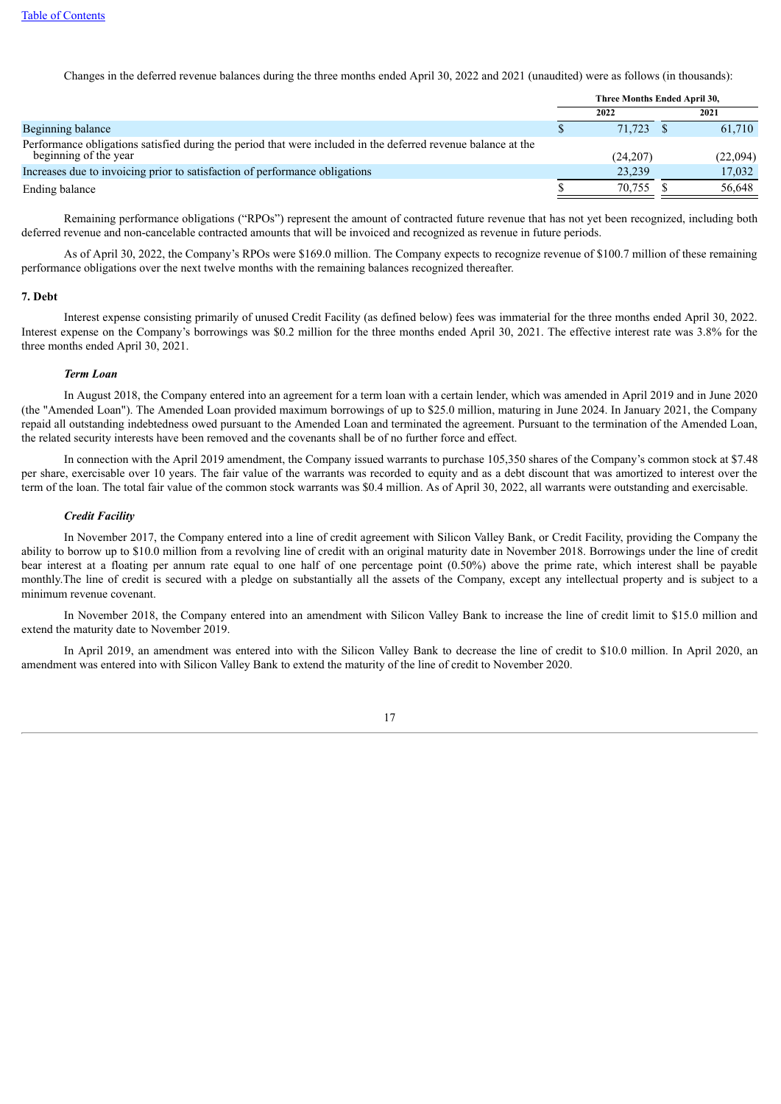Changes in the deferred revenue balances during the three months ended April 30, 2022 and 2021 (unaudited) were as follows (in thousands):

|                                                                                                                                        | Three Months Ended April 30, |          |  |          |
|----------------------------------------------------------------------------------------------------------------------------------------|------------------------------|----------|--|----------|
|                                                                                                                                        |                              | 2022     |  | 2021     |
| Beginning balance                                                                                                                      |                              | 71.723   |  | 61,710   |
| Performance obligations satisfied during the period that were included in the deferred revenue balance at the<br>beginning of the year |                              | (24,207) |  | (22,094) |
| Increases due to invoicing prior to satisfaction of performance obligations                                                            |                              | 23.239   |  | 17,032   |
| Ending balance                                                                                                                         |                              | 70.755   |  | 56,648   |

Remaining performance obligations ("RPOs") represent the amount of contracted future revenue that has not yet been recognized, including both deferred revenue and non-cancelable contracted amounts that will be invoiced and recognized as revenue in future periods.

As of April 30, 2022, the Company's RPOs were \$169.0 million. The Company expects to recognize revenue of \$100.7 million of these remaining performance obligations over the next twelve months with the remaining balances recognized thereafter.

# **7. Debt**

Interest expense consisting primarily of unused Credit Facility (as defined below) fees was immaterial for the three months ended April 30, 2022. Interest expense on the Company's borrowings was \$0.2 million for the three months ended April 30, 2021. The effective interest rate was 3.8% for the three months ended April 30, 2021.

#### *Term Loan*

In August 2018, the Company entered into an agreement for a term loan with a certain lender, which was amended in April 2019 and in June 2020 (the "Amended Loan"). The Amended Loan provided maximum borrowings of up to \$25.0 million, maturing in June 2024. In January 2021, the Company repaid all outstanding indebtedness owed pursuant to the Amended Loan and terminated the agreement. Pursuant to the termination of the Amended Loan, the related security interests have been removed and the covenants shall be of no further force and effect.

In connection with the April 2019 amendment, the Company issued warrants to purchase 105,350 shares of the Company's common stock at \$7.48 per share, exercisable over 10 years. The fair value of the warrants was recorded to equity and as a debt discount that was amortized to interest over the term of the loan. The total fair value of the common stock warrants was \$0.4 million. As of April 30, 2022, all warrants were outstanding and exercisable.

## *Credit Facility*

In November 2017, the Company entered into a line of credit agreement with Silicon Valley Bank, or Credit Facility, providing the Company the ability to borrow up to \$10.0 million from a revolving line of credit with an original maturity date in November 2018. Borrowings under the line of credit bear interest at a floating per annum rate equal to one half of one percentage point (0.50%) above the prime rate, which interest shall be payable monthly.The line of credit is secured with a pledge on substantially all the assets of the Company, except any intellectual property and is subject to a minimum revenue covenant.

In November 2018, the Company entered into an amendment with Silicon Valley Bank to increase the line of credit limit to \$15.0 million and extend the maturity date to November 2019.

In April 2019, an amendment was entered into with the Silicon Valley Bank to decrease the line of credit to \$10.0 million. In April 2020, an amendment was entered into with Silicon Valley Bank to extend the maturity of the line of credit to November 2020.

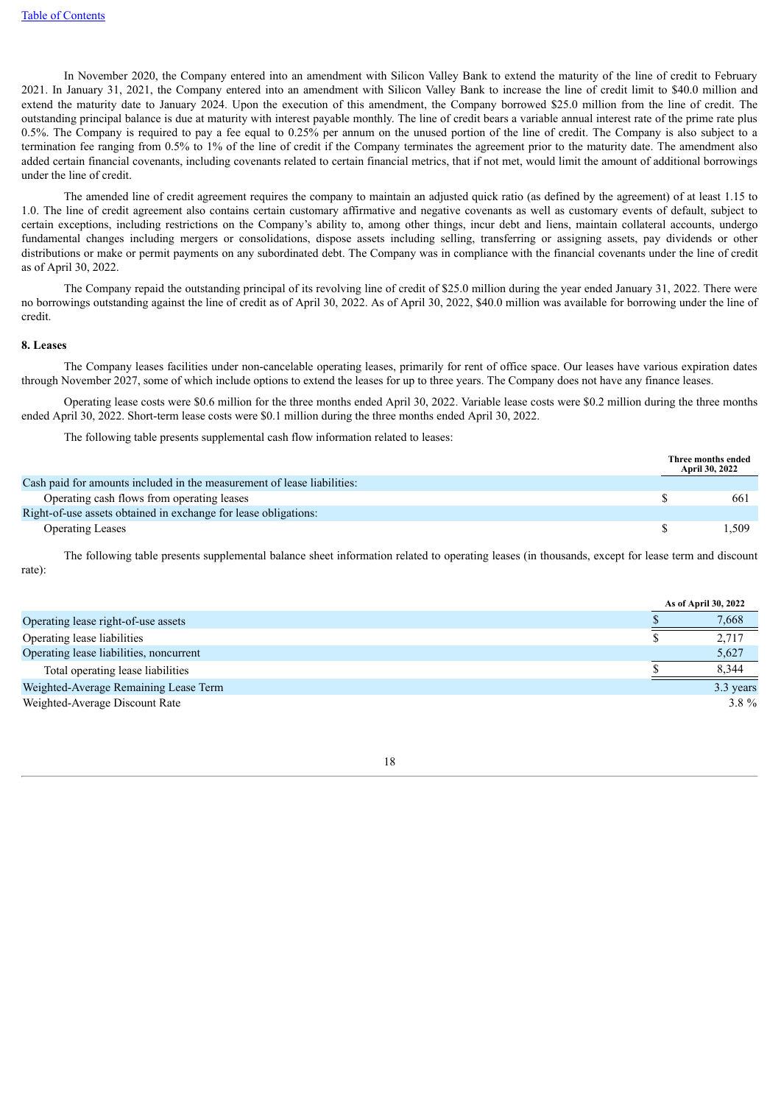In November 2020, the Company entered into an amendment with Silicon Valley Bank to extend the maturity of the line of credit to February 2021. In January 31, 2021, the Company entered into an amendment with Silicon Valley Bank to increase the line of credit limit to \$40.0 million and extend the maturity date to January 2024. Upon the execution of this amendment, the Company borrowed \$25.0 million from the line of credit. The outstanding principal balance is due at maturity with interest payable monthly. The line of credit bears a variable annual interest rate of the prime rate plus 0.5%. The Company is required to pay a fee equal to 0.25% per annum on the unused portion of the line of credit. The Company is also subject to a termination fee ranging from 0.5% to 1% of the line of credit if the Company terminates the agreement prior to the maturity date. The amendment also added certain financial covenants, including covenants related to certain financial metrics, that if not met, would limit the amount of additional borrowings under the line of credit.

The amended line of credit agreement requires the company to maintain an adjusted quick ratio (as defined by the agreement) of at least 1.15 to 1.0. The line of credit agreement also contains certain customary affirmative and negative covenants as well as customary events of default, subject to certain exceptions, including restrictions on the Company's ability to, among other things, incur debt and liens, maintain collateral accounts, undergo fundamental changes including mergers or consolidations, dispose assets including selling, transferring or assigning assets, pay dividends or other distributions or make or permit payments on any subordinated debt. The Company was in compliance with the financial covenants under the line of credit as of April 30, 2022.

The Company repaid the outstanding principal of its revolving line of credit of \$25.0 million during the year ended January 31, 2022. There were no borrowings outstanding against the line of credit as of April 30, 2022. As of April 30, 2022, \$40.0 million was available for borrowing under the line of credit.

## **8. Leases**

The Company leases facilities under non-cancelable operating leases, primarily for rent of office space. Our leases have various expiration dates through November 2027, some of which include options to extend the leases for up to three years. The Company does not have any finance leases.

Operating lease costs were \$0.6 million for the three months ended April 30, 2022. Variable lease costs were \$0.2 million during the three months ended April 30, 2022. Short-term lease costs were \$0.1 million during the three months ended April 30, 2022.

The following table presents supplemental cash flow information related to leases:

|                                                                         | Three months ended<br>April 30, 2022 |
|-------------------------------------------------------------------------|--------------------------------------|
| Cash paid for amounts included in the measurement of lease liabilities: |                                      |
| Operating cash flows from operating leases                              | 66 I                                 |
| Right-of-use assets obtained in exchange for lease obligations:         |                                      |
| <b>Operating Leases</b>                                                 | .509                                 |

The following table presents supplemental balance sheet information related to operating leases (in thousands, except for lease term and discount rate):

|                                         | As of April 30, 2022 |           |
|-----------------------------------------|----------------------|-----------|
| Operating lease right-of-use assets     |                      | 7,668     |
| Operating lease liabilities             |                      | 2.717     |
| Operating lease liabilities, noncurrent |                      | 5,627     |
| Total operating lease liabilities       |                      | 8,344     |
| Weighted-Average Remaining Lease Term   |                      | 3.3 years |
| Weighted-Average Discount Rate          |                      | $3.8\%$   |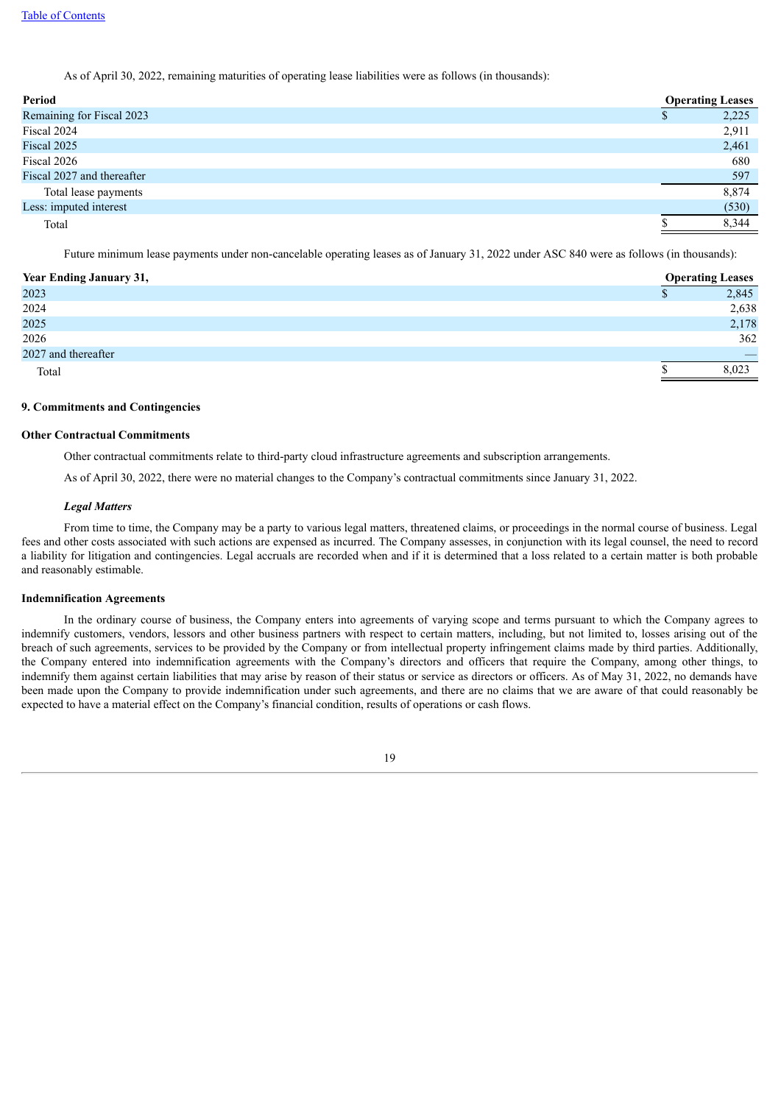As of April 30, 2022, remaining maturities of operating lease liabilities were as follows (in thousands):

| Period                     | <b>Operating Leases</b> |       |
|----------------------------|-------------------------|-------|
| Remaining for Fiscal 2023  |                         | 2,225 |
| Fiscal 2024                |                         | 2,911 |
| Fiscal 2025                |                         | 2,461 |
| Fiscal 2026                |                         | 680   |
| Fiscal 2027 and thereafter |                         | 597   |
| Total lease payments       |                         | 8,874 |
| Less: imputed interest     |                         | (530) |
| Total                      |                         | 8,344 |

Future minimum lease payments under non-cancelable operating leases as of January 31, 2022 under ASC 840 were as follows (in thousands):

| <b>Year Ending January 31,</b> | <b>Operating Leases</b> |
|--------------------------------|-------------------------|
| 2023                           | 2,845                   |
| 2024                           | 2,638                   |
| 2025                           | 2,178                   |
| 2026                           | 362                     |
| 2027 and thereafter            |                         |
| Total                          | 8,023                   |

## **9. Commitments and Contingencies**

## **Other Contractual Commitments**

Other contractual commitments relate to third-party cloud infrastructure agreements and subscription arrangements.

As of April 30, 2022, there were no material changes to the Company's contractual commitments since January 31, 2022.

### *Legal Matters*

From time to time, the Company may be a party to various legal matters, threatened claims, or proceedings in the normal course of business. Legal fees and other costs associated with such actions are expensed as incurred. The Company assesses, in conjunction with its legal counsel, the need to record a liability for litigation and contingencies. Legal accruals are recorded when and if it is determined that a loss related to a certain matter is both probable and reasonably estimable.

## **Indemnification Agreements**

In the ordinary course of business, the Company enters into agreements of varying scope and terms pursuant to which the Company agrees to indemnify customers, vendors, lessors and other business partners with respect to certain matters, including, but not limited to, losses arising out of the breach of such agreements, services to be provided by the Company or from intellectual property infringement claims made by third parties. Additionally, the Company entered into indemnification agreements with the Company's directors and officers that require the Company, among other things, to indemnify them against certain liabilities that may arise by reason of their status or service as directors or officers. As of May 31, 2022, no demands have been made upon the Company to provide indemnification under such agreements, and there are no claims that we are aware of that could reasonably be expected to have a material effect on the Company's financial condition, results of operations or cash flows.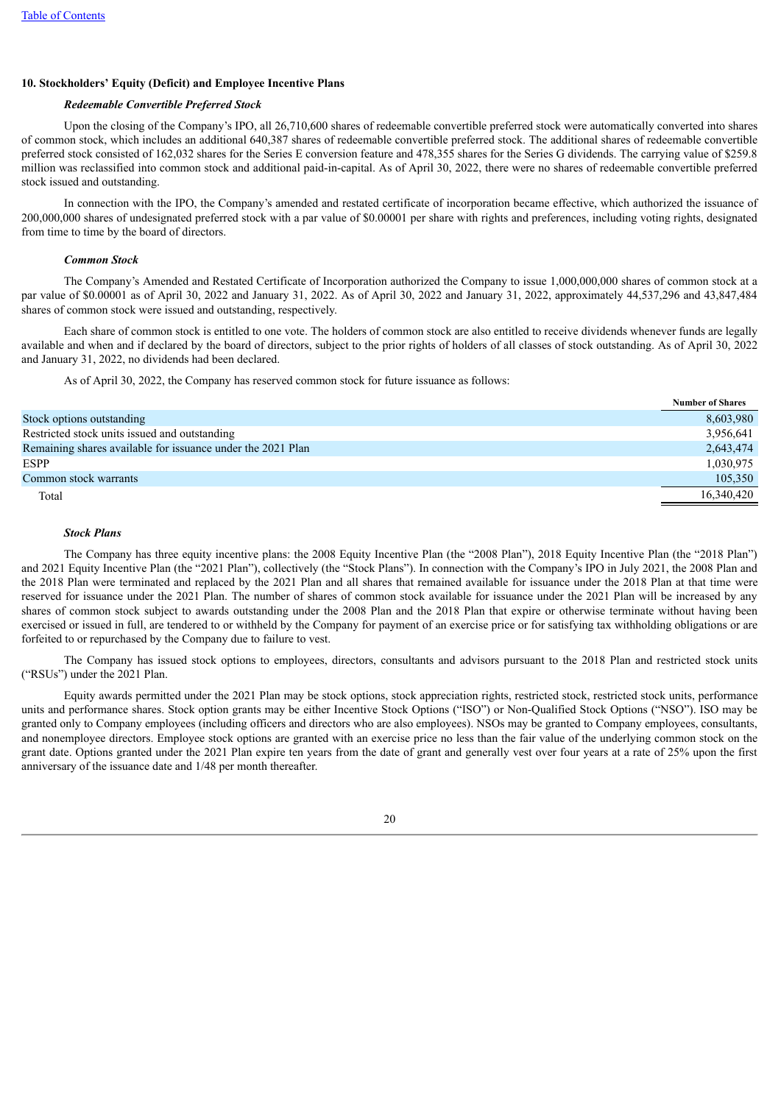# **10. Stockholders' Equity (Deficit) and Employee Incentive Plans**

# *Redeemable Convertible Preferred Stock*

Upon the closing of the Company's IPO, all 26,710,600 shares of redeemable convertible preferred stock were automatically converted into shares of common stock, which includes an additional 640,387 shares of redeemable convertible preferred stock. The additional shares of redeemable convertible preferred stock consisted of 162,032 shares for the Series E conversion feature and 478,355 shares for the Series G dividends. The carrying value of \$259.8 million was reclassified into common stock and additional paid-in-capital. As of April 30, 2022, there were no shares of redeemable convertible preferred stock issued and outstanding.

In connection with the IPO, the Company's amended and restated certificate of incorporation became effective, which authorized the issuance of 200,000,000 shares of undesignated preferred stock with a par value of \$0.00001 per share with rights and preferences, including voting rights, designated from time to time by the board of directors.

## *Common Stock*

The Company's Amended and Restated Certificate of Incorporation authorized the Company to issue 1,000,000,000 shares of common stock at a par value of \$0.00001 as of April 30, 2022 and January 31, 2022. As of April 30, 2022 and January 31, 2022, approximately 44,537,296 and 43,847,484 shares of common stock were issued and outstanding, respectively.

Each share of common stock is entitled to one vote. The holders of common stock are also entitled to receive dividends whenever funds are legally available and when and if declared by the board of directors, subject to the prior rights of holders of all classes of stock outstanding. As of April 30, 2022 and January 31, 2022, no dividends had been declared.

As of April 30, 2022, the Company has reserved common stock for future issuance as follows:

|                                                             | <b>Number of Shares</b> |
|-------------------------------------------------------------|-------------------------|
| Stock options outstanding                                   | 8,603,980               |
| Restricted stock units issued and outstanding               | 3,956,641               |
| Remaining shares available for issuance under the 2021 Plan | 2,643,474               |
| <b>ESPP</b>                                                 | 1,030,975               |
| Common stock warrants                                       | 105,350                 |
| Total                                                       | 16,340,420              |

## *Stock Plans*

The Company has three equity incentive plans: the 2008 Equity Incentive Plan (the "2008 Plan"), 2018 Equity Incentive Plan (the "2018 Plan") and 2021 Equity Incentive Plan (the "2021 Plan"), collectively (the "Stock Plans"). In connection with the Company's IPO in July 2021, the 2008 Plan and the 2018 Plan were terminated and replaced by the 2021 Plan and all shares that remained available for issuance under the 2018 Plan at that time were reserved for issuance under the 2021 Plan. The number of shares of common stock available for issuance under the 2021 Plan will be increased by any shares of common stock subject to awards outstanding under the 2008 Plan and the 2018 Plan that expire or otherwise terminate without having been exercised or issued in full, are tendered to or withheld by the Company for payment of an exercise price or for satisfying tax withholding obligations or are forfeited to or repurchased by the Company due to failure to vest.

The Company has issued stock options to employees, directors, consultants and advisors pursuant to the 2018 Plan and restricted stock units ("RSUs") under the 2021 Plan.

Equity awards permitted under the 2021 Plan may be stock options, stock appreciation rights, restricted stock, restricted stock units, performance units and performance shares. Stock option grants may be either Incentive Stock Options ("ISO") or Non-Qualified Stock Options ("NSO"). ISO may be granted only to Company employees (including officers and directors who are also employees). NSOs may be granted to Company employees, consultants, and nonemployee directors. Employee stock options are granted with an exercise price no less than the fair value of the underlying common stock on the grant date. Options granted under the 2021 Plan expire ten years from the date of grant and generally vest over four years at a rate of 25% upon the first anniversary of the issuance date and 1/48 per month thereafter.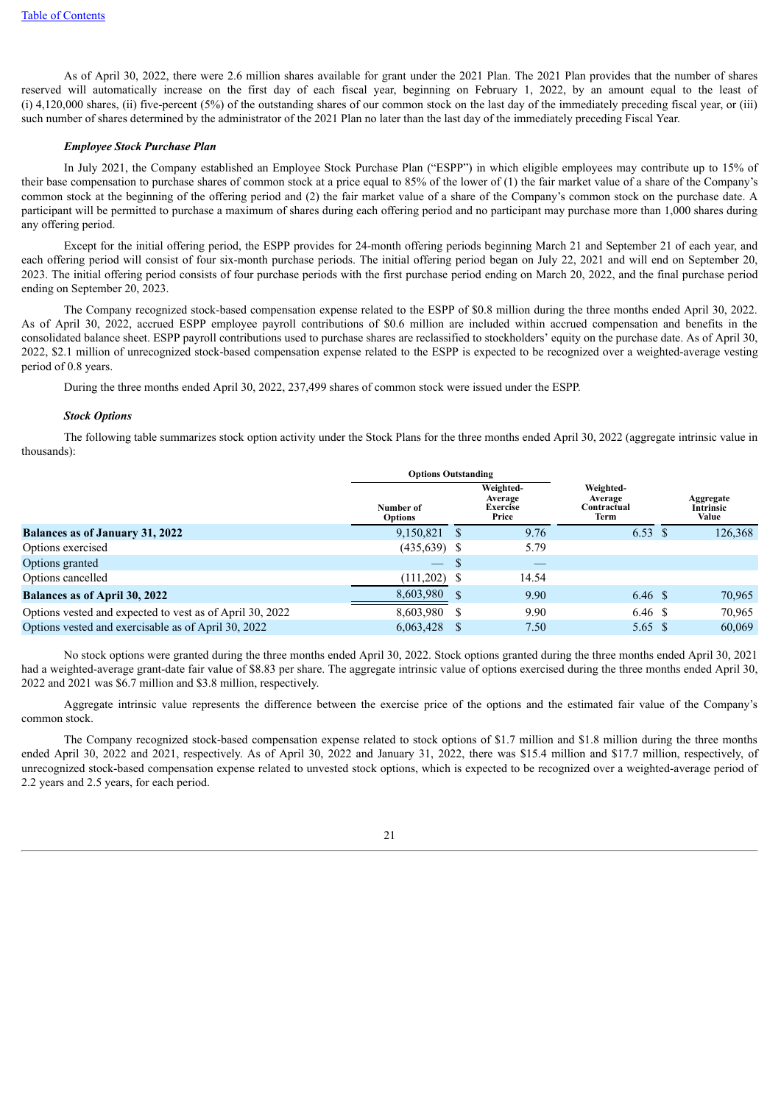As of April 30, 2022, there were 2.6 million shares available for grant under the 2021 Plan. The 2021 Plan provides that the number of shares reserved will automatically increase on the first day of each fiscal year, beginning on February 1, 2022, by an amount equal to the least of (i) 4,120,000 shares, (ii) five-percent (5%) of the outstanding shares of our common stock on the last day of the immediately preceding fiscal year, or (iii) such number of shares determined by the administrator of the 2021 Plan no later than the last day of the immediately preceding Fiscal Year.

#### *Employee Stock Purchase Plan*

In July 2021, the Company established an Employee Stock Purchase Plan ("ESPP") in which eligible employees may contribute up to 15% of their base compensation to purchase shares of common stock at a price equal to 85% of the lower of (1) the fair market value of a share of the Company's common stock at the beginning of the offering period and (2) the fair market value of a share of the Company's common stock on the purchase date. A participant will be permitted to purchase a maximum of shares during each offering period and no participant may purchase more than 1,000 shares during any offering period.

Except for the initial offering period, the ESPP provides for 24-month offering periods beginning March 21 and September 21 of each year, and each offering period will consist of four six-month purchase periods. The initial offering period began on July 22, 2021 and will end on September 20, 2023. The initial offering period consists of four purchase periods with the first purchase period ending on March 20, 2022, and the final purchase period ending on September 20, 2023.

The Company recognized stock-based compensation expense related to the ESPP of \$0.8 million during the three months ended April 30, 2022. As of April 30, 2022, accrued ESPP employee payroll contributions of \$0.6 million are included within accrued compensation and benefits in the consolidated balance sheet. ESPP payroll contributions used to purchase shares are reclassified to stockholders' equity on the purchase date. As of April 30, 2022, \$2.1 million of unrecognized stock-based compensation expense related to the ESPP is expected to be recognized over a weighted-average vesting period of 0.8 years.

During the three months ended April 30, 2022, 237,499 shares of common stock were issued under the ESPP.

# *Stock Options*

The following table summarizes stock option activity under the Stock Plans for the three months ended April 30, 2022 (aggregate intrinsic value in thousands):

|                                                          |                                 | <b>Options Outstanding</b> |                                           |                                             |  |                                 |
|----------------------------------------------------------|---------------------------------|----------------------------|-------------------------------------------|---------------------------------------------|--|---------------------------------|
|                                                          | Number of<br><b>Options</b>     |                            | Weighted-<br>Average<br>Exercise<br>Price | Weighted-<br>Average<br>Contractual<br>Term |  | Aggregate<br>Intrinsic<br>Value |
| <b>Balances as of January 31, 2022</b>                   | 9,150,821                       |                            | 9.76                                      | $6.53 \text{ }$ \$                          |  | 126,368                         |
| Options exercised                                        | $(435, 639)$ \$                 |                            | 5.79                                      |                                             |  |                                 |
| Options granted                                          | $\hspace{0.1mm}-\hspace{0.1mm}$ | -S                         |                                           |                                             |  |                                 |
| Options cancelled                                        | (111,202)                       | -S                         | 14.54                                     |                                             |  |                                 |
| <b>Balances as of April 30, 2022</b>                     | 8,603,980                       |                            | 9.90                                      | 6.46 \$                                     |  | 70,965                          |
| Options vested and expected to vest as of April 30, 2022 | 8,603,980                       |                            | 9.90                                      | 6.46 \$                                     |  | 70,965                          |
| Options vested and exercisable as of April 30, 2022      | 6.063.428                       |                            | 7.50                                      | 5.65 \$                                     |  | 60.069                          |

No stock options were granted during the three months ended April 30, 2022. Stock options granted during the three months ended April 30, 2021 had a weighted-average grant-date fair value of \$8.83 per share. The aggregate intrinsic value of options exercised during the three months ended April 30, 2022 and 2021 was \$6.7 million and \$3.8 million, respectively.

Aggregate intrinsic value represents the difference between the exercise price of the options and the estimated fair value of the Company's common stock.

The Company recognized stock-based compensation expense related to stock options of \$1.7 million and \$1.8 million during the three months ended April 30, 2022 and 2021, respectively. As of April 30, 2022 and January 31, 2022, there was \$15.4 million and \$17.7 million, respectively, of unrecognized stock-based compensation expense related to unvested stock options, which is expected to be recognized over a weighted-average period of 2.2 years and 2.5 years, for each period.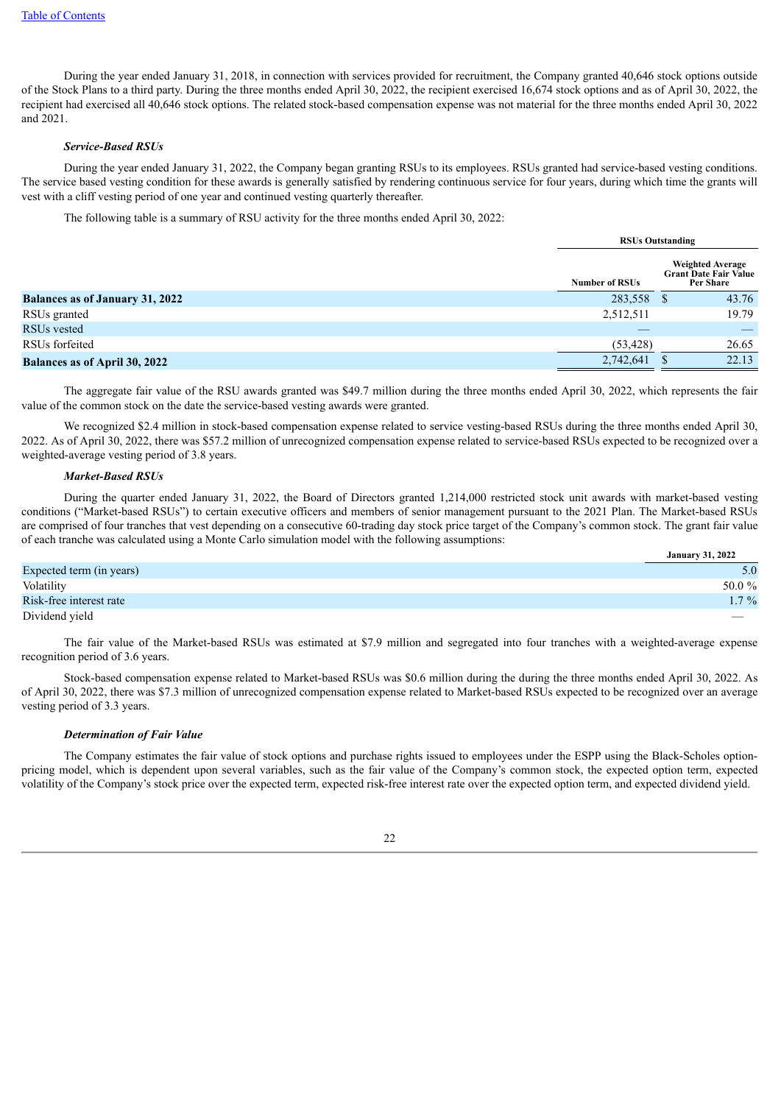During the year ended January 31, 2018, in connection with services provided for recruitment, the Company granted 40,646 stock options outside of the Stock Plans to a third party. During the three months ended April 30, 2022, the recipient exercised 16,674 stock options and as of April 30, 2022, the recipient had exercised all 40,646 stock options. The related stock-based compensation expense was not material for the three months ended April 30, 2022 and 2021.

## *Service-Based RSUs*

During the year ended January 31, 2022, the Company began granting RSUs to its employees. RSUs granted had service-based vesting conditions. The service based vesting condition for these awards is generally satisfied by rendering continuous service for four years, during which time the grants will vest with a cliff vesting period of one year and continued vesting quarterly thereafter.

The following table is a summary of RSU activity for the three months ended April 30, 2022:

|                                        | <b>RSUs Outstanding</b> |                                                                      |  |
|----------------------------------------|-------------------------|----------------------------------------------------------------------|--|
| <b>Number of RSUs</b>                  |                         | <b>Weighted Average</b><br><b>Grant Date Fair Value</b><br>Per Share |  |
| <b>Balances as of January 31, 2022</b> | 283,558                 | 43.76<br>-S                                                          |  |
| RSUs granted                           | 2,512,511               | 19.79                                                                |  |
| <b>RSUs</b> vested                     |                         |                                                                      |  |
| RSUs forfeited                         | (53, 428)               | 26.65                                                                |  |
| <b>Balances as of April 30, 2022</b>   | 2,742,641               | 22.13                                                                |  |

The aggregate fair value of the RSU awards granted was \$49.7 million during the three months ended April 30, 2022, which represents the fair value of the common stock on the date the service-based vesting awards were granted.

We recognized \$2.4 million in stock-based compensation expense related to service vesting-based RSUs during the three months ended April 30, 2022. As of April 30, 2022, there was \$57.2 million of unrecognized compensation expense related to service-based RSUs expected to be recognized over a weighted-average vesting period of 3.8 years.

# *Market-Based RSUs*

During the quarter ended January 31, 2022, the Board of Directors granted 1,214,000 restricted stock unit awards with market-based vesting conditions ("Market-based RSUs") to certain executive officers and members of senior management pursuant to the 2021 Plan. The Market-based RSUs are comprised of four tranches that vest depending on a consecutive 60-trading day stock price target of the Company's common stock. The grant fair value of each tranche was calculated using a Monte Carlo simulation model with the following assumptions: **January 31, 2022**

|                          | Janual V JI, 2022 |
|--------------------------|-------------------|
| Expected term (in years) | 5.0               |
| Volatility               | 50.0 %            |
| Risk-free interest rate  | $1.7\%$           |
| Dividend yield           |                   |

The fair value of the Market-based RSUs was estimated at \$7.9 million and segregated into four tranches with a weighted-average expense recognition period of 3.6 years.

Stock-based compensation expense related to Market-based RSUs was \$0.6 million during the during the three months ended April 30, 2022. As of April 30, 2022, there was \$7.3 million of unrecognized compensation expense related to Market-based RSUs expected to be recognized over an average vesting period of 3.3 years.

## *Determination of Fair Value*

The Company estimates the fair value of stock options and purchase rights issued to employees under the ESPP using the Black-Scholes optionpricing model, which is dependent upon several variables, such as the fair value of the Company's common stock, the expected option term, expected volatility of the Company's stock price over the expected term, expected risk-free interest rate over the expected option term, and expected dividend yield.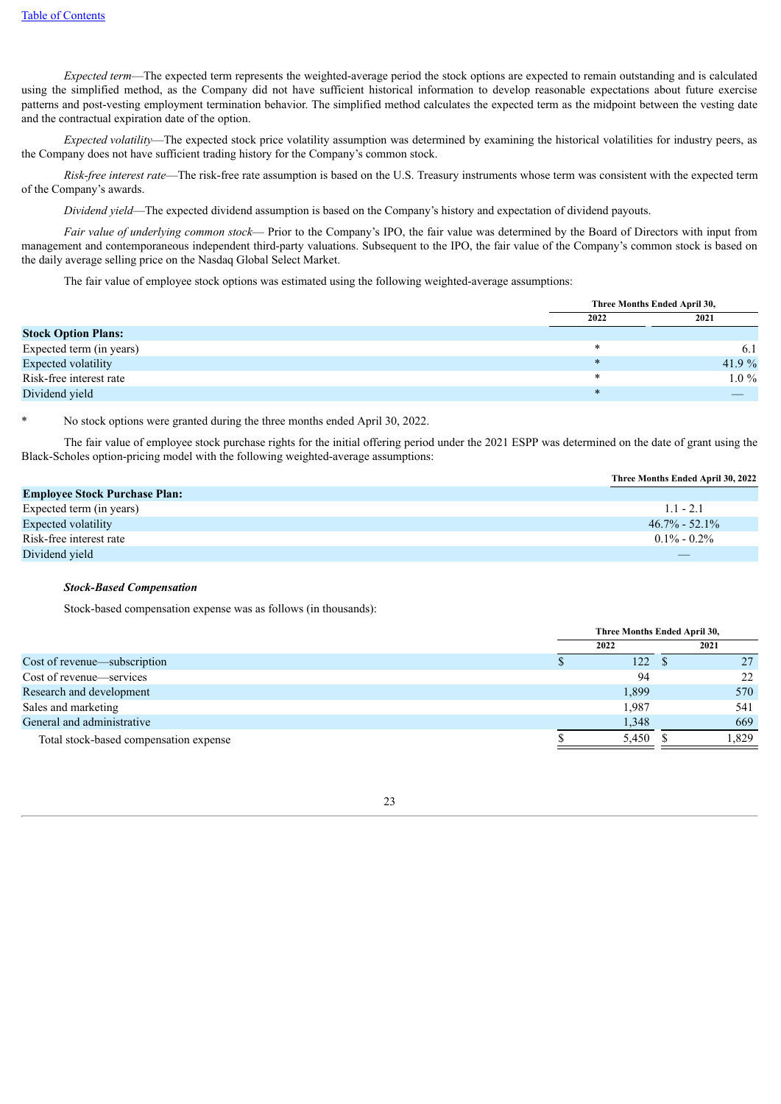*Expected term*—The expected term represents the weighted-average period the stock options are expected to remain outstanding and is calculated using the simplified method, as the Company did not have sufficient historical information to develop reasonable expectations about future exercise patterns and post-vesting employment termination behavior. The simplified method calculates the expected term as the midpoint between the vesting date and the contractual expiration date of the option.

*Expected volatility*—The expected stock price volatility assumption was determined by examining the historical volatilities for industry peers, as the Company does not have sufficient trading history for the Company's common stock.

*Risk-free interest rate*—The risk-free rate assumption is based on the U.S. Treasury instruments whose term was consistent with the expected term of the Company's awards.

*Dividend yield*—The expected dividend assumption is based on the Company's history and expectation of dividend payouts.

*Fair value of underlying common stock*— Prior to the Company's IPO, the fair value was determined by the Board of Directors with input from management and contemporaneous independent third-party valuations. Subsequent to the IPO, the fair value of the Company's common stock is based on the daily average selling price on the Nasdaq Global Select Market.

The fair value of employee stock options was estimated using the following weighted-average assumptions:

|                            |        | Three Months Ended April 30, |
|----------------------------|--------|------------------------------|
|                            | 2022   | 2021                         |
| <b>Stock Option Plans:</b> |        |                              |
| Expected term (in years)   | ∗      | 6.1                          |
| Expected volatility        | $\ast$ | 41.9 $%$                     |
| Risk-free interest rate    | ∗      | $1.0\%$                      |
| Dividend yield             | $\ast$ |                              |

No stock options were granted during the three months ended April 30, 2022.

The fair value of employee stock purchase rights for the initial offering period under the 2021 ESPP was determined on the date of grant using the Black-Scholes option-pricing model with the following weighted-average assumptions:

|                                      | Three Months Ended April 30, 2022 |
|--------------------------------------|-----------------------------------|
| <b>Employee Stock Purchase Plan:</b> |                                   |
| Expected term (in years)             | $1.1 - 2.1$                       |
| Expected volatility                  | $46.7\% - 52.1\%$                 |
| Risk-free interest rate              | $0.1\% - 0.2\%$                   |
| Dividend yield                       |                                   |

## *Stock-Based Compensation*

Stock-based compensation expense was as follows (in thousands):

|                                        |       | Three Months Ended April 30, |       |  |
|----------------------------------------|-------|------------------------------|-------|--|
|                                        | 2022  |                              | 2021  |  |
| Cost of revenue—subscription           |       | 122                          | 27    |  |
| Cost of revenue—services               |       | 94                           | 22    |  |
| Research and development               |       | 1,899                        | 570   |  |
| Sales and marketing                    | 1,987 |                              | 541   |  |
| General and administrative             |       | 1,348                        | 669   |  |
| Total stock-based compensation expense | 5,450 |                              | 1,829 |  |
|                                        |       |                              |       |  |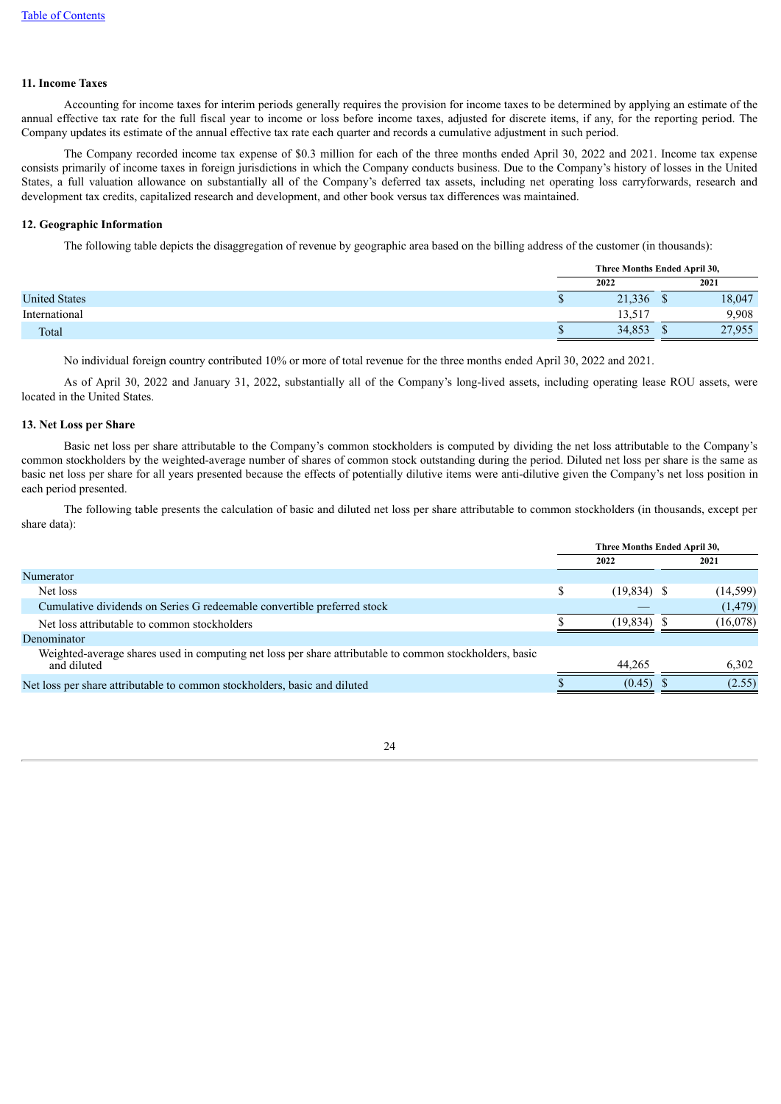## **11. Income Taxes**

Accounting for income taxes for interim periods generally requires the provision for income taxes to be determined by applying an estimate of the annual effective tax rate for the full fiscal year to income or loss before income taxes, adjusted for discrete items, if any, for the reporting period. The Company updates its estimate of the annual effective tax rate each quarter and records a cumulative adjustment in such period.

The Company recorded income tax expense of \$0.3 million for each of the three months ended April 30, 2022 and 2021. Income tax expense consists primarily of income taxes in foreign jurisdictions in which the Company conducts business. Due to the Company's history of losses in the United States, a full valuation allowance on substantially all of the Company's deferred tax assets, including net operating loss carryforwards, research and development tax credits, capitalized research and development, and other book versus tax differences was maintained.

# **12. Geographic Information**

The following table depicts the disaggregation of revenue by geographic area based on the billing address of the customer (in thousands):

|                      | Three Months Ended April 30, |  |        |  |
|----------------------|------------------------------|--|--------|--|
|                      | 2022                         |  | 2021   |  |
| <b>United States</b> | 21,336                       |  | 18,047 |  |
| International        | 1 J . J 1                    |  | 9,908  |  |
| Total                | 34,853                       |  | 27,955 |  |

No individual foreign country contributed 10% or more of total revenue for the three months ended April 30, 2022 and 2021.

As of April 30, 2022 and January 31, 2022, substantially all of the Company's long-lived assets, including operating lease ROU assets, were located in the United States.

# **13. Net Loss per Share**

Basic net loss per share attributable to the Company's common stockholders is computed by dividing the net loss attributable to the Company's common stockholders by the weighted-average number of shares of common stock outstanding during the period. Diluted net loss per share is the same as basic net loss per share for all years presented because the effects of potentially dilutive items were anti-dilutive given the Company's net loss position in each period presented.

The following table presents the calculation of basic and diluted net loss per share attributable to common stockholders (in thousands, except per share data):

|                                                                                                                        | Three Months Ended April 30, |               |  |           |
|------------------------------------------------------------------------------------------------------------------------|------------------------------|---------------|--|-----------|
|                                                                                                                        |                              | 2022          |  | 2021      |
| Numerator                                                                                                              |                              |               |  |           |
| Net loss                                                                                                               |                              | $(19,834)$ \$ |  | (14, 599) |
| Cumulative dividends on Series G redeemable convertible preferred stock                                                |                              |               |  | (1, 479)  |
| Net loss attributable to common stockholders                                                                           |                              | (19, 834)     |  | (16,078)  |
| Denominator                                                                                                            |                              |               |  |           |
| Weighted-average shares used in computing net loss per share attributable to common stockholders, basic<br>and diluted |                              | 44,265        |  | 6.302     |
| Net loss per share attributable to common stockholders, basic and diluted                                              |                              | (0.45)        |  | (2.55)    |
|                                                                                                                        |                              |               |  |           |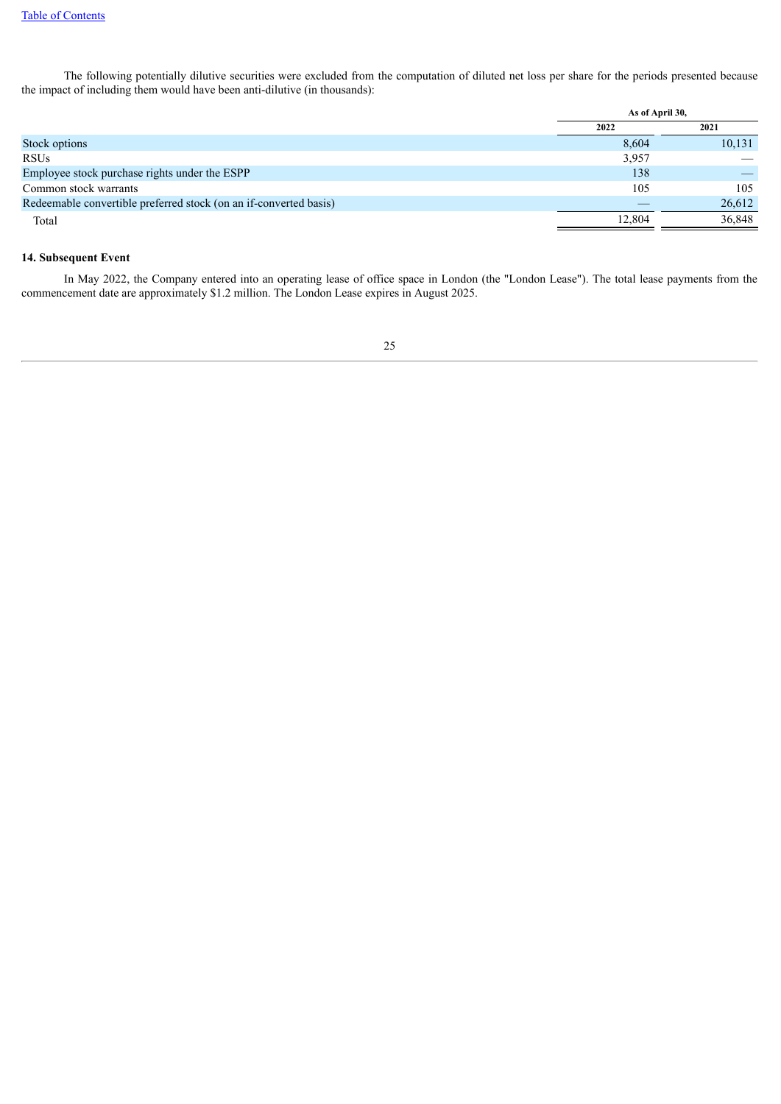The following potentially dilutive securities were excluded from the computation of diluted net loss per share for the periods presented because the impact of including them would have been anti-dilutive (in thousands):

|                                                                   | As of April 30, |        |  |
|-------------------------------------------------------------------|-----------------|--------|--|
|                                                                   | 2022            | 2021   |  |
| Stock options                                                     | 8,604           | 10,131 |  |
| <b>RSUs</b>                                                       | 3,957           |        |  |
| Employee stock purchase rights under the ESPP                     | 138             |        |  |
| Common stock warrants                                             | 105             | 105    |  |
| Redeemable convertible preferred stock (on an if-converted basis) |                 | 26,612 |  |
| Total                                                             | 12.804          | 36,848 |  |

# **14. Subsequent Event**

<span id="page-25-0"></span>In May 2022, the Company entered into an operating lease of office space in London (the "London Lease"). The total lease payments from the commencement date are approximately \$1.2 million. The London Lease expires in August 2025.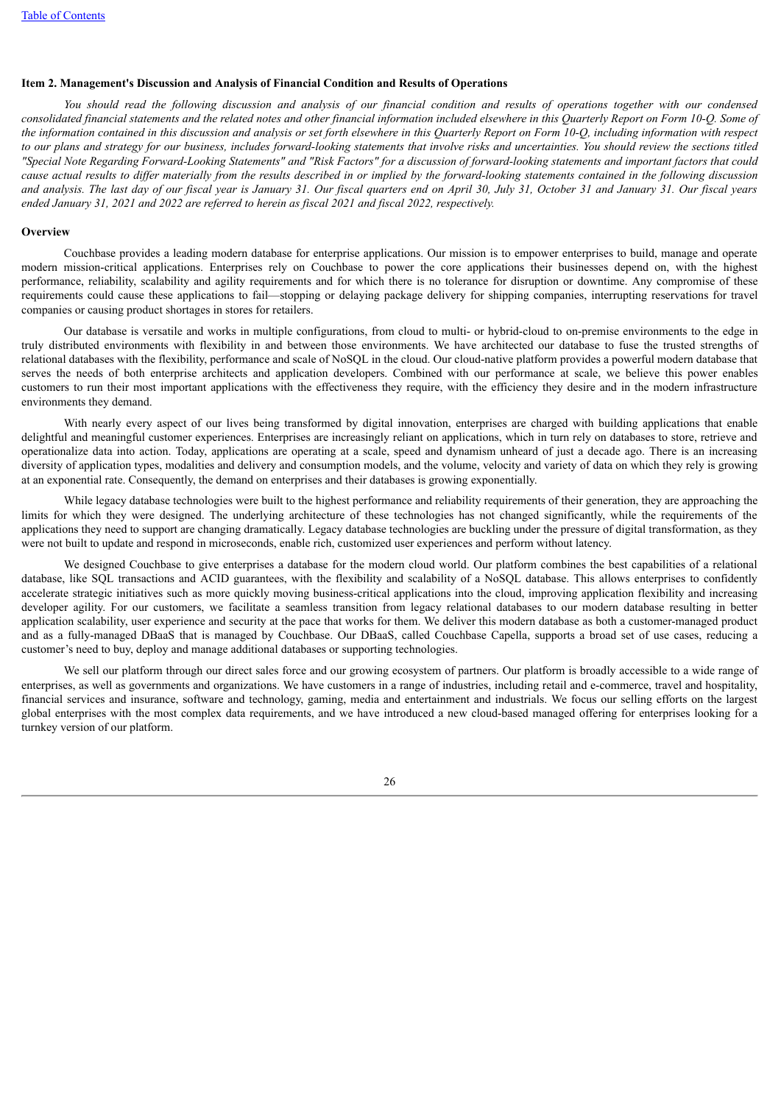## **Item 2. Management's Discussion and Analysis of Financial Condition and Results of Operations**

You should read the following discussion and analysis of our financial condition and results of operations together with our condensed consolidated financial statements and the related notes and other financial information included elsewhere in this Quarterly Report on Form 10-O. Some of the information contained in this discussion and analysis or set forth elsewhere in this Quarterly Report on Form 10-O, including information with respect to our plans and strategy for our business, includes forward-looking statements that involve risks and uncertainties. You should review the sections titled "Special Note Regarding Forward-Looking Statements" and "Risk Factors" for a discussion of forward-looking statements and important factors that could cause actual results to differ materially from the results described in or implied by the forward-looking statements contained in the following discussion and analysis. The last day of our fiscal year is January 31. Our fiscal quarters end on April 30, July 31, October 31 and January 31. Our fiscal years *ended January 31, 2021 and 2022 are referred to herein as fiscal 2021 and fiscal 2022, respectively.*

## **Overview**

Couchbase provides a leading modern database for enterprise applications. Our mission is to empower enterprises to build, manage and operate modern mission-critical applications. Enterprises rely on Couchbase to power the core applications their businesses depend on, with the highest performance, reliability, scalability and agility requirements and for which there is no tolerance for disruption or downtime. Any compromise of these requirements could cause these applications to fail—stopping or delaying package delivery for shipping companies, interrupting reservations for travel companies or causing product shortages in stores for retailers.

Our database is versatile and works in multiple configurations, from cloud to multi- or hybrid-cloud to on-premise environments to the edge in truly distributed environments with flexibility in and between those environments. We have architected our database to fuse the trusted strengths of relational databases with the flexibility, performance and scale of NoSQL in the cloud. Our cloud-native platform provides a powerful modern database that serves the needs of both enterprise architects and application developers. Combined with our performance at scale, we believe this power enables customers to run their most important applications with the effectiveness they require, with the efficiency they desire and in the modern infrastructure environments they demand.

With nearly every aspect of our lives being transformed by digital innovation, enterprises are charged with building applications that enable delightful and meaningful customer experiences. Enterprises are increasingly reliant on applications, which in turn rely on databases to store, retrieve and operationalize data into action. Today, applications are operating at a scale, speed and dynamism unheard of just a decade ago. There is an increasing diversity of application types, modalities and delivery and consumption models, and the volume, velocity and variety of data on which they rely is growing at an exponential rate. Consequently, the demand on enterprises and their databases is growing exponentially.

While legacy database technologies were built to the highest performance and reliability requirements of their generation, they are approaching the limits for which they were designed. The underlying architecture of these technologies has not changed significantly, while the requirements of the applications they need to support are changing dramatically. Legacy database technologies are buckling under the pressure of digital transformation, as they were not built to update and respond in microseconds, enable rich, customized user experiences and perform without latency.

We designed Couchbase to give enterprises a database for the modern cloud world. Our platform combines the best capabilities of a relational database, like SQL transactions and ACID guarantees, with the flexibility and scalability of a NoSQL database. This allows enterprises to confidently accelerate strategic initiatives such as more quickly moving business-critical applications into the cloud, improving application flexibility and increasing developer agility. For our customers, we facilitate a seamless transition from legacy relational databases to our modern database resulting in better application scalability, user experience and security at the pace that works for them. We deliver this modern database as both a customer-managed product and as a fully-managed DBaaS that is managed by Couchbase. Our DBaaS, called Couchbase Capella, supports a broad set of use cases, reducing a customer's need to buy, deploy and manage additional databases or supporting technologies.

We sell our platform through our direct sales force and our growing ecosystem of partners. Our platform is broadly accessible to a wide range of enterprises, as well as governments and organizations. We have customers in a range of industries, including retail and e-commerce, travel and hospitality, financial services and insurance, software and technology, gaming, media and entertainment and industrials. We focus our selling efforts on the largest global enterprises with the most complex data requirements, and we have introduced a new cloud-based managed offering for enterprises looking for a turnkey version of our platform.

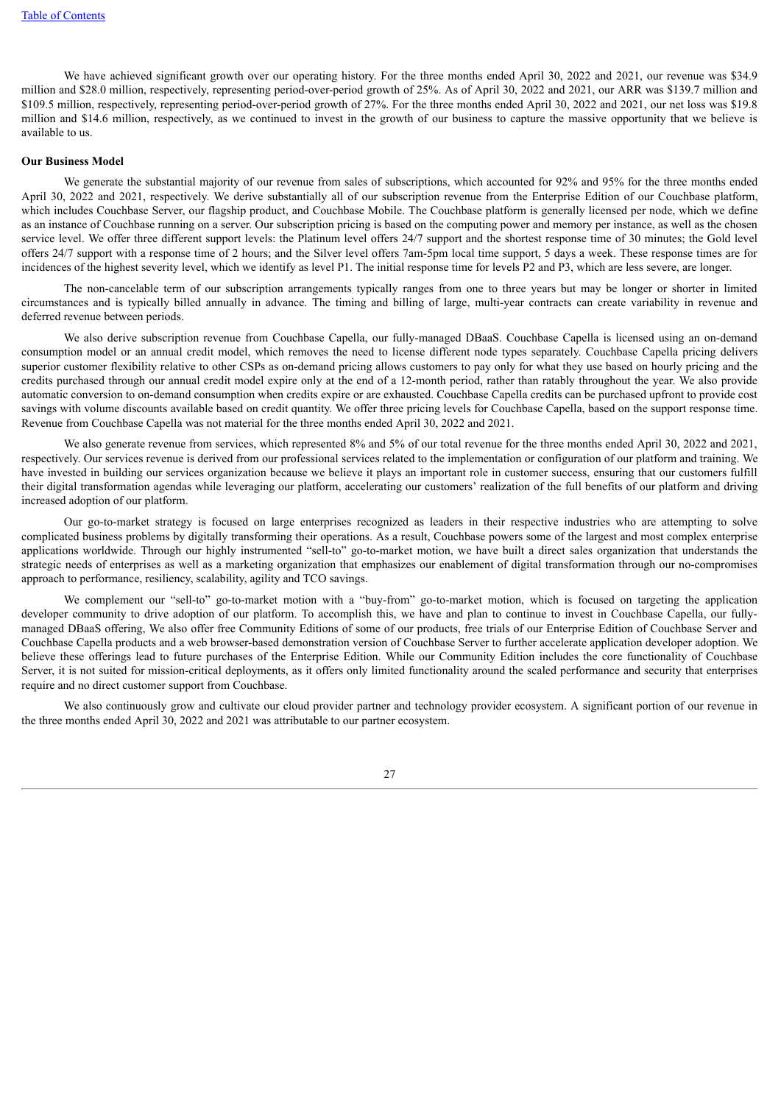We have achieved significant growth over our operating history. For the three months ended April 30, 2022 and 2021, our revenue was \$34.9 million and \$28.0 million, respectively, representing period-over-period growth of 25%. As of April 30, 2022 and 2021, our ARR was \$139.7 million and \$109.5 million, respectively, representing period-over-period growth of 27%. For the three months ended April 30, 2022 and 2021, our net loss was \$19.8 million and \$14.6 million, respectively, as we continued to invest in the growth of our business to capture the massive opportunity that we believe is available to us.

#### **Our Business Model**

We generate the substantial majority of our revenue from sales of subscriptions, which accounted for 92% and 95% for the three months ended April 30, 2022 and 2021, respectively. We derive substantially all of our subscription revenue from the Enterprise Edition of our Couchbase platform, which includes Couchbase Server, our flagship product, and Couchbase Mobile. The Couchbase platform is generally licensed per node, which we define as an instance of Couchbase running on a server. Our subscription pricing is based on the computing power and memory per instance, as well as the chosen service level. We offer three different support levels: the Platinum level offers 24/7 support and the shortest response time of 30 minutes; the Gold level offers 24/7 support with a response time of 2 hours; and the Silver level offers 7am-5pm local time support, 5 days a week. These response times are for incidences of the highest severity level, which we identify as level P1. The initial response time for levels P2 and P3, which are less severe, are longer.

The non-cancelable term of our subscription arrangements typically ranges from one to three years but may be longer or shorter in limited circumstances and is typically billed annually in advance. The timing and billing of large, multi-year contracts can create variability in revenue and deferred revenue between periods.

We also derive subscription revenue from Couchbase Capella, our fully-managed DBaaS. Couchbase Capella is licensed using an on-demand consumption model or an annual credit model, which removes the need to license different node types separately. Couchbase Capella pricing delivers superior customer flexibility relative to other CSPs as on-demand pricing allows customers to pay only for what they use based on hourly pricing and the credits purchased through our annual credit model expire only at the end of a 12-month period, rather than ratably throughout the year. We also provide automatic conversion to on-demand consumption when credits expire or are exhausted. Couchbase Capella credits can be purchased upfront to provide cost savings with volume discounts available based on credit quantity. We offer three pricing levels for Couchbase Capella, based on the support response time. Revenue from Couchbase Capella was not material for the three months ended April 30, 2022 and 2021.

We also generate revenue from services, which represented 8% and 5% of our total revenue for the three months ended April 30, 2022 and 2021, respectively. Our services revenue is derived from our professional services related to the implementation or configuration of our platform and training. We have invested in building our services organization because we believe it plays an important role in customer success, ensuring that our customers fulfill their digital transformation agendas while leveraging our platform, accelerating our customers' realization of the full benefits of our platform and driving increased adoption of our platform.

Our go-to-market strategy is focused on large enterprises recognized as leaders in their respective industries who are attempting to solve complicated business problems by digitally transforming their operations. As a result, Couchbase powers some of the largest and most complex enterprise applications worldwide. Through our highly instrumented "sell-to" go-to-market motion, we have built a direct sales organization that understands the strategic needs of enterprises as well as a marketing organization that emphasizes our enablement of digital transformation through our no-compromises approach to performance, resiliency, scalability, agility and TCO savings.

We complement our "sell-to" go-to-market motion with a "buy-from" go-to-market motion, which is focused on targeting the application developer community to drive adoption of our platform. To accomplish this, we have and plan to continue to invest in Couchbase Capella, our fullymanaged DBaaS offering, We also offer free Community Editions of some of our products, free trials of our Enterprise Edition of Couchbase Server and Couchbase Capella products and a web browser-based demonstration version of Couchbase Server to further accelerate application developer adoption. We believe these offerings lead to future purchases of the Enterprise Edition. While our Community Edition includes the core functionality of Couchbase Server, it is not suited for mission-critical deployments, as it offers only limited functionality around the scaled performance and security that enterprises require and no direct customer support from Couchbase.

We also continuously grow and cultivate our cloud provider partner and technology provider ecosystem. A significant portion of our revenue in the three months ended April 30, 2022 and 2021 was attributable to our partner ecosystem.

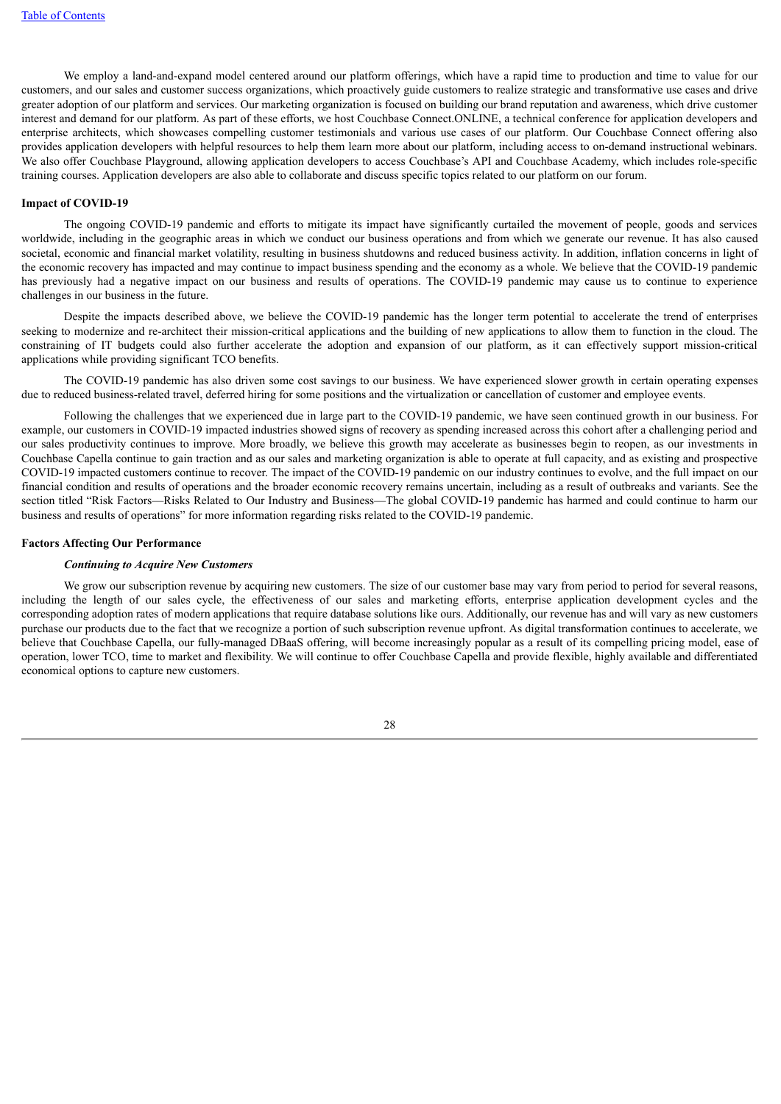We employ a land-and-expand model centered around our platform offerings, which have a rapid time to production and time to value for our customers, and our sales and customer success organizations, which proactively guide customers to realize strategic and transformative use cases and drive greater adoption of our platform and services. Our marketing organization is focused on building our brand reputation and awareness, which drive customer interest and demand for our platform. As part of these efforts, we host Couchbase Connect.ONLINE, a technical conference for application developers and enterprise architects, which showcases compelling customer testimonials and various use cases of our platform. Our Couchbase Connect offering also provides application developers with helpful resources to help them learn more about our platform, including access to on-demand instructional webinars. We also offer Couchbase Playground, allowing application developers to access Couchbase's API and Couchbase Academy, which includes role-specific training courses. Application developers are also able to collaborate and discuss specific topics related to our platform on our forum.

### **Impact of COVID-19**

The ongoing COVID-19 pandemic and efforts to mitigate its impact have significantly curtailed the movement of people, goods and services worldwide, including in the geographic areas in which we conduct our business operations and from which we generate our revenue. It has also caused societal, economic and financial market volatility, resulting in business shutdowns and reduced business activity. In addition, inflation concerns in light of the economic recovery has impacted and may continue to impact business spending and the economy as a whole. We believe that the COVID-19 pandemic has previously had a negative impact on our business and results of operations. The COVID-19 pandemic may cause us to continue to experience challenges in our business in the future.

Despite the impacts described above, we believe the COVID-19 pandemic has the longer term potential to accelerate the trend of enterprises seeking to modernize and re-architect their mission-critical applications and the building of new applications to allow them to function in the cloud. The constraining of IT budgets could also further accelerate the adoption and expansion of our platform, as it can effectively support mission-critical applications while providing significant TCO benefits.

The COVID-19 pandemic has also driven some cost savings to our business. We have experienced slower growth in certain operating expenses due to reduced business-related travel, deferred hiring for some positions and the virtualization or cancellation of customer and employee events.

Following the challenges that we experienced due in large part to the COVID-19 pandemic, we have seen continued growth in our business. For example, our customers in COVID-19 impacted industries showed signs of recovery as spending increased across this cohort after a challenging period and our sales productivity continues to improve. More broadly, we believe this growth may accelerate as businesses begin to reopen, as our investments in Couchbase Capella continue to gain traction and as our sales and marketing organization is able to operate at full capacity, and as existing and prospective COVID-19 impacted customers continue to recover. The impact of the COVID-19 pandemic on our industry continues to evolve, and the full impact on our financial condition and results of operations and the broader economic recovery remains uncertain, including as a result of outbreaks and variants. See the section titled "Risk Factors—Risks Related to Our Industry and Business—The global COVID-19 pandemic has harmed and could continue to harm our business and results of operations" for more information regarding risks related to the COVID-19 pandemic.

#### **Factors Affecting Our Performance**

## *Continuing to Acquire New Customers*

We grow our subscription revenue by acquiring new customers. The size of our customer base may vary from period to period for several reasons, including the length of our sales cycle, the effectiveness of our sales and marketing efforts, enterprise application development cycles and the corresponding adoption rates of modern applications that require database solutions like ours. Additionally, our revenue has and will vary as new customers purchase our products due to the fact that we recognize a portion of such subscription revenue upfront. As digital transformation continues to accelerate, we believe that Couchbase Capella, our fully-managed DBaaS offering, will become increasingly popular as a result of its compelling pricing model, ease of operation, lower TCO, time to market and flexibility. We will continue to offer Couchbase Capella and provide flexible, highly available and differentiated economical options to capture new customers.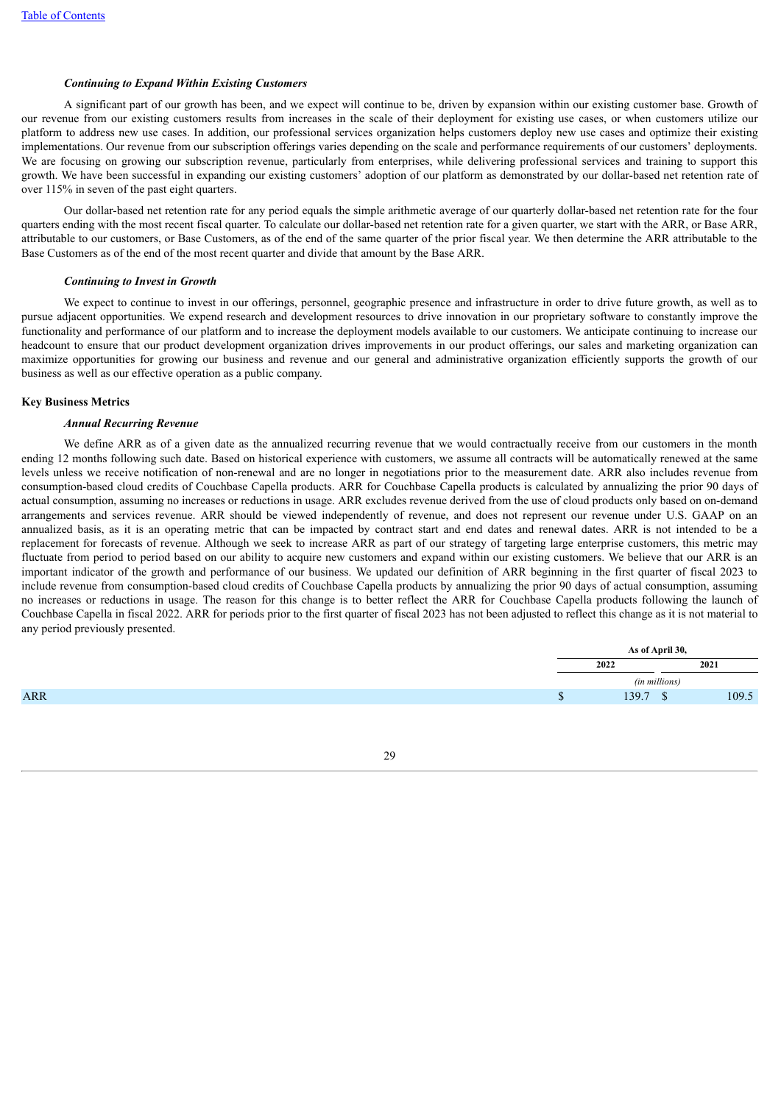## *Continuing to Expand Within Existing Customers*

A significant part of our growth has been, and we expect will continue to be, driven by expansion within our existing customer base. Growth of our revenue from our existing customers results from increases in the scale of their deployment for existing use cases, or when customers utilize our platform to address new use cases. In addition, our professional services organization helps customers deploy new use cases and optimize their existing implementations. Our revenue from our subscription offerings varies depending on the scale and performance requirements of our customers' deployments. We are focusing on growing our subscription revenue, particularly from enterprises, while delivering professional services and training to support this growth. We have been successful in expanding our existing customers' adoption of our platform as demonstrated by our dollar-based net retention rate of over 115% in seven of the past eight quarters.

Our dollar-based net retention rate for any period equals the simple arithmetic average of our quarterly dollar-based net retention rate for the four quarters ending with the most recent fiscal quarter. To calculate our dollar-based net retention rate for a given quarter, we start with the ARR, or Base ARR, attributable to our customers, or Base Customers, as of the end of the same quarter of the prior fiscal year. We then determine the ARR attributable to the Base Customers as of the end of the most recent quarter and divide that amount by the Base ARR.

#### *Continuing to Invest in Growth*

We expect to continue to invest in our offerings, personnel, geographic presence and infrastructure in order to drive future growth, as well as to pursue adjacent opportunities. We expend research and development resources to drive innovation in our proprietary software to constantly improve the functionality and performance of our platform and to increase the deployment models available to our customers. We anticipate continuing to increase our headcount to ensure that our product development organization drives improvements in our product offerings, our sales and marketing organization can maximize opportunities for growing our business and revenue and our general and administrative organization efficiently supports the growth of our business as well as our effective operation as a public company.

## **Key Business Metrics**

# *Annual Recurring Revenue*

We define ARR as of a given date as the annualized recurring revenue that we would contractually receive from our customers in the month ending 12 months following such date. Based on historical experience with customers, we assume all contracts will be automatically renewed at the same levels unless we receive notification of non-renewal and are no longer in negotiations prior to the measurement date. ARR also includes revenue from consumption-based cloud credits of Couchbase Capella products. ARR for Couchbase Capella products is calculated by annualizing the prior 90 days of actual consumption, assuming no increases or reductions in usage. ARR excludes revenue derived from the use of cloud products only based on on-demand arrangements and services revenue. ARR should be viewed independently of revenue, and does not represent our revenue under U.S. GAAP on an annualized basis, as it is an operating metric that can be impacted by contract start and end dates and renewal dates. ARR is not intended to be a replacement for forecasts of revenue. Although we seek to increase ARR as part of our strategy of targeting large enterprise customers, this metric may fluctuate from period to period based on our ability to acquire new customers and expand within our existing customers. We believe that our ARR is an important indicator of the growth and performance of our business. We updated our definition of ARR beginning in the first quarter of fiscal 2023 to include revenue from consumption-based cloud credits of Couchbase Capella products by annualizing the prior 90 days of actual consumption, assuming no increases or reductions in usage. The reason for this change is to better reflect the ARR for Couchbase Capella products following the launch of Couchbase Capella in fiscal 2022. ARR for periods prior to the first quarter of fiscal 2023 has not been adjusted to reflect this change as it is not material to any period previously presented.

|            | As of April 30, |               |       |
|------------|-----------------|---------------|-------|
|            | 2022            |               | 2021  |
|            |                 | (in millions) |       |
| <b>ARR</b> | 139.7           | w             | 109.5 |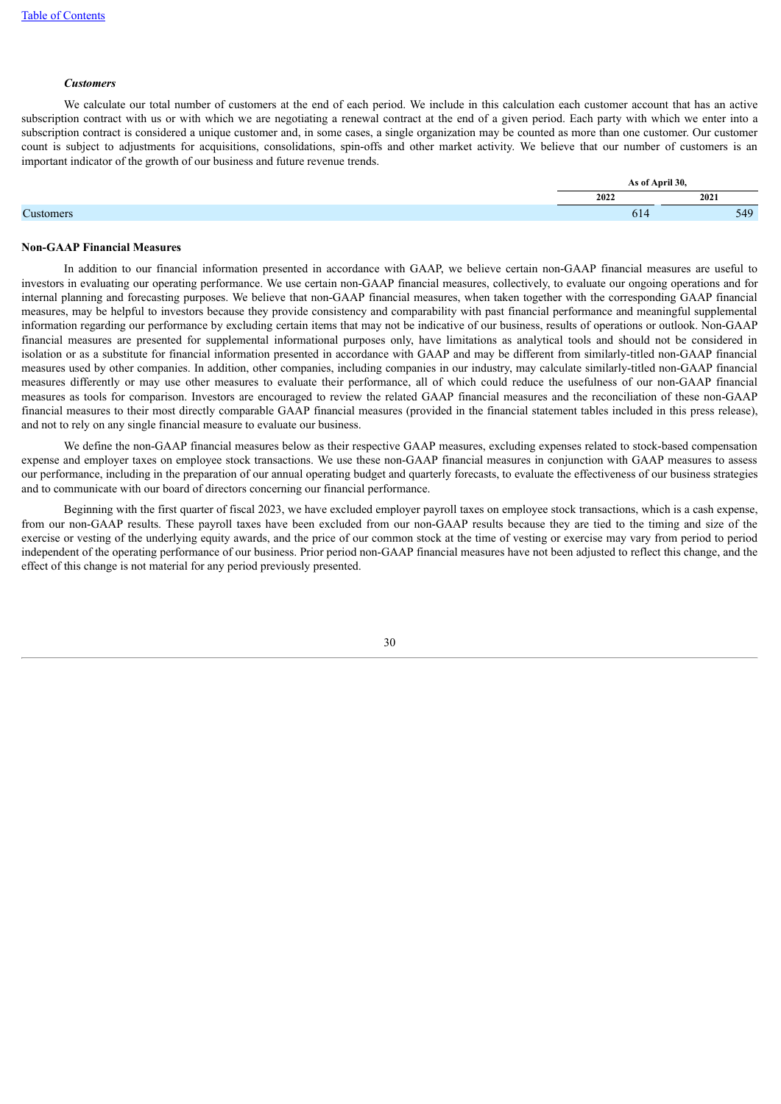#### *Customers*

We calculate our total number of customers at the end of each period. We include in this calculation each customer account that has an active subscription contract with us or with which we are negotiating a renewal contract at the end of a given period. Each party with which we enter into a subscription contract is considered a unique customer and, in some cases, a single organization may be counted as more than one customer. Our customer count is subject to adjustments for acquisitions, consolidations, spin-offs and other market activity. We believe that our number of customers is an important indicator of the growth of our business and future revenue trends.

|   |      | -1.30.<br>$\sim$ |
|---|------|------------------|
|   | 2022 | 2021             |
| - | UI   | 540<br>$\sim$ 1. |

#### **Non-GAAP Financial Measures**

In addition to our financial information presented in accordance with GAAP, we believe certain non-GAAP financial measures are useful to investors in evaluating our operating performance. We use certain non-GAAP financial measures, collectively, to evaluate our ongoing operations and for internal planning and forecasting purposes. We believe that non-GAAP financial measures, when taken together with the corresponding GAAP financial measures, may be helpful to investors because they provide consistency and comparability with past financial performance and meaningful supplemental information regarding our performance by excluding certain items that may not be indicative of our business, results of operations or outlook. Non-GAAP financial measures are presented for supplemental informational purposes only, have limitations as analytical tools and should not be considered in isolation or as a substitute for financial information presented in accordance with GAAP and may be different from similarly-titled non-GAAP financial measures used by other companies. In addition, other companies, including companies in our industry, may calculate similarly-titled non-GAAP financial measures differently or may use other measures to evaluate their performance, all of which could reduce the usefulness of our non-GAAP financial measures as tools for comparison. Investors are encouraged to review the related GAAP financial measures and the reconciliation of these non-GAAP financial measures to their most directly comparable GAAP financial measures (provided in the financial statement tables included in this press release), and not to rely on any single financial measure to evaluate our business.

We define the non-GAAP financial measures below as their respective GAAP measures, excluding expenses related to stock-based compensation expense and employer taxes on employee stock transactions. We use these non-GAAP financial measures in conjunction with GAAP measures to assess our performance, including in the preparation of our annual operating budget and quarterly forecasts, to evaluate the effectiveness of our business strategies and to communicate with our board of directors concerning our financial performance.

Beginning with the first quarter of fiscal 2023, we have excluded employer payroll taxes on employee stock transactions, which is a cash expense, from our non-GAAP results. These payroll taxes have been excluded from our non-GAAP results because they are tied to the timing and size of the exercise or vesting of the underlying equity awards, and the price of our common stock at the time of vesting or exercise may vary from period to period independent of the operating performance of our business. Prior period non-GAAP financial measures have not been adjusted to reflect this change, and the effect of this change is not material for any period previously presented.

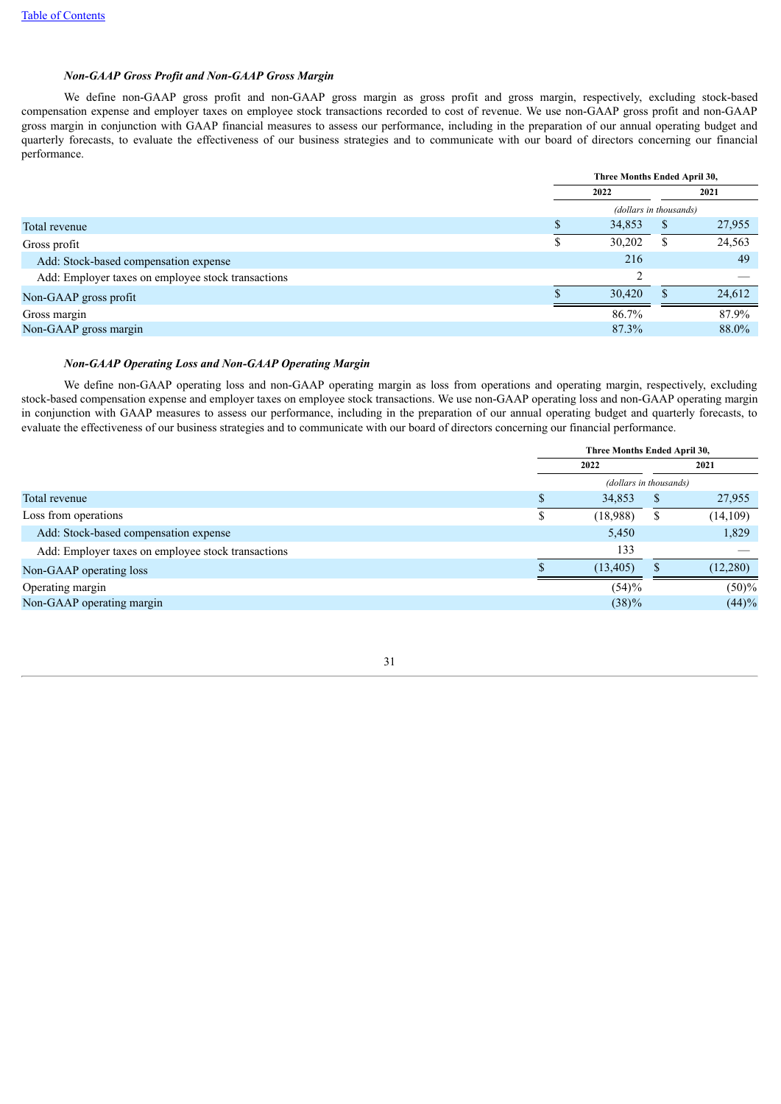# *Non-GAAP Gross Profit and Non-GAAP Gross Margin*

We define non-GAAP gross profit and non-GAAP gross margin as gross profit and gross margin, respectively, excluding stock-based compensation expense and employer taxes on employee stock transactions recorded to cost of revenue. We use non-GAAP gross profit and non-GAAP gross margin in conjunction with GAAP financial measures to assess our performance, including in the preparation of our annual operating budget and quarterly forecasts, to evaluate the effectiveness of our business strategies and to communicate with our board of directors concerning our financial performance.

|                                                    | Three Months Ended April 30, |                        |   |        |
|----------------------------------------------------|------------------------------|------------------------|---|--------|
|                                                    | 2022                         |                        |   | 2021   |
|                                                    |                              | (dollars in thousands) |   |        |
| Total revenue                                      | Ф<br>-D                      | 34,853                 | S | 27,955 |
| Gross profit                                       | ۰Δ                           | 30,202                 | S | 24,563 |
| Add: Stock-based compensation expense              |                              | 216                    |   | 49     |
| Add: Employer taxes on employee stock transactions |                              |                        |   |        |
| Non-GAAP gross profit                              |                              | 30,420                 | S | 24,612 |
| Gross margin                                       |                              | 86.7%                  |   | 87.9%  |
| Non-GAAP gross margin                              |                              | 87.3%                  |   | 88.0%  |

# *Non-GAAP Operating Loss and Non-GAAP Operating Margin*

We define non-GAAP operating loss and non-GAAP operating margin as loss from operations and operating margin, respectively, excluding stock-based compensation expense and employer taxes on employee stock transactions. We use non-GAAP operating loss and non-GAAP operating margin in conjunction with GAAP measures to assess our performance, including in the preparation of our annual operating budget and quarterly forecasts, to evaluate the effectiveness of our business strategies and to communicate with our board of directors concerning our financial performance.

|                                                    | Three Months Ended April 30, |          |           |  |
|----------------------------------------------------|------------------------------|----------|-----------|--|
|                                                    | 2022                         | 2021     |           |  |
|                                                    | (dollars in thousands)       |          |           |  |
| Total revenue                                      | 34,853                       | S        | 27,955    |  |
| Loss from operations                               | (18,988)                     | S        | (14, 109) |  |
| Add: Stock-based compensation expense              | 5,450                        |          | 1,829     |  |
| Add: Employer taxes on employee stock transactions | 133                          |          |           |  |
| Non-GAAP operating loss                            | (13, 405)                    | <b>S</b> | (12, 280) |  |
| Operating margin                                   | (54)%                        |          | (50)%     |  |
| Non-GAAP operating margin                          | $(38)\%$                     |          | (44)%     |  |
|                                                    |                              |          |           |  |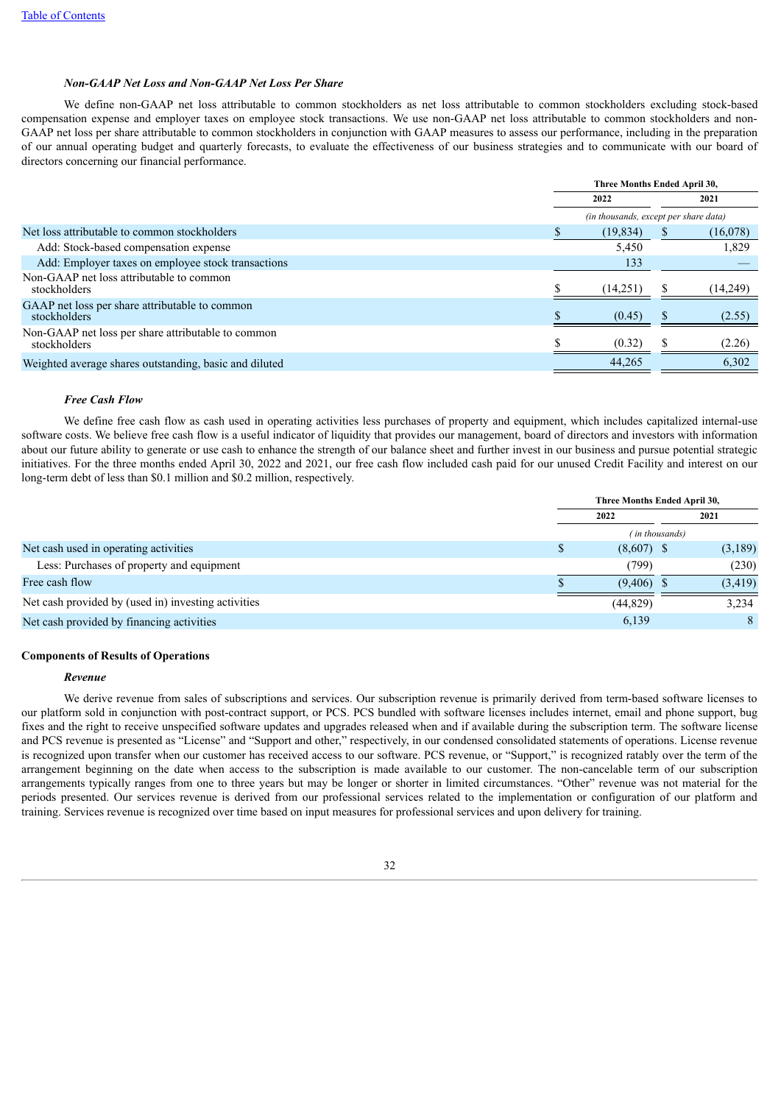# *Non-GAAP Net Loss and Non-GAAP Net Loss Per Share*

We define non-GAAP net loss attributable to common stockholders as net loss attributable to common stockholders excluding stock-based compensation expense and employer taxes on employee stock transactions. We use non-GAAP net loss attributable to common stockholders and non-GAAP net loss per share attributable to common stockholders in conjunction with GAAP measures to assess our performance, including in the preparation of our annual operating budget and quarterly forecasts, to evaluate the effectiveness of our business strategies and to communicate with our board of directors concerning our financial performance.

|                                                                    |      | Three Months Ended April 30,          |      |          |
|--------------------------------------------------------------------|------|---------------------------------------|------|----------|
|                                                                    | 2022 |                                       | 2021 |          |
|                                                                    |      | (in thousands, except per share data) |      |          |
| Net loss attributable to common stockholders                       |      | (19, 834)                             | ъ    | (16,078) |
| Add: Stock-based compensation expense                              |      | 5,450                                 |      | 1,829    |
| Add: Employer taxes on employee stock transactions                 |      | 133                                   |      |          |
| Non-GAAP net loss attributable to common<br>stockholders           |      | (14,251)                              |      | (14,249) |
| GAAP net loss per share attributable to common<br>stockholders     |      | (0.45)                                |      | (2.55)   |
| Non-GAAP net loss per share attributable to common<br>stockholders |      | (0.32)                                | \$.  | (2.26)   |
| Weighted average shares outstanding, basic and diluted             |      | 44,265                                |      | 6,302    |

## *Free Cash Flow*

We define free cash flow as cash used in operating activities less purchases of property and equipment, which includes capitalized internal-use software costs. We believe free cash flow is a useful indicator of liquidity that provides our management, board of directors and investors with information about our future ability to generate or use cash to enhance the strength of our balance sheet and further invest in our business and pursue potential strategic initiatives. For the three months ended April 30, 2022 and 2021, our free cash flow included cash paid for our unused Credit Facility and interest on our long-term debt of less than \$0.1 million and \$0.2 million, respectively.

|                                                     | Three Months Ended April 30, |  |          |  |
|-----------------------------------------------------|------------------------------|--|----------|--|
|                                                     | 2022                         |  | 2021     |  |
|                                                     | (in thousands)               |  |          |  |
| Net cash used in operating activities               | $(8,607)$ \$                 |  | (3,189)  |  |
| Less: Purchases of property and equipment           | (799)                        |  | (230)    |  |
| Free cash flow                                      | $(9,406)$ \$                 |  | (3, 419) |  |
| Net cash provided by (used in) investing activities | (44, 829)                    |  | 3,234    |  |
| Net cash provided by financing activities           | 6,139                        |  | 8        |  |

## **Components of Results of Operations**

## *Revenue*

We derive revenue from sales of subscriptions and services. Our subscription revenue is primarily derived from term-based software licenses to our platform sold in conjunction with post-contract support, or PCS. PCS bundled with software licenses includes internet, email and phone support, bug fixes and the right to receive unspecified software updates and upgrades released when and if available during the subscription term. The software license and PCS revenue is presented as "License" and "Support and other," respectively, in our condensed consolidated statements of operations. License revenue is recognized upon transfer when our customer has received access to our software. PCS revenue, or "Support," is recognized ratably over the term of the arrangement beginning on the date when access to the subscription is made available to our customer. The non-cancelable term of our subscription arrangements typically ranges from one to three years but may be longer or shorter in limited circumstances. "Other" revenue was not material for the periods presented. Our services revenue is derived from our professional services related to the implementation or configuration of our platform and training. Services revenue is recognized over time based on input measures for professional services and upon delivery for training.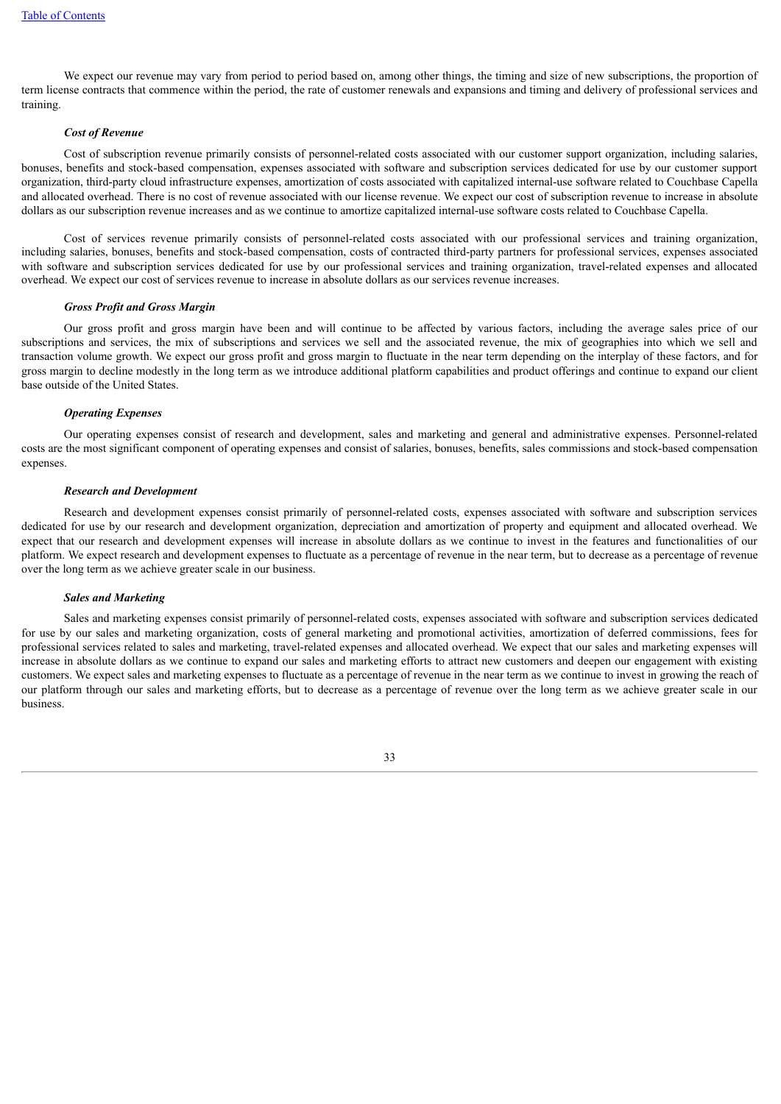We expect our revenue may vary from period to period based on, among other things, the timing and size of new subscriptions, the proportion of term license contracts that commence within the period, the rate of customer renewals and expansions and timing and delivery of professional services and training.

## *Cost of Revenue*

Cost of subscription revenue primarily consists of personnel-related costs associated with our customer support organization, including salaries, bonuses, benefits and stock-based compensation, expenses associated with software and subscription services dedicated for use by our customer support organization, third-party cloud infrastructure expenses, amortization of costs associated with capitalized internal-use software related to Couchbase Capella and allocated overhead. There is no cost of revenue associated with our license revenue. We expect our cost of subscription revenue to increase in absolute dollars as our subscription revenue increases and as we continue to amortize capitalized internal-use software costs related to Couchbase Capella.

Cost of services revenue primarily consists of personnel-related costs associated with our professional services and training organization, including salaries, bonuses, benefits and stock-based compensation, costs of contracted third-party partners for professional services, expenses associated with software and subscription services dedicated for use by our professional services and training organization, travel-related expenses and allocated overhead. We expect our cost of services revenue to increase in absolute dollars as our services revenue increases.

## *Gross Profit and Gross Margin*

Our gross profit and gross margin have been and will continue to be affected by various factors, including the average sales price of our subscriptions and services, the mix of subscriptions and services we sell and the associated revenue, the mix of geographies into which we sell and transaction volume growth. We expect our gross profit and gross margin to fluctuate in the near term depending on the interplay of these factors, and for gross margin to decline modestly in the long term as we introduce additional platform capabilities and product offerings and continue to expand our client base outside of the United States.

## *Operating Expenses*

Our operating expenses consist of research and development, sales and marketing and general and administrative expenses. Personnel-related costs are the most significant component of operating expenses and consist of salaries, bonuses, benefits, sales commissions and stock-based compensation expenses.

#### *Research and Development*

Research and development expenses consist primarily of personnel-related costs, expenses associated with software and subscription services dedicated for use by our research and development organization, depreciation and amortization of property and equipment and allocated overhead. We expect that our research and development expenses will increase in absolute dollars as we continue to invest in the features and functionalities of our platform. We expect research and development expenses to fluctuate as a percentage of revenue in the near term, but to decrease as a percentage of revenue over the long term as we achieve greater scale in our business.

# *Sales and Marketing*

Sales and marketing expenses consist primarily of personnel-related costs, expenses associated with software and subscription services dedicated for use by our sales and marketing organization, costs of general marketing and promotional activities, amortization of deferred commissions, fees for professional services related to sales and marketing, travel-related expenses and allocated overhead. We expect that our sales and marketing expenses will increase in absolute dollars as we continue to expand our sales and marketing efforts to attract new customers and deepen our engagement with existing customers. We expect sales and marketing expenses to fluctuate as a percentage of revenue in the near term as we continue to invest in growing the reach of our platform through our sales and marketing efforts, but to decrease as a percentage of revenue over the long term as we achieve greater scale in our business.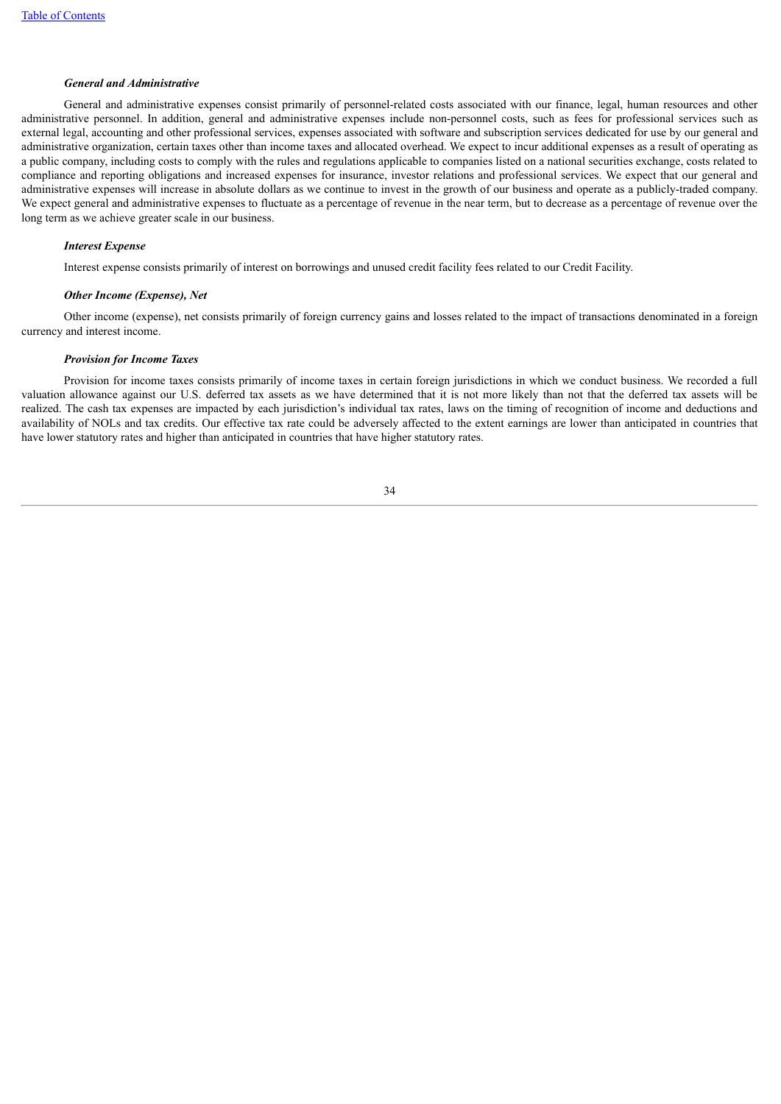### *General and Administrative*

General and administrative expenses consist primarily of personnel-related costs associated with our finance, legal, human resources and other administrative personnel. In addition, general and administrative expenses include non-personnel costs, such as fees for professional services such as external legal, accounting and other professional services, expenses associated with software and subscription services dedicated for use by our general and administrative organization, certain taxes other than income taxes and allocated overhead. We expect to incur additional expenses as a result of operating as a public company, including costs to comply with the rules and regulations applicable to companies listed on a national securities exchange, costs related to compliance and reporting obligations and increased expenses for insurance, investor relations and professional services. We expect that our general and administrative expenses will increase in absolute dollars as we continue to invest in the growth of our business and operate as a publicly-traded company. We expect general and administrative expenses to fluctuate as a percentage of revenue in the near term, but to decrease as a percentage of revenue over the long term as we achieve greater scale in our business.

## *Interest Expense*

Interest expense consists primarily of interest on borrowings and unused credit facility fees related to our Credit Facility.

#### *Other Income (Expense), Net*

Other income (expense), net consists primarily of foreign currency gains and losses related to the impact of transactions denominated in a foreign currency and interest income.

## *Provision for Income Taxes*

Provision for income taxes consists primarily of income taxes in certain foreign jurisdictions in which we conduct business. We recorded a full valuation allowance against our U.S. deferred tax assets as we have determined that it is not more likely than not that the deferred tax assets will be realized. The cash tax expenses are impacted by each jurisdiction's individual tax rates, laws on the timing of recognition of income and deductions and availability of NOLs and tax credits. Our effective tax rate could be adversely affected to the extent earnings are lower than anticipated in countries that have lower statutory rates and higher than anticipated in countries that have higher statutory rates.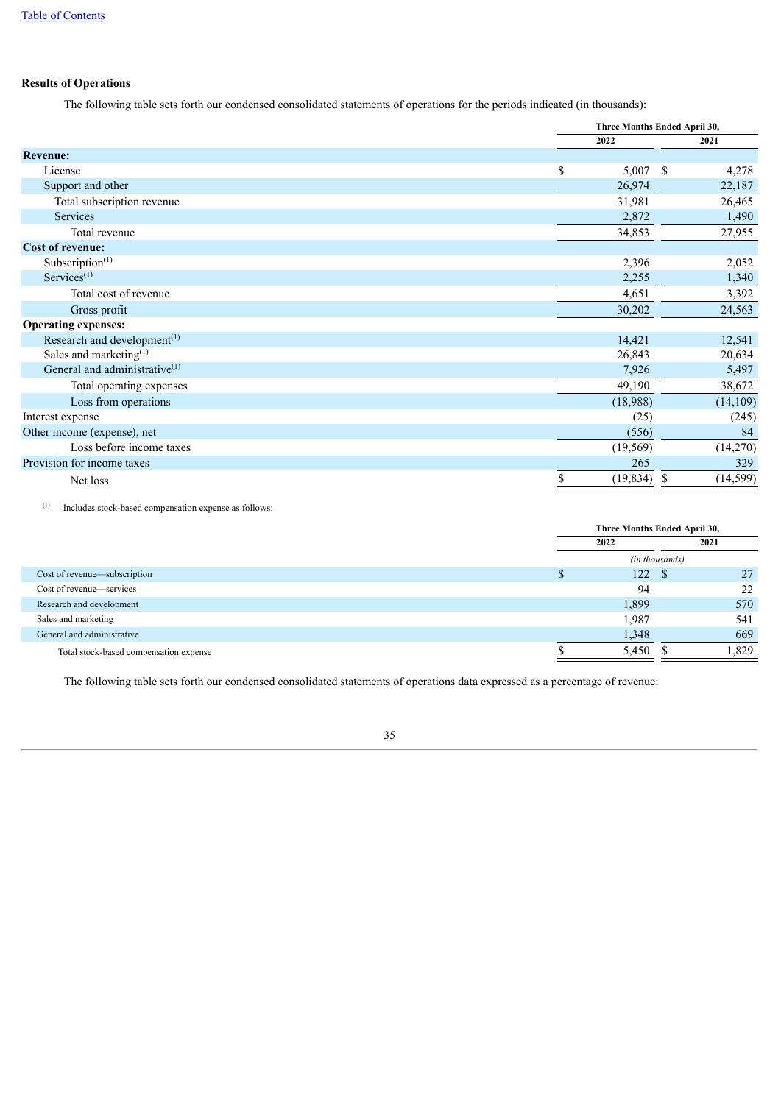# **Results of Operations**

The following table sets forth our condensed consolidated statements of operations for the periods indicated (in thousands):

| 2022<br>2021<br>\$<br>5,007<br>License<br><sup>\$</sup><br>4,278<br>Support and other<br>26,974<br>22,187<br>Total subscription revenue<br>31,981<br>26,465<br>Services<br>2,872<br>1,490<br>34,853<br>27,955<br>Total revenue<br>Subscription $(1)$<br>2,396<br>2,052<br>$S$ ervices $(1)$<br>2,255<br>1,340<br>4,651<br>Total cost of revenue<br>3,392<br>30,202<br>Gross profit<br>24,563<br>Research and development <sup>(1)</sup><br>14,421<br>12,541<br>Sales and marketing $(1)$<br>26,843<br>20,634<br>General and administrative <sup>(1)</sup><br>7,926<br>5,497<br>38,672<br>49,190<br>Total operating expenses<br>Loss from operations<br>(18,988)<br>(14, 109)<br>(245)<br>(25)<br>(556)<br>84<br>Loss before income taxes<br>(19, 569)<br>(14,270)<br>329<br>265<br>\$<br>(19, 834)<br>\$<br>(14, 599)<br>Net loss |                             | Three Months Ended April 30, |  |  |
|-----------------------------------------------------------------------------------------------------------------------------------------------------------------------------------------------------------------------------------------------------------------------------------------------------------------------------------------------------------------------------------------------------------------------------------------------------------------------------------------------------------------------------------------------------------------------------------------------------------------------------------------------------------------------------------------------------------------------------------------------------------------------------------------------------------------------------------|-----------------------------|------------------------------|--|--|
|                                                                                                                                                                                                                                                                                                                                                                                                                                                                                                                                                                                                                                                                                                                                                                                                                                   |                             |                              |  |  |
|                                                                                                                                                                                                                                                                                                                                                                                                                                                                                                                                                                                                                                                                                                                                                                                                                                   | <b>Revenue:</b>             |                              |  |  |
|                                                                                                                                                                                                                                                                                                                                                                                                                                                                                                                                                                                                                                                                                                                                                                                                                                   |                             |                              |  |  |
|                                                                                                                                                                                                                                                                                                                                                                                                                                                                                                                                                                                                                                                                                                                                                                                                                                   |                             |                              |  |  |
|                                                                                                                                                                                                                                                                                                                                                                                                                                                                                                                                                                                                                                                                                                                                                                                                                                   |                             |                              |  |  |
|                                                                                                                                                                                                                                                                                                                                                                                                                                                                                                                                                                                                                                                                                                                                                                                                                                   |                             |                              |  |  |
|                                                                                                                                                                                                                                                                                                                                                                                                                                                                                                                                                                                                                                                                                                                                                                                                                                   |                             |                              |  |  |
|                                                                                                                                                                                                                                                                                                                                                                                                                                                                                                                                                                                                                                                                                                                                                                                                                                   | <b>Cost of revenue:</b>     |                              |  |  |
|                                                                                                                                                                                                                                                                                                                                                                                                                                                                                                                                                                                                                                                                                                                                                                                                                                   |                             |                              |  |  |
|                                                                                                                                                                                                                                                                                                                                                                                                                                                                                                                                                                                                                                                                                                                                                                                                                                   |                             |                              |  |  |
|                                                                                                                                                                                                                                                                                                                                                                                                                                                                                                                                                                                                                                                                                                                                                                                                                                   |                             |                              |  |  |
|                                                                                                                                                                                                                                                                                                                                                                                                                                                                                                                                                                                                                                                                                                                                                                                                                                   |                             |                              |  |  |
|                                                                                                                                                                                                                                                                                                                                                                                                                                                                                                                                                                                                                                                                                                                                                                                                                                   | <b>Operating expenses:</b>  |                              |  |  |
|                                                                                                                                                                                                                                                                                                                                                                                                                                                                                                                                                                                                                                                                                                                                                                                                                                   |                             |                              |  |  |
|                                                                                                                                                                                                                                                                                                                                                                                                                                                                                                                                                                                                                                                                                                                                                                                                                                   |                             |                              |  |  |
|                                                                                                                                                                                                                                                                                                                                                                                                                                                                                                                                                                                                                                                                                                                                                                                                                                   |                             |                              |  |  |
|                                                                                                                                                                                                                                                                                                                                                                                                                                                                                                                                                                                                                                                                                                                                                                                                                                   |                             |                              |  |  |
|                                                                                                                                                                                                                                                                                                                                                                                                                                                                                                                                                                                                                                                                                                                                                                                                                                   |                             |                              |  |  |
|                                                                                                                                                                                                                                                                                                                                                                                                                                                                                                                                                                                                                                                                                                                                                                                                                                   | Interest expense            |                              |  |  |
|                                                                                                                                                                                                                                                                                                                                                                                                                                                                                                                                                                                                                                                                                                                                                                                                                                   | Other income (expense), net |                              |  |  |
|                                                                                                                                                                                                                                                                                                                                                                                                                                                                                                                                                                                                                                                                                                                                                                                                                                   |                             |                              |  |  |
|                                                                                                                                                                                                                                                                                                                                                                                                                                                                                                                                                                                                                                                                                                                                                                                                                                   | Provision for income taxes  |                              |  |  |
|                                                                                                                                                                                                                                                                                                                                                                                                                                                                                                                                                                                                                                                                                                                                                                                                                                   |                             |                              |  |  |

Includes stock-based compensation expense as follows: (1)

|                                        | Three Months Ended April 30, |       |      |       |
|----------------------------------------|------------------------------|-------|------|-------|
|                                        |                              | 2022  |      | 2021  |
|                                        | (in thousands)               |       |      |       |
| Cost of revenue—subscription           |                              | 122   | - \$ | 27    |
| Cost of revenue—services               |                              | 94    |      | 22    |
| Research and development               |                              | 1,899 |      | 570   |
| Sales and marketing                    |                              | 1,987 |      | 541   |
| General and administrative             |                              | 1,348 |      | 669   |
| Total stock-based compensation expense |                              | 5,450 |      | 1,829 |

The following table sets forth our condensed consolidated statements of operations data expressed as a percentage of revenue:

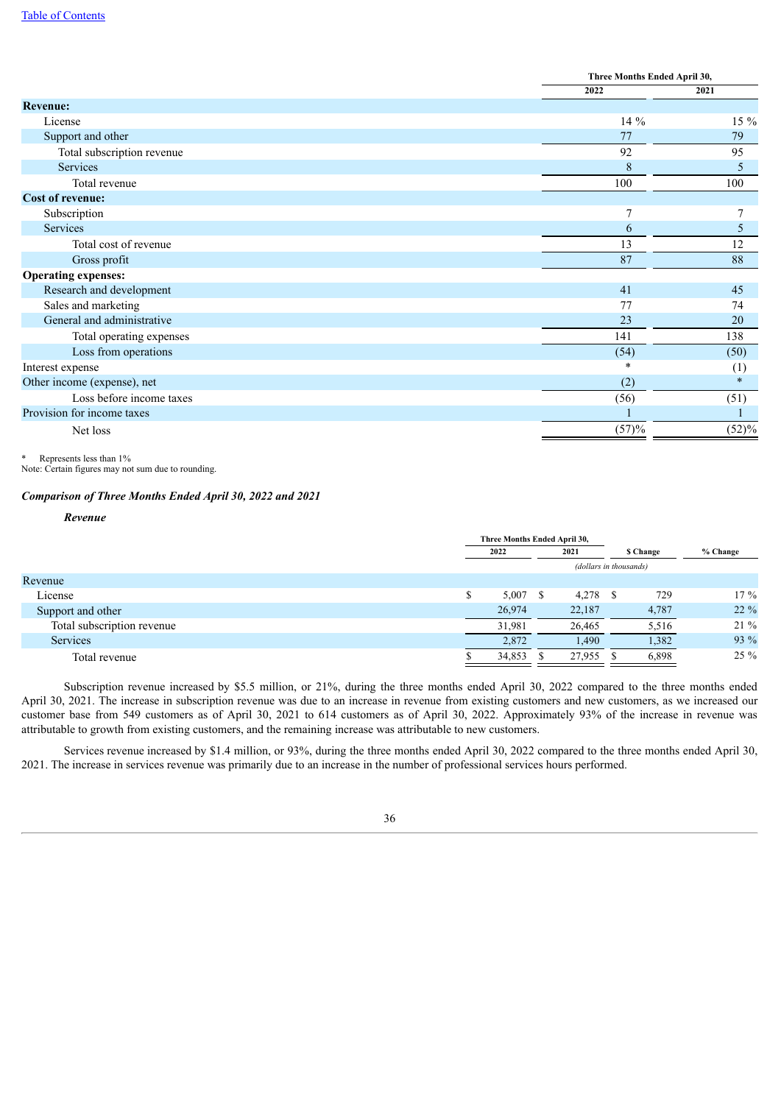|                             | Three Months Ended April 30, |        |
|-----------------------------|------------------------------|--------|
|                             | 2022                         | 2021   |
| <b>Revenue:</b>             |                              |        |
| License                     | $14\%$                       | $15\%$ |
| Support and other           | 77                           | 79     |
| Total subscription revenue  | 92                           | 95     |
| Services                    | 8                            | 5      |
| Total revenue               | 100                          | 100    |
| <b>Cost of revenue:</b>     |                              |        |
| Subscription                |                              |        |
| Services                    | 6                            | 5      |
| Total cost of revenue       | 13                           | 12     |
| Gross profit                | 87                           | 88     |
| <b>Operating expenses:</b>  |                              |        |
| Research and development    | 41                           | 45     |
| Sales and marketing         | 77                           | 74     |
| General and administrative  | 23                           | 20     |
| Total operating expenses    | 141                          | 138    |
| Loss from operations        | (54)                         | (50)   |
| Interest expense            | $\ast$                       | (1)    |
| Other income (expense), net | (2)                          | $\ast$ |
| Loss before income taxes    | (56)                         | (51)   |
| Provision for income taxes  |                              |        |
| Net loss                    | (57)%                        | (52)%  |

Represents less than 1%

Note: Certain figures may not sum due to rounding.

# *Comparison of Three Months Ended April 30, 2022 and 2021*

#### *Revenue*

|                            | Three Months Ended April 30, |     |            |  |                 |          |
|----------------------------|------------------------------|-----|------------|--|-----------------|----------|
|                            | 2022                         |     | 2021       |  | <b>S</b> Change | % Change |
|                            | (dollars in thousands)       |     |            |  |                 |          |
| Revenue                    |                              |     |            |  |                 |          |
| License                    | 5,007                        | - 8 | $4,278$ \$ |  | 729             | $17\%$   |
| Support and other          | 26.974                       |     | 22,187     |  | 4,787           | 22 %     |
| Total subscription revenue | 31,981                       |     | 26,465     |  | 5,516           | $21\%$   |
| Services                   | 2,872                        |     | 1,490      |  | 1,382           | 93 %     |
| Total revenue              | 34,853                       |     | 27,955     |  | 6,898           | $25\%$   |
|                            |                              |     |            |  |                 |          |

Subscription revenue increased by \$5.5 million, or 21%, during the three months ended April 30, 2022 compared to the three months ended April 30, 2021. The increase in subscription revenue was due to an increase in revenue from existing customers and new customers, as we increased our customer base from 549 customers as of April 30, 2021 to 614 customers as of April 30, 2022. Approximately 93% of the increase in revenue was attributable to growth from existing customers, and the remaining increase was attributable to new customers.

Services revenue increased by \$1.4 million, or 93%, during the three months ended April 30, 2022 compared to the three months ended April 30, 2021. The increase in services revenue was primarily due to an increase in the number of professional services hours performed.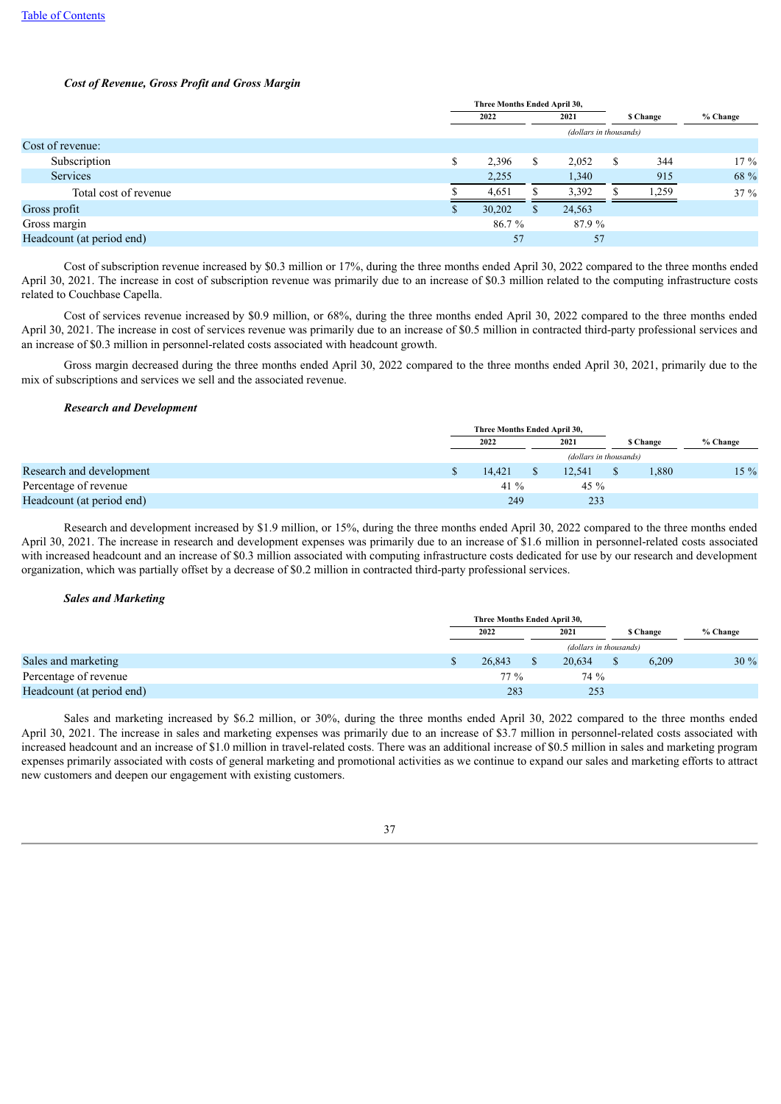# *Cost of Revenue, Gross Profit and Gross Margin*

|                           | Three Months Ended April 30, |    |                        |   |           |          |
|---------------------------|------------------------------|----|------------------------|---|-----------|----------|
|                           | 2022                         |    | 2021                   |   | \$ Change | % Change |
|                           |                              |    | (dollars in thousands) |   |           |          |
| Cost of revenue:          |                              |    |                        |   |           |          |
| Subscription              | 2,396                        | \$ | 2,052                  | S | 344       | $17\%$   |
| Services                  | 2,255                        |    | 1,340                  |   | 915       | 68 %     |
| Total cost of revenue     | 4,651                        |    | 3,392                  |   | 1,259     | 37%      |
| Gross profit              | 30,202                       | S  | 24,563                 |   |           |          |
| Gross margin              | 86.7 %                       |    | 87.9 %                 |   |           |          |
| Headcount (at period end) | 57                           |    | 57                     |   |           |          |

Cost of subscription revenue increased by \$0.3 million or 17%, during the three months ended April 30, 2022 compared to the three months ended April 30, 2021. The increase in cost of subscription revenue was primarily due to an increase of \$0.3 million related to the computing infrastructure costs related to Couchbase Capella.

Cost of services revenue increased by \$0.9 million, or 68%, during the three months ended April 30, 2022 compared to the three months ended April 30, 2021. The increase in cost of services revenue was primarily due to an increase of \$0.5 million in contracted third-party professional services and an increase of \$0.3 million in personnel-related costs associated with headcount growth.

Gross margin decreased during the three months ended April 30, 2022 compared to the three months ended April 30, 2021, primarily due to the mix of subscriptions and services we sell and the associated revenue.

#### *Research and Development*

|                           | Three Months Ended April 30, |              |  |           |  |          |      |
|---------------------------|------------------------------|--------------|--|-----------|--|----------|------|
|                           |                              | 2022<br>2021 |  | \$ Change |  | % Change |      |
|                           | (dollars in thousands)       |              |  |           |  |          |      |
| Research and development  |                              | 14.421       |  | 12.541    |  | 1,880    | 15 % |
| Percentage of revenue     |                              | 41 $\%$      |  | 45 $%$    |  |          |      |
| Headcount (at period end) |                              | 249          |  | 233       |  |          |      |

Research and development increased by \$1.9 million, or 15%, during the three months ended April 30, 2022 compared to the three months ended April 30, 2021. The increase in research and development expenses was primarily due to an increase of \$1.6 million in personnel-related costs associated with increased headcount and an increase of \$0.3 million associated with computing infrastructure costs dedicated for use by our research and development organization, which was partially offset by a decrease of \$0.2 million in contracted third-party professional services.

#### *Sales and Marketing*

|                           | Three Months Ended April 30, |  |           |  |          |      |
|---------------------------|------------------------------|--|-----------|--|----------|------|
|                           | 2022<br>2021                 |  | \$ Change |  | % Change |      |
|                           | (dollars in thousands)       |  |           |  |          |      |
| Sales and marketing       | 26.843                       |  | 20.634    |  | 6,209    | 30 % |
| Percentage of revenue     | 77 %                         |  | 74%       |  |          |      |
| Headcount (at period end) | 283                          |  | 253       |  |          |      |

Sales and marketing increased by \$6.2 million, or 30%, during the three months ended April 30, 2022 compared to the three months ended April 30, 2021. The increase in sales and marketing expenses was primarily due to an increase of \$3.7 million in personnel-related costs associated with increased headcount and an increase of \$1.0 million in travel-related costs. There was an additional increase of \$0.5 million in sales and marketing program expenses primarily associated with costs of general marketing and promotional activities as we continue to expand our sales and marketing efforts to attract new customers and deepen our engagement with existing customers.

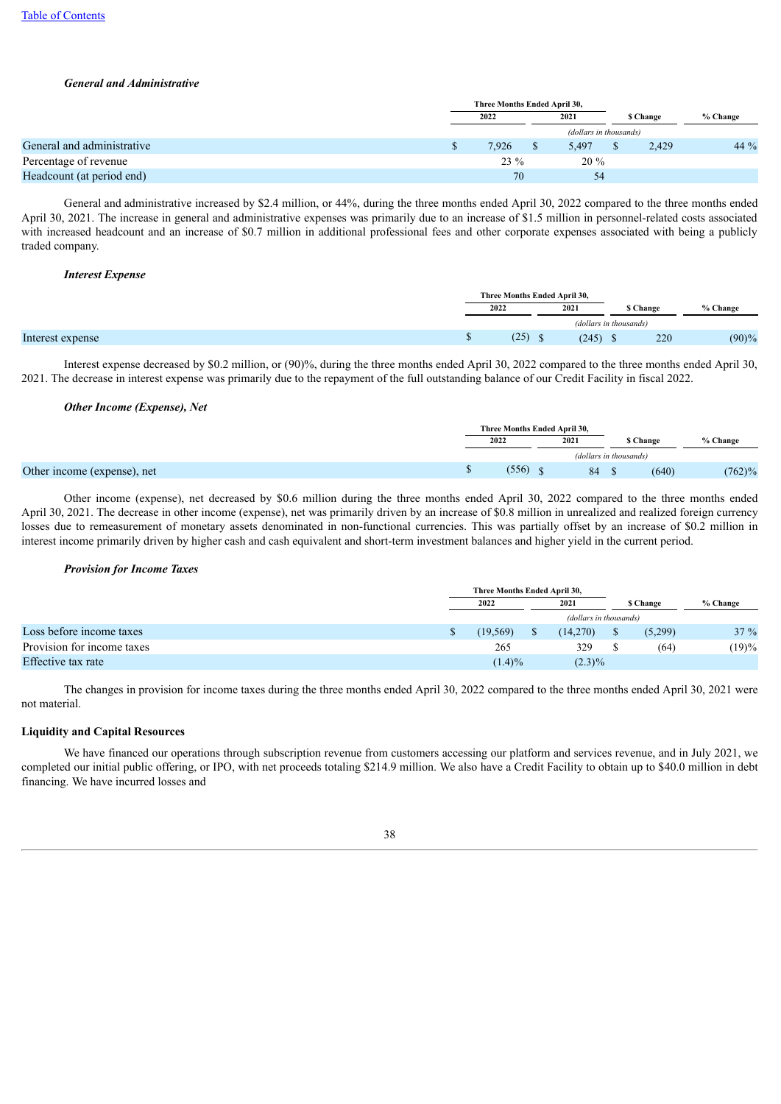#### *General and Administrative*

|                            | Three Months Ended April 30, |       |  |                        |  |           |          |
|----------------------------|------------------------------|-------|--|------------------------|--|-----------|----------|
|                            |                              | 2022  |  | 2021                   |  | \$ Change | % Change |
|                            |                              |       |  | (dollars in thousands) |  |           |          |
| General and administrative |                              | 7.926 |  | 5.497                  |  | 2,429     | 44 %     |
| Percentage of revenue      |                              | 23 %  |  | $20\%$                 |  |           |          |
| Headcount (at period end)  |                              | 70    |  | 54                     |  |           |          |

General and administrative increased by \$2.4 million, or 44%, during the three months ended April 30, 2022 compared to the three months ended April 30, 2021. The increase in general and administrative expenses was primarily due to an increase of \$1.5 million in personnel-related costs associated with increased headcount and an increase of \$0.7 million in additional professional fees and other corporate expenses associated with being a publicly traded company.

#### *Interest Expense*

|  | Three Months Ended April 30, |  |       |                        |           |          |
|--|------------------------------|--|-------|------------------------|-----------|----------|
|  | 2022                         |  | 2021  |                        | \$ Change | % Change |
|  |                              |  |       | (dollars in thousands) |           |          |
|  | (25)                         |  | (245) |                        | 220       | (90)%    |

Interest expense decreased by \$0.2 million, or (90)%, during the three months ended April 30, 2022 compared to the three months ended April 30, 2021. The decrease in interest expense was primarily due to the repayment of the full outstanding balance of our Credit Facility in fiscal 2022.

#### *Other Income (Expense), Net*

| Three Months Ended April 30, |  |            |       |                                     |
|------------------------------|--|------------|-------|-------------------------------------|
| 2022                         |  | 2021       |       | % Change                            |
|                              |  |            |       |                                     |
|                              |  | 84         | (640) | $(762)\%$                           |
|                              |  | $(556)$ \$ |       | \$ Change<br>(dollars in thousands) |

Other income (expense), net decreased by \$0.6 million during the three months ended April 30, 2022 compared to the three months ended April 30, 2021. The decrease in other income (expense), net was primarily driven by an increase of \$0.8 million in unrealized and realized foreign currency losses due to remeasurement of monetary assets denominated in non-functional currencies. This was partially offset by an increase of \$0.2 million in interest income primarily driven by higher cash and cash equivalent and short-term investment balances and higher yield in the current period.

# *Provision for Income Taxes*

|                            | Three Months Ended April 30, |  |           |  |           |          |
|----------------------------|------------------------------|--|-----------|--|-----------|----------|
|                            | 2022                         |  | 2021      |  | \$ Change | % Change |
|                            | (dollars in thousands)       |  |           |  |           |          |
| Loss before income taxes   | (19.569)                     |  | (14.270)  |  | (5,299)   | 37%      |
| Provision for income taxes | 265                          |  | 329       |  | (64)      | $(19)\%$ |
| Effective tax rate         | $(1.4)\%$                    |  | $(2.3)\%$ |  |           |          |

The changes in provision for income taxes during the three months ended April 30, 2022 compared to the three months ended April 30, 2021 were not material.

# **Liquidity and Capital Resources**

We have financed our operations through subscription revenue from customers accessing our platform and services revenue, and in July 2021, we completed our initial public offering, or IPO, with net proceeds totaling \$214.9 million. We also have a Credit Facility to obtain up to \$40.0 million in debt financing. We have incurred losses and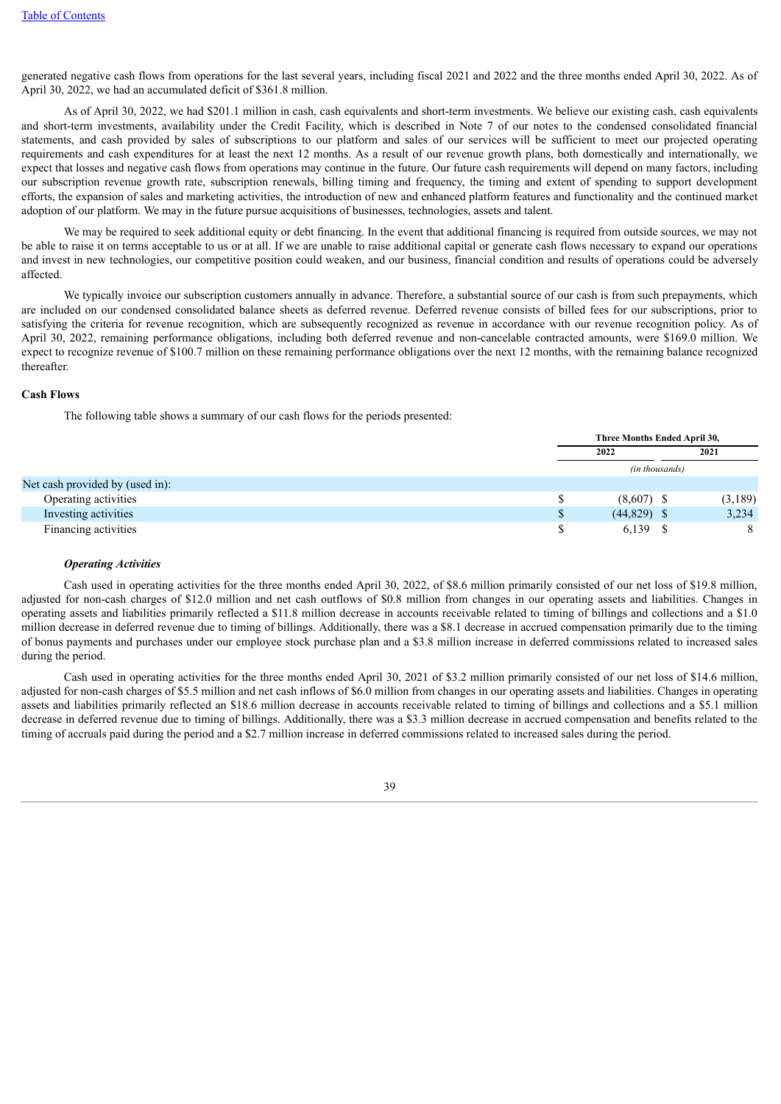generated negative cash flows from operations for the last several years, including fiscal 2021 and 2022 and the three months ended April 30, 2022. As of April 30, 2022, we had an accumulated deficit of \$361.8 million.

As of April 30, 2022, we had \$201.1 million in cash, cash equivalents and short-term investments. We believe our existing cash, cash equivalents and short-term investments, availability under the Credit Facility, which is described in Note 7 of our notes to the condensed consolidated financial statements, and cash provided by sales of subscriptions to our platform and sales of our services will be sufficient to meet our projected operating requirements and cash expenditures for at least the next 12 months. As a result of our revenue growth plans, both domestically and internationally, we expect that losses and negative cash flows from operations may continue in the future. Our future cash requirements will depend on many factors, including our subscription revenue growth rate, subscription renewals, billing timing and frequency, the timing and extent of spending to support development efforts, the expansion of sales and marketing activities, the introduction of new and enhanced platform features and functionality and the continued market adoption of our platform. We may in the future pursue acquisitions of businesses, technologies, assets and talent.

We may be required to seek additional equity or debt financing. In the event that additional financing is required from outside sources, we may not be able to raise it on terms acceptable to us or at all. If we are unable to raise additional capital or generate cash flows necessary to expand our operations and invest in new technologies, our competitive position could weaken, and our business, financial condition and results of operations could be adversely affected.

We typically invoice our subscription customers annually in advance. Therefore, a substantial source of our cash is from such prepayments, which are included on our condensed consolidated balance sheets as deferred revenue. Deferred revenue consists of billed fees for our subscriptions, prior to satisfying the criteria for revenue recognition, which are subsequently recognized as revenue in accordance with our revenue recognition policy. As of April 30, 2022, remaining performance obligations, including both deferred revenue and non-cancelable contracted amounts, were \$169.0 million. We expect to recognize revenue of \$100.7 million on these remaining performance obligations over the next 12 months, with the remaining balance recognized thereafter.

# **Cash Flows**

The following table shows a summary of our cash flows for the periods presented:

|                                 |   | Three Months Ended April 30, |         |  |  |  |
|---------------------------------|---|------------------------------|---------|--|--|--|
|                                 |   | 2022                         | 2021    |  |  |  |
|                                 |   | (in thousands)               |         |  |  |  |
| Net cash provided by (used in): |   |                              |         |  |  |  |
| Operating activities            |   | $(8,607)$ \$                 | (3,189) |  |  |  |
| Investing activities            | S | $(44,829)$ \$                | 3,234   |  |  |  |
| Financing activities            |   | 6,139                        | 8       |  |  |  |

#### *Operating Activities*

Cash used in operating activities for the three months ended April 30, 2022, of \$8.6 million primarily consisted of our net loss of \$19.8 million, adjusted for non-cash charges of \$12.0 million and net cash outflows of \$0.8 million from changes in our operating assets and liabilities. Changes in operating assets and liabilities primarily reflected a \$11.8 million decrease in accounts receivable related to timing of billings and collections and a \$1.0 million decrease in deferred revenue due to timing of billings. Additionally, there was a \$8.1 decrease in accrued compensation primarily due to the timing of bonus payments and purchases under our employee stock purchase plan and a \$3.8 million increase in deferred commissions related to increased sales during the period.

Cash used in operating activities for the three months ended April 30, 2021 of \$3.2 million primarily consisted of our net loss of \$14.6 million, adjusted for non-cash charges of \$5.5 million and net cash inflows of \$6.0 million from changes in our operating assets and liabilities. Changes in operating assets and liabilities primarily reflected an \$18.6 million decrease in accounts receivable related to timing of billings and collections and a \$5.1 million decrease in deferred revenue due to timing of billings. Additionally, there was a \$3.3 million decrease in accrued compensation and benefits related to the timing of accruals paid during the period and a \$2.7 million increase in deferred commissions related to increased sales during the period.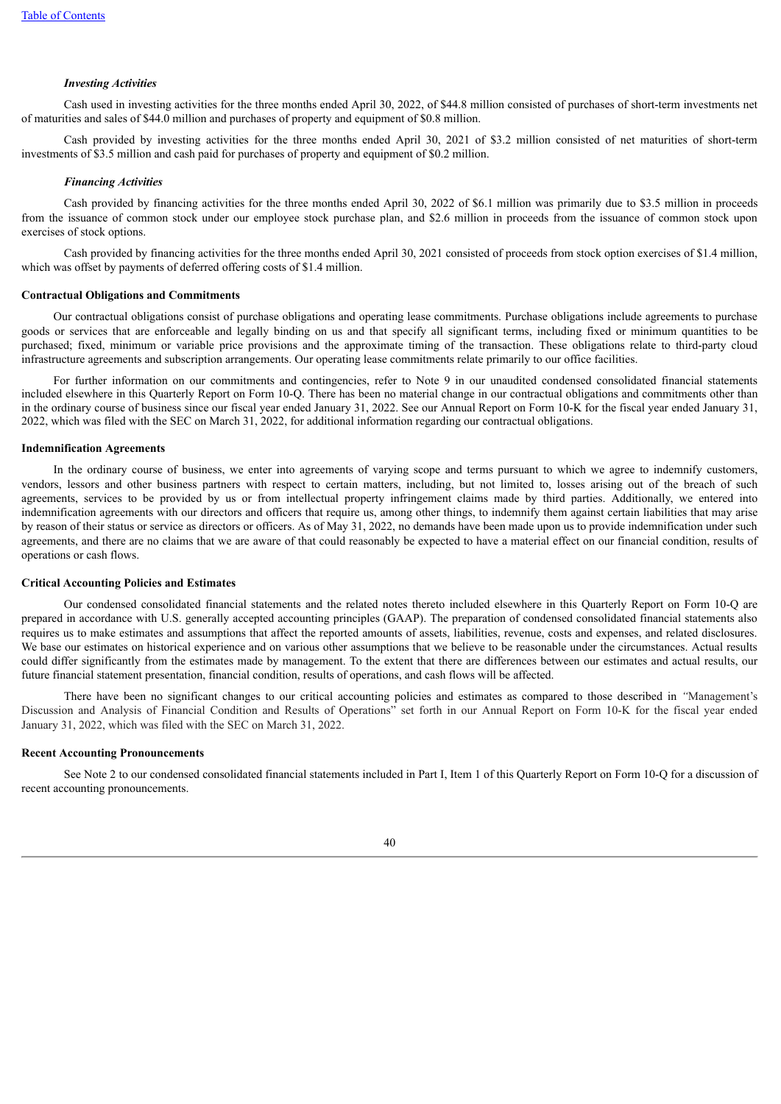#### *Investing Activities*

Cash used in investing activities for the three months ended April 30, 2022, of \$44.8 million consisted of purchases of short-term investments net of maturities and sales of \$44.0 million and purchases of property and equipment of \$0.8 million.

Cash provided by investing activities for the three months ended April 30, 2021 of \$3.2 million consisted of net maturities of short-term investments of \$3.5 million and cash paid for purchases of property and equipment of \$0.2 million.

#### *Financing Activities*

Cash provided by financing activities for the three months ended April 30, 2022 of \$6.1 million was primarily due to \$3.5 million in proceeds from the issuance of common stock under our employee stock purchase plan, and \$2.6 million in proceeds from the issuance of common stock upon exercises of stock options.

Cash provided by financing activities for the three months ended April 30, 2021 consisted of proceeds from stock option exercises of \$1.4 million, which was offset by payments of deferred offering costs of \$1.4 million.

#### **Contractual Obligations and Commitments**

Our contractual obligations consist of purchase obligations and operating lease commitments. Purchase obligations include agreements to purchase goods or services that are enforceable and legally binding on us and that specify all significant terms, including fixed or minimum quantities to be purchased; fixed, minimum or variable price provisions and the approximate timing of the transaction. These obligations relate to third-party cloud infrastructure agreements and subscription arrangements. Our operating lease commitments relate primarily to our office facilities.

For further information on our commitments and contingencies, refer to Note 9 in our unaudited condensed consolidated financial statements included elsewhere in this Quarterly Report on Form 10-Q. There has been no material change in our contractual obligations and commitments other than in the ordinary course of business since our fiscal year ended January 31, 2022. See our Annual Report on Form 10-K for the fiscal year ended January 31, 2022, which was filed with the SEC on March 31, 2022, for additional information regarding our contractual obligations.

#### **Indemnification Agreements**

In the ordinary course of business, we enter into agreements of varying scope and terms pursuant to which we agree to indemnify customers, vendors, lessors and other business partners with respect to certain matters, including, but not limited to, losses arising out of the breach of such agreements, services to be provided by us or from intellectual property infringement claims made by third parties. Additionally, we entered into indemnification agreements with our directors and officers that require us, among other things, to indemnify them against certain liabilities that may arise by reason of their status or service as directors or officers. As of May 31, 2022, no demands have been made upon us to provide indemnification under such agreements, and there are no claims that we are aware of that could reasonably be expected to have a material effect on our financial condition, results of operations or cash flows.

#### **Critical Accounting Policies and Estimates**

Our condensed consolidated financial statements and the related notes thereto included elsewhere in this Quarterly Report on Form 10-Q are prepared in accordance with U.S. generally accepted accounting principles (GAAP). The preparation of condensed consolidated financial statements also requires us to make estimates and assumptions that affect the reported amounts of assets, liabilities, revenue, costs and expenses, and related disclosures. We base our estimates on historical experience and on various other assumptions that we believe to be reasonable under the circumstances. Actual results could differ significantly from the estimates made by management. To the extent that there are differences between our estimates and actual results, our future financial statement presentation, financial condition, results of operations, and cash flows will be affected.

There have been no significant changes to our critical accounting policies and estimates as compared to those described in *"*Management's Discussion and Analysis of Financial Condition and Results of Operations" set forth in our Annual Report on Form 10-K for the fiscal year ended January 31, 2022, which was filed with the SEC on March 31, 2022.

#### **Recent Accounting Pronouncements**

See Note 2 to our condensed consolidated financial statements included in Part I, Item 1 of this Quarterly Report on Form 10-Q for a discussion of recent accounting pronouncements.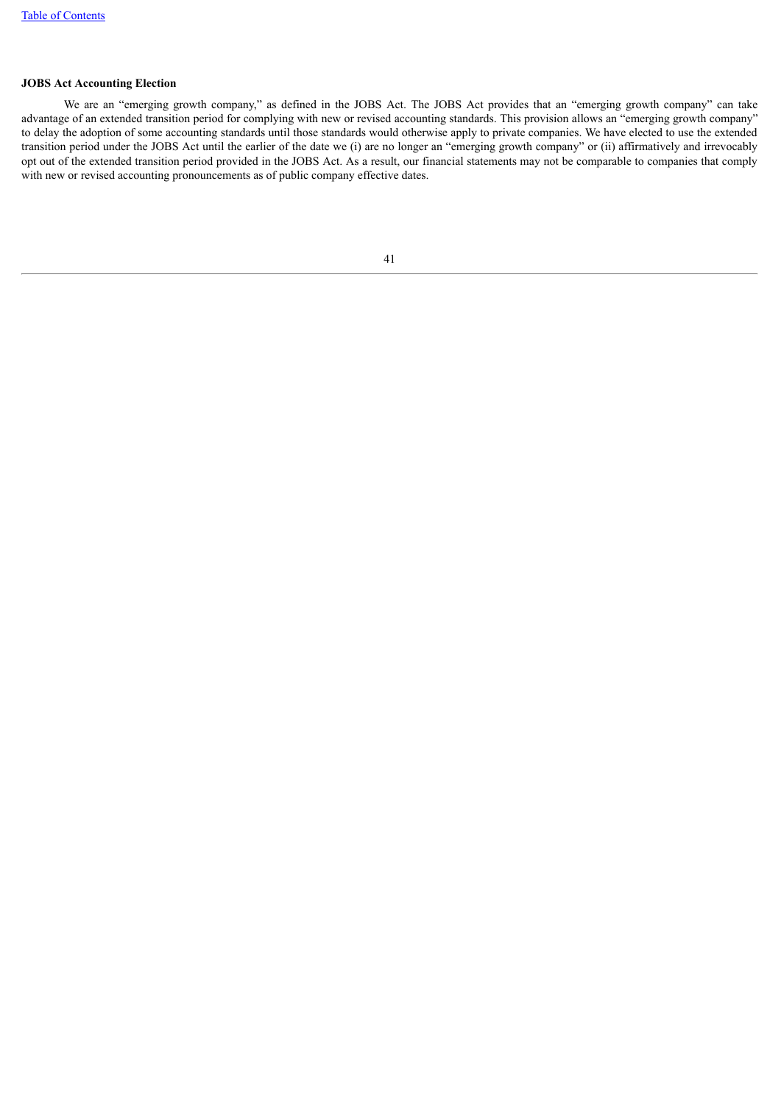# **JOBS Act Accounting Election**

We are an "emerging growth company," as defined in the JOBS Act. The JOBS Act provides that an "emerging growth company" can take advantage of an extended transition period for complying with new or revised accounting standards. This provision allows an "emerging growth company" to delay the adoption of some accounting standards until those standards would otherwise apply to private companies. We have elected to use the extended transition period under the JOBS Act until the earlier of the date we (i) are no longer an "emerging growth company" or (ii) affirmatively and irrevocably opt out of the extended transition period provided in the JOBS Act. As a result, our financial statements may not be comparable to companies that comply with new or revised accounting pronouncements as of public company effective dates.

| I<br>٠<br>٠ |  |
|-------------|--|
|             |  |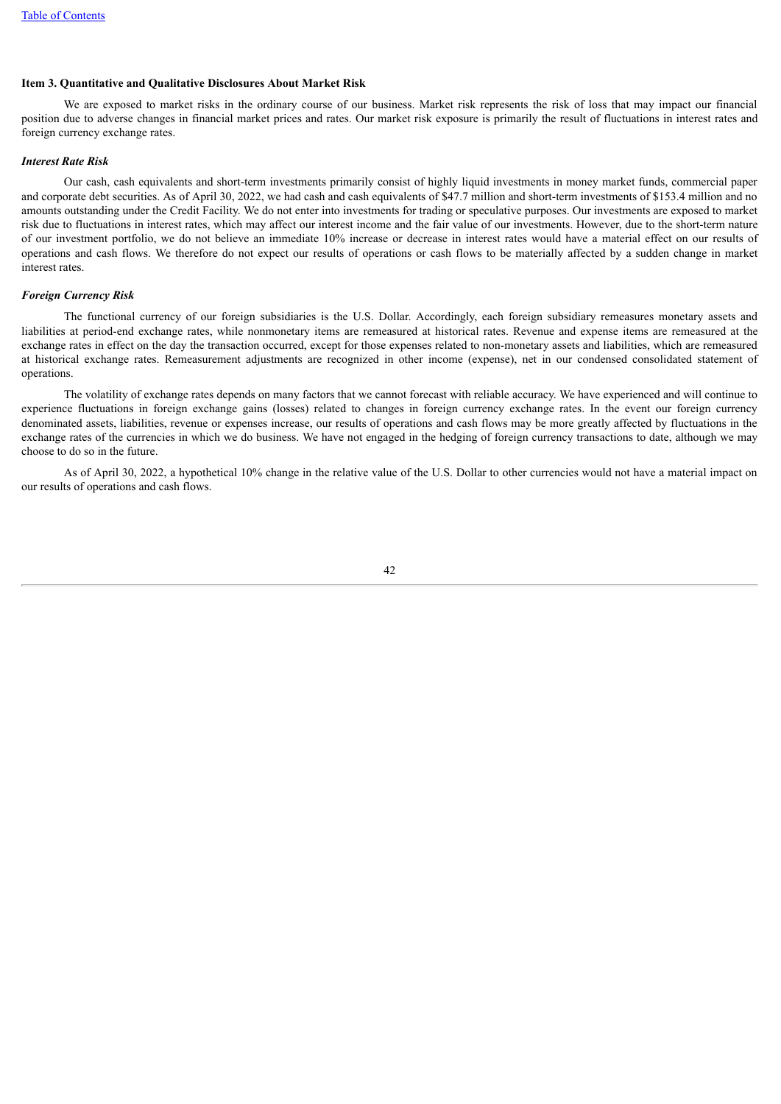# **Item 3. Quantitative and Qualitative Disclosures About Market Risk**

We are exposed to market risks in the ordinary course of our business. Market risk represents the risk of loss that may impact our financial position due to adverse changes in financial market prices and rates. Our market risk exposure is primarily the result of fluctuations in interest rates and foreign currency exchange rates.

# *Interest Rate Risk*

Our cash, cash equivalents and short-term investments primarily consist of highly liquid investments in money market funds, commercial paper and corporate debt securities. As of April 30, 2022, we had cash and cash equivalents of \$47.7 million and short-term investments of \$153.4 million and no amounts outstanding under the Credit Facility. We do not enter into investments for trading or speculative purposes. Our investments are exposed to market risk due to fluctuations in interest rates, which may affect our interest income and the fair value of our investments. However, due to the short-term nature of our investment portfolio, we do not believe an immediate 10% increase or decrease in interest rates would have a material effect on our results of operations and cash flows. We therefore do not expect our results of operations or cash flows to be materially affected by a sudden change in market interest rates.

# *Foreign Currency Risk*

The functional currency of our foreign subsidiaries is the U.S. Dollar. Accordingly, each foreign subsidiary remeasures monetary assets and liabilities at period-end exchange rates, while nonmonetary items are remeasured at historical rates. Revenue and expense items are remeasured at the exchange rates in effect on the day the transaction occurred, except for those expenses related to non-monetary assets and liabilities, which are remeasured at historical exchange rates. Remeasurement adjustments are recognized in other income (expense), net in our condensed consolidated statement of operations.

The volatility of exchange rates depends on many factors that we cannot forecast with reliable accuracy. We have experienced and will continue to experience fluctuations in foreign exchange gains (losses) related to changes in foreign currency exchange rates. In the event our foreign currency denominated assets, liabilities, revenue or expenses increase, our results of operations and cash flows may be more greatly affected by fluctuations in the exchange rates of the currencies in which we do business. We have not engaged in the hedging of foreign currency transactions to date, although we may choose to do so in the future.

As of April 30, 2022, a hypothetical 10% change in the relative value of the U.S. Dollar to other currencies would not have a material impact on our results of operations and cash flows.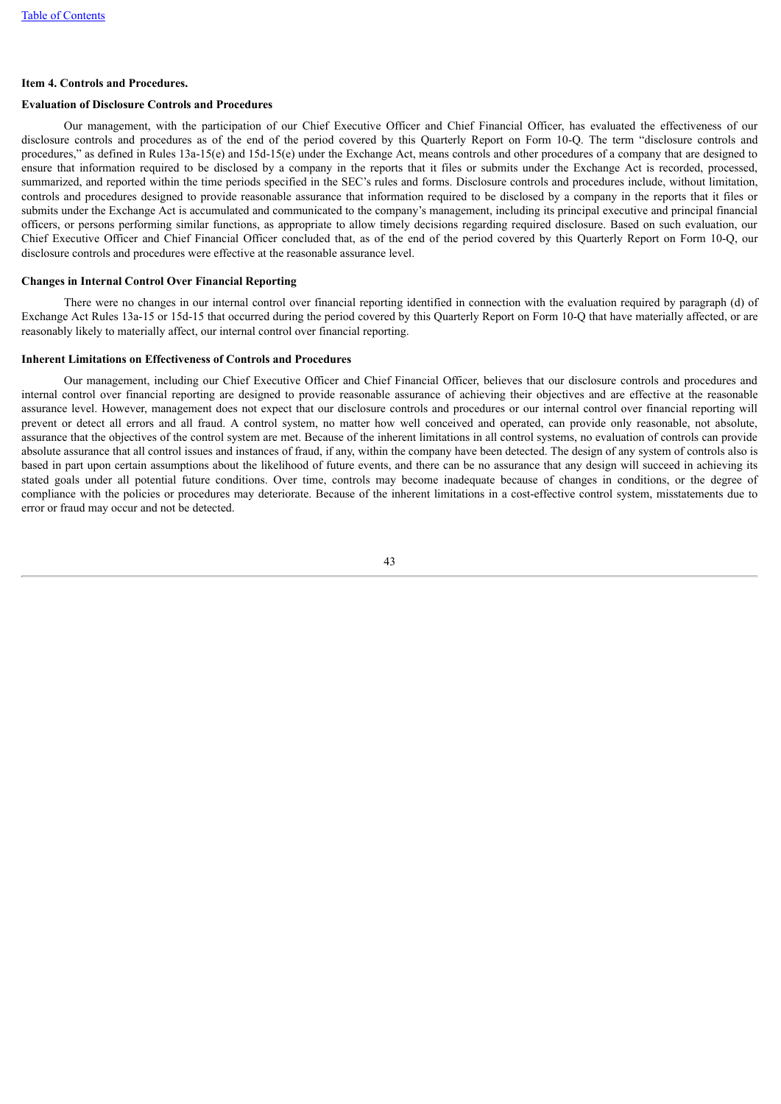# **Item 4. Controls and Procedures.**

# **Evaluation of Disclosure Controls and Procedures**

Our management, with the participation of our Chief Executive Officer and Chief Financial Officer, has evaluated the effectiveness of our disclosure controls and procedures as of the end of the period covered by this Quarterly Report on Form 10-Q. The term "disclosure controls and procedures," as defined in Rules 13a-15(e) and 15d-15(e) under the Exchange Act, means controls and other procedures of a company that are designed to ensure that information required to be disclosed by a company in the reports that it files or submits under the Exchange Act is recorded, processed, summarized, and reported within the time periods specified in the SEC's rules and forms. Disclosure controls and procedures include, without limitation, controls and procedures designed to provide reasonable assurance that information required to be disclosed by a company in the reports that it files or submits under the Exchange Act is accumulated and communicated to the company's management, including its principal executive and principal financial officers, or persons performing similar functions, as appropriate to allow timely decisions regarding required disclosure. Based on such evaluation, our Chief Executive Officer and Chief Financial Officer concluded that, as of the end of the period covered by this Quarterly Report on Form 10-Q, our disclosure controls and procedures were effective at the reasonable assurance level.

# **Changes in Internal Control Over Financial Reporting**

There were no changes in our internal control over financial reporting identified in connection with the evaluation required by paragraph (d) of Exchange Act Rules 13a-15 or 15d-15 that occurred during the period covered by this Quarterly Report on Form 10-Q that have materially affected, or are reasonably likely to materially affect, our internal control over financial reporting.

### **Inherent Limitations on Effectiveness of Controls and Procedures**

Our management, including our Chief Executive Officer and Chief Financial Officer, believes that our disclosure controls and procedures and internal control over financial reporting are designed to provide reasonable assurance of achieving their objectives and are effective at the reasonable assurance level. However, management does not expect that our disclosure controls and procedures or our internal control over financial reporting will prevent or detect all errors and all fraud. A control system, no matter how well conceived and operated, can provide only reasonable, not absolute, assurance that the objectives of the control system are met. Because of the inherent limitations in all control systems, no evaluation of controls can provide absolute assurance that all control issues and instances of fraud, if any, within the company have been detected. The design of any system of controls also is based in part upon certain assumptions about the likelihood of future events, and there can be no assurance that any design will succeed in achieving its stated goals under all potential future conditions. Over time, controls may become inadequate because of changes in conditions, or the degree of compliance with the policies or procedures may deteriorate. Because of the inherent limitations in a cost-effective control system, misstatements due to error or fraud may occur and not be detected.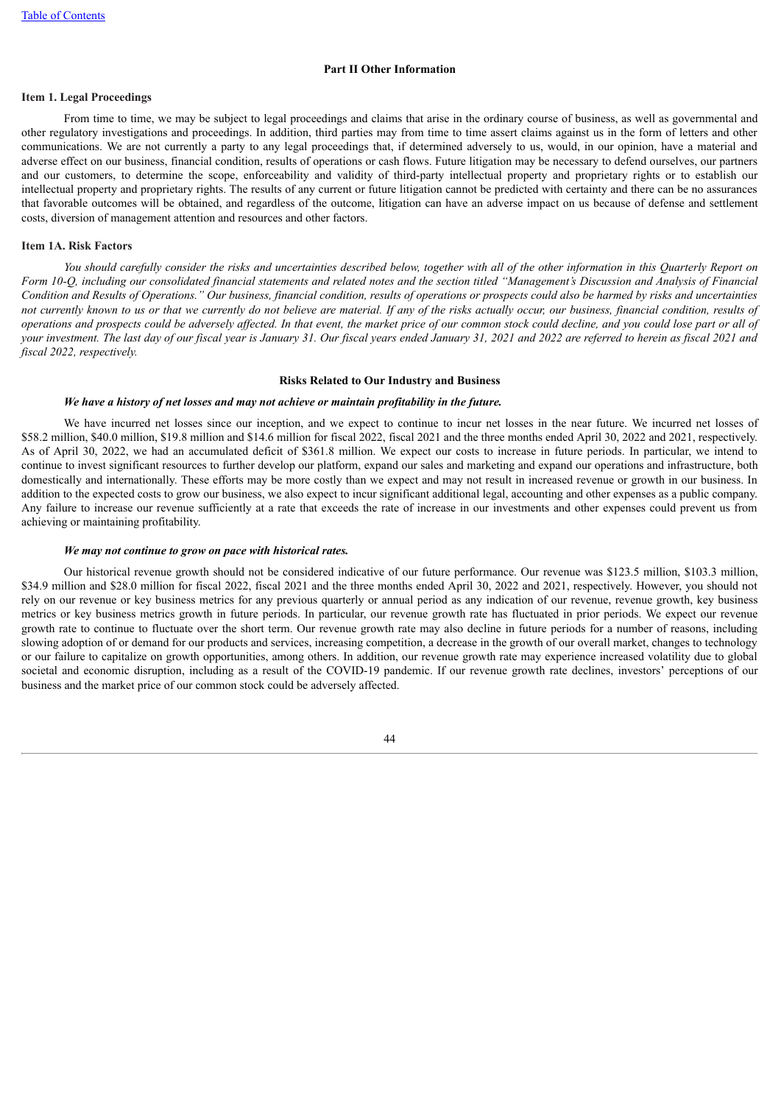#### **Part II Other Information**

# **Item 1. Legal Proceedings**

From time to time, we may be subject to legal proceedings and claims that arise in the ordinary course of business, as well as governmental and other regulatory investigations and proceedings. In addition, third parties may from time to time assert claims against us in the form of letters and other communications. We are not currently a party to any legal proceedings that, if determined adversely to us, would, in our opinion, have a material and adverse effect on our business, financial condition, results of operations or cash flows. Future litigation may be necessary to defend ourselves, our partners and our customers, to determine the scope, enforceability and validity of third-party intellectual property and proprietary rights or to establish our intellectual property and proprietary rights. The results of any current or future litigation cannot be predicted with certainty and there can be no assurances that favorable outcomes will be obtained, and regardless of the outcome, litigation can have an adverse impact on us because of defense and settlement costs, diversion of management attention and resources and other factors.

#### **Item 1A. Risk Factors**

You should carefully consider the risks and uncertainties described below, together with all of the other information in this Quarterly Report on Form 10-O, including our consolidated financial statements and related notes and the section titled "Management's Discussion and Analysis of Financial Condition and Results of Operations." Our business, financial condition, results of operations or prospects could also be harmed by risks and uncertainties not currently known to us or that we currently do not believe are material. If any of the risks actually occur, our business, financial condition, results of operations and prospects could be adversely affected. In that event, the market price of our common stock could decline, and you could lose part or all of your investment. The last day of our fiscal year is January 31. Our fiscal years ended January 31, 2021 and 2022 are referred to herein as fiscal 2021 and *fiscal 2022, respectively.*

#### **Risks Related to Our Industry and Business**

#### *We have a history of net losses and may not achieve or maintain profitability in the future.*

We have incurred net losses since our inception, and we expect to continue to incur net losses in the near future. We incurred net losses of \$58.2 million, \$40.0 million, \$19.8 million and \$14.6 million for fiscal 2022, fiscal 2021 and the three months ended April 30, 2022 and 2021, respectively. As of April 30, 2022, we had an accumulated deficit of \$361.8 million. We expect our costs to increase in future periods. In particular, we intend to continue to invest significant resources to further develop our platform, expand our sales and marketing and expand our operations and infrastructure, both domestically and internationally. These efforts may be more costly than we expect and may not result in increased revenue or growth in our business. In addition to the expected costs to grow our business, we also expect to incur significant additional legal, accounting and other expenses as a public company. Any failure to increase our revenue sufficiently at a rate that exceeds the rate of increase in our investments and other expenses could prevent us from achieving or maintaining profitability.

### *We may not continue to grow on pace with historical rates.*

Our historical revenue growth should not be considered indicative of our future performance. Our revenue was \$123.5 million, \$103.3 million, \$34.9 million and \$28.0 million for fiscal 2022, fiscal 2021 and the three months ended April 30, 2022 and 2021, respectively. However, you should not rely on our revenue or key business metrics for any previous quarterly or annual period as any indication of our revenue, revenue growth, key business metrics or key business metrics growth in future periods. In particular, our revenue growth rate has fluctuated in prior periods. We expect our revenue growth rate to continue to fluctuate over the short term. Our revenue growth rate may also decline in future periods for a number of reasons, including slowing adoption of or demand for our products and services, increasing competition, a decrease in the growth of our overall market, changes to technology or our failure to capitalize on growth opportunities, among others. In addition, our revenue growth rate may experience increased volatility due to global societal and economic disruption, including as a result of the COVID-19 pandemic. If our revenue growth rate declines, investors' perceptions of our business and the market price of our common stock could be adversely affected.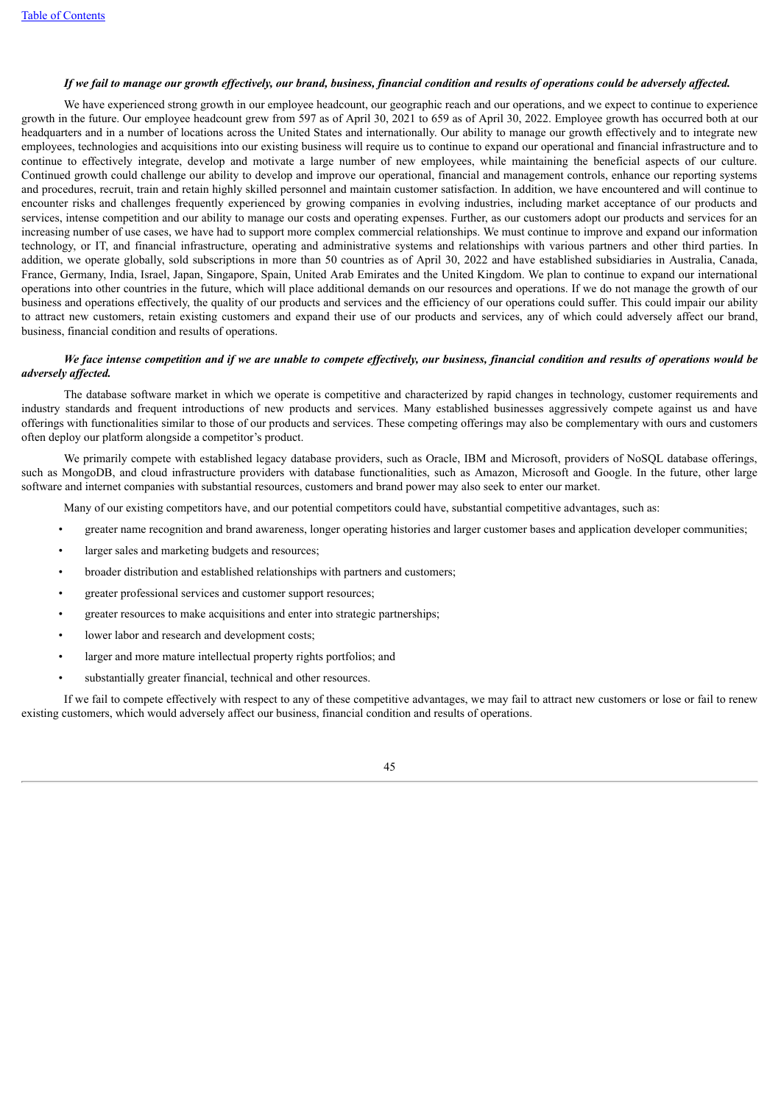# If we fail to manage our growth effectively, our brand, business, financial condition and results of operations could be adversely affected.

We have experienced strong growth in our employee headcount, our geographic reach and our operations, and we expect to continue to experience growth in the future. Our employee headcount grew from 597 as of April 30, 2021 to 659 as of April 30, 2022. Employee growth has occurred both at our headquarters and in a number of locations across the United States and internationally. Our ability to manage our growth effectively and to integrate new employees, technologies and acquisitions into our existing business will require us to continue to expand our operational and financial infrastructure and to continue to effectively integrate, develop and motivate a large number of new employees, while maintaining the beneficial aspects of our culture. Continued growth could challenge our ability to develop and improve our operational, financial and management controls, enhance our reporting systems and procedures, recruit, train and retain highly skilled personnel and maintain customer satisfaction. In addition, we have encountered and will continue to encounter risks and challenges frequently experienced by growing companies in evolving industries, including market acceptance of our products and services, intense competition and our ability to manage our costs and operating expenses. Further, as our customers adopt our products and services for an increasing number of use cases, we have had to support more complex commercial relationships. We must continue to improve and expand our information technology, or IT, and financial infrastructure, operating and administrative systems and relationships with various partners and other third parties. In addition, we operate globally, sold subscriptions in more than 50 countries as of April 30, 2022 and have established subsidiaries in Australia, Canada, France, Germany, India, Israel, Japan, Singapore, Spain, United Arab Emirates and the United Kingdom. We plan to continue to expand our international operations into other countries in the future, which will place additional demands on our resources and operations. If we do not manage the growth of our business and operations effectively, the quality of our products and services and the efficiency of our operations could suffer. This could impair our ability to attract new customers, retain existing customers and expand their use of our products and services, any of which could adversely affect our brand, business, financial condition and results of operations.

# We face intense competition and if we are unable to compete effectively, our business, financial condition and results of operations would be *adversely af ected.*

The database software market in which we operate is competitive and characterized by rapid changes in technology, customer requirements and industry standards and frequent introductions of new products and services. Many established businesses aggressively compete against us and have offerings with functionalities similar to those of our products and services. These competing offerings may also be complementary with ours and customers often deploy our platform alongside a competitor's product.

We primarily compete with established legacy database providers, such as Oracle, IBM and Microsoft, providers of NoSQL database offerings, such as MongoDB, and cloud infrastructure providers with database functionalities, such as Amazon, Microsoft and Google. In the future, other large software and internet companies with substantial resources, customers and brand power may also seek to enter our market.

Many of our existing competitors have, and our potential competitors could have, substantial competitive advantages, such as:

- greater name recognition and brand awareness, longer operating histories and larger customer bases and application developer communities;
- larger sales and marketing budgets and resources;
- broader distribution and established relationships with partners and customers;
- greater professional services and customer support resources;
- greater resources to make acquisitions and enter into strategic partnerships;
- lower labor and research and development costs;
- larger and more mature intellectual property rights portfolios; and
- substantially greater financial, technical and other resources.

If we fail to compete effectively with respect to any of these competitive advantages, we may fail to attract new customers or lose or fail to renew existing customers, which would adversely affect our business, financial condition and results of operations.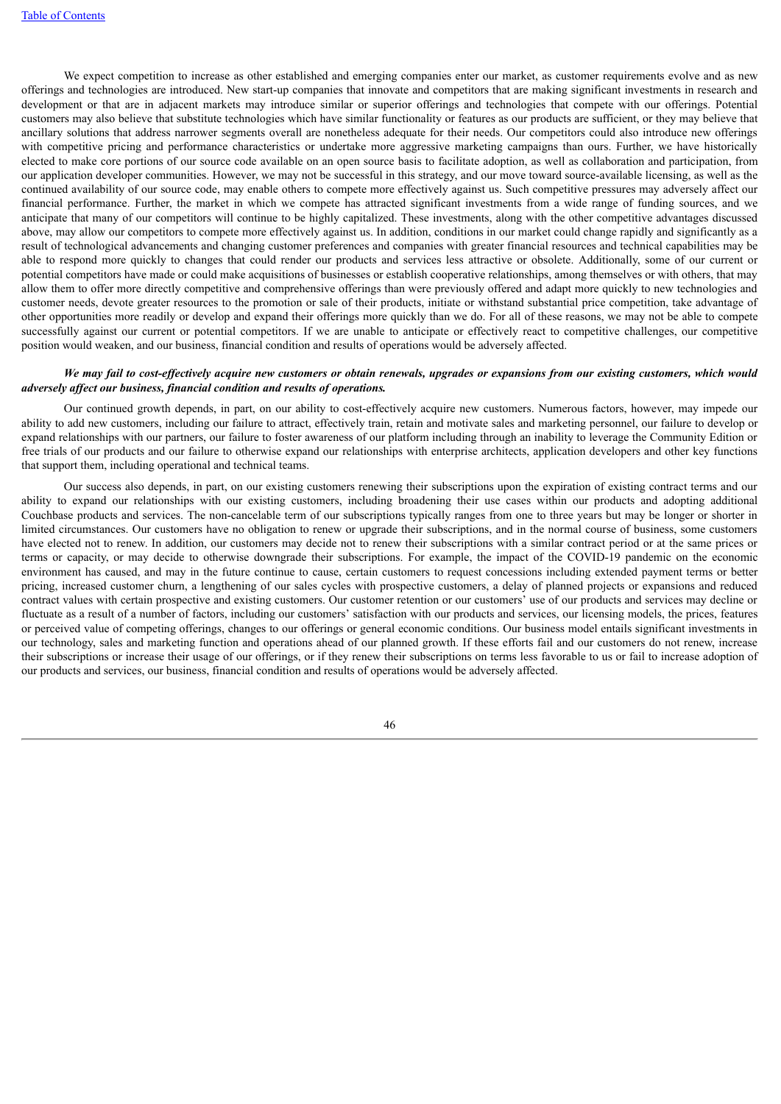We expect competition to increase as other established and emerging companies enter our market, as customer requirements evolve and as new offerings and technologies are introduced. New start-up companies that innovate and competitors that are making significant investments in research and development or that are in adjacent markets may introduce similar or superior offerings and technologies that compete with our offerings. Potential customers may also believe that substitute technologies which have similar functionality or features as our products are sufficient, or they may believe that ancillary solutions that address narrower segments overall are nonetheless adequate for their needs. Our competitors could also introduce new offerings with competitive pricing and performance characteristics or undertake more aggressive marketing campaigns than ours. Further, we have historically elected to make core portions of our source code available on an open source basis to facilitate adoption, as well as collaboration and participation, from our application developer communities. However, we may not be successful in this strategy, and our move toward source-available licensing, as well as the continued availability of our source code, may enable others to compete more effectively against us. Such competitive pressures may adversely affect our financial performance. Further, the market in which we compete has attracted significant investments from a wide range of funding sources, and we anticipate that many of our competitors will continue to be highly capitalized. These investments, along with the other competitive advantages discussed above, may allow our competitors to compete more effectively against us. In addition, conditions in our market could change rapidly and significantly as a result of technological advancements and changing customer preferences and companies with greater financial resources and technical capabilities may be able to respond more quickly to changes that could render our products and services less attractive or obsolete. Additionally, some of our current or potential competitors have made or could make acquisitions of businesses or establish cooperative relationships, among themselves or with others, that may allow them to offer more directly competitive and comprehensive offerings than were previously offered and adapt more quickly to new technologies and customer needs, devote greater resources to the promotion or sale of their products, initiate or withstand substantial price competition, take advantage of other opportunities more readily or develop and expand their offerings more quickly than we do. For all of these reasons, we may not be able to compete successfully against our current or potential competitors. If we are unable to anticipate or effectively react to competitive challenges, our competitive position would weaken, and our business, financial condition and results of operations would be adversely affected.

#### We may fail to cost-effectively acquire new customers or obtain renewals, upgrades or expansions from our existing customers, which would *adversely af ect our business, financial condition and results of operations.*

Our continued growth depends, in part, on our ability to cost-effectively acquire new customers. Numerous factors, however, may impede our ability to add new customers, including our failure to attract, effectively train, retain and motivate sales and marketing personnel, our failure to develop or expand relationships with our partners, our failure to foster awareness of our platform including through an inability to leverage the Community Edition or free trials of our products and our failure to otherwise expand our relationships with enterprise architects, application developers and other key functions that support them, including operational and technical teams.

Our success also depends, in part, on our existing customers renewing their subscriptions upon the expiration of existing contract terms and our ability to expand our relationships with our existing customers, including broadening their use cases within our products and adopting additional Couchbase products and services. The non-cancelable term of our subscriptions typically ranges from one to three years but may be longer or shorter in limited circumstances. Our customers have no obligation to renew or upgrade their subscriptions, and in the normal course of business, some customers have elected not to renew. In addition, our customers may decide not to renew their subscriptions with a similar contract period or at the same prices or terms or capacity, or may decide to otherwise downgrade their subscriptions. For example, the impact of the COVID-19 pandemic on the economic environment has caused, and may in the future continue to cause, certain customers to request concessions including extended payment terms or better pricing, increased customer churn, a lengthening of our sales cycles with prospective customers, a delay of planned projects or expansions and reduced contract values with certain prospective and existing customers. Our customer retention or our customers' use of our products and services may decline or fluctuate as a result of a number of factors, including our customers' satisfaction with our products and services, our licensing models, the prices, features or perceived value of competing offerings, changes to our offerings or general economic conditions. Our business model entails significant investments in our technology, sales and marketing function and operations ahead of our planned growth. If these efforts fail and our customers do not renew, increase their subscriptions or increase their usage of our offerings, or if they renew their subscriptions on terms less favorable to us or fail to increase adoption of our products and services, our business, financial condition and results of operations would be adversely affected.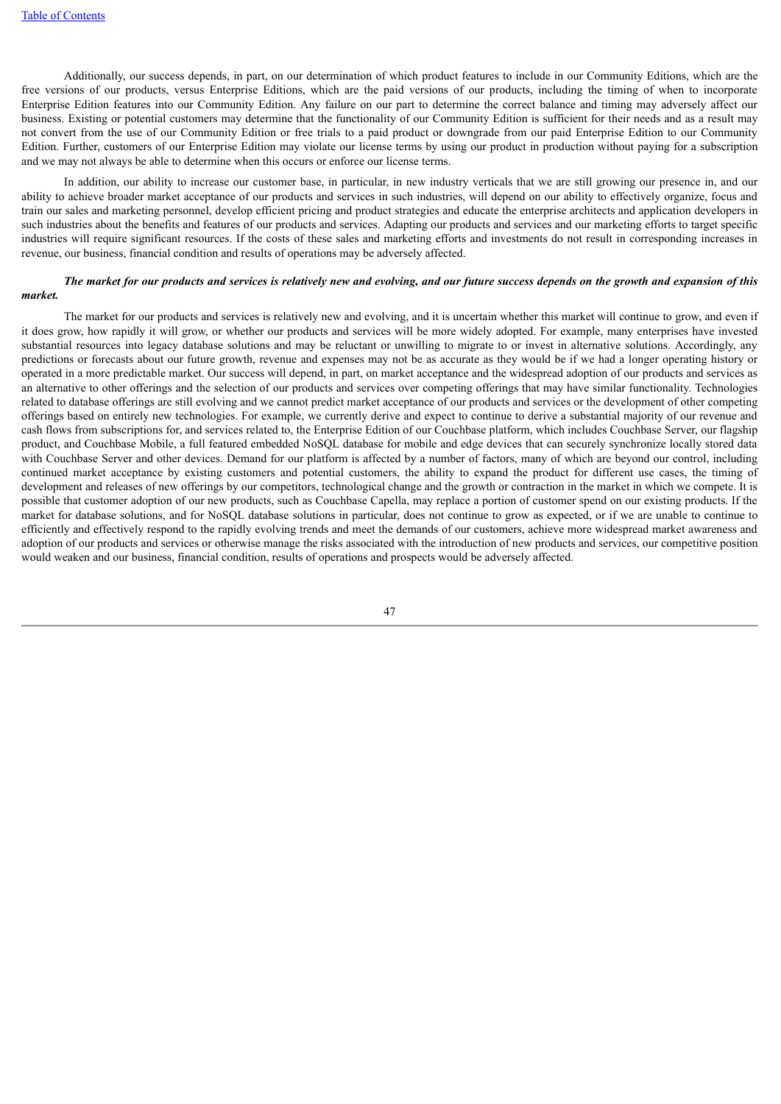Additionally, our success depends, in part, on our determination of which product features to include in our Community Editions, which are the free versions of our products, versus Enterprise Editions, which are the paid versions of our products, including the timing of when to incorporate Enterprise Edition features into our Community Edition. Any failure on our part to determine the correct balance and timing may adversely affect our business. Existing or potential customers may determine that the functionality of our Community Edition is sufficient for their needs and as a result may not convert from the use of our Community Edition or free trials to a paid product or downgrade from our paid Enterprise Edition to our Community Edition. Further, customers of our Enterprise Edition may violate our license terms by using our product in production without paying for a subscription and we may not always be able to determine when this occurs or enforce our license terms.

In addition, our ability to increase our customer base, in particular, in new industry verticals that we are still growing our presence in, and our ability to achieve broader market acceptance of our products and services in such industries, will depend on our ability to effectively organize, focus and train our sales and marketing personnel, develop efficient pricing and product strategies and educate the enterprise architects and application developers in such industries about the benefits and features of our products and services. Adapting our products and services and our marketing efforts to target specific industries will require significant resources. If the costs of these sales and marketing efforts and investments do not result in corresponding increases in revenue, our business, financial condition and results of operations may be adversely affected.

# The market for our products and services is relatively new and evolving, and our future success depends on the growth and expansion of this *market.*

The market for our products and services is relatively new and evolving, and it is uncertain whether this market will continue to grow, and even if it does grow, how rapidly it will grow, or whether our products and services will be more widely adopted. For example, many enterprises have invested substantial resources into legacy database solutions and may be reluctant or unwilling to migrate to or invest in alternative solutions. Accordingly, any predictions or forecasts about our future growth, revenue and expenses may not be as accurate as they would be if we had a longer operating history or operated in a more predictable market. Our success will depend, in part, on market acceptance and the widespread adoption of our products and services as an alternative to other offerings and the selection of our products and services over competing offerings that may have similar functionality. Technologies related to database offerings are still evolving and we cannot predict market acceptance of our products and services or the development of other competing offerings based on entirely new technologies. For example, we currently derive and expect to continue to derive a substantial majority of our revenue and cash flows from subscriptions for, and services related to, the Enterprise Edition of our Couchbase platform, which includes Couchbase Server, our flagship product, and Couchbase Mobile, a full featured embedded NoSQL database for mobile and edge devices that can securely synchronize locally stored data with Couchbase Server and other devices. Demand for our platform is affected by a number of factors, many of which are beyond our control, including continued market acceptance by existing customers and potential customers, the ability to expand the product for different use cases, the timing of development and releases of new offerings by our competitors, technological change and the growth or contraction in the market in which we compete. It is possible that customer adoption of our new products, such as Couchbase Capella, may replace a portion of customer spend on our existing products. If the market for database solutions, and for NoSQL database solutions in particular, does not continue to grow as expected, or if we are unable to continue to efficiently and effectively respond to the rapidly evolving trends and meet the demands of our customers, achieve more widespread market awareness and adoption of our products and services or otherwise manage the risks associated with the introduction of new products and services, our competitive position would weaken and our business, financial condition, results of operations and prospects would be adversely affected.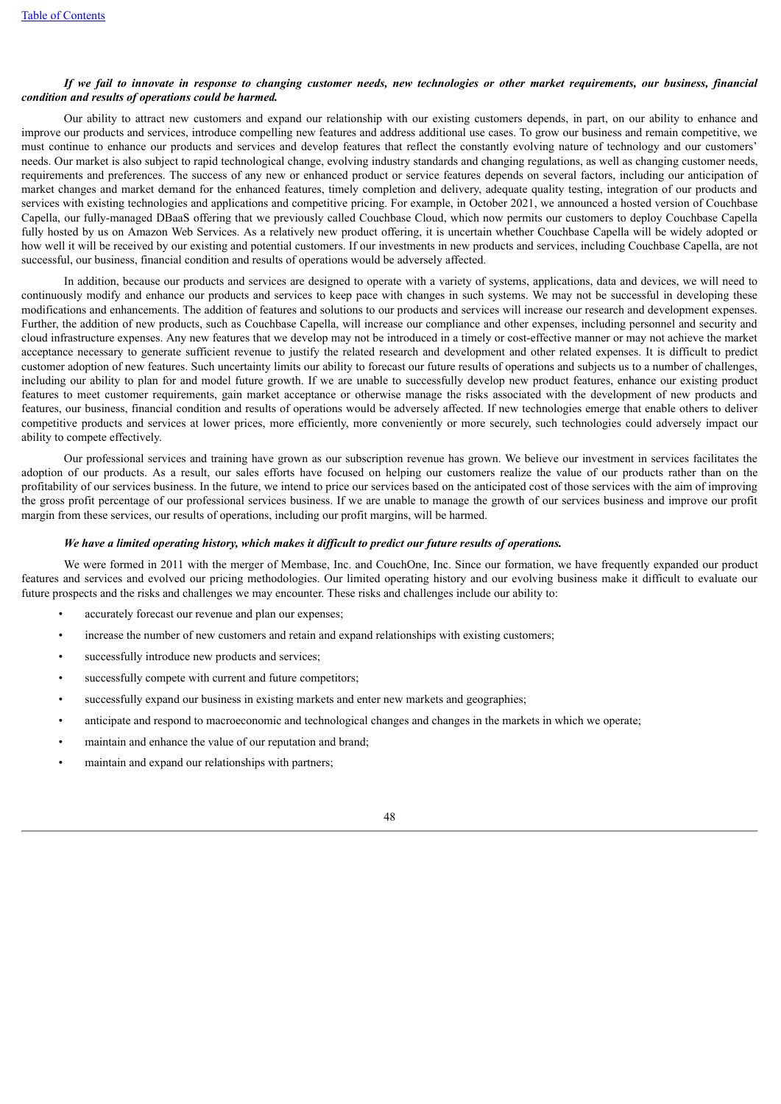# If we fail to innovate in response to changing customer needs, new technologies or other market requirements, our business, financial *condition and results of operations could be harmed.*

Our ability to attract new customers and expand our relationship with our existing customers depends, in part, on our ability to enhance and improve our products and services, introduce compelling new features and address additional use cases. To grow our business and remain competitive, we must continue to enhance our products and services and develop features that reflect the constantly evolving nature of technology and our customers' needs. Our market is also subject to rapid technological change, evolving industry standards and changing regulations, as well as changing customer needs, requirements and preferences. The success of any new or enhanced product or service features depends on several factors, including our anticipation of market changes and market demand for the enhanced features, timely completion and delivery, adequate quality testing, integration of our products and services with existing technologies and applications and competitive pricing. For example, in October 2021, we announced a hosted version of Couchbase Capella, our fully-managed DBaaS offering that we previously called Couchbase Cloud, which now permits our customers to deploy Couchbase Capella fully hosted by us on Amazon Web Services. As a relatively new product offering, it is uncertain whether Couchbase Capella will be widely adopted or how well it will be received by our existing and potential customers. If our investments in new products and services, including Couchbase Capella, are not successful, our business, financial condition and results of operations would be adversely affected.

In addition, because our products and services are designed to operate with a variety of systems, applications, data and devices, we will need to continuously modify and enhance our products and services to keep pace with changes in such systems. We may not be successful in developing these modifications and enhancements. The addition of features and solutions to our products and services will increase our research and development expenses. Further, the addition of new products, such as Couchbase Capella, will increase our compliance and other expenses, including personnel and security and cloud infrastructure expenses. Any new features that we develop may not be introduced in a timely or cost-effective manner or may not achieve the market acceptance necessary to generate sufficient revenue to justify the related research and development and other related expenses. It is difficult to predict customer adoption of new features. Such uncertainty limits our ability to forecast our future results of operations and subjects us to a number of challenges, including our ability to plan for and model future growth. If we are unable to successfully develop new product features, enhance our existing product features to meet customer requirements, gain market acceptance or otherwise manage the risks associated with the development of new products and features, our business, financial condition and results of operations would be adversely affected. If new technologies emerge that enable others to deliver competitive products and services at lower prices, more efficiently, more conveniently or more securely, such technologies could adversely impact our ability to compete effectively.

Our professional services and training have grown as our subscription revenue has grown. We believe our investment in services facilitates the adoption of our products. As a result, our sales efforts have focused on helping our customers realize the value of our products rather than on the profitability of our services business. In the future, we intend to price our services based on the anticipated cost of those services with the aim of improving the gross profit percentage of our professional services business. If we are unable to manage the growth of our services business and improve our profit margin from these services, our results of operations, including our profit margins, will be harmed.

#### We have a limited operating history, which makes it difficult to predict our future results of operations.

We were formed in 2011 with the merger of Membase, Inc. and CouchOne, Inc. Since our formation, we have frequently expanded our product features and services and evolved our pricing methodologies. Our limited operating history and our evolving business make it difficult to evaluate our future prospects and the risks and challenges we may encounter. These risks and challenges include our ability to:

- accurately forecast our revenue and plan our expenses;
- increase the number of new customers and retain and expand relationships with existing customers;
- successfully introduce new products and services;
- successfully compete with current and future competitors;
- successfully expand our business in existing markets and enter new markets and geographies;
- anticipate and respond to macroeconomic and technological changes and changes in the markets in which we operate;
- maintain and enhance the value of our reputation and brand;
- maintain and expand our relationships with partners;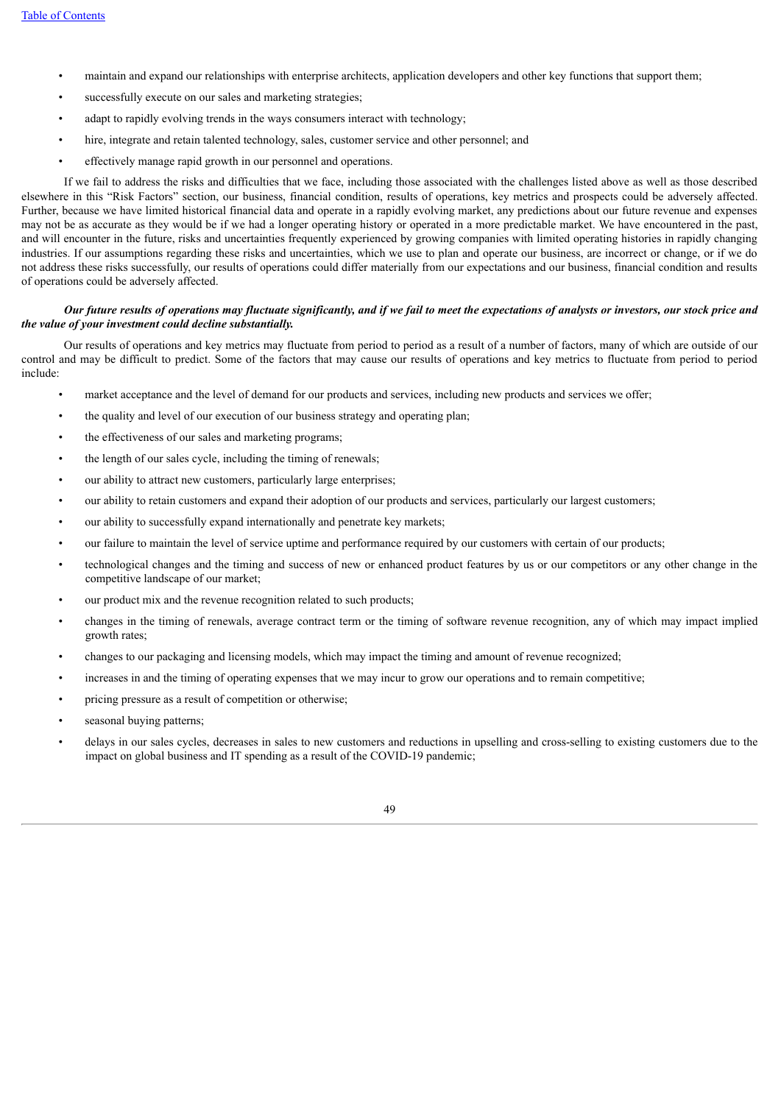- maintain and expand our relationships with enterprise architects, application developers and other key functions that support them;
- successfully execute on our sales and marketing strategies;
- adapt to rapidly evolving trends in the ways consumers interact with technology;
- hire, integrate and retain talented technology, sales, customer service and other personnel; and
- effectively manage rapid growth in our personnel and operations.

If we fail to address the risks and difficulties that we face, including those associated with the challenges listed above as well as those described elsewhere in this "Risk Factors" section, our business, financial condition, results of operations, key metrics and prospects could be adversely affected. Further, because we have limited historical financial data and operate in a rapidly evolving market, any predictions about our future revenue and expenses may not be as accurate as they would be if we had a longer operating history or operated in a more predictable market. We have encountered in the past, and will encounter in the future, risks and uncertainties frequently experienced by growing companies with limited operating histories in rapidly changing industries. If our assumptions regarding these risks and uncertainties, which we use to plan and operate our business, are incorrect or change, or if we do not address these risks successfully, our results of operations could differ materially from our expectations and our business, financial condition and results of operations could be adversely affected.

## Our future results of operations may fluctuate significantly, and if we fail to meet the expectations of analysts or investors, our stock price and *the value of your investment could decline substantially.*

Our results of operations and key metrics may fluctuate from period to period as a result of a number of factors, many of which are outside of our control and may be difficult to predict. Some of the factors that may cause our results of operations and key metrics to fluctuate from period to period include:

- market acceptance and the level of demand for our products and services, including new products and services we offer;
- the quality and level of our execution of our business strategy and operating plan;
- the effectiveness of our sales and marketing programs;
- the length of our sales cycle, including the timing of renewals;
- our ability to attract new customers, particularly large enterprises;
- our ability to retain customers and expand their adoption of our products and services, particularly our largest customers;
- our ability to successfully expand internationally and penetrate key markets;
- our failure to maintain the level of service uptime and performance required by our customers with certain of our products;
- technological changes and the timing and success of new or enhanced product features by us or our competitors or any other change in the competitive landscape of our market;
- our product mix and the revenue recognition related to such products;
- changes in the timing of renewals, average contract term or the timing of software revenue recognition, any of which may impact implied growth rates;
- changes to our packaging and licensing models, which may impact the timing and amount of revenue recognized;
- increases in and the timing of operating expenses that we may incur to grow our operations and to remain competitive;
- pricing pressure as a result of competition or otherwise;
- seasonal buying patterns;
- delays in our sales cycles, decreases in sales to new customers and reductions in upselling and cross-selling to existing customers due to the impact on global business and IT spending as a result of the COVID-19 pandemic;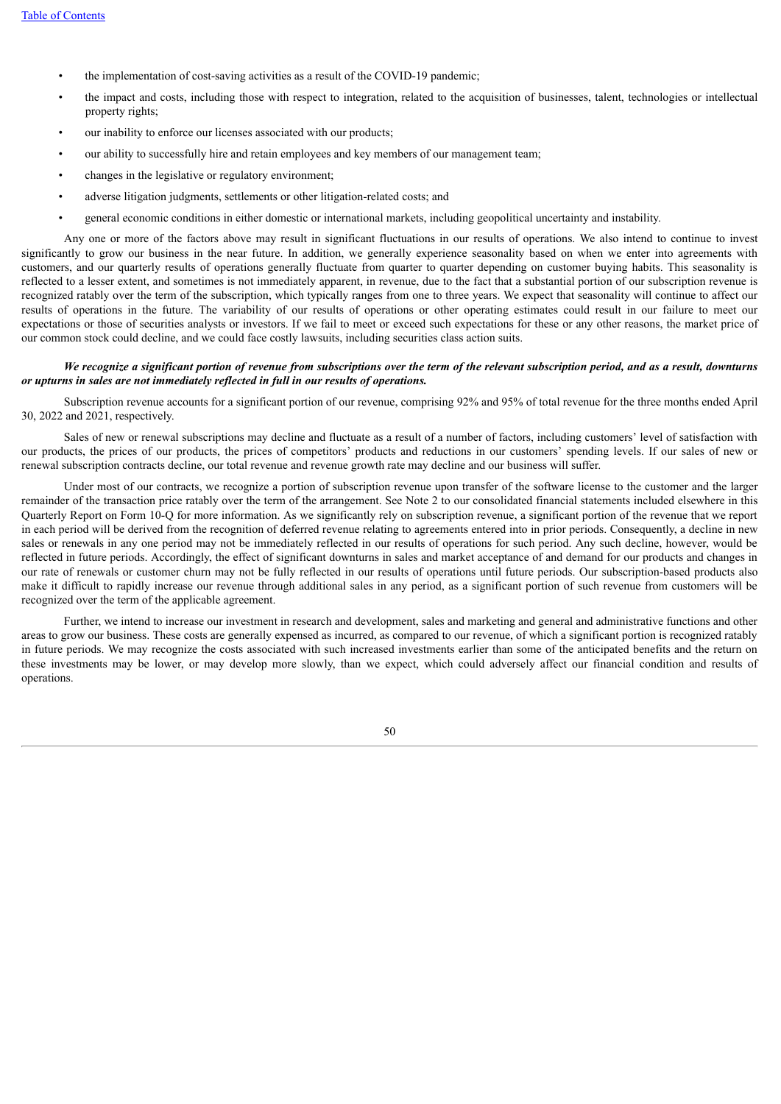- the implementation of cost-saving activities as a result of the COVID-19 pandemic;
- the impact and costs, including those with respect to integration, related to the acquisition of businesses, talent, technologies or intellectual property rights:
- our inability to enforce our licenses associated with our products;
- our ability to successfully hire and retain employees and key members of our management team;
- changes in the legislative or regulatory environment;
- adverse litigation judgments, settlements or other litigation-related costs; and
- general economic conditions in either domestic or international markets, including geopolitical uncertainty and instability.

Any one or more of the factors above may result in significant fluctuations in our results of operations. We also intend to continue to invest significantly to grow our business in the near future. In addition, we generally experience seasonality based on when we enter into agreements with customers, and our quarterly results of operations generally fluctuate from quarter to quarter depending on customer buying habits. This seasonality is reflected to a lesser extent, and sometimes is not immediately apparent, in revenue, due to the fact that a substantial portion of our subscription revenue is recognized ratably over the term of the subscription, which typically ranges from one to three years. We expect that seasonality will continue to affect our results of operations in the future. The variability of our results of operations or other operating estimates could result in our failure to meet our expectations or those of securities analysts or investors. If we fail to meet or exceed such expectations for these or any other reasons, the market price of our common stock could decline, and we could face costly lawsuits, including securities class action suits.

# We recognize a significant portion of revenue from subscriptions over the term of the relevant subscription period, and as a result, downturns *or upturns in sales are not immediately reflected in full in our results of operations.*

Subscription revenue accounts for a significant portion of our revenue, comprising 92% and 95% of total revenue for the three months ended April 30, 2022 and 2021, respectively.

Sales of new or renewal subscriptions may decline and fluctuate as a result of a number of factors, including customers' level of satisfaction with our products, the prices of our products, the prices of competitors' products and reductions in our customers' spending levels. If our sales of new or renewal subscription contracts decline, our total revenue and revenue growth rate may decline and our business will suffer.

Under most of our contracts, we recognize a portion of subscription revenue upon transfer of the software license to the customer and the larger remainder of the transaction price ratably over the term of the arrangement. See Note 2 to our consolidated financial statements included elsewhere in this Quarterly Report on Form 10-Q for more information. As we significantly rely on subscription revenue, a significant portion of the revenue that we report in each period will be derived from the recognition of deferred revenue relating to agreements entered into in prior periods. Consequently, a decline in new sales or renewals in any one period may not be immediately reflected in our results of operations for such period. Any such decline, however, would be reflected in future periods. Accordingly, the effect of significant downturns in sales and market acceptance of and demand for our products and changes in our rate of renewals or customer churn may not be fully reflected in our results of operations until future periods. Our subscription-based products also make it difficult to rapidly increase our revenue through additional sales in any period, as a significant portion of such revenue from customers will be recognized over the term of the applicable agreement.

Further, we intend to increase our investment in research and development, sales and marketing and general and administrative functions and other areas to grow our business. These costs are generally expensed as incurred, as compared to our revenue, of which a significant portion is recognized ratably in future periods. We may recognize the costs associated with such increased investments earlier than some of the anticipated benefits and the return on these investments may be lower, or may develop more slowly, than we expect, which could adversely affect our financial condition and results of operations.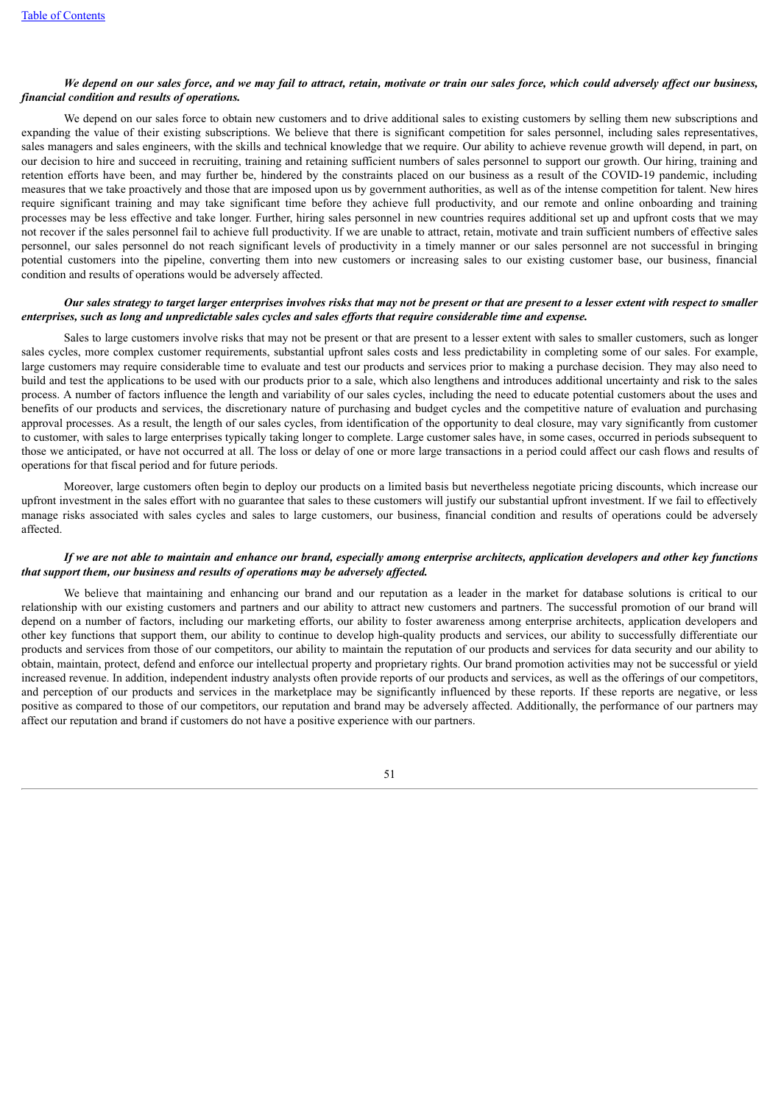## We depend on our sales force, and we may fail to attract, retain, motivate or train our sales force, which could adversely affect our business, *financial condition and results of operations.*

We depend on our sales force to obtain new customers and to drive additional sales to existing customers by selling them new subscriptions and expanding the value of their existing subscriptions. We believe that there is significant competition for sales personnel, including sales representatives, sales managers and sales engineers, with the skills and technical knowledge that we require. Our ability to achieve revenue growth will depend, in part, on our decision to hire and succeed in recruiting, training and retaining sufficient numbers of sales personnel to support our growth. Our hiring, training and retention efforts have been, and may further be, hindered by the constraints placed on our business as a result of the COVID-19 pandemic, including measures that we take proactively and those that are imposed upon us by government authorities, as well as of the intense competition for talent. New hires require significant training and may take significant time before they achieve full productivity, and our remote and online onboarding and training processes may be less effective and take longer. Further, hiring sales personnel in new countries requires additional set up and upfront costs that we may not recover if the sales personnel fail to achieve full productivity. If we are unable to attract, retain, motivate and train sufficient numbers of effective sales personnel, our sales personnel do not reach significant levels of productivity in a timely manner or our sales personnel are not successful in bringing potential customers into the pipeline, converting them into new customers or increasing sales to our existing customer base, our business, financial condition and results of operations would be adversely affected.

# Our sales strategy to target larger enterprises involves risks that may not be present or that are present to a lesser extent with respect to smaller enterprises, such as long and unpredictable sales cycles and sales efforts that require considerable time and expense.

Sales to large customers involve risks that may not be present or that are present to a lesser extent with sales to smaller customers, such as longer sales cycles, more complex customer requirements, substantial upfront sales costs and less predictability in completing some of our sales. For example, large customers may require considerable time to evaluate and test our products and services prior to making a purchase decision. They may also need to build and test the applications to be used with our products prior to a sale, which also lengthens and introduces additional uncertainty and risk to the sales process. A number of factors influence the length and variability of our sales cycles, including the need to educate potential customers about the uses and benefits of our products and services, the discretionary nature of purchasing and budget cycles and the competitive nature of evaluation and purchasing approval processes. As a result, the length of our sales cycles, from identification of the opportunity to deal closure, may vary significantly from customer to customer, with sales to large enterprises typically taking longer to complete. Large customer sales have, in some cases, occurred in periods subsequent to those we anticipated, or have not occurred at all. The loss or delay of one or more large transactions in a period could affect our cash flows and results of operations for that fiscal period and for future periods.

Moreover, large customers often begin to deploy our products on a limited basis but nevertheless negotiate pricing discounts, which increase our upfront investment in the sales effort with no guarantee that sales to these customers will justify our substantial upfront investment. If we fail to effectively manage risks associated with sales cycles and sales to large customers, our business, financial condition and results of operations could be adversely affected.

# If we are not able to maintain and enhance our brand, especially among enterprise architects, application developers and other key functions *that support them, our business and results of operations may be adversely af ected.*

We believe that maintaining and enhancing our brand and our reputation as a leader in the market for database solutions is critical to our relationship with our existing customers and partners and our ability to attract new customers and partners. The successful promotion of our brand will depend on a number of factors, including our marketing efforts, our ability to foster awareness among enterprise architects, application developers and other key functions that support them, our ability to continue to develop high-quality products and services, our ability to successfully differentiate our products and services from those of our competitors, our ability to maintain the reputation of our products and services for data security and our ability to obtain, maintain, protect, defend and enforce our intellectual property and proprietary rights. Our brand promotion activities may not be successful or yield increased revenue. In addition, independent industry analysts often provide reports of our products and services, as well as the offerings of our competitors, and perception of our products and services in the marketplace may be significantly influenced by these reports. If these reports are negative, or less positive as compared to those of our competitors, our reputation and brand may be adversely affected. Additionally, the performance of our partners may affect our reputation and brand if customers do not have a positive experience with our partners.

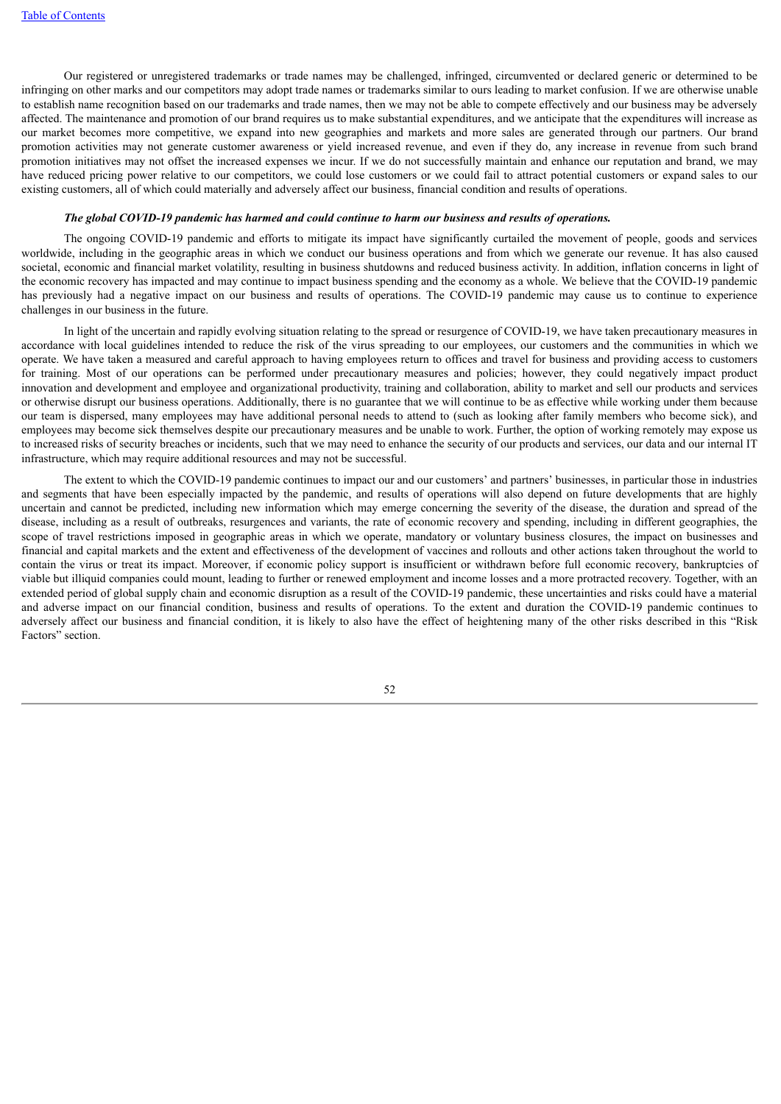Our registered or unregistered trademarks or trade names may be challenged, infringed, circumvented or declared generic or determined to be infringing on other marks and our competitors may adopt trade names or trademarks similar to ours leading to market confusion. If we are otherwise unable to establish name recognition based on our trademarks and trade names, then we may not be able to compete effectively and our business may be adversely affected. The maintenance and promotion of our brand requires us to make substantial expenditures, and we anticipate that the expenditures will increase as our market becomes more competitive, we expand into new geographies and markets and more sales are generated through our partners. Our brand promotion activities may not generate customer awareness or yield increased revenue, and even if they do, any increase in revenue from such brand promotion initiatives may not offset the increased expenses we incur. If we do not successfully maintain and enhance our reputation and brand, we may have reduced pricing power relative to our competitors, we could lose customers or we could fail to attract potential customers or expand sales to our existing customers, all of which could materially and adversely affect our business, financial condition and results of operations.

## The global COVID-19 pandemic has harmed and could continue to harm our business and results of operations.

The ongoing COVID-19 pandemic and efforts to mitigate its impact have significantly curtailed the movement of people, goods and services worldwide, including in the geographic areas in which we conduct our business operations and from which we generate our revenue. It has also caused societal, economic and financial market volatility, resulting in business shutdowns and reduced business activity. In addition, inflation concerns in light of the economic recovery has impacted and may continue to impact business spending and the economy as a whole. We believe that the COVID-19 pandemic has previously had a negative impact on our business and results of operations. The COVID-19 pandemic may cause us to continue to experience challenges in our business in the future.

In light of the uncertain and rapidly evolving situation relating to the spread or resurgence of COVID-19, we have taken precautionary measures in accordance with local guidelines intended to reduce the risk of the virus spreading to our employees, our customers and the communities in which we operate. We have taken a measured and careful approach to having employees return to offices and travel for business and providing access to customers for training. Most of our operations can be performed under precautionary measures and policies; however, they could negatively impact product innovation and development and employee and organizational productivity, training and collaboration, ability to market and sell our products and services or otherwise disrupt our business operations. Additionally, there is no guarantee that we will continue to be as effective while working under them because our team is dispersed, many employees may have additional personal needs to attend to (such as looking after family members who become sick), and employees may become sick themselves despite our precautionary measures and be unable to work. Further, the option of working remotely may expose us to increased risks of security breaches or incidents, such that we may need to enhance the security of our products and services, our data and our internal IT infrastructure, which may require additional resources and may not be successful.

The extent to which the COVID-19 pandemic continues to impact our and our customers' and partners' businesses, in particular those in industries and segments that have been especially impacted by the pandemic, and results of operations will also depend on future developments that are highly uncertain and cannot be predicted, including new information which may emerge concerning the severity of the disease, the duration and spread of the disease, including as a result of outbreaks, resurgences and variants, the rate of economic recovery and spending, including in different geographies, the scope of travel restrictions imposed in geographic areas in which we operate, mandatory or voluntary business closures, the impact on businesses and financial and capital markets and the extent and effectiveness of the development of vaccines and rollouts and other actions taken throughout the world to contain the virus or treat its impact. Moreover, if economic policy support is insufficient or withdrawn before full economic recovery, bankruptcies of viable but illiquid companies could mount, leading to further or renewed employment and income losses and a more protracted recovery. Together, with an extended period of global supply chain and economic disruption as a result of the COVID-19 pandemic, these uncertainties and risks could have a material and adverse impact on our financial condition, business and results of operations. To the extent and duration the COVID-19 pandemic continues to adversely affect our business and financial condition, it is likely to also have the effect of heightening many of the other risks described in this "Risk Factors" section.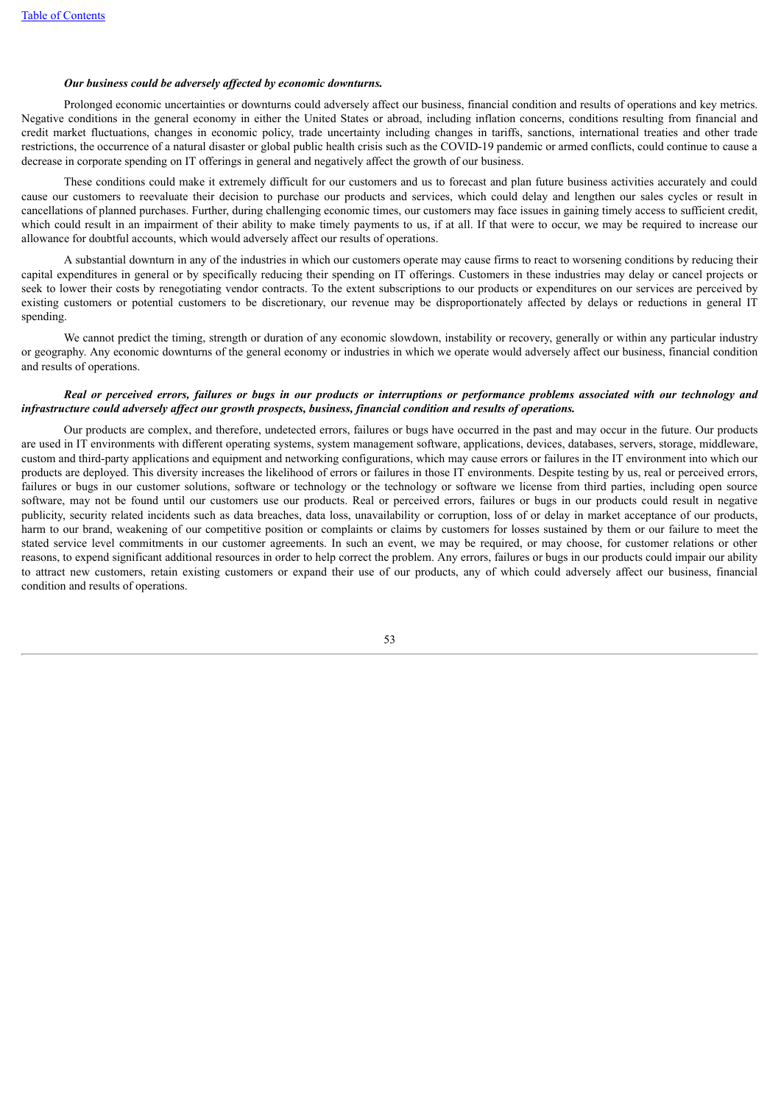#### *Our business could be adversely af ected by economic downturns.*

Prolonged economic uncertainties or downturns could adversely affect our business, financial condition and results of operations and key metrics. Negative conditions in the general economy in either the United States or abroad, including inflation concerns, conditions resulting from financial and credit market fluctuations, changes in economic policy, trade uncertainty including changes in tariffs, sanctions, international treaties and other trade restrictions, the occurrence of a natural disaster or global public health crisis such as the COVID-19 pandemic or armed conflicts, could continue to cause a decrease in corporate spending on IT offerings in general and negatively affect the growth of our business.

These conditions could make it extremely difficult for our customers and us to forecast and plan future business activities accurately and could cause our customers to reevaluate their decision to purchase our products and services, which could delay and lengthen our sales cycles or result in cancellations of planned purchases. Further, during challenging economic times, our customers may face issues in gaining timely access to sufficient credit, which could result in an impairment of their ability to make timely payments to us, if at all. If that were to occur, we may be required to increase our allowance for doubtful accounts, which would adversely affect our results of operations.

A substantial downturn in any of the industries in which our customers operate may cause firms to react to worsening conditions by reducing their capital expenditures in general or by specifically reducing their spending on IT offerings. Customers in these industries may delay or cancel projects or seek to lower their costs by renegotiating vendor contracts. To the extent subscriptions to our products or expenditures on our services are perceived by existing customers or potential customers to be discretionary, our revenue may be disproportionately affected by delays or reductions in general IT spending.

We cannot predict the timing, strength or duration of any economic slowdown, instability or recovery, generally or within any particular industry or geography. Any economic downturns of the general economy or industries in which we operate would adversely affect our business, financial condition and results of operations.

# Real or perceived errors, failures or bugs in our products or interruptions or performance problems associated with our technology and *infrastructure could adversely af ect our growth prospects, business, financial condition and results of operations.*

Our products are complex, and therefore, undetected errors, failures or bugs have occurred in the past and may occur in the future. Our products are used in IT environments with different operating systems, system management software, applications, devices, databases, servers, storage, middleware, custom and third-party applications and equipment and networking configurations, which may cause errors or failures in the IT environment into which our products are deployed. This diversity increases the likelihood of errors or failures in those IT environments. Despite testing by us, real or perceived errors, failures or bugs in our customer solutions, software or technology or the technology or software we license from third parties, including open source software, may not be found until our customers use our products. Real or perceived errors, failures or bugs in our products could result in negative publicity, security related incidents such as data breaches, data loss, unavailability or corruption, loss of or delay in market acceptance of our products, harm to our brand, weakening of our competitive position or complaints or claims by customers for losses sustained by them or our failure to meet the stated service level commitments in our customer agreements. In such an event, we may be required, or may choose, for customer relations or other reasons, to expend significant additional resources in order to help correct the problem. Any errors, failures or bugs in our products could impair our ability to attract new customers, retain existing customers or expand their use of our products, any of which could adversely affect our business, financial condition and results of operations.

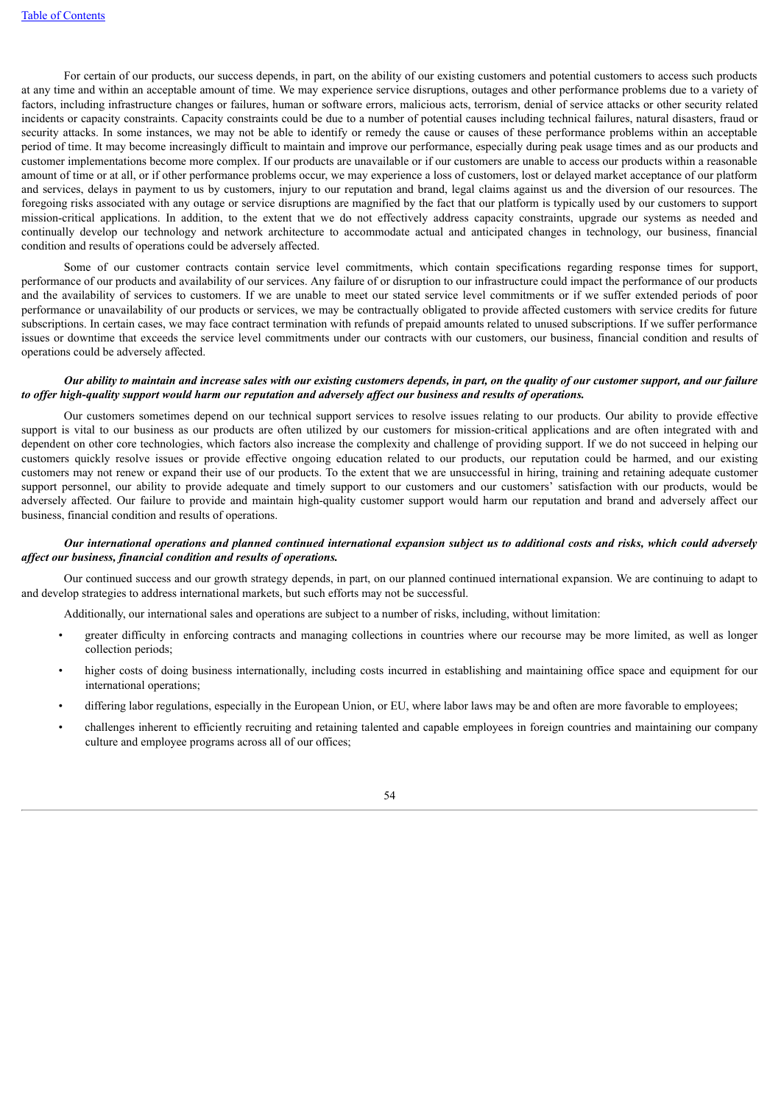For certain of our products, our success depends, in part, on the ability of our existing customers and potential customers to access such products at any time and within an acceptable amount of time. We may experience service disruptions, outages and other performance problems due to a variety of factors, including infrastructure changes or failures, human or software errors, malicious acts, terrorism, denial of service attacks or other security related incidents or capacity constraints. Capacity constraints could be due to a number of potential causes including technical failures, natural disasters, fraud or security attacks. In some instances, we may not be able to identify or remedy the cause or causes of these performance problems within an acceptable period of time. It may become increasingly difficult to maintain and improve our performance, especially during peak usage times and as our products and customer implementations become more complex. If our products are unavailable or if our customers are unable to access our products within a reasonable amount of time or at all, or if other performance problems occur, we may experience a loss of customers, lost or delayed market acceptance of our platform and services, delays in payment to us by customers, injury to our reputation and brand, legal claims against us and the diversion of our resources. The foregoing risks associated with any outage or service disruptions are magnified by the fact that our platform is typically used by our customers to support mission-critical applications. In addition, to the extent that we do not effectively address capacity constraints, upgrade our systems as needed and continually develop our technology and network architecture to accommodate actual and anticipated changes in technology, our business, financial condition and results of operations could be adversely affected.

Some of our customer contracts contain service level commitments, which contain specifications regarding response times for support, performance of our products and availability of our services. Any failure of or disruption to our infrastructure could impact the performance of our products and the availability of services to customers. If we are unable to meet our stated service level commitments or if we suffer extended periods of poor performance or unavailability of our products or services, we may be contractually obligated to provide affected customers with service credits for future subscriptions. In certain cases, we may face contract termination with refunds of prepaid amounts related to unused subscriptions. If we suffer performance issues or downtime that exceeds the service level commitments under our contracts with our customers, our business, financial condition and results of operations could be adversely affected.

# Our ability to maintain and increase sales with our existing customers depends, in part, on the quality of our customer support, and our failure to offer high-quality support would harm our reputation and adversely affect our business and results of operations.

Our customers sometimes depend on our technical support services to resolve issues relating to our products. Our ability to provide effective support is vital to our business as our products are often utilized by our customers for mission-critical applications and are often integrated with and dependent on other core technologies, which factors also increase the complexity and challenge of providing support. If we do not succeed in helping our customers quickly resolve issues or provide effective ongoing education related to our products, our reputation could be harmed, and our existing customers may not renew or expand their use of our products. To the extent that we are unsuccessful in hiring, training and retaining adequate customer support personnel, our ability to provide adequate and timely support to our customers and our customers' satisfaction with our products, would be adversely affected. Our failure to provide and maintain high-quality customer support would harm our reputation and brand and adversely affect our business, financial condition and results of operations.

## Our international operations and planned continued international expansion subject us to additional costs and risks, which could adversely *af ect our business, financial condition and results of operations.*

Our continued success and our growth strategy depends, in part, on our planned continued international expansion. We are continuing to adapt to and develop strategies to address international markets, but such efforts may not be successful.

Additionally, our international sales and operations are subject to a number of risks, including, without limitation:

- greater difficulty in enforcing contracts and managing collections in countries where our recourse may be more limited, as well as longer collection periods;
- higher costs of doing business internationally, including costs incurred in establishing and maintaining office space and equipment for our international operations;
- differing labor regulations, especially in the European Union, or EU, where labor laws may be and often are more favorable to employees;
- challenges inherent to efficiently recruiting and retaining talented and capable employees in foreign countries and maintaining our company culture and employee programs across all of our offices;

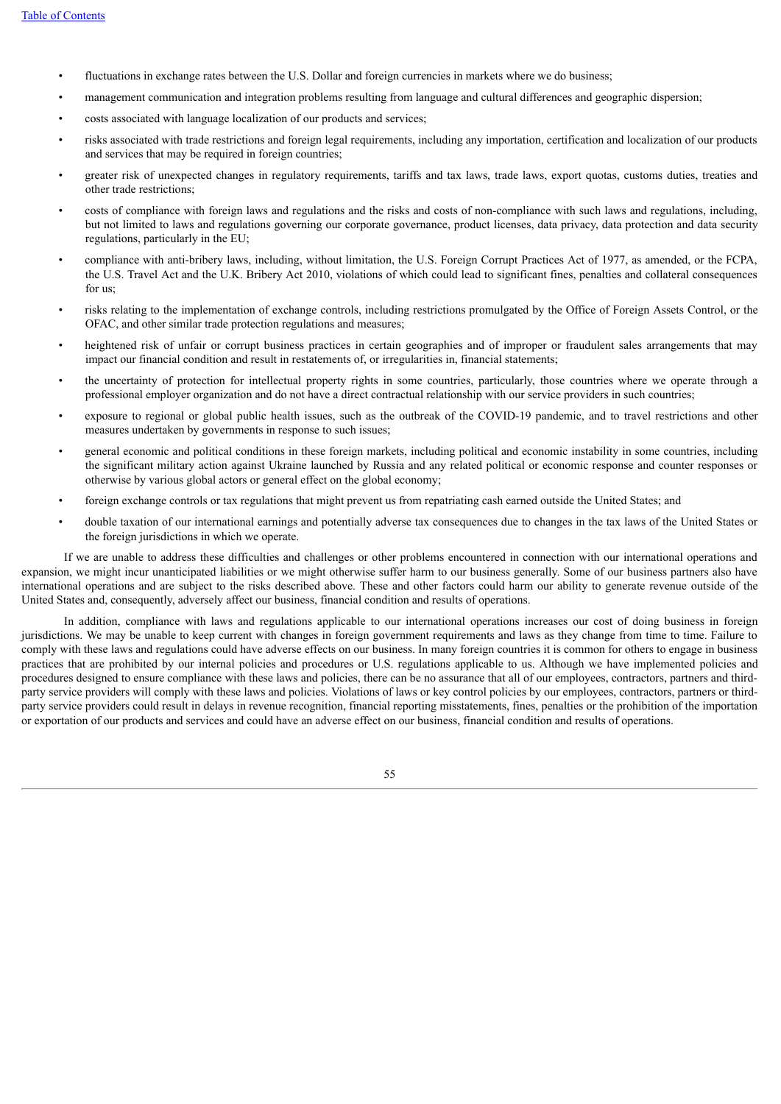- fluctuations in exchange rates between the U.S. Dollar and foreign currencies in markets where we do business;
- management communication and integration problems resulting from language and cultural differences and geographic dispersion;
- costs associated with language localization of our products and services;
- risks associated with trade restrictions and foreign legal requirements, including any importation, certification and localization of our products and services that may be required in foreign countries;
- greater risk of unexpected changes in regulatory requirements, tariffs and tax laws, trade laws, export quotas, customs duties, treaties and other trade restrictions;
- costs of compliance with foreign laws and regulations and the risks and costs of non-compliance with such laws and regulations, including, but not limited to laws and regulations governing our corporate governance, product licenses, data privacy, data protection and data security regulations, particularly in the EU;
- compliance with anti-bribery laws, including, without limitation, the U.S. Foreign Corrupt Practices Act of 1977, as amended, or the FCPA, the U.S. Travel Act and the U.K. Bribery Act 2010, violations of which could lead to significant fines, penalties and collateral consequences for us:
- risks relating to the implementation of exchange controls, including restrictions promulgated by the Office of Foreign Assets Control, or the OFAC, and other similar trade protection regulations and measures;
- heightened risk of unfair or corrupt business practices in certain geographies and of improper or fraudulent sales arrangements that may impact our financial condition and result in restatements of, or irregularities in, financial statements;
- the uncertainty of protection for intellectual property rights in some countries, particularly, those countries where we operate through a professional employer organization and do not have a direct contractual relationship with our service providers in such countries;
- exposure to regional or global public health issues, such as the outbreak of the COVID-19 pandemic, and to travel restrictions and other measures undertaken by governments in response to such issues;
- general economic and political conditions in these foreign markets, including political and economic instability in some countries, including the significant military action against Ukraine launched by Russia and any related political or economic response and counter responses or otherwise by various global actors or general effect on the global economy;
- foreign exchange controls or tax regulations that might prevent us from repatriating cash earned outside the United States; and
- double taxation of our international earnings and potentially adverse tax consequences due to changes in the tax laws of the United States or the foreign jurisdictions in which we operate.

If we are unable to address these difficulties and challenges or other problems encountered in connection with our international operations and expansion, we might incur unanticipated liabilities or we might otherwise suffer harm to our business generally. Some of our business partners also have international operations and are subject to the risks described above. These and other factors could harm our ability to generate revenue outside of the United States and, consequently, adversely affect our business, financial condition and results of operations.

In addition, compliance with laws and regulations applicable to our international operations increases our cost of doing business in foreign jurisdictions. We may be unable to keep current with changes in foreign government requirements and laws as they change from time to time. Failure to comply with these laws and regulations could have adverse effects on our business. In many foreign countries it is common for others to engage in business practices that are prohibited by our internal policies and procedures or U.S. regulations applicable to us. Although we have implemented policies and procedures designed to ensure compliance with these laws and policies, there can be no assurance that all of our employees, contractors, partners and thirdparty service providers will comply with these laws and policies. Violations of laws or key control policies by our employees, contractors, partners or thirdparty service providers could result in delays in revenue recognition, financial reporting misstatements, fines, penalties or the prohibition of the importation or exportation of our products and services and could have an adverse effect on our business, financial condition and results of operations.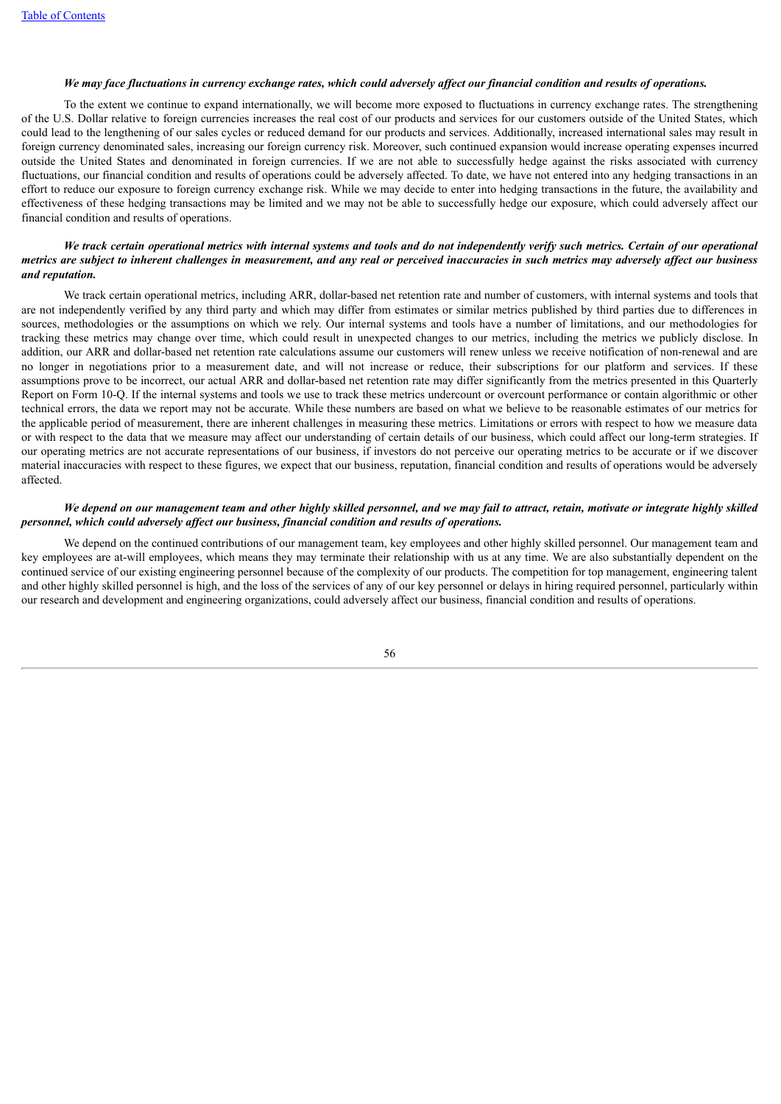#### We may face fluctuations in currency exchange rates, which could adversely affect our financial condition and results of operations.

To the extent we continue to expand internationally, we will become more exposed to fluctuations in currency exchange rates. The strengthening of the U.S. Dollar relative to foreign currencies increases the real cost of our products and services for our customers outside of the United States, which could lead to the lengthening of our sales cycles or reduced demand for our products and services. Additionally, increased international sales may result in foreign currency denominated sales, increasing our foreign currency risk. Moreover, such continued expansion would increase operating expenses incurred outside the United States and denominated in foreign currencies. If we are not able to successfully hedge against the risks associated with currency fluctuations, our financial condition and results of operations could be adversely affected. To date, we have not entered into any hedging transactions in an effort to reduce our exposure to foreign currency exchange risk. While we may decide to enter into hedging transactions in the future, the availability and effectiveness of these hedging transactions may be limited and we may not be able to successfully hedge our exposure, which could adversely affect our financial condition and results of operations.

# We track certain operational metrics with internal systems and tools and do not independently verify such metrics. Certain of our operational metrics are subject to inherent challenges in measurement, and any real or perceived inaccuracies in such metrics may adversely affect our business *and reputation.*

We track certain operational metrics, including ARR, dollar-based net retention rate and number of customers, with internal systems and tools that are not independently verified by any third party and which may differ from estimates or similar metrics published by third parties due to differences in sources, methodologies or the assumptions on which we rely. Our internal systems and tools have a number of limitations, and our methodologies for tracking these metrics may change over time, which could result in unexpected changes to our metrics, including the metrics we publicly disclose. In addition, our ARR and dollar-based net retention rate calculations assume our customers will renew unless we receive notification of non-renewal and are no longer in negotiations prior to a measurement date, and will not increase or reduce, their subscriptions for our platform and services. If these assumptions prove to be incorrect, our actual ARR and dollar-based net retention rate may differ significantly from the metrics presented in this Quarterly Report on Form 10-Q. If the internal systems and tools we use to track these metrics undercount or overcount performance or contain algorithmic or other technical errors, the data we report may not be accurate. While these numbers are based on what we believe to be reasonable estimates of our metrics for the applicable period of measurement, there are inherent challenges in measuring these metrics. Limitations or errors with respect to how we measure data or with respect to the data that we measure may affect our understanding of certain details of our business, which could affect our long-term strategies. If our operating metrics are not accurate representations of our business, if investors do not perceive our operating metrics to be accurate or if we discover material inaccuracies with respect to these figures, we expect that our business, reputation, financial condition and results of operations would be adversely affected.

# We depend on our management team and other highly skilled personnel, and we may fail to attract, retain, motivate or integrate highly skilled *personnel, which could adversely af ect our business, financial condition and results of operations.*

We depend on the contributions of our management team, key employees and other highly skilled personnel. Our management team and key employees are at-will employees, which means they may terminate their relationship with us at any time. We are also substantially dependent on the continued service of our existing engineering personnel because of the complexity of our products. The competition for top management, engineering talent and other highly skilled personnel is high, and the loss of the services of any of our key personnel or delays in hiring required personnel, particularly within our research and development and engineering organizations, could adversely affect our business, financial condition and results of operations.

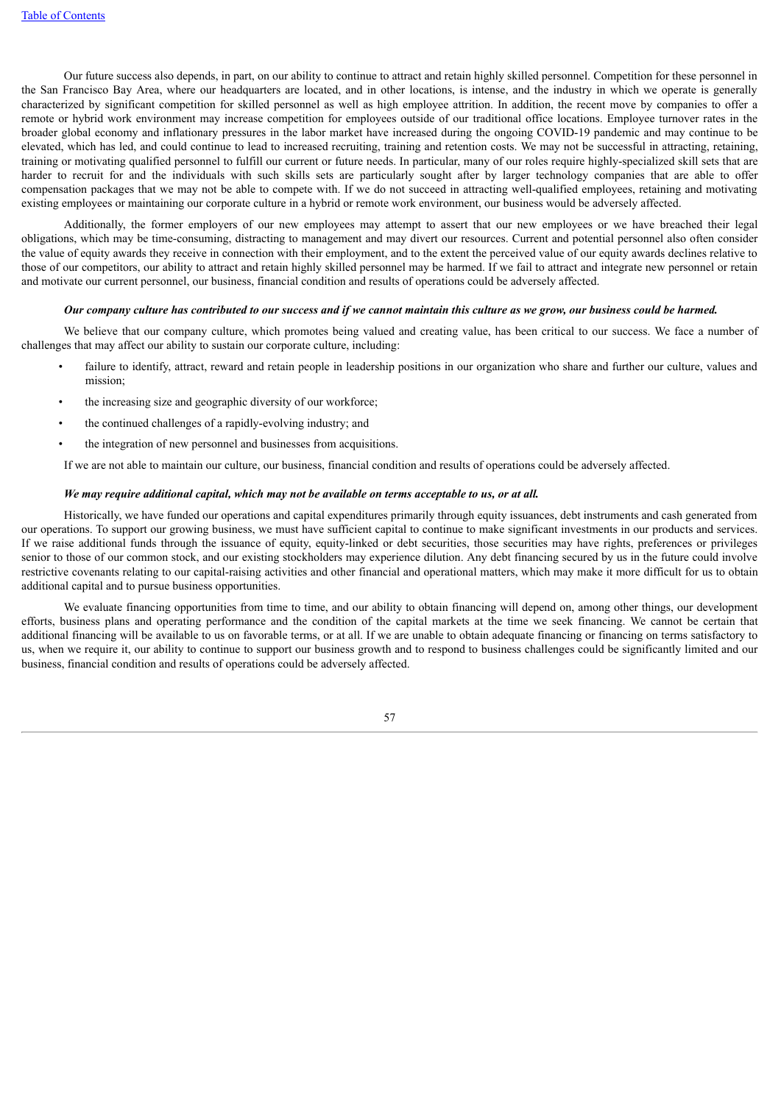Our future success also depends, in part, on our ability to continue to attract and retain highly skilled personnel. Competition for these personnel in the San Francisco Bay Area, where our headquarters are located, and in other locations, is intense, and the industry in which we operate is generally characterized by significant competition for skilled personnel as well as high employee attrition. In addition, the recent move by companies to offer a remote or hybrid work environment may increase competition for employees outside of our traditional office locations. Employee turnover rates in the broader global economy and inflationary pressures in the labor market have increased during the ongoing COVID-19 pandemic and may continue to be elevated, which has led, and could continue to lead to increased recruiting, training and retention costs. We may not be successful in attracting, retaining, training or motivating qualified personnel to fulfill our current or future needs. In particular, many of our roles require highly-specialized skill sets that are harder to recruit for and the individuals with such skills sets are particularly sought after by larger technology companies that are able to offer compensation packages that we may not be able to compete with. If we do not succeed in attracting well-qualified employees, retaining and motivating existing employees or maintaining our corporate culture in a hybrid or remote work environment, our business would be adversely affected.

Additionally, the former employers of our new employees may attempt to assert that our new employees or we have breached their legal obligations, which may be time-consuming, distracting to management and may divert our resources. Current and potential personnel also often consider the value of equity awards they receive in connection with their employment, and to the extent the perceived value of our equity awards declines relative to those of our competitors, our ability to attract and retain highly skilled personnel may be harmed. If we fail to attract and integrate new personnel or retain and motivate our current personnel, our business, financial condition and results of operations could be adversely affected.

#### Our company culture has contributed to our success and if we cannot maintain this culture as we grow, our business could be harmed.

We believe that our company culture, which promotes being valued and creating value, has been critical to our success. We face a number of challenges that may affect our ability to sustain our corporate culture, including:

- failure to identify, attract, reward and retain people in leadership positions in our organization who share and further our culture, values and mission;
- the increasing size and geographic diversity of our workforce;
- the continued challenges of a rapidly-evolving industry; and
- the integration of new personnel and businesses from acquisitions.

If we are not able to maintain our culture, our business, financial condition and results of operations could be adversely affected.

#### We may require additional capital, which may not be available on terms acceptable to us, or at all.

Historically, we have funded our operations and capital expenditures primarily through equity issuances, debt instruments and cash generated from our operations. To support our growing business, we must have sufficient capital to continue to make significant investments in our products and services. If we raise additional funds through the issuance of equity, equity-linked or debt securities, those securities may have rights, preferences or privileges senior to those of our common stock, and our existing stockholders may experience dilution. Any debt financing secured by us in the future could involve restrictive covenants relating to our capital-raising activities and other financial and operational matters, which may make it more difficult for us to obtain additional capital and to pursue business opportunities.

We evaluate financing opportunities from time to time, and our ability to obtain financing will depend on, among other things, our development efforts, business plans and operating performance and the condition of the capital markets at the time we seek financing. We cannot be certain that additional financing will be available to us on favorable terms, or at all. If we are unable to obtain adequate financing or financing on terms satisfactory to us, when we require it, our ability to continue to support our business growth and to respond to business challenges could be significantly limited and our business, financial condition and results of operations could be adversely affected.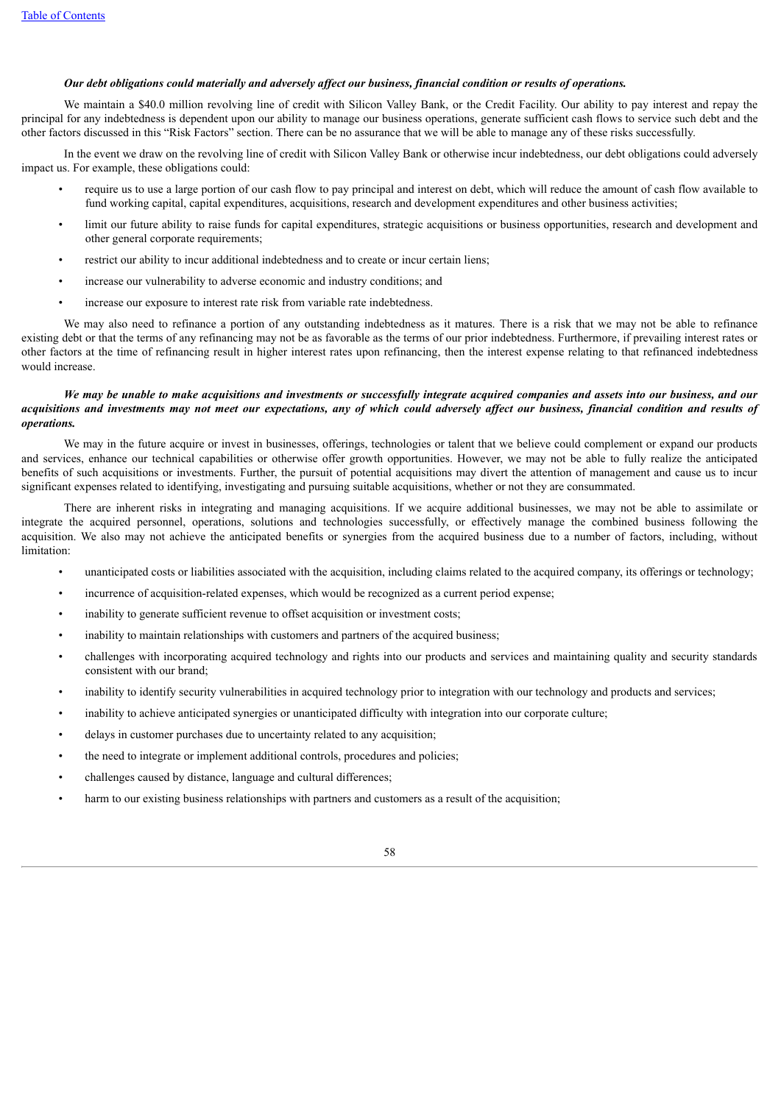# Our debt obligations could materially and adversely affect our business, financial condition or results of operations.

We maintain a \$40.0 million revolving line of credit with Silicon Valley Bank, or the Credit Facility. Our ability to pay interest and repay the principal for any indebtedness is dependent upon our ability to manage our business operations, generate sufficient cash flows to service such debt and the other factors discussed in this "Risk Factors" section. There can be no assurance that we will be able to manage any of these risks successfully.

In the event we draw on the revolving line of credit with Silicon Valley Bank or otherwise incur indebtedness, our debt obligations could adversely impact us. For example, these obligations could:

- require us to use a large portion of our cash flow to pay principal and interest on debt, which will reduce the amount of cash flow available to fund working capital, capital expenditures, acquisitions, research and development expenditures and other business activities;
- limit our future ability to raise funds for capital expenditures, strategic acquisitions or business opportunities, research and development and other general corporate requirements;
- restrict our ability to incur additional indebtedness and to create or incur certain liens;
- increase our vulnerability to adverse economic and industry conditions; and
- increase our exposure to interest rate risk from variable rate indebtedness.

We may also need to refinance a portion of any outstanding indebtedness as it matures. There is a risk that we may not be able to refinance existing debt or that the terms of any refinancing may not be as favorable as the terms of our prior indebtedness. Furthermore, if prevailing interest rates or other factors at the time of refinancing result in higher interest rates upon refinancing, then the interest expense relating to that refinanced indebtedness would increase.

# We may be unable to make acquisitions and investments or successfully integrate acquired companies and assets into our business, and our acquisitions and investments may not meet our expectations, any of which could adversely affect our business, financial condition and results of *operations.*

We may in the future acquire or invest in businesses, offerings, technologies or talent that we believe could complement or expand our products and services, enhance our technical capabilities or otherwise offer growth opportunities. However, we may not be able to fully realize the anticipated benefits of such acquisitions or investments. Further, the pursuit of potential acquisitions may divert the attention of management and cause us to incur significant expenses related to identifying, investigating and pursuing suitable acquisitions, whether or not they are consummated.

There are inherent risks in integrating and managing acquisitions. If we acquire additional businesses, we may not be able to assimilate or integrate the acquired personnel, operations, solutions and technologies successfully, or effectively manage the combined business following the acquisition. We also may not achieve the anticipated benefits or synergies from the acquired business due to a number of factors, including, without limitation:

- unanticipated costs or liabilities associated with the acquisition, including claims related to the acquired company, its offerings or technology;
- incurrence of acquisition-related expenses, which would be recognized as a current period expense;
- inability to generate sufficient revenue to offset acquisition or investment costs;
- inability to maintain relationships with customers and partners of the acquired business;
- challenges with incorporating acquired technology and rights into our products and services and maintaining quality and security standards consistent with our brand;
- inability to identify security vulnerabilities in acquired technology prior to integration with our technology and products and services;
- inability to achieve anticipated synergies or unanticipated difficulty with integration into our corporate culture;
- delays in customer purchases due to uncertainty related to any acquisition;
- the need to integrate or implement additional controls, procedures and policies;
- challenges caused by distance, language and cultural differences;
- harm to our existing business relationships with partners and customers as a result of the acquisition;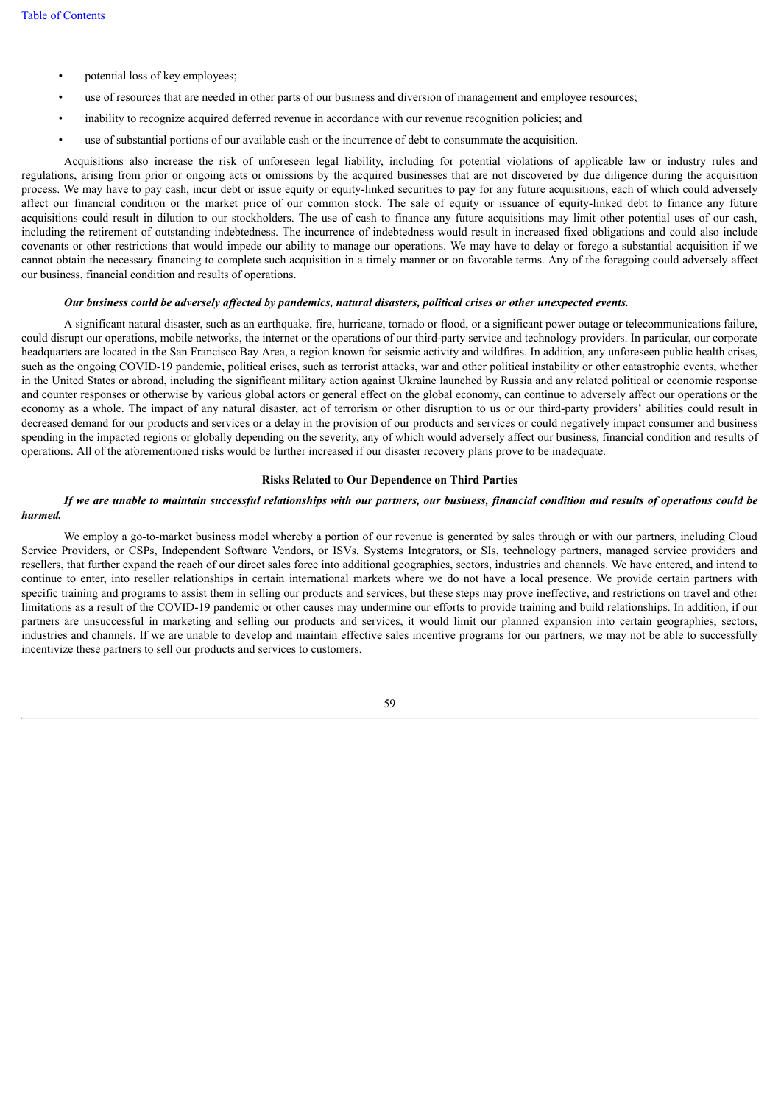- potential loss of key employees;
- use of resources that are needed in other parts of our business and diversion of management and employee resources;
- inability to recognize acquired deferred revenue in accordance with our revenue recognition policies; and
- use of substantial portions of our available cash or the incurrence of debt to consummate the acquisition.

Acquisitions also increase the risk of unforeseen legal liability, including for potential violations of applicable law or industry rules and regulations, arising from prior or ongoing acts or omissions by the acquired businesses that are not discovered by due diligence during the acquisition process. We may have to pay cash, incur debt or issue equity or equity-linked securities to pay for any future acquisitions, each of which could adversely affect our financial condition or the market price of our common stock. The sale of equity or issuance of equity-linked debt to finance any future acquisitions could result in dilution to our stockholders. The use of cash to finance any future acquisitions may limit other potential uses of our cash, including the retirement of outstanding indebtedness. The incurrence of indebtedness would result in increased fixed obligations and could also include covenants or other restrictions that would impede our ability to manage our operations. We may have to delay or forego a substantial acquisition if we cannot obtain the necessary financing to complete such acquisition in a timely manner or on favorable terms. Any of the foregoing could adversely affect our business, financial condition and results of operations.

# Our business could be adversely affected by pandemics, natural disasters, political crises or other unexpected events.

A significant natural disaster, such as an earthquake, fire, hurricane, tornado or flood, or a significant power outage or telecommunications failure, could disrupt our operations, mobile networks, the internet or the operations of our third-party service and technology providers. In particular, our corporate headquarters are located in the San Francisco Bay Area, a region known for seismic activity and wildfires. In addition, any unforeseen public health crises, such as the ongoing COVID-19 pandemic, political crises, such as terrorist attacks, war and other political instability or other catastrophic events, whether in the United States or abroad, including the significant military action against Ukraine launched by Russia and any related political or economic response and counter responses or otherwise by various global actors or general effect on the global economy, can continue to adversely affect our operations or the economy as a whole. The impact of any natural disaster, act of terrorism or other disruption to us or our third-party providers' abilities could result in decreased demand for our products and services or a delay in the provision of our products and services or could negatively impact consumer and business spending in the impacted regions or globally depending on the severity, any of which would adversely affect our business, financial condition and results of operations. All of the aforementioned risks would be further increased if our disaster recovery plans prove to be inadequate.

# **Risks Related to Our Dependence on Third Parties**

# If we are unable to maintain successful relationships with our partners, our business, financial condition and results of operations could be *harmed.*

We employ a go-to-market business model whereby a portion of our revenue is generated by sales through or with our partners, including Cloud Service Providers, or CSPs, Independent Software Vendors, or ISVs, Systems Integrators, or SIs, technology partners, managed service providers and resellers, that further expand the reach of our direct sales force into additional geographies, sectors, industries and channels. We have entered, and intend to continue to enter, into reseller relationships in certain international markets where we do not have a local presence. We provide certain partners with specific training and programs to assist them in selling our products and services, but these steps may prove ineffective, and restrictions on travel and other limitations as a result of the COVID-19 pandemic or other causes may undermine our efforts to provide training and build relationships. In addition, if our partners are unsuccessful in marketing and selling our products and services, it would limit our planned expansion into certain geographies, sectors, industries and channels. If we are unable to develop and maintain effective sales incentive programs for our partners, we may not be able to successfully incentivize these partners to sell our products and services to customers.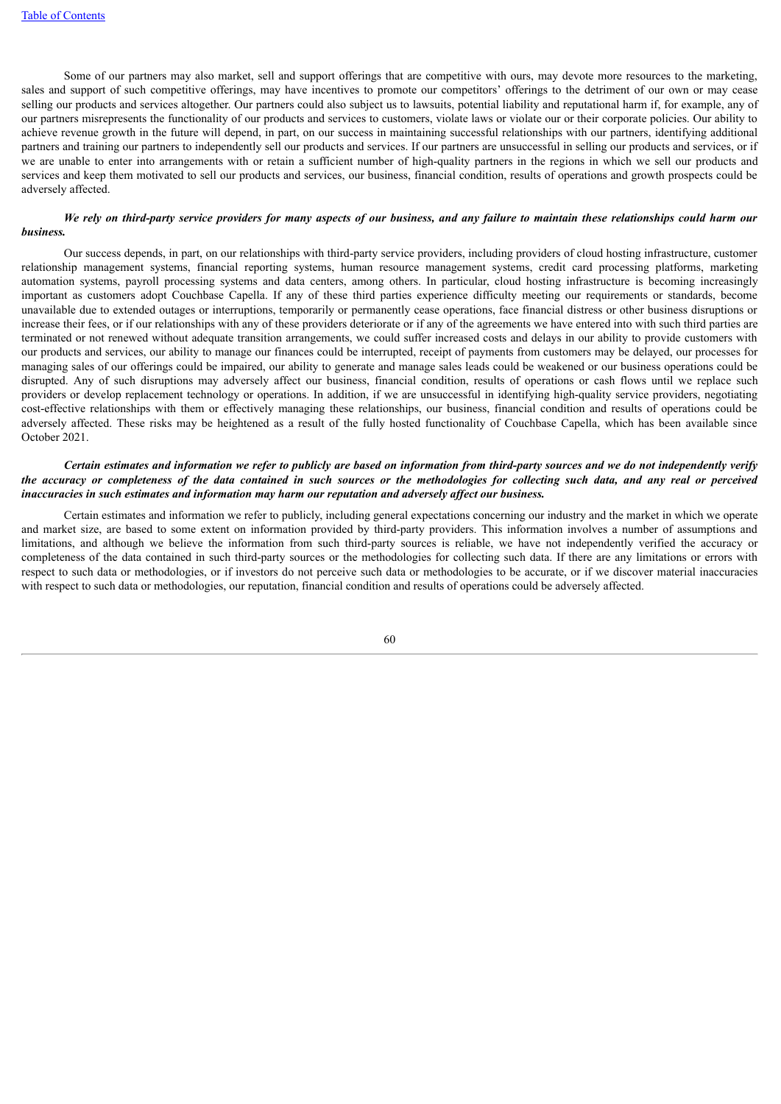Some of our partners may also market, sell and support offerings that are competitive with ours, may devote more resources to the marketing, sales and support of such competitive offerings, may have incentives to promote our competitors' offerings to the detriment of our own or may cease selling our products and services altogether. Our partners could also subject us to lawsuits, potential liability and reputational harm if, for example, any of our partners misrepresents the functionality of our products and services to customers, violate laws or violate our or their corporate policies. Our ability to achieve revenue growth in the future will depend, in part, on our success in maintaining successful relationships with our partners, identifying additional partners and training our partners to independently sell our products and services. If our partners are unsuccessful in selling our products and services, or if we are unable to enter into arrangements with or retain a sufficient number of high-quality partners in the regions in which we sell our products and services and keep them motivated to sell our products and services, our business, financial condition, results of operations and growth prospects could be adversely affected.

#### We rely on third-party service providers for many aspects of our business, and any failure to maintain these relationships could harm our *business.*

Our success depends, in part, on our relationships with third-party service providers, including providers of cloud hosting infrastructure, customer relationship management systems, financial reporting systems, human resource management systems, credit card processing platforms, marketing automation systems, payroll processing systems and data centers, among others. In particular, cloud hosting infrastructure is becoming increasingly important as customers adopt Couchbase Capella. If any of these third parties experience difficulty meeting our requirements or standards, become unavailable due to extended outages or interruptions, temporarily or permanently cease operations, face financial distress or other business disruptions or increase their fees, or if our relationships with any of these providers deteriorate or if any of the agreements we have entered into with such third parties are terminated or not renewed without adequate transition arrangements, we could suffer increased costs and delays in our ability to provide customers with our products and services, our ability to manage our finances could be interrupted, receipt of payments from customers may be delayed, our processes for managing sales of our offerings could be impaired, our ability to generate and manage sales leads could be weakened or our business operations could be disrupted. Any of such disruptions may adversely affect our business, financial condition, results of operations or cash flows until we replace such providers or develop replacement technology or operations. In addition, if we are unsuccessful in identifying high-quality service providers, negotiating cost-effective relationships with them or effectively managing these relationships, our business, financial condition and results of operations could be adversely affected. These risks may be heightened as a result of the fully hosted functionality of Couchbase Capella, which has been available since October 2021.

# Certain estimates and information we refer to publicly are based on information from third-party sources and we do not independently verify the accuracy or completeness of the data contained in such sources or the methodologies for collecting such data, and any real or perceived *inaccuracies in such estimates and information may harm our reputation and adversely af ect our business.*

Certain estimates and information we refer to publicly, including general expectations concerning our industry and the market in which we operate and market size, are based to some extent on information provided by third-party providers. This information involves a number of assumptions and limitations, and although we believe the information from such third-party sources is reliable, we have not independently verified the accuracy or completeness of the data contained in such third-party sources or the methodologies for collecting such data. If there are any limitations or errors with respect to such data or methodologies, or if investors do not perceive such data or methodologies to be accurate, or if we discover material inaccuracies with respect to such data or methodologies, our reputation, financial condition and results of operations could be adversely affected.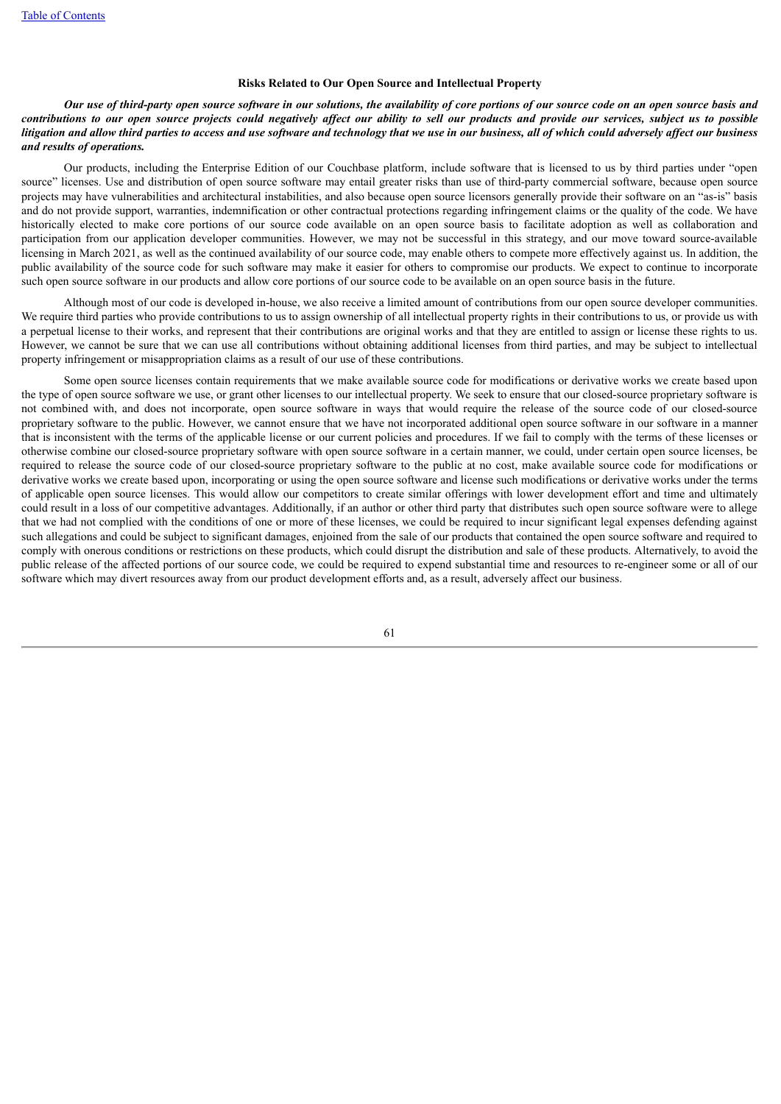# **Risks Related to Our Open Source and Intellectual Property**

# Our use of third-party open source software in our solutions, the availability of core portions of our source code on an open source basis and contributions to our open source projects could negatively affect our ability to sell our products and provide our services, subject us to possible litigation and allow third parties to access and use software and technology that we use in our business, all of which could adversely affect our business *and results of operations.*

Our products, including the Enterprise Edition of our Couchbase platform, include software that is licensed to us by third parties under "open source" licenses. Use and distribution of open source software may entail greater risks than use of third-party commercial software, because open source projects may have vulnerabilities and architectural instabilities, and also because open source licensors generally provide their software on an "as-is" basis and do not provide support, warranties, indemnification or other contractual protections regarding infringement claims or the quality of the code. We have historically elected to make core portions of our source code available on an open source basis to facilitate adoption as well as collaboration and participation from our application developer communities. However, we may not be successful in this strategy, and our move toward source-available licensing in March 2021, as well as the continued availability of our source code, may enable others to compete more effectively against us. In addition, the public availability of the source code for such software may make it easier for others to compromise our products. We expect to continue to incorporate such open source software in our products and allow core portions of our source code to be available on an open source basis in the future.

Although most of our code is developed in-house, we also receive a limited amount of contributions from our open source developer communities. We require third parties who provide contributions to us to assign ownership of all intellectual property rights in their contributions to us, or provide us with a perpetual license to their works, and represent that their contributions are original works and that they are entitled to assign or license these rights to us. However, we cannot be sure that we can use all contributions without obtaining additional licenses from third parties, and may be subject to intellectual property infringement or misappropriation claims as a result of our use of these contributions.

Some open source licenses contain requirements that we make available source code for modifications or derivative works we create based upon the type of open source software we use, or grant other licenses to our intellectual property. We seek to ensure that our closed-source proprietary software is not combined with, and does not incorporate, open source software in ways that would require the release of the source code of our closed-source proprietary software to the public. However, we cannot ensure that we have not incorporated additional open source software in our software in a manner that is inconsistent with the terms of the applicable license or our current policies and procedures. If we fail to comply with the terms of these licenses or otherwise combine our closed-source proprietary software with open source software in a certain manner, we could, under certain open source licenses, be required to release the source code of our closed-source proprietary software to the public at no cost, make available source code for modifications or derivative works we create based upon, incorporating or using the open source software and license such modifications or derivative works under the terms of applicable open source licenses. This would allow our competitors to create similar offerings with lower development effort and time and ultimately could result in a loss of our competitive advantages. Additionally, if an author or other third party that distributes such open source software were to allege that we had not complied with the conditions of one or more of these licenses, we could be required to incur significant legal expenses defending against such allegations and could be subject to significant damages, enjoined from the sale of our products that contained the open source software and required to comply with onerous conditions or restrictions on these products, which could disrupt the distribution and sale of these products. Alternatively, to avoid the public release of the affected portions of our source code, we could be required to expend substantial time and resources to re-engineer some or all of our software which may divert resources away from our product development efforts and, as a result, adversely affect our business.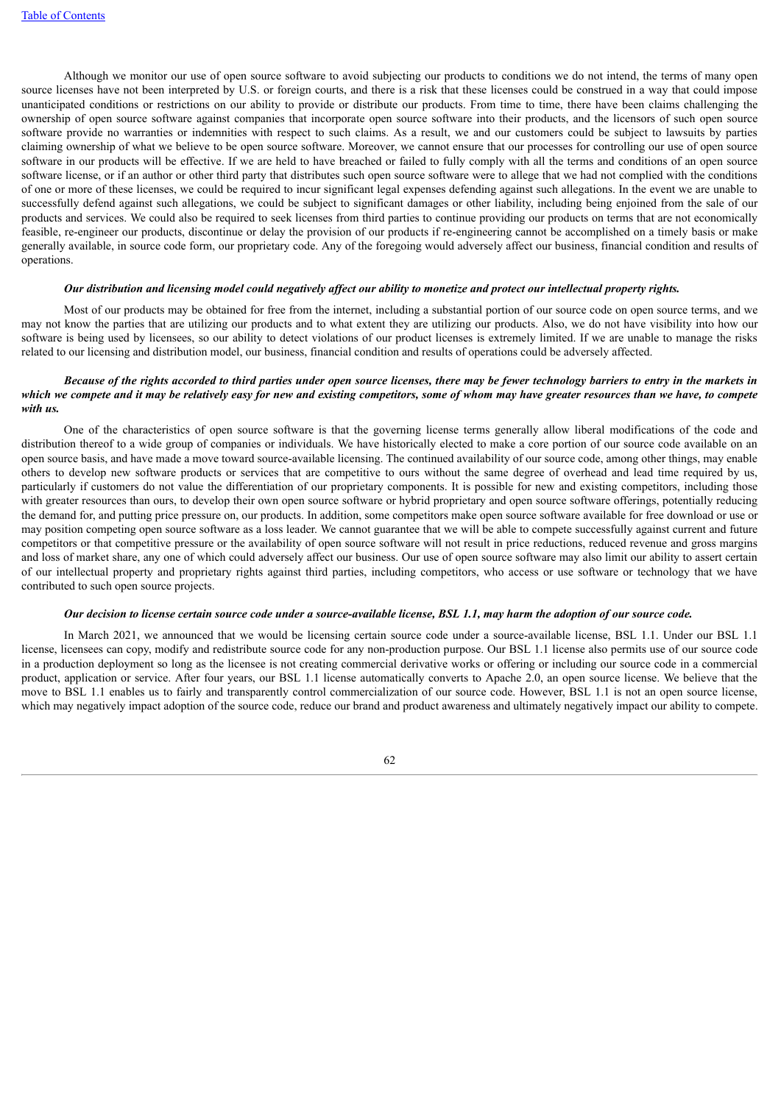Although we monitor our use of open source software to avoid subjecting our products to conditions we do not intend, the terms of many open source licenses have not been interpreted by U.S. or foreign courts, and there is a risk that these licenses could be construed in a way that could impose unanticipated conditions or restrictions on our ability to provide or distribute our products. From time to time, there have been claims challenging the ownership of open source software against companies that incorporate open source software into their products, and the licensors of such open source software provide no warranties or indemnities with respect to such claims. As a result, we and our customers could be subject to lawsuits by parties claiming ownership of what we believe to be open source software. Moreover, we cannot ensure that our processes for controlling our use of open source software in our products will be effective. If we are held to have breached or failed to fully comply with all the terms and conditions of an open source software license, or if an author or other third party that distributes such open source software were to allege that we had not complied with the conditions of one or more of these licenses, we could be required to incur significant legal expenses defending against such allegations. In the event we are unable to successfully defend against such allegations, we could be subject to significant damages or other liability, including being enjoined from the sale of our products and services. We could also be required to seek licenses from third parties to continue providing our products on terms that are not economically feasible, re-engineer our products, discontinue or delay the provision of our products if re-engineering cannot be accomplished on a timely basis or make generally available, in source code form, our proprietary code. Any of the foregoing would adversely affect our business, financial condition and results of operations.

#### Our distribution and licensing model could negatively affect our ability to monetize and protect our intellectual property rights.

Most of our products may be obtained for free from the internet, including a substantial portion of our source code on open source terms, and we may not know the parties that are utilizing our products and to what extent they are utilizing our products. Also, we do not have visibility into how our software is being used by licensees, so our ability to detect violations of our product licenses is extremely limited. If we are unable to manage the risks related to our licensing and distribution model, our business, financial condition and results of operations could be adversely affected.

# Because of the rights accorded to third parties under open source licenses, there may be fewer technology barriers to entry in the markets in which we compete and it may be relatively easy for new and existing competitors, some of whom may have greater resources than we have, to compete *with us.*

One of the characteristics of open source software is that the governing license terms generally allow liberal modifications of the code and distribution thereof to a wide group of companies or individuals. We have historically elected to make a core portion of our source code available on an open source basis, and have made a move toward source-available licensing. The continued availability of our source code, among other things, may enable others to develop new software products or services that are competitive to ours without the same degree of overhead and lead time required by us, particularly if customers do not value the differentiation of our proprietary components. It is possible for new and existing competitors, including those with greater resources than ours, to develop their own open source software or hybrid proprietary and open source software offerings, potentially reducing the demand for, and putting price pressure on, our products. In addition, some competitors make open source software available for free download or use or may position competing open source software as a loss leader. We cannot guarantee that we will be able to compete successfully against current and future competitors or that competitive pressure or the availability of open source software will not result in price reductions, reduced revenue and gross margins and loss of market share, any one of which could adversely affect our business. Our use of open source software may also limit our ability to assert certain of our intellectual property and proprietary rights against third parties, including competitors, who access or use software or technology that we have contributed to such open source projects.

## Our decision to license certain source code under a source-available license, BSL 1.1, may harm the adoption of our source code.

In March 2021, we announced that we would be licensing certain source code under a source-available license, BSL 1.1. Under our BSL 1.1 license, licensees can copy, modify and redistribute source code for any non-production purpose. Our BSL 1.1 license also permits use of our source code in a production deployment so long as the licensee is not creating commercial derivative works or offering or including our source code in a commercial product, application or service. After four years, our BSL 1.1 license automatically converts to Apache 2.0, an open source license. We believe that the move to BSL 1.1 enables us to fairly and transparently control commercialization of our source code. However, BSL 1.1 is not an open source license, which may negatively impact adoption of the source code, reduce our brand and product awareness and ultimately negatively impact our ability to compete.

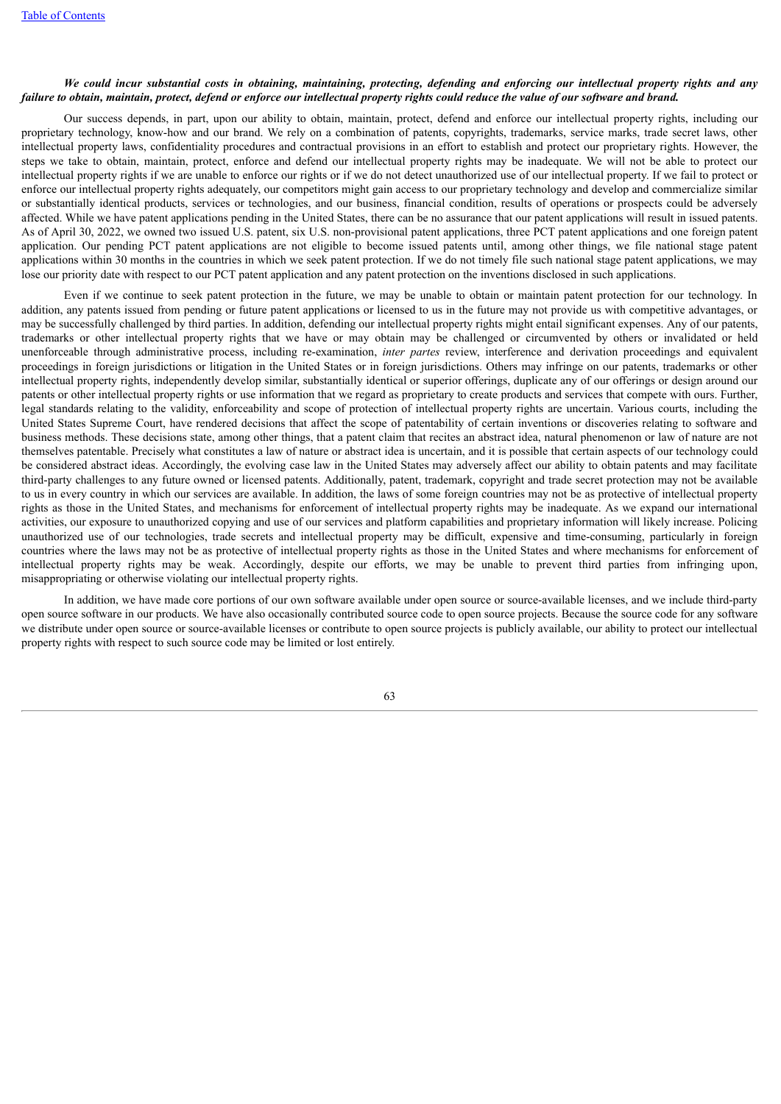### We could incur substantial costs in obtaining, maintaining, protecting, defending and enforcing our intellectual property rights and any failure to obtain, maintain, protect, defend or enforce our intellectual property rights could reduce the value of our software and brand.

Our success depends, in part, upon our ability to obtain, maintain, protect, defend and enforce our intellectual property rights, including our proprietary technology, know-how and our brand. We rely on a combination of patents, copyrights, trademarks, service marks, trade secret laws, other intellectual property laws, confidentiality procedures and contractual provisions in an effort to establish and protect our proprietary rights. However, the steps we take to obtain, maintain, protect, enforce and defend our intellectual property rights may be inadequate. We will not be able to protect our intellectual property rights if we are unable to enforce our rights or if we do not detect unauthorized use of our intellectual property. If we fail to protect or enforce our intellectual property rights adequately, our competitors might gain access to our proprietary technology and develop and commercialize similar or substantially identical products, services or technologies, and our business, financial condition, results of operations or prospects could be adversely affected. While we have patent applications pending in the United States, there can be no assurance that our patent applications will result in issued patents. As of April 30, 2022, we owned two issued U.S. patent, six U.S. non-provisional patent applications, three PCT patent applications and one foreign patent application. Our pending PCT patent applications are not eligible to become issued patents until, among other things, we file national stage patent applications within 30 months in the countries in which we seek patent protection. If we do not timely file such national stage patent applications, we may lose our priority date with respect to our PCT patent application and any patent protection on the inventions disclosed in such applications.

Even if we continue to seek patent protection in the future, we may be unable to obtain or maintain patent protection for our technology. In addition, any patents issued from pending or future patent applications or licensed to us in the future may not provide us with competitive advantages, or may be successfully challenged by third parties. In addition, defending our intellectual property rights might entail significant expenses. Any of our patents, trademarks or other intellectual property rights that we have or may obtain may be challenged or circumvented by others or invalidated or held unenforceable through administrative process, including re-examination, *inter partes* review, interference and derivation proceedings and equivalent proceedings in foreign jurisdictions or litigation in the United States or in foreign jurisdictions. Others may infringe on our patents, trademarks or other intellectual property rights, independently develop similar, substantially identical or superior offerings, duplicate any of our offerings or design around our patents or other intellectual property rights or use information that we regard as proprietary to create products and services that compete with ours. Further, legal standards relating to the validity, enforceability and scope of protection of intellectual property rights are uncertain. Various courts, including the United States Supreme Court, have rendered decisions that affect the scope of patentability of certain inventions or discoveries relating to software and business methods. These decisions state, among other things, that a patent claim that recites an abstract idea, natural phenomenon or law of nature are not themselves patentable. Precisely what constitutes a law of nature or abstract idea is uncertain, and it is possible that certain aspects of our technology could be considered abstract ideas. Accordingly, the evolving case law in the United States may adversely affect our ability to obtain patents and may facilitate third-party challenges to any future owned or licensed patents. Additionally, patent, trademark, copyright and trade secret protection may not be available to us in every country in which our services are available. In addition, the laws of some foreign countries may not be as protective of intellectual property rights as those in the United States, and mechanisms for enforcement of intellectual property rights may be inadequate. As we expand our international activities, our exposure to unauthorized copying and use of our services and platform capabilities and proprietary information will likely increase. Policing unauthorized use of our technologies, trade secrets and intellectual property may be difficult, expensive and time-consuming, particularly in foreign countries where the laws may not be as protective of intellectual property rights as those in the United States and where mechanisms for enforcement of intellectual property rights may be weak. Accordingly, despite our efforts, we may be unable to prevent third parties from infringing upon, misappropriating or otherwise violating our intellectual property rights.

In addition, we have made core portions of our own software available under open source or source-available licenses, and we include third-party open source software in our products. We have also occasionally contributed source code to open source projects. Because the source code for any software we distribute under open source or source-available licenses or contribute to open source projects is publicly available, our ability to protect our intellectual property rights with respect to such source code may be limited or lost entirely.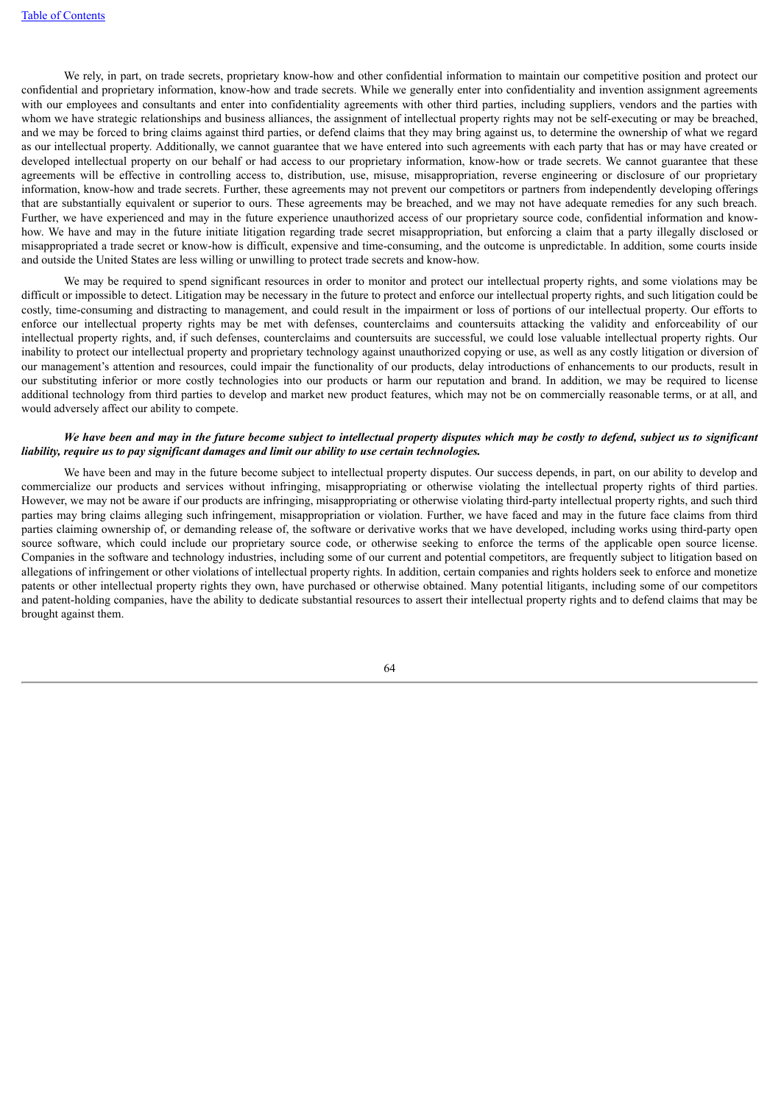We rely, in part, on trade secrets, proprietary know-how and other confidential information to maintain our competitive position and protect our confidential and proprietary information, know-how and trade secrets. While we generally enter into confidentiality and invention assignment agreements with our employees and consultants and enter into confidentiality agreements with other third parties, including suppliers, vendors and the parties with whom we have strategic relationships and business alliances, the assignment of intellectual property rights may not be self-executing or may be breached, and we may be forced to bring claims against third parties, or defend claims that they may bring against us, to determine the ownership of what we regard as our intellectual property. Additionally, we cannot guarantee that we have entered into such agreements with each party that has or may have created or developed intellectual property on our behalf or had access to our proprietary information, know-how or trade secrets. We cannot guarantee that these agreements will be effective in controlling access to, distribution, use, misuse, misappropriation, reverse engineering or disclosure of our proprietary information, know-how and trade secrets. Further, these agreements may not prevent our competitors or partners from independently developing offerings that are substantially equivalent or superior to ours. These agreements may be breached, and we may not have adequate remedies for any such breach. Further, we have experienced and may in the future experience unauthorized access of our proprietary source code, confidential information and knowhow. We have and may in the future initiate litigation regarding trade secret misappropriation, but enforcing a claim that a party illegally disclosed or misappropriated a trade secret or know-how is difficult, expensive and time-consuming, and the outcome is unpredictable. In addition, some courts inside and outside the United States are less willing or unwilling to protect trade secrets and know-how.

We may be required to spend significant resources in order to monitor and protect our intellectual property rights, and some violations may be difficult or impossible to detect. Litigation may be necessary in the future to protect and enforce our intellectual property rights, and such litigation could be costly, time-consuming and distracting to management, and could result in the impairment or loss of portions of our intellectual property. Our efforts to enforce our intellectual property rights may be met with defenses, counterclaims and countersuits attacking the validity and enforceability of our intellectual property rights, and, if such defenses, counterclaims and countersuits are successful, we could lose valuable intellectual property rights. Our inability to protect our intellectual property and proprietary technology against unauthorized copying or use, as well as any costly litigation or diversion of our management's attention and resources, could impair the functionality of our products, delay introductions of enhancements to our products, result in our substituting inferior or more costly technologies into our products or harm our reputation and brand. In addition, we may be required to license additional technology from third parties to develop and market new product features, which may not be on commercially reasonable terms, or at all, and would adversely affect our ability to compete.

# We have been and may in the future become subject to intellectual property disputes which may be costly to defend, subject us to significant *liability, require us to pay significant damages and limit our ability to use certain technologies.*

We have been and may in the future become subject to intellectual property disputes. Our success depends, in part, on our ability to develop and commercialize our products and services without infringing, misappropriating or otherwise violating the intellectual property rights of third parties. However, we may not be aware if our products are infringing, misappropriating or otherwise violating third-party intellectual property rights, and such third parties may bring claims alleging such infringement, misappropriation or violation. Further, we have faced and may in the future face claims from third parties claiming ownership of, or demanding release of, the software or derivative works that we have developed, including works using third-party open source software, which could include our proprietary source code, or otherwise seeking to enforce the terms of the applicable open source license. Companies in the software and technology industries, including some of our current and potential competitors, are frequently subject to litigation based on allegations of infringement or other violations of intellectual property rights. In addition, certain companies and rights holders seek to enforce and monetize patents or other intellectual property rights they own, have purchased or otherwise obtained. Many potential litigants, including some of our competitors and patent-holding companies, have the ability to dedicate substantial resources to assert their intellectual property rights and to defend claims that may be brought against them.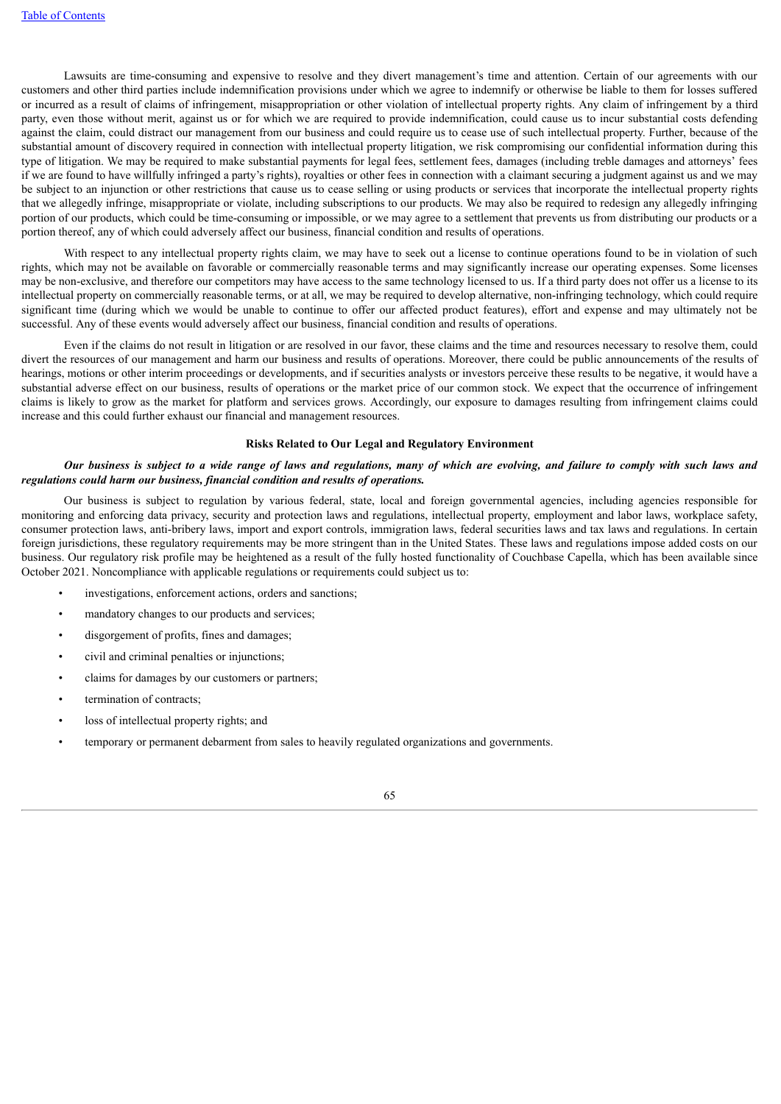Lawsuits are time-consuming and expensive to resolve and they divert management's time and attention. Certain of our agreements with our customers and other third parties include indemnification provisions under which we agree to indemnify or otherwise be liable to them for losses suffered or incurred as a result of claims of infringement, misappropriation or other violation of intellectual property rights. Any claim of infringement by a third party, even those without merit, against us or for which we are required to provide indemnification, could cause us to incur substantial costs defending against the claim, could distract our management from our business and could require us to cease use of such intellectual property. Further, because of the substantial amount of discovery required in connection with intellectual property litigation, we risk compromising our confidential information during this type of litigation. We may be required to make substantial payments for legal fees, settlement fees, damages (including treble damages and attorneys' fees if we are found to have willfully infringed a party's rights), royalties or other fees in connection with a claimant securing a judgment against us and we may be subject to an injunction or other restrictions that cause us to cease selling or using products or services that incorporate the intellectual property rights that we allegedly infringe, misappropriate or violate, including subscriptions to our products. We may also be required to redesign any allegedly infringing portion of our products, which could be time-consuming or impossible, or we may agree to a settlement that prevents us from distributing our products or a portion thereof, any of which could adversely affect our business, financial condition and results of operations.

With respect to any intellectual property rights claim, we may have to seek out a license to continue operations found to be in violation of such rights, which may not be available on favorable or commercially reasonable terms and may significantly increase our operating expenses. Some licenses may be non-exclusive, and therefore our competitors may have access to the same technology licensed to us. If a third party does not offer us a license to its intellectual property on commercially reasonable terms, or at all, we may be required to develop alternative, non-infringing technology, which could require significant time (during which we would be unable to continue to offer our affected product features), effort and expense and may ultimately not be successful. Any of these events would adversely affect our business, financial condition and results of operations.

Even if the claims do not result in litigation or are resolved in our favor, these claims and the time and resources necessary to resolve them, could divert the resources of our management and harm our business and results of operations. Moreover, there could be public announcements of the results of hearings, motions or other interim proceedings or developments, and if securities analysts or investors perceive these results to be negative, it would have a substantial adverse effect on our business, results of operations or the market price of our common stock. We expect that the occurrence of infringement claims is likely to grow as the market for platform and services grows. Accordingly, our exposure to damages resulting from infringement claims could increase and this could further exhaust our financial and management resources.

#### **Risks Related to Our Legal and Regulatory Environment**

# Our business is subject to a wide range of laws and regulations, many of which are evolving, and failure to comply with such laws and *regulations could harm our business, financial condition and results of operations.*

Our business is subject to regulation by various federal, state, local and foreign governmental agencies, including agencies responsible for monitoring and enforcing data privacy, security and protection laws and regulations, intellectual property, employment and labor laws, workplace safety, consumer protection laws, anti-bribery laws, import and export controls, immigration laws, federal securities laws and tax laws and regulations. In certain foreign jurisdictions, these regulatory requirements may be more stringent than in the United States. These laws and regulations impose added costs on our business. Our regulatory risk profile may be heightened as a result of the fully hosted functionality of Couchbase Capella, which has been available since October 2021. Noncompliance with applicable regulations or requirements could subject us to:

- investigations, enforcement actions, orders and sanctions;
- mandatory changes to our products and services;
- disgorgement of profits, fines and damages;
- civil and criminal penalties or injunctions;
- claims for damages by our customers or partners;
- termination of contracts;
- loss of intellectual property rights; and
- temporary or permanent debarment from sales to heavily regulated organizations and governments.

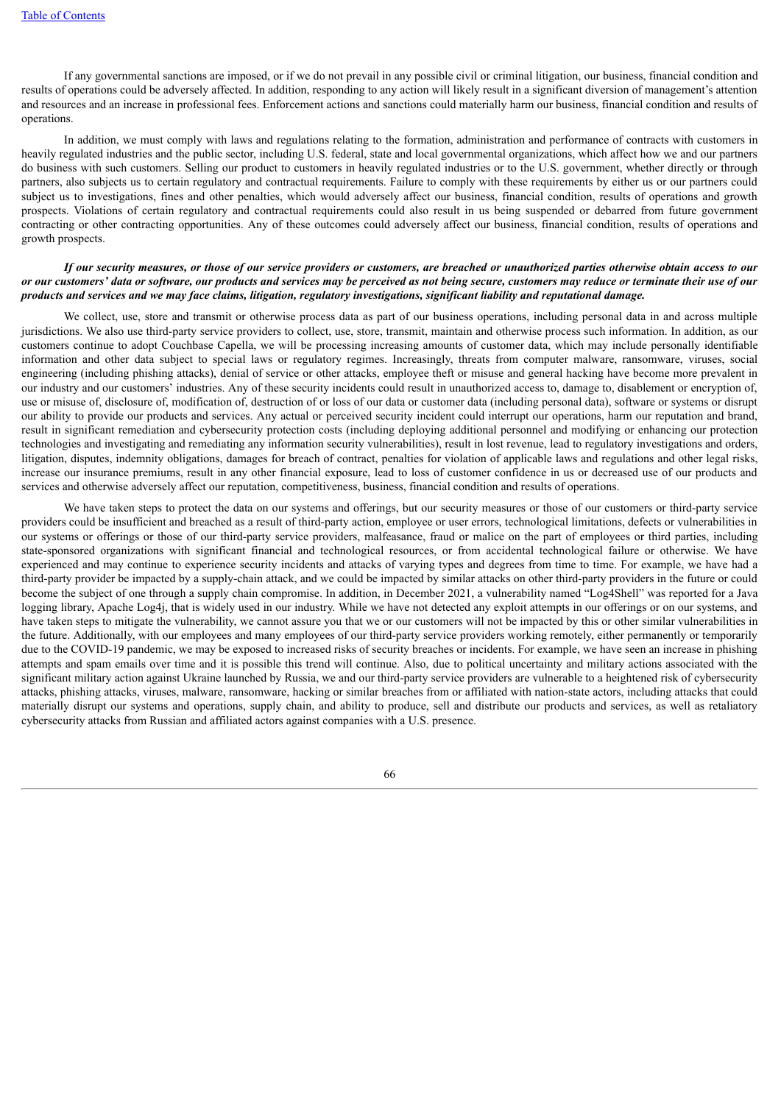If any governmental sanctions are imposed, or if we do not prevail in any possible civil or criminal litigation, our business, financial condition and results of operations could be adversely affected. In addition, responding to any action will likely result in a significant diversion of management's attention and resources and an increase in professional fees. Enforcement actions and sanctions could materially harm our business, financial condition and results of operations.

In addition, we must comply with laws and regulations relating to the formation, administration and performance of contracts with customers in heavily regulated industries and the public sector, including U.S. federal, state and local governmental organizations, which affect how we and our partners do business with such customers. Selling our product to customers in heavily regulated industries or to the U.S. government, whether directly or through partners, also subjects us to certain regulatory and contractual requirements. Failure to comply with these requirements by either us or our partners could subject us to investigations, fines and other penalties, which would adversely affect our business, financial condition, results of operations and growth prospects. Violations of certain regulatory and contractual requirements could also result in us being suspended or debarred from future government contracting or other contracting opportunities. Any of these outcomes could adversely affect our business, financial condition, results of operations and growth prospects.

# If our security measures, or those of our service providers or customers, are breached or unauthorized parties otherwise obtain access to our or our customers' data or software, our products and services may be perceived as not being secure, customers may reduce or terminate their use of our products and services and we may face claims, litigation, regulatory investigations, significant liability and reputational damage.

We collect, use, store and transmit or otherwise process data as part of our business operations, including personal data in and across multiple jurisdictions. We also use third-party service providers to collect, use, store, transmit, maintain and otherwise process such information. In addition, as our customers continue to adopt Couchbase Capella, we will be processing increasing amounts of customer data, which may include personally identifiable information and other data subject to special laws or regulatory regimes. Increasingly, threats from computer malware, ransomware, viruses, social engineering (including phishing attacks), denial of service or other attacks, employee theft or misuse and general hacking have become more prevalent in our industry and our customers' industries. Any of these security incidents could result in unauthorized access to, damage to, disablement or encryption of, use or misuse of, disclosure of, modification of, destruction of or loss of our data or customer data (including personal data), software or systems or disrupt our ability to provide our products and services. Any actual or perceived security incident could interrupt our operations, harm our reputation and brand, result in significant remediation and cybersecurity protection costs (including deploying additional personnel and modifying or enhancing our protection technologies and investigating and remediating any information security vulnerabilities), result in lost revenue, lead to regulatory investigations and orders, litigation, disputes, indemnity obligations, damages for breach of contract, penalties for violation of applicable laws and regulations and other legal risks, increase our insurance premiums, result in any other financial exposure, lead to loss of customer confidence in us or decreased use of our products and services and otherwise adversely affect our reputation, competitiveness, business, financial condition and results of operations.

We have taken steps to protect the data on our systems and offerings, but our security measures or those of our customers or third-party service providers could be insufficient and breached as a result of third-party action, employee or user errors, technological limitations, defects or vulnerabilities in our systems or offerings or those of our third-party service providers, malfeasance, fraud or malice on the part of employees or third parties, including state-sponsored organizations with significant financial and technological resources, or from accidental technological failure or otherwise. We have experienced and may continue to experience security incidents and attacks of varying types and degrees from time to time. For example, we have had a third-party provider be impacted by a supply-chain attack, and we could be impacted by similar attacks on other third-party providers in the future or could become the subject of one through a supply chain compromise. In addition, in December 2021, a vulnerability named "Log4Shell" was reported for a Java logging library, Apache Log4j, that is widely used in our industry. While we have not detected any exploit attempts in our offerings or on our systems, and have taken steps to mitigate the vulnerability, we cannot assure you that we or our customers will not be impacted by this or other similar vulnerabilities in the future. Additionally, with our employees and many employees of our third-party service providers working remotely, either permanently or temporarily due to the COVID-19 pandemic, we may be exposed to increased risks of security breaches or incidents. For example, we have seen an increase in phishing attempts and spam emails over time and it is possible this trend will continue. Also, due to political uncertainty and military actions associated with the significant military action against Ukraine launched by Russia, we and our third-party service providers are vulnerable to a heightened risk of cybersecurity attacks, phishing attacks, viruses, malware, ransomware, hacking or similar breaches from or affiliated with nation-state actors, including attacks that could materially disrupt our systems and operations, supply chain, and ability to produce, sell and distribute our products and services, as well as retaliatory cybersecurity attacks from Russian and affiliated actors against companies with a U.S. presence.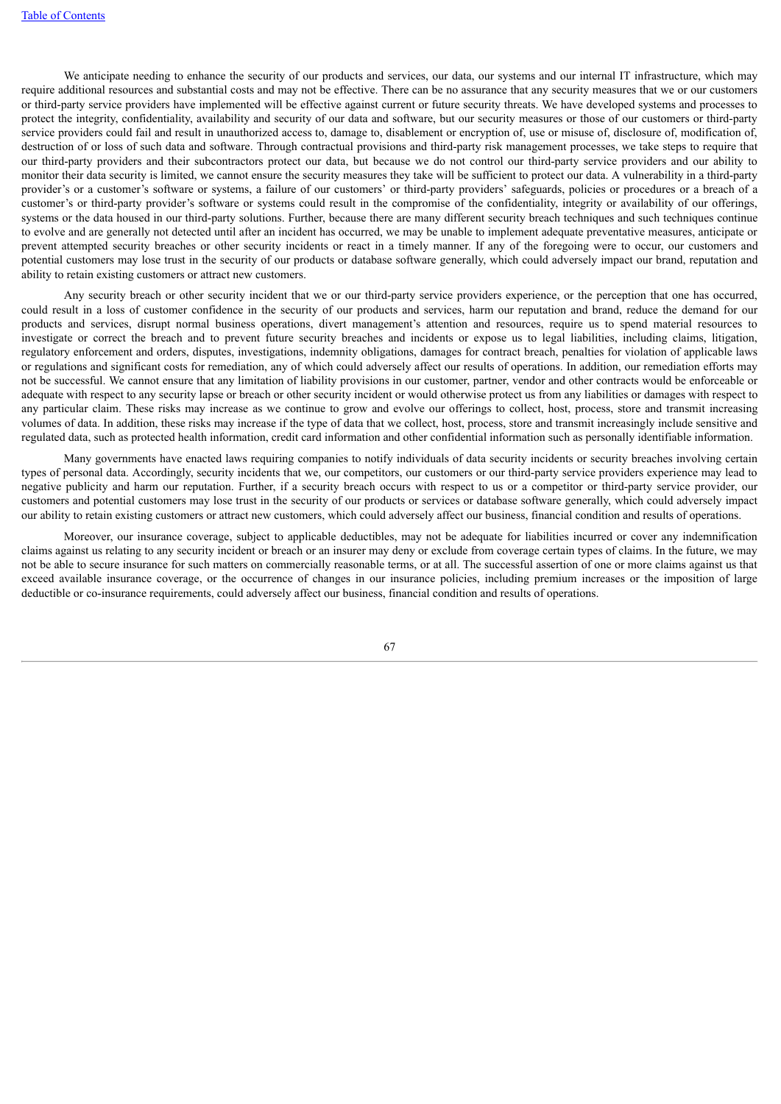We anticipate needing to enhance the security of our products and services, our data, our systems and our internal IT infrastructure, which may require additional resources and substantial costs and may not be effective. There can be no assurance that any security measures that we or our customers or third-party service providers have implemented will be effective against current or future security threats. We have developed systems and processes to protect the integrity, confidentiality, availability and security of our data and software, but our security measures or those of our customers or third-party service providers could fail and result in unauthorized access to, damage to, disablement or encryption of, use or misuse of, disclosure of, modification of, destruction of or loss of such data and software. Through contractual provisions and third-party risk management processes, we take steps to require that our third-party providers and their subcontractors protect our data, but because we do not control our third-party service providers and our ability to monitor their data security is limited, we cannot ensure the security measures they take will be sufficient to protect our data. A vulnerability in a third-party provider's or a customer's software or systems, a failure of our customers' or third-party providers' safeguards, policies or procedures or a breach of a customer's or third-party provider's software or systems could result in the compromise of the confidentiality, integrity or availability of our offerings, systems or the data housed in our third-party solutions. Further, because there are many different security breach techniques and such techniques continue to evolve and are generally not detected until after an incident has occurred, we may be unable to implement adequate preventative measures, anticipate or prevent attempted security breaches or other security incidents or react in a timely manner. If any of the foregoing were to occur, our customers and potential customers may lose trust in the security of our products or database software generally, which could adversely impact our brand, reputation and ability to retain existing customers or attract new customers.

Any security breach or other security incident that we or our third-party service providers experience, or the perception that one has occurred, could result in a loss of customer confidence in the security of our products and services, harm our reputation and brand, reduce the demand for our products and services, disrupt normal business operations, divert management's attention and resources, require us to spend material resources to investigate or correct the breach and to prevent future security breaches and incidents or expose us to legal liabilities, including claims, litigation, regulatory enforcement and orders, disputes, investigations, indemnity obligations, damages for contract breach, penalties for violation of applicable laws or regulations and significant costs for remediation, any of which could adversely affect our results of operations. In addition, our remediation efforts may not be successful. We cannot ensure that any limitation of liability provisions in our customer, partner, vendor and other contracts would be enforceable or adequate with respect to any security lapse or breach or other security incident or would otherwise protect us from any liabilities or damages with respect to any particular claim. These risks may increase as we continue to grow and evolve our offerings to collect, host, process, store and transmit increasing volumes of data. In addition, these risks may increase if the type of data that we collect, host, process, store and transmit increasingly include sensitive and regulated data, such as protected health information, credit card information and other confidential information such as personally identifiable information.

Many governments have enacted laws requiring companies to notify individuals of data security incidents or security breaches involving certain types of personal data. Accordingly, security incidents that we, our competitors, our customers or our third-party service providers experience may lead to negative publicity and harm our reputation. Further, if a security breach occurs with respect to us or a competitor or third-party service provider, our customers and potential customers may lose trust in the security of our products or services or database software generally, which could adversely impact our ability to retain existing customers or attract new customers, which could adversely affect our business, financial condition and results of operations.

Moreover, our insurance coverage, subject to applicable deductibles, may not be adequate for liabilities incurred or cover any indemnification claims against us relating to any security incident or breach or an insurer may deny or exclude from coverage certain types of claims. In the future, we may not be able to secure insurance for such matters on commercially reasonable terms, or at all. The successful assertion of one or more claims against us that exceed available insurance coverage, or the occurrence of changes in our insurance policies, including premium increases or the imposition of large deductible or co-insurance requirements, could adversely affect our business, financial condition and results of operations.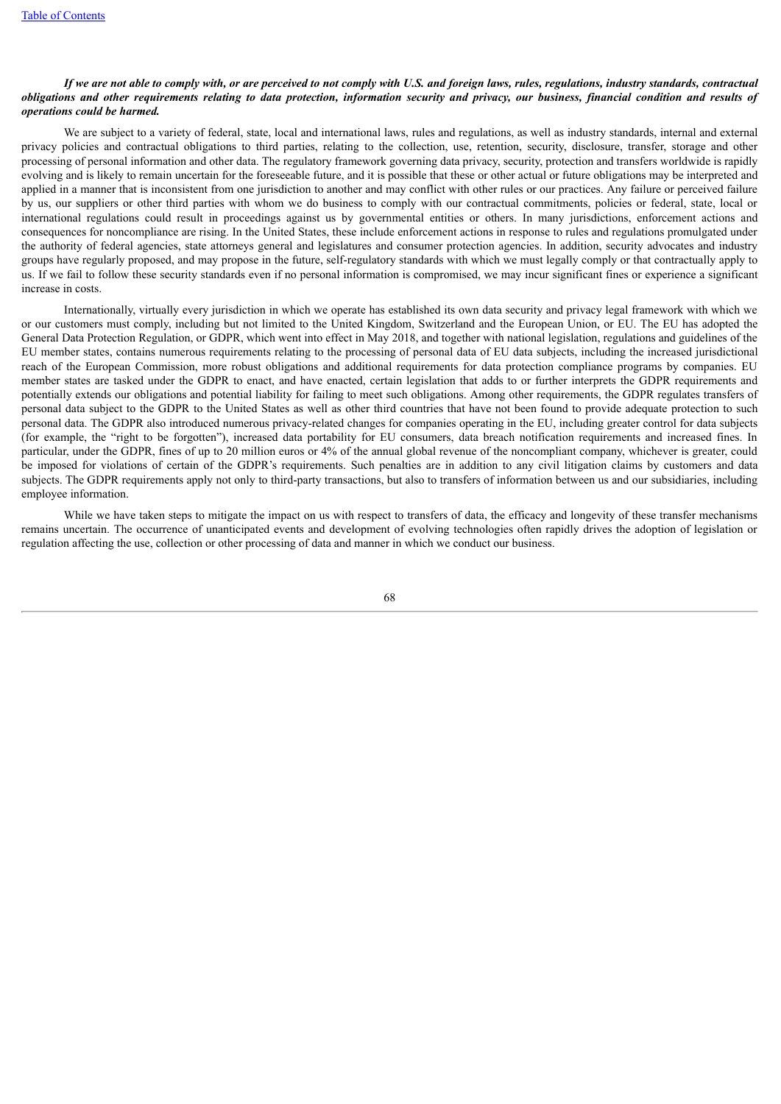# If we are not able to comply with, or are perceived to not comply with U.S. and foreign laws, rules, regulations, industry standards, contractual obligations and other requirements relating to data protection, information security and privacy, our business, financial condition and results of *operations could be harmed.*

We are subject to a variety of federal, state, local and international laws, rules and regulations, as well as industry standards, internal and external privacy policies and contractual obligations to third parties, relating to the collection, use, retention, security, disclosure, transfer, storage and other processing of personal information and other data. The regulatory framework governing data privacy, security, protection and transfers worldwide is rapidly evolving and is likely to remain uncertain for the foreseeable future, and it is possible that these or other actual or future obligations may be interpreted and applied in a manner that is inconsistent from one jurisdiction to another and may conflict with other rules or our practices. Any failure or perceived failure by us, our suppliers or other third parties with whom we do business to comply with our contractual commitments, policies or federal, state, local or international regulations could result in proceedings against us by governmental entities or others. In many jurisdictions, enforcement actions and consequences for noncompliance are rising. In the United States, these include enforcement actions in response to rules and regulations promulgated under the authority of federal agencies, state attorneys general and legislatures and consumer protection agencies. In addition, security advocates and industry groups have regularly proposed, and may propose in the future, self-regulatory standards with which we must legally comply or that contractually apply to us. If we fail to follow these security standards even if no personal information is compromised, we may incur significant fines or experience a significant increase in costs.

Internationally, virtually every jurisdiction in which we operate has established its own data security and privacy legal framework with which we or our customers must comply, including but not limited to the United Kingdom, Switzerland and the European Union, or EU. The EU has adopted the General Data Protection Regulation, or GDPR, which went into effect in May 2018, and together with national legislation, regulations and guidelines of the EU member states, contains numerous requirements relating to the processing of personal data of EU data subjects, including the increased jurisdictional reach of the European Commission, more robust obligations and additional requirements for data protection compliance programs by companies. EU member states are tasked under the GDPR to enact, and have enacted, certain legislation that adds to or further interprets the GDPR requirements and potentially extends our obligations and potential liability for failing to meet such obligations. Among other requirements, the GDPR regulates transfers of personal data subject to the GDPR to the United States as well as other third countries that have not been found to provide adequate protection to such personal data. The GDPR also introduced numerous privacy-related changes for companies operating in the EU, including greater control for data subjects (for example, the "right to be forgotten"), increased data portability for EU consumers, data breach notification requirements and increased fines. In particular, under the GDPR, fines of up to 20 million euros or 4% of the annual global revenue of the noncompliant company, whichever is greater, could be imposed for violations of certain of the GDPR's requirements. Such penalties are in addition to any civil litigation claims by customers and data subjects. The GDPR requirements apply not only to third-party transactions, but also to transfers of information between us and our subsidiaries, including employee information.

While we have taken steps to mitigate the impact on us with respect to transfers of data, the efficacy and longevity of these transfer mechanisms remains uncertain. The occurrence of unanticipated events and development of evolving technologies often rapidly drives the adoption of legislation or regulation affecting the use, collection or other processing of data and manner in which we conduct our business.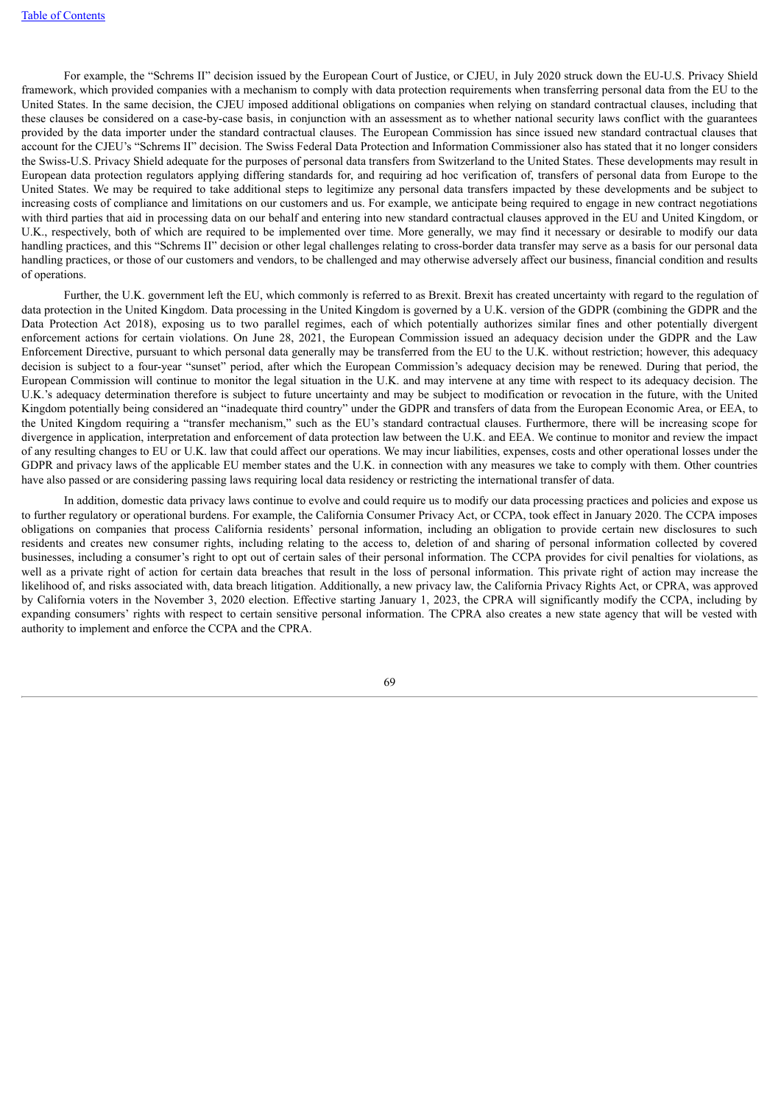For example, the "Schrems II" decision issued by the European Court of Justice, or CJEU, in July 2020 struck down the EU-U.S. Privacy Shield framework, which provided companies with a mechanism to comply with data protection requirements when transferring personal data from the EU to the United States. In the same decision, the CJEU imposed additional obligations on companies when relying on standard contractual clauses, including that these clauses be considered on a case-by-case basis, in conjunction with an assessment as to whether national security laws conflict with the guarantees provided by the data importer under the standard contractual clauses. The European Commission has since issued new standard contractual clauses that account for the CJEU's "Schrems II" decision. The Swiss Federal Data Protection and Information Commissioner also has stated that it no longer considers the Swiss-U.S. Privacy Shield adequate for the purposes of personal data transfers from Switzerland to the United States. These developments may result in European data protection regulators applying differing standards for, and requiring ad hoc verification of, transfers of personal data from Europe to the United States. We may be required to take additional steps to legitimize any personal data transfers impacted by these developments and be subject to increasing costs of compliance and limitations on our customers and us. For example, we anticipate being required to engage in new contract negotiations with third parties that aid in processing data on our behalf and entering into new standard contractual clauses approved in the EU and United Kingdom, or U.K., respectively, both of which are required to be implemented over time. More generally, we may find it necessary or desirable to modify our data handling practices, and this "Schrems II" decision or other legal challenges relating to cross-border data transfer may serve as a basis for our personal data handling practices, or those of our customers and vendors, to be challenged and may otherwise adversely affect our business, financial condition and results of operations.

Further, the U.K. government left the EU, which commonly is referred to as Brexit. Brexit has created uncertainty with regard to the regulation of data protection in the United Kingdom. Data processing in the United Kingdom is governed by a U.K. version of the GDPR (combining the GDPR and the Data Protection Act 2018), exposing us to two parallel regimes, each of which potentially authorizes similar fines and other potentially divergent enforcement actions for certain violations. On June 28, 2021, the European Commission issued an adequacy decision under the GDPR and the Law Enforcement Directive, pursuant to which personal data generally may be transferred from the EU to the U.K. without restriction; however, this adequacy decision is subject to a four-year "sunset" period, after which the European Commission's adequacy decision may be renewed. During that period, the European Commission will continue to monitor the legal situation in the U.K. and may intervene at any time with respect to its adequacy decision. The U.K.'s adequacy determination therefore is subject to future uncertainty and may be subject to modification or revocation in the future, with the United Kingdom potentially being considered an "inadequate third country" under the GDPR and transfers of data from the European Economic Area, or EEA, to the United Kingdom requiring a "transfer mechanism," such as the EU's standard contractual clauses. Furthermore, there will be increasing scope for divergence in application, interpretation and enforcement of data protection law between the U.K. and EEA. We continue to monitor and review the impact of any resulting changes to EU or U.K. law that could affect our operations. We may incur liabilities, expenses, costs and other operational losses under the GDPR and privacy laws of the applicable EU member states and the U.K. in connection with any measures we take to comply with them. Other countries have also passed or are considering passing laws requiring local data residency or restricting the international transfer of data.

In addition, domestic data privacy laws continue to evolve and could require us to modify our data processing practices and policies and expose us to further regulatory or operational burdens. For example, the California Consumer Privacy Act, or CCPA, took effect in January 2020. The CCPA imposes obligations on companies that process California residents' personal information, including an obligation to provide certain new disclosures to such residents and creates new consumer rights, including relating to the access to, deletion of and sharing of personal information collected by covered businesses, including a consumer's right to opt out of certain sales of their personal information. The CCPA provides for civil penalties for violations, as well as a private right of action for certain data breaches that result in the loss of personal information. This private right of action may increase the likelihood of, and risks associated with, data breach litigation. Additionally, a new privacy law, the California Privacy Rights Act, or CPRA, was approved by California voters in the November 3, 2020 election. Effective starting January 1, 2023, the CPRA will significantly modify the CCPA, including by expanding consumers' rights with respect to certain sensitive personal information. The CPRA also creates a new state agency that will be vested with authority to implement and enforce the CCPA and the CPRA.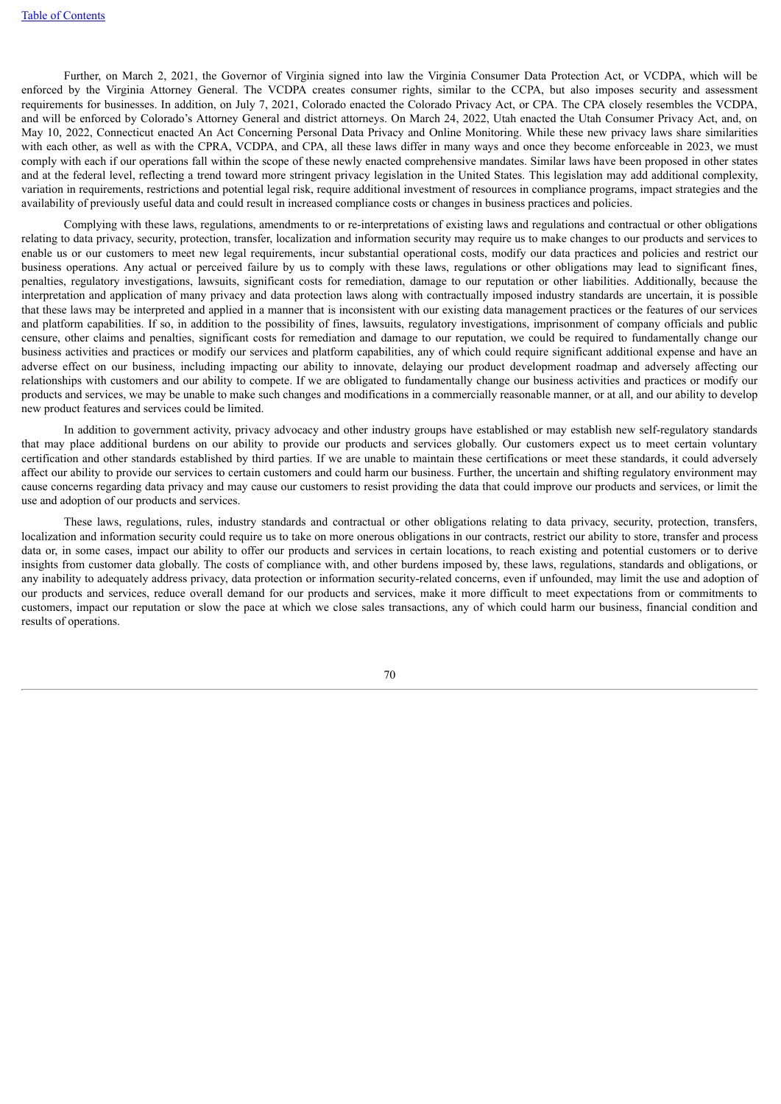Further, on March 2, 2021, the Governor of Virginia signed into law the Virginia Consumer Data Protection Act, or VCDPA, which will be enforced by the Virginia Attorney General. The VCDPA creates consumer rights, similar to the CCPA, but also imposes security and assessment requirements for businesses. In addition, on July 7, 2021, Colorado enacted the Colorado Privacy Act, or CPA. The CPA closely resembles the VCDPA, and will be enforced by Colorado's Attorney General and district attorneys. On March 24, 2022, Utah enacted the Utah Consumer Privacy Act, and, on May 10, 2022, Connecticut enacted An Act Concerning Personal Data Privacy and Online Monitoring. While these new privacy laws share similarities with each other, as well as with the CPRA, VCDPA, and CPA, all these laws differ in many ways and once they become enforceable in 2023, we must comply with each if our operations fall within the scope of these newly enacted comprehensive mandates. Similar laws have been proposed in other states and at the federal level, reflecting a trend toward more stringent privacy legislation in the United States. This legislation may add additional complexity, variation in requirements, restrictions and potential legal risk, require additional investment of resources in compliance programs, impact strategies and the availability of previously useful data and could result in increased compliance costs or changes in business practices and policies.

Complying with these laws, regulations, amendments to or re-interpretations of existing laws and regulations and contractual or other obligations relating to data privacy, security, protection, transfer, localization and information security may require us to make changes to our products and services to enable us or our customers to meet new legal requirements, incur substantial operational costs, modify our data practices and policies and restrict our business operations. Any actual or perceived failure by us to comply with these laws, regulations or other obligations may lead to significant fines, penalties, regulatory investigations, lawsuits, significant costs for remediation, damage to our reputation or other liabilities. Additionally, because the interpretation and application of many privacy and data protection laws along with contractually imposed industry standards are uncertain, it is possible that these laws may be interpreted and applied in a manner that is inconsistent with our existing data management practices or the features of our services and platform capabilities. If so, in addition to the possibility of fines, lawsuits, regulatory investigations, imprisonment of company officials and public censure, other claims and penalties, significant costs for remediation and damage to our reputation, we could be required to fundamentally change our business activities and practices or modify our services and platform capabilities, any of which could require significant additional expense and have an adverse effect on our business, including impacting our ability to innovate, delaying our product development roadmap and adversely affecting our relationships with customers and our ability to compete. If we are obligated to fundamentally change our business activities and practices or modify our products and services, we may be unable to make such changes and modifications in a commercially reasonable manner, or at all, and our ability to develop new product features and services could be limited.

In addition to government activity, privacy advocacy and other industry groups have established or may establish new self-regulatory standards that may place additional burdens on our ability to provide our products and services globally. Our customers expect us to meet certain voluntary certification and other standards established by third parties. If we are unable to maintain these certifications or meet these standards, it could adversely affect our ability to provide our services to certain customers and could harm our business. Further, the uncertain and shifting regulatory environment may cause concerns regarding data privacy and may cause our customers to resist providing the data that could improve our products and services, or limit the use and adoption of our products and services.

These laws, regulations, rules, industry standards and contractual or other obligations relating to data privacy, security, protection, transfers, localization and information security could require us to take on more onerous obligations in our contracts, restrict our ability to store, transfer and process data or, in some cases, impact our ability to offer our products and services in certain locations, to reach existing and potential customers or to derive insights from customer data globally. The costs of compliance with, and other burdens imposed by, these laws, regulations, standards and obligations, or any inability to adequately address privacy, data protection or information security-related concerns, even if unfounded, may limit the use and adoption of our products and services, reduce overall demand for our products and services, make it more difficult to meet expectations from or commitments to customers, impact our reputation or slow the pace at which we close sales transactions, any of which could harm our business, financial condition and results of operations.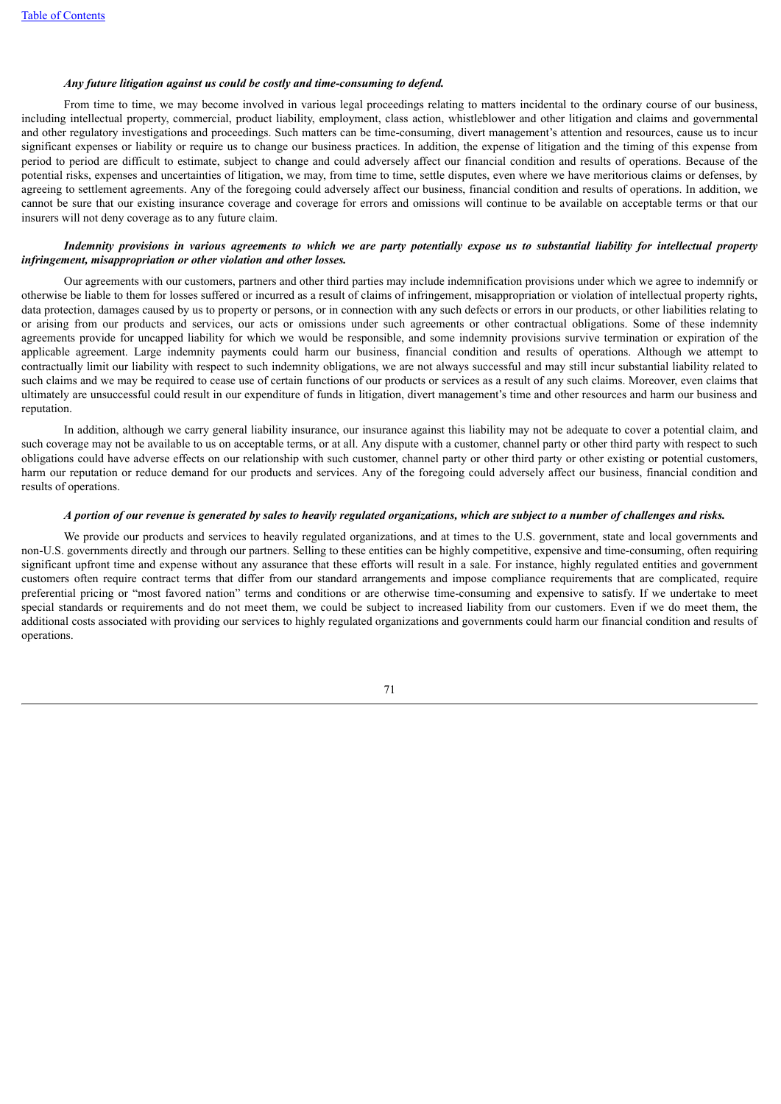#### *Any future litigation against us could be costly and time-consuming to defend.*

From time to time, we may become involved in various legal proceedings relating to matters incidental to the ordinary course of our business, including intellectual property, commercial, product liability, employment, class action, whistleblower and other litigation and claims and governmental and other regulatory investigations and proceedings. Such matters can be time-consuming, divert management's attention and resources, cause us to incur significant expenses or liability or require us to change our business practices. In addition, the expense of litigation and the timing of this expense from period to period are difficult to estimate, subject to change and could adversely affect our financial condition and results of operations. Because of the potential risks, expenses and uncertainties of litigation, we may, from time to time, settle disputes, even where we have meritorious claims or defenses, by agreeing to settlement agreements. Any of the foregoing could adversely affect our business, financial condition and results of operations. In addition, we cannot be sure that our existing insurance coverage and coverage for errors and omissions will continue to be available on acceptable terms or that our insurers will not deny coverage as to any future claim.

# Indemnity provisions in various agreements to which we are party potentially expose us to substantial liability for intellectual property *infringement, misappropriation or other violation and other losses.*

Our agreements with our customers, partners and other third parties may include indemnification provisions under which we agree to indemnify or otherwise be liable to them for losses suffered or incurred as a result of claims of infringement, misappropriation or violation of intellectual property rights, data protection, damages caused by us to property or persons, or in connection with any such defects or errors in our products, or other liabilities relating to or arising from our products and services, our acts or omissions under such agreements or other contractual obligations. Some of these indemnity agreements provide for uncapped liability for which we would be responsible, and some indemnity provisions survive termination or expiration of the applicable agreement. Large indemnity payments could harm our business, financial condition and results of operations. Although we attempt to contractually limit our liability with respect to such indemnity obligations, we are not always successful and may still incur substantial liability related to such claims and we may be required to cease use of certain functions of our products or services as a result of any such claims. Moreover, even claims that ultimately are unsuccessful could result in our expenditure of funds in litigation, divert management's time and other resources and harm our business and reputation.

In addition, although we carry general liability insurance, our insurance against this liability may not be adequate to cover a potential claim, and such coverage may not be available to us on acceptable terms, or at all. Any dispute with a customer, channel party or other third party with respect to such obligations could have adverse effects on our relationship with such customer, channel party or other third party or other existing or potential customers, harm our reputation or reduce demand for our products and services. Any of the foregoing could adversely affect our business, financial condition and results of operations.

#### A portion of our revenue is generated by sales to heavily regulated organizations, which are subject to a number of challenges and risks.

We provide our products and services to heavily regulated organizations, and at times to the U.S. government, state and local governments and non-U.S. governments directly and through our partners. Selling to these entities can be highly competitive, expensive and time-consuming, often requiring significant upfront time and expense without any assurance that these efforts will result in a sale. For instance, highly regulated entities and government customers often require contract terms that differ from our standard arrangements and impose compliance requirements that are complicated, require preferential pricing or "most favored nation" terms and conditions or are otherwise time-consuming and expensive to satisfy. If we undertake to meet special standards or requirements and do not meet them, we could be subject to increased liability from our customers. Even if we do meet them, the additional costs associated with providing our services to highly regulated organizations and governments could harm our financial condition and results of operations.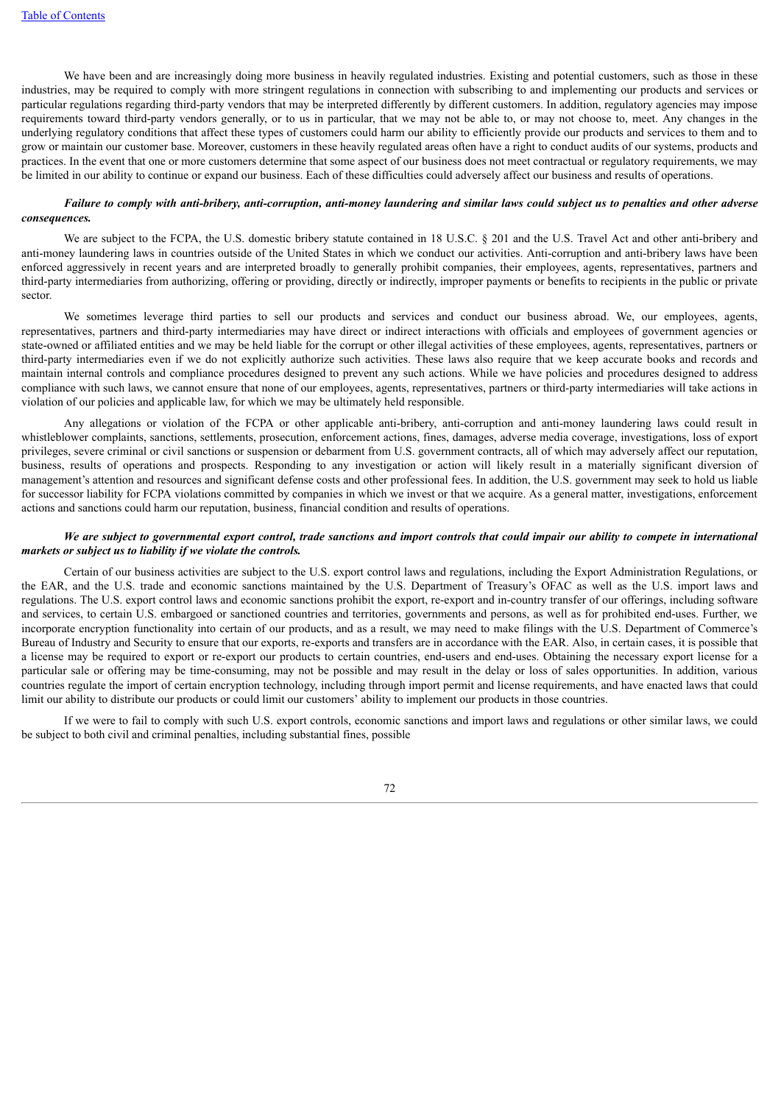We have been and are increasingly doing more business in heavily regulated industries. Existing and potential customers, such as those in these industries, may be required to comply with more stringent regulations in connection with subscribing to and implementing our products and services or particular regulations regarding third-party vendors that may be interpreted differently by different customers. In addition, regulatory agencies may impose requirements toward third-party vendors generally, or to us in particular, that we may not be able to, or may not choose to, meet. Any changes in the underlying regulatory conditions that affect these types of customers could harm our ability to efficiently provide our products and services to them and to grow or maintain our customer base. Moreover, customers in these heavily regulated areas often have a right to conduct audits of our systems, products and practices. In the event that one or more customers determine that some aspect of our business does not meet contractual or regulatory requirements, we may be limited in our ability to continue or expand our business. Each of these difficulties could adversely affect our business and results of operations.

### Failure to comply with anti-bribery, anti-corruption, anti-money laundering and similar laws could subject us to penalties and other adverse *consequences.*

We are subject to the FCPA, the U.S. domestic bribery statute contained in 18 U.S.C. § 201 and the U.S. Travel Act and other anti-bribery and anti-money laundering laws in countries outside of the United States in which we conduct our activities. Anti-corruption and anti-bribery laws have been enforced aggressively in recent years and are interpreted broadly to generally prohibit companies, their employees, agents, representatives, partners and third-party intermediaries from authorizing, offering or providing, directly or indirectly, improper payments or benefits to recipients in the public or private sector.

We sometimes leverage third parties to sell our products and services and conduct our business abroad. We, our employees, agents, representatives, partners and third-party intermediaries may have direct or indirect interactions with officials and employees of government agencies or state-owned or affiliated entities and we may be held liable for the corrupt or other illegal activities of these employees, agents, representatives, partners or third-party intermediaries even if we do not explicitly authorize such activities. These laws also require that we keep accurate books and records and maintain internal controls and compliance procedures designed to prevent any such actions. While we have policies and procedures designed to address compliance with such laws, we cannot ensure that none of our employees, agents, representatives, partners or third-party intermediaries will take actions in violation of our policies and applicable law, for which we may be ultimately held responsible.

Any allegations or violation of the FCPA or other applicable anti-bribery, anti-corruption and anti-money laundering laws could result in whistleblower complaints, sanctions, settlements, prosecution, enforcement actions, fines, damages, adverse media coverage, investigations, loss of export privileges, severe criminal or civil sanctions or suspension or debarment from U.S. government contracts, all of which may adversely affect our reputation, business, results of operations and prospects. Responding to any investigation or action will likely result in a materially significant diversion of management's attention and resources and significant defense costs and other professional fees. In addition, the U.S. government may seek to hold us liable for successor liability for FCPA violations committed by companies in which we invest or that we acquire. As a general matter, investigations, enforcement actions and sanctions could harm our reputation, business, financial condition and results of operations.

### We are subject to governmental export control, trade sanctions and import controls that could impair our ability to compete in international *markets or subject us to liability if we violate the controls.*

Certain of our business activities are subject to the U.S. export control laws and regulations, including the Export Administration Regulations, or the EAR, and the U.S. trade and economic sanctions maintained by the U.S. Department of Treasury's OFAC as well as the U.S. import laws and regulations. The U.S. export control laws and economic sanctions prohibit the export, re-export and in-country transfer of our offerings, including software and services, to certain U.S. embargoed or sanctioned countries and territories, governments and persons, as well as for prohibited end-uses. Further, we incorporate encryption functionality into certain of our products, and as a result, we may need to make filings with the U.S. Department of Commerce's Bureau of Industry and Security to ensure that our exports, re-exports and transfers are in accordance with the EAR. Also, in certain cases, it is possible that a license may be required to export or re-export our products to certain countries, end-users and end-uses. Obtaining the necessary export license for a particular sale or offering may be time-consuming, may not be possible and may result in the delay or loss of sales opportunities. In addition, various countries regulate the import of certain encryption technology, including through import permit and license requirements, and have enacted laws that could limit our ability to distribute our products or could limit our customers' ability to implement our products in those countries.

If we were to fail to comply with such U.S. export controls, economic sanctions and import laws and regulations or other similar laws, we could be subject to both civil and criminal penalties, including substantial fines, possible

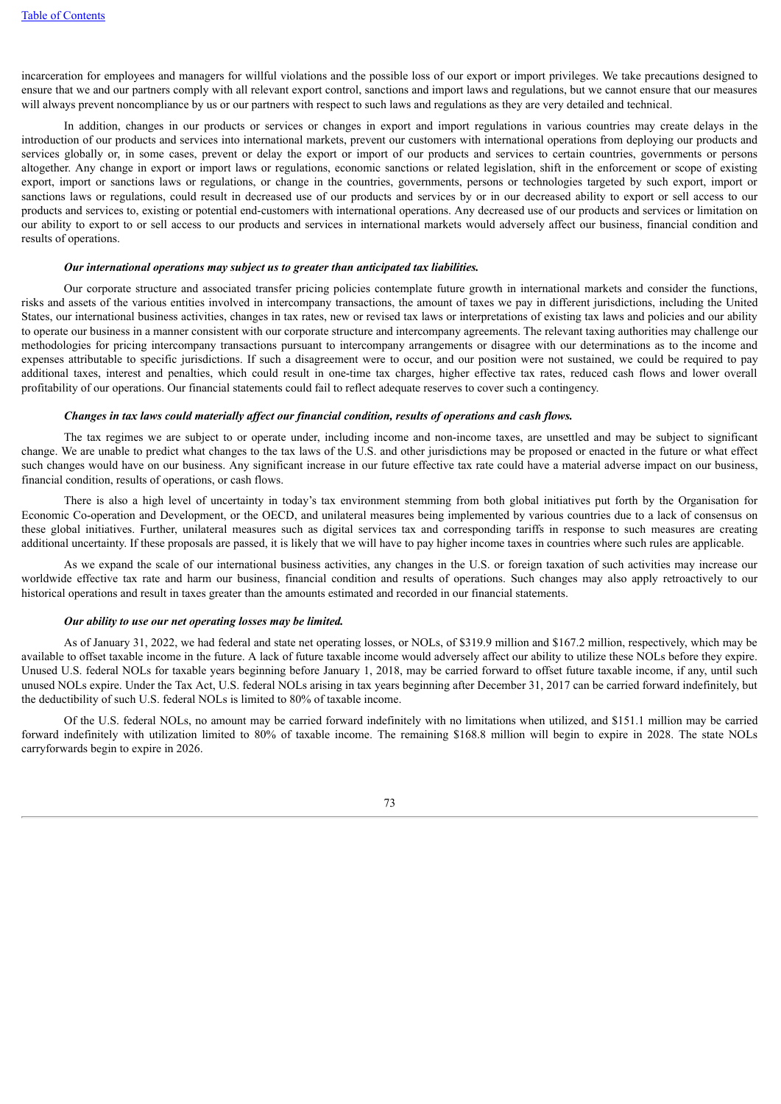incarceration for employees and managers for willful violations and the possible loss of our export or import privileges. We take precautions designed to ensure that we and our partners comply with all relevant export control, sanctions and import laws and regulations, but we cannot ensure that our measures will always prevent noncompliance by us or our partners with respect to such laws and regulations as they are very detailed and technical.

In addition, changes in our products or services or changes in export and import regulations in various countries may create delays in the introduction of our products and services into international markets, prevent our customers with international operations from deploying our products and services globally or, in some cases, prevent or delay the export or import of our products and services to certain countries, governments or persons altogether. Any change in export or import laws or regulations, economic sanctions or related legislation, shift in the enforcement or scope of existing export, import or sanctions laws or regulations, or change in the countries, governments, persons or technologies targeted by such export, import or sanctions laws or regulations, could result in decreased use of our products and services by or in our decreased ability to export or sell access to our products and services to, existing or potential end-customers with international operations. Any decreased use of our products and services or limitation on our ability to export to or sell access to our products and services in international markets would adversely affect our business, financial condition and results of operations.

#### *Our international operations may subject us to greater than anticipated tax liabilities.*

Our corporate structure and associated transfer pricing policies contemplate future growth in international markets and consider the functions, risks and assets of the various entities involved in intercompany transactions, the amount of taxes we pay in different jurisdictions, including the United States, our international business activities, changes in tax rates, new or revised tax laws or interpretations of existing tax laws and policies and our ability to operate our business in a manner consistent with our corporate structure and intercompany agreements. The relevant taxing authorities may challenge our methodologies for pricing intercompany transactions pursuant to intercompany arrangements or disagree with our determinations as to the income and expenses attributable to specific jurisdictions. If such a disagreement were to occur, and our position were not sustained, we could be required to pay additional taxes, interest and penalties, which could result in one-time tax charges, higher effective tax rates, reduced cash flows and lower overall profitability of our operations. Our financial statements could fail to reflect adequate reserves to cover such a contingency.

### Changes in tax laws could materially affect our financial condition, results of operations and cash flows.

The tax regimes we are subject to or operate under, including income and non-income taxes, are unsettled and may be subject to significant change. We are unable to predict what changes to the tax laws of the U.S. and other jurisdictions may be proposed or enacted in the future or what effect such changes would have on our business. Any significant increase in our future effective tax rate could have a material adverse impact on our business, financial condition, results of operations, or cash flows.

There is also a high level of uncertainty in today's tax environment stemming from both global initiatives put forth by the Organisation for Economic Co-operation and Development, or the OECD, and unilateral measures being implemented by various countries due to a lack of consensus on these global initiatives. Further, unilateral measures such as digital services tax and corresponding tariffs in response to such measures are creating additional uncertainty. If these proposals are passed, it is likely that we will have to pay higher income taxes in countries where such rules are applicable.

As we expand the scale of our international business activities, any changes in the U.S. or foreign taxation of such activities may increase our worldwide effective tax rate and harm our business, financial condition and results of operations. Such changes may also apply retroactively to our historical operations and result in taxes greater than the amounts estimated and recorded in our financial statements.

#### *Our ability to use our net operating losses may be limited.*

As of January 31, 2022, we had federal and state net operating losses, or NOLs, of \$319.9 million and \$167.2 million, respectively, which may be available to offset taxable income in the future. A lack of future taxable income would adversely affect our ability to utilize these NOLs before they expire. Unused U.S. federal NOLs for taxable years beginning before January 1, 2018, may be carried forward to offset future taxable income, if any, until such unused NOLs expire. Under the Tax Act, U.S. federal NOLs arising in tax years beginning after December 31, 2017 can be carried forward indefinitely, but the deductibility of such U.S. federal NOLs is limited to 80% of taxable income.

Of the U.S. federal NOLs, no amount may be carried forward indefinitely with no limitations when utilized, and \$151.1 million may be carried forward indefinitely with utilization limited to 80% of taxable income. The remaining \$168.8 million will begin to expire in 2028. The state NOLs carryforwards begin to expire in 2026.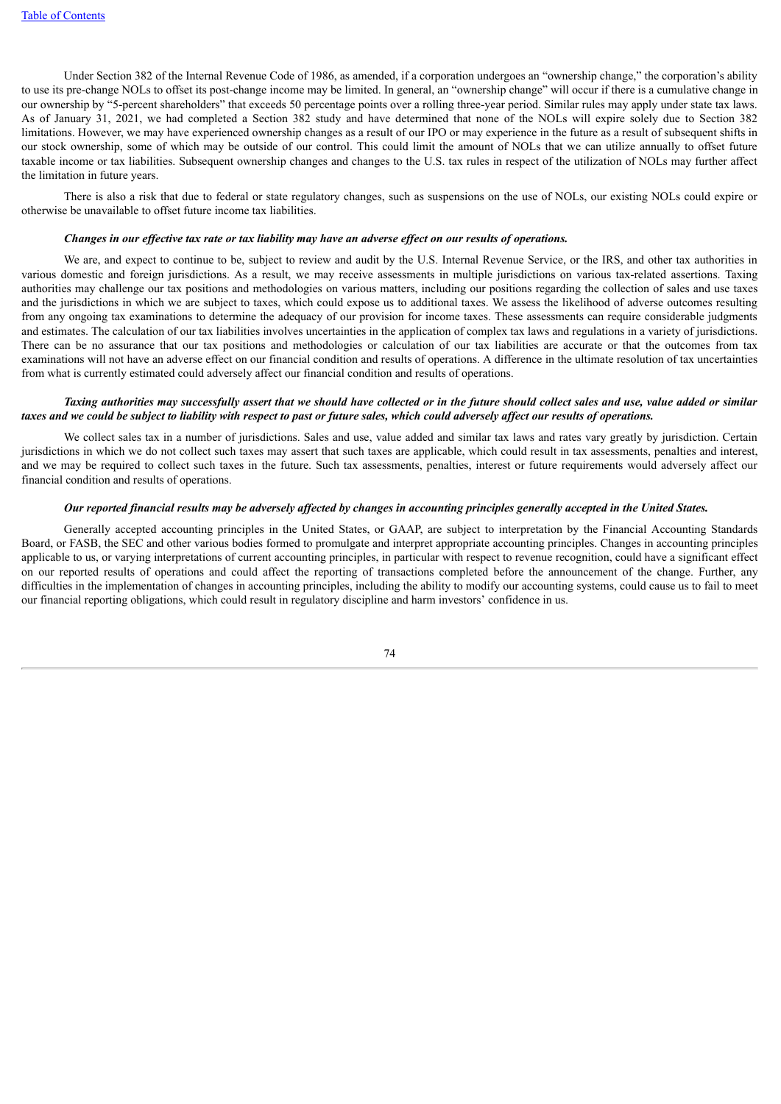Under Section 382 of the Internal Revenue Code of 1986, as amended, if a corporation undergoes an "ownership change," the corporation's ability to use its pre-change NOLs to offset its post-change income may be limited. In general, an "ownership change" will occur if there is a cumulative change in our ownership by "5-percent shareholders" that exceeds 50 percentage points over a rolling three-year period. Similar rules may apply under state tax laws. As of January 31, 2021, we had completed a Section 382 study and have determined that none of the NOLs will expire solely due to Section 382 limitations. However, we may have experienced ownership changes as a result of our IPO or may experience in the future as a result of subsequent shifts in our stock ownership, some of which may be outside of our control. This could limit the amount of NOLs that we can utilize annually to offset future taxable income or tax liabilities. Subsequent ownership changes and changes to the U.S. tax rules in respect of the utilization of NOLs may further affect the limitation in future years.

There is also a risk that due to federal or state regulatory changes, such as suspensions on the use of NOLs, our existing NOLs could expire or otherwise be unavailable to offset future income tax liabilities.

### Changes in our effective tax rate or tax liability may have an adverse effect on our results of operations.

We are, and expect to continue to be, subject to review and audit by the U.S. Internal Revenue Service, or the IRS, and other tax authorities in various domestic and foreign jurisdictions. As a result, we may receive assessments in multiple jurisdictions on various tax-related assertions. Taxing authorities may challenge our tax positions and methodologies on various matters, including our positions regarding the collection of sales and use taxes and the jurisdictions in which we are subject to taxes, which could expose us to additional taxes. We assess the likelihood of adverse outcomes resulting from any ongoing tax examinations to determine the adequacy of our provision for income taxes. These assessments can require considerable judgments and estimates. The calculation of our tax liabilities involves uncertainties in the application of complex tax laws and regulations in a variety of jurisdictions. There can be no assurance that our tax positions and methodologies or calculation of our tax liabilities are accurate or that the outcomes from tax examinations will not have an adverse effect on our financial condition and results of operations. A difference in the ultimate resolution of tax uncertainties from what is currently estimated could adversely affect our financial condition and results of operations.

#### Taxing authorities may successfully assert that we should have collected or in the future should collect sales and use, value added or similar taxes and we could be subject to liability with respect to past or future sales, which could adversely affect our results of operations.

We collect sales tax in a number of jurisdictions. Sales and use, value added and similar tax laws and rates vary greatly by jurisdiction. Certain jurisdictions in which we do not collect such taxes may assert that such taxes are applicable, which could result in tax assessments, penalties and interest, and we may be required to collect such taxes in the future. Such tax assessments, penalties, interest or future requirements would adversely affect our financial condition and results of operations.

### Our reported financial results may be adversely affected by changes in accounting principles generally accepted in the United States.

Generally accepted accounting principles in the United States, or GAAP, are subject to interpretation by the Financial Accounting Standards Board, or FASB, the SEC and other various bodies formed to promulgate and interpret appropriate accounting principles. Changes in accounting principles applicable to us, or varying interpretations of current accounting principles, in particular with respect to revenue recognition, could have a significant effect on our reported results of operations and could affect the reporting of transactions completed before the announcement of the change. Further, any difficulties in the implementation of changes in accounting principles, including the ability to modify our accounting systems, could cause us to fail to meet our financial reporting obligations, which could result in regulatory discipline and harm investors' confidence in us.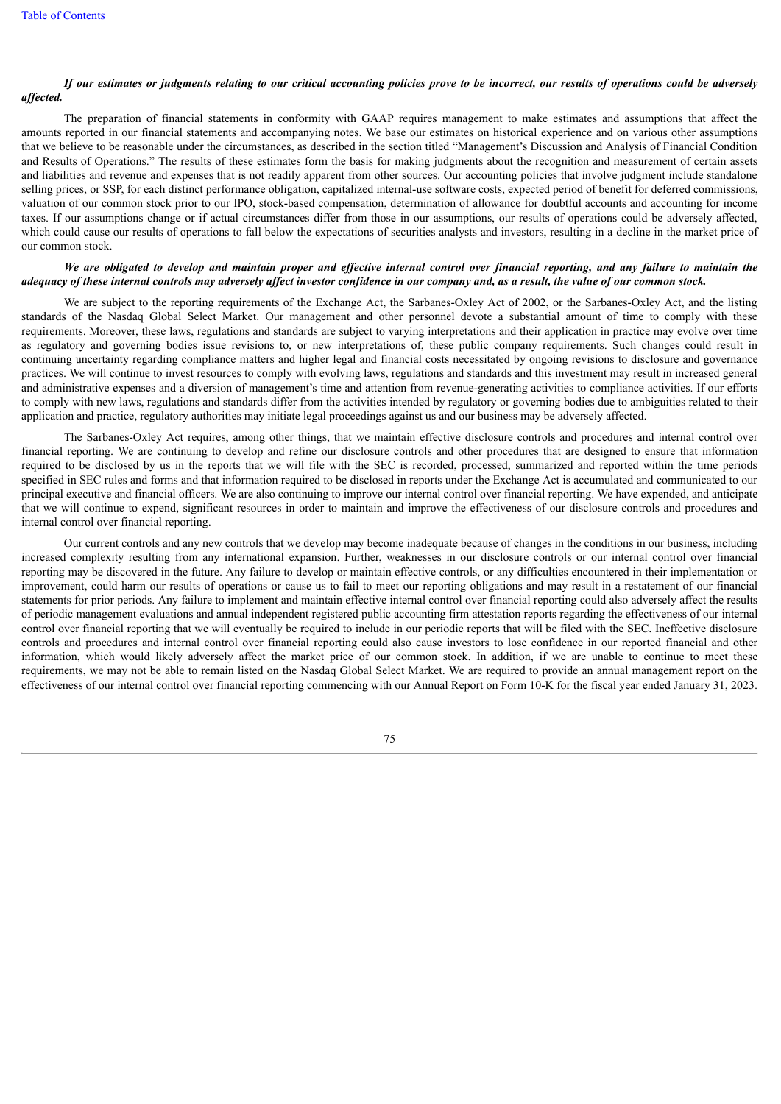#### If our estimates or judgments relating to our critical accounting policies prove to be incorrect, our results of operations could be adversely *af ected.*

The preparation of financial statements in conformity with GAAP requires management to make estimates and assumptions that affect the amounts reported in our financial statements and accompanying notes. We base our estimates on historical experience and on various other assumptions that we believe to be reasonable under the circumstances, as described in the section titled "Management's Discussion and Analysis of Financial Condition and Results of Operations." The results of these estimates form the basis for making judgments about the recognition and measurement of certain assets and liabilities and revenue and expenses that is not readily apparent from other sources. Our accounting policies that involve judgment include standalone selling prices, or SSP, for each distinct performance obligation, capitalized internal-use software costs, expected period of benefit for deferred commissions, valuation of our common stock prior to our IPO, stock-based compensation, determination of allowance for doubtful accounts and accounting for income taxes. If our assumptions change or if actual circumstances differ from those in our assumptions, our results of operations could be adversely affected, which could cause our results of operations to fall below the expectations of securities analysts and investors, resulting in a decline in the market price of our common stock.

### We are obligated to develop and maintain proper and effective internal control over financial reporting, and any failure to maintain the adequacy of these internal controls may adversely affect investor confidence in our company and, as a result, the value of our common stock.

We are subject to the reporting requirements of the Exchange Act, the Sarbanes-Oxley Act of 2002, or the Sarbanes-Oxley Act, and the listing standards of the Nasdaq Global Select Market. Our management and other personnel devote a substantial amount of time to comply with these requirements. Moreover, these laws, regulations and standards are subject to varying interpretations and their application in practice may evolve over time as regulatory and governing bodies issue revisions to, or new interpretations of, these public company requirements. Such changes could result in continuing uncertainty regarding compliance matters and higher legal and financial costs necessitated by ongoing revisions to disclosure and governance practices. We will continue to invest resources to comply with evolving laws, regulations and standards and this investment may result in increased general and administrative expenses and a diversion of management's time and attention from revenue-generating activities to compliance activities. If our efforts to comply with new laws, regulations and standards differ from the activities intended by regulatory or governing bodies due to ambiguities related to their application and practice, regulatory authorities may initiate legal proceedings against us and our business may be adversely affected.

The Sarbanes-Oxley Act requires, among other things, that we maintain effective disclosure controls and procedures and internal control over financial reporting. We are continuing to develop and refine our disclosure controls and other procedures that are designed to ensure that information required to be disclosed by us in the reports that we will file with the SEC is recorded, processed, summarized and reported within the time periods specified in SEC rules and forms and that information required to be disclosed in reports under the Exchange Act is accumulated and communicated to our principal executive and financial officers. We are also continuing to improve our internal control over financial reporting. We have expended, and anticipate that we will continue to expend, significant resources in order to maintain and improve the effectiveness of our disclosure controls and procedures and internal control over financial reporting.

Our current controls and any new controls that we develop may become inadequate because of changes in the conditions in our business, including increased complexity resulting from any international expansion. Further, weaknesses in our disclosure controls or our internal control over financial reporting may be discovered in the future. Any failure to develop or maintain effective controls, or any difficulties encountered in their implementation or improvement, could harm our results of operations or cause us to fail to meet our reporting obligations and may result in a restatement of our financial statements for prior periods. Any failure to implement and maintain effective internal control over financial reporting could also adversely affect the results of periodic management evaluations and annual independent registered public accounting firm attestation reports regarding the effectiveness of our internal control over financial reporting that we will eventually be required to include in our periodic reports that will be filed with the SEC. Ineffective disclosure controls and procedures and internal control over financial reporting could also cause investors to lose confidence in our reported financial and other information, which would likely adversely affect the market price of our common stock. In addition, if we are unable to continue to meet these requirements, we may not be able to remain listed on the Nasdaq Global Select Market. We are required to provide an annual management report on the effectiveness of our internal control over financial reporting commencing with our Annual Report on Form 10-K for the fiscal year ended January 31, 2023.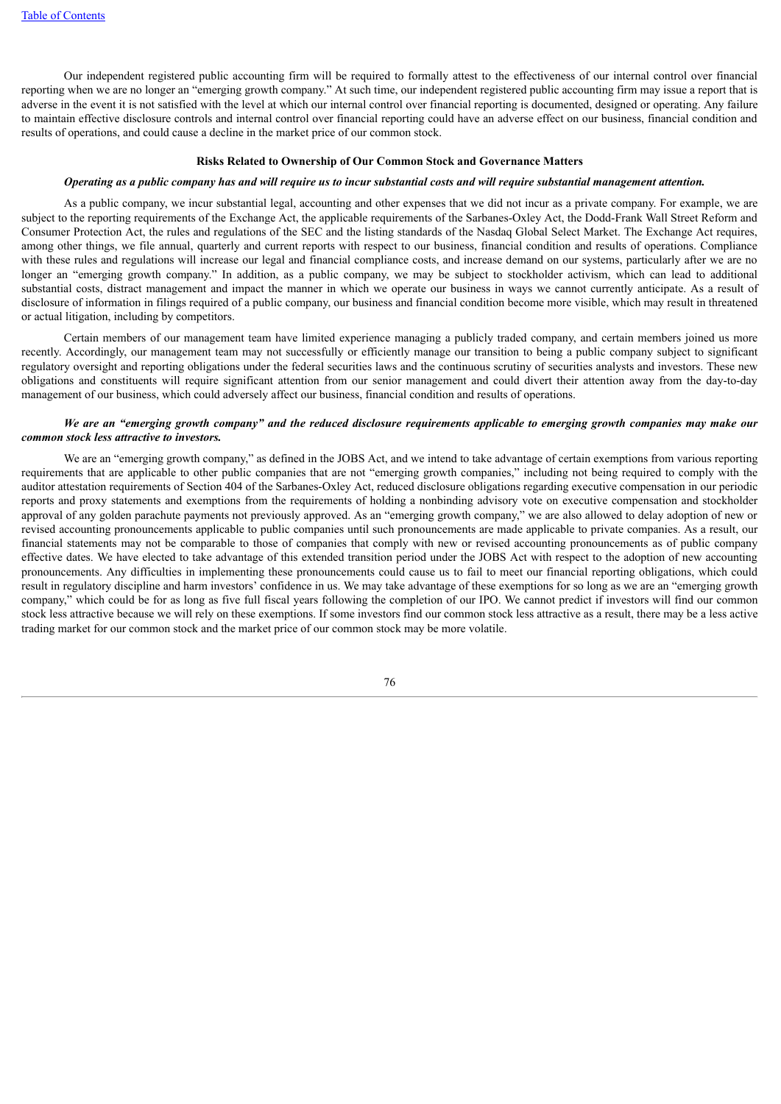Our independent registered public accounting firm will be required to formally attest to the effectiveness of our internal control over financial reporting when we are no longer an "emerging growth company." At such time, our independent registered public accounting firm may issue a report that is adverse in the event it is not satisfied with the level at which our internal control over financial reporting is documented, designed or operating. Any failure to maintain effective disclosure controls and internal control over financial reporting could have an adverse effect on our business, financial condition and results of operations, and could cause a decline in the market price of our common stock.

#### **Risks Related to Ownership of Our Common Stock and Governance Matters**

#### Operating as a public company has and will require us to incur substantial costs and will require substantial management attention.

As a public company, we incur substantial legal, accounting and other expenses that we did not incur as a private company. For example, we are subject to the reporting requirements of the Exchange Act, the applicable requirements of the Sarbanes-Oxley Act, the Dodd-Frank Wall Street Reform and Consumer Protection Act, the rules and regulations of the SEC and the listing standards of the Nasdaq Global Select Market. The Exchange Act requires, among other things, we file annual, quarterly and current reports with respect to our business, financial condition and results of operations. Compliance with these rules and regulations will increase our legal and financial compliance costs, and increase demand on our systems, particularly after we are no longer an "emerging growth company." In addition, as a public company, we may be subject to stockholder activism, which can lead to additional substantial costs, distract management and impact the manner in which we operate our business in ways we cannot currently anticipate. As a result of disclosure of information in filings required of a public company, our business and financial condition become more visible, which may result in threatened or actual litigation, including by competitors.

Certain members of our management team have limited experience managing a publicly traded company, and certain members joined us more recently. Accordingly, our management team may not successfully or efficiently manage our transition to being a public company subject to significant regulatory oversight and reporting obligations under the federal securities laws and the continuous scrutiny of securities analysts and investors. These new obligations and constituents will require significant attention from our senior management and could divert their attention away from the day-to-day management of our business, which could adversely affect our business, financial condition and results of operations.

### We are an "emerging growth company" and the reduced disclosure requirements applicable to emerging growth companies may make our *common stock less attractive to investors.*

We are an "emerging growth company," as defined in the JOBS Act, and we intend to take advantage of certain exemptions from various reporting requirements that are applicable to other public companies that are not "emerging growth companies," including not being required to comply with the auditor attestation requirements of Section 404 of the Sarbanes-Oxley Act, reduced disclosure obligations regarding executive compensation in our periodic reports and proxy statements and exemptions from the requirements of holding a nonbinding advisory vote on executive compensation and stockholder approval of any golden parachute payments not previously approved. As an "emerging growth company," we are also allowed to delay adoption of new or revised accounting pronouncements applicable to public companies until such pronouncements are made applicable to private companies. As a result, our financial statements may not be comparable to those of companies that comply with new or revised accounting pronouncements as of public company effective dates. We have elected to take advantage of this extended transition period under the JOBS Act with respect to the adoption of new accounting pronouncements. Any difficulties in implementing these pronouncements could cause us to fail to meet our financial reporting obligations, which could result in regulatory discipline and harm investors' confidence in us. We may take advantage of these exemptions for so long as we are an "emerging growth company," which could be for as long as five full fiscal years following the completion of our IPO. We cannot predict if investors will find our common stock less attractive because we will rely on these exemptions. If some investors find our common stock less attractive as a result, there may be a less active trading market for our common stock and the market price of our common stock may be more volatile.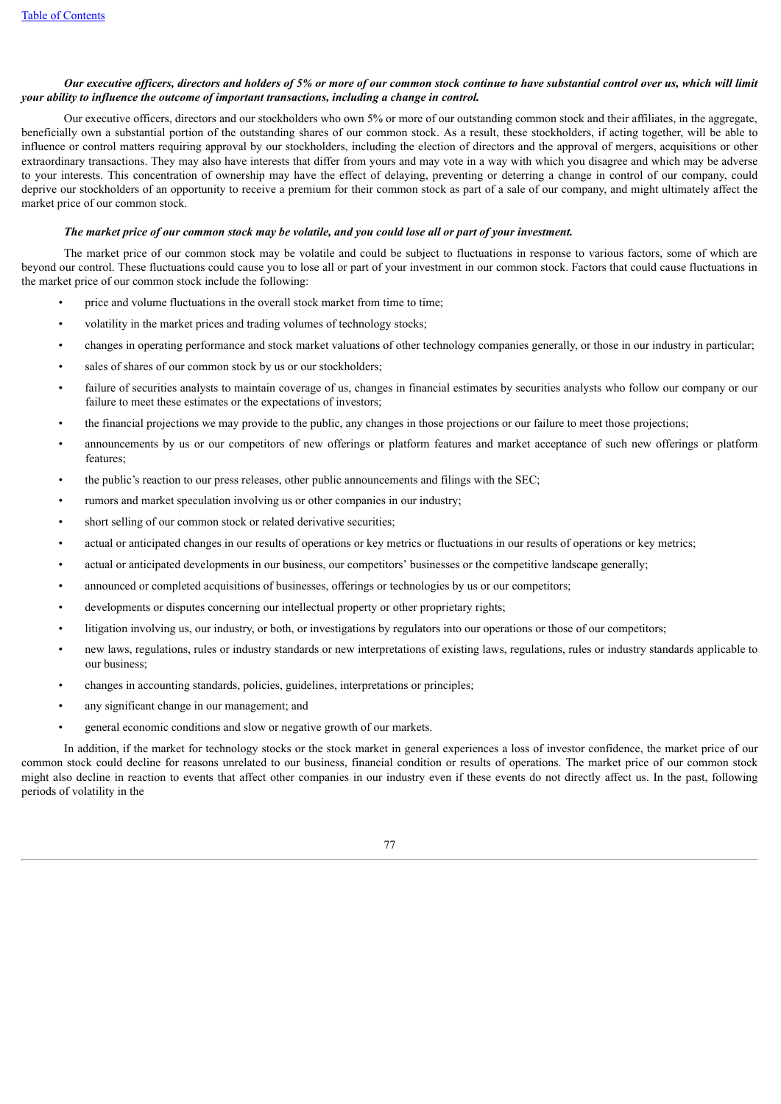### Our executive officers, directors and holders of 5% or more of our common stock continue to have substantial control over us, which will limit *your ability to influence the outcome of important transactions, including a change in control.*

Our executive officers, directors and our stockholders who own 5% or more of our outstanding common stock and their affiliates, in the aggregate, beneficially own a substantial portion of the outstanding shares of our common stock. As a result, these stockholders, if acting together, will be able to influence or control matters requiring approval by our stockholders, including the election of directors and the approval of mergers, acquisitions or other extraordinary transactions. They may also have interests that differ from yours and may vote in a way with which you disagree and which may be adverse to your interests. This concentration of ownership may have the effect of delaying, preventing or deterring a change in control of our company, could deprive our stockholders of an opportunity to receive a premium for their common stock as part of a sale of our company, and might ultimately affect the market price of our common stock.

### The market price of our common stock may be volatile, and you could lose all or part of your investment.

The market price of our common stock may be volatile and could be subject to fluctuations in response to various factors, some of which are beyond our control. These fluctuations could cause you to lose all or part of your investment in our common stock. Factors that could cause fluctuations in the market price of our common stock include the following:

- price and volume fluctuations in the overall stock market from time to time;
- volatility in the market prices and trading volumes of technology stocks;
- changes in operating performance and stock market valuations of other technology companies generally, or those in our industry in particular;
- sales of shares of our common stock by us or our stockholders;
- failure of securities analysts to maintain coverage of us, changes in financial estimates by securities analysts who follow our company or our failure to meet these estimates or the expectations of investors;
- the financial projections we may provide to the public, any changes in those projections or our failure to meet those projections;
- announcements by us or our competitors of new offerings or platform features and market acceptance of such new offerings or platform features;
- the public's reaction to our press releases, other public announcements and filings with the SEC;
- rumors and market speculation involving us or other companies in our industry;
- short selling of our common stock or related derivative securities;
- actual or anticipated changes in our results of operations or key metrics or fluctuations in our results of operations or key metrics;
- actual or anticipated developments in our business, our competitors' businesses or the competitive landscape generally;
- announced or completed acquisitions of businesses, offerings or technologies by us or our competitors;
- developments or disputes concerning our intellectual property or other proprietary rights;
- litigation involving us, our industry, or both, or investigations by regulators into our operations or those of our competitors;
- new laws, regulations, rules or industry standards or new interpretations of existing laws, regulations, rules or industry standards applicable to our business;
- changes in accounting standards, policies, guidelines, interpretations or principles;
- any significant change in our management; and
- general economic conditions and slow or negative growth of our markets.

In addition, if the market for technology stocks or the stock market in general experiences a loss of investor confidence, the market price of our common stock could decline for reasons unrelated to our business, financial condition or results of operations. The market price of our common stock might also decline in reaction to events that affect other companies in our industry even if these events do not directly affect us. In the past, following periods of volatility in the

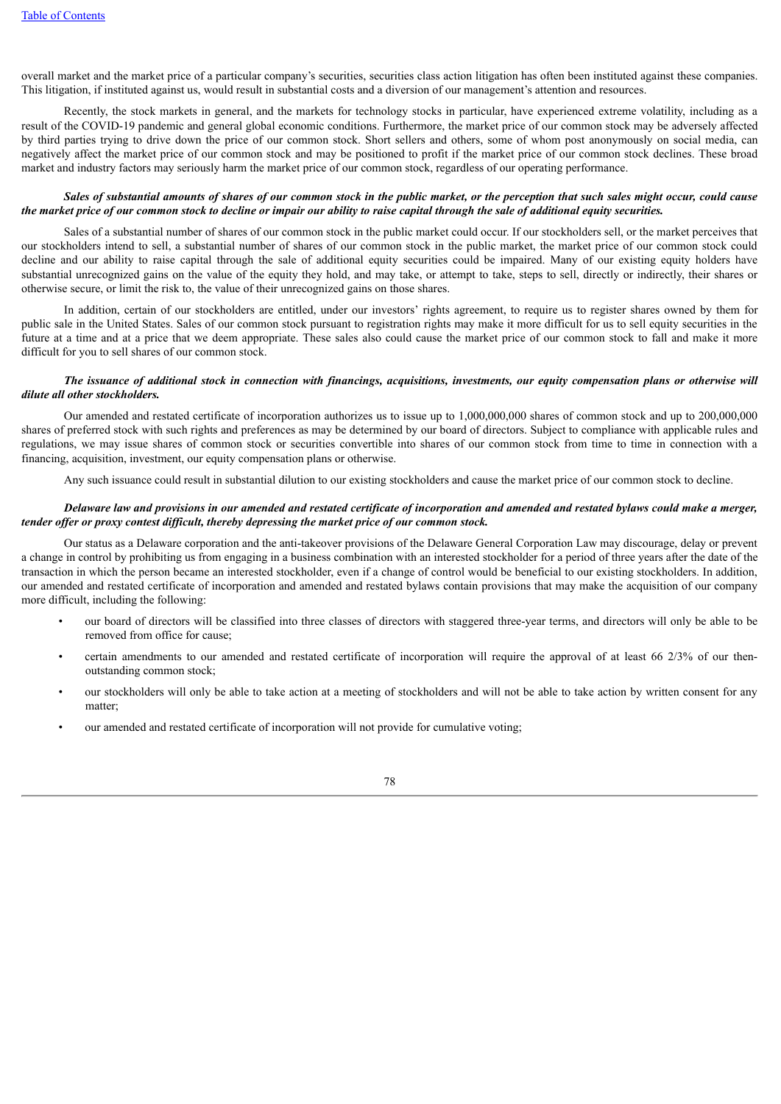overall market and the market price of a particular company's securities, securities class action litigation has often been instituted against these companies. This litigation, if instituted against us, would result in substantial costs and a diversion of our management's attention and resources.

Recently, the stock markets in general, and the markets for technology stocks in particular, have experienced extreme volatility, including as a result of the COVID-19 pandemic and general global economic conditions. Furthermore, the market price of our common stock may be adversely affected by third parties trying to drive down the price of our common stock. Short sellers and others, some of whom post anonymously on social media, can negatively affect the market price of our common stock and may be positioned to profit if the market price of our common stock declines. These broad market and industry factors may seriously harm the market price of our common stock, regardless of our operating performance.

### Sales of substantial amounts of shares of our common stock in the public market, or the perception that such sales might occur, could cause the market price of our common stock to decline or impair our ability to raise capital through the sale of additional equity securities.

Sales of a substantial number of shares of our common stock in the public market could occur. If our stockholders sell, or the market perceives that our stockholders intend to sell, a substantial number of shares of our common stock in the public market, the market price of our common stock could decline and our ability to raise capital through the sale of additional equity securities could be impaired. Many of our existing equity holders have substantial unrecognized gains on the value of the equity they hold, and may take, or attempt to take, steps to sell, directly or indirectly, their shares or otherwise secure, or limit the risk to, the value of their unrecognized gains on those shares.

In addition, certain of our stockholders are entitled, under our investors' rights agreement, to require us to register shares owned by them for public sale in the United States. Sales of our common stock pursuant to registration rights may make it more difficult for us to sell equity securities in the future at a time and at a price that we deem appropriate. These sales also could cause the market price of our common stock to fall and make it more difficult for you to sell shares of our common stock.

### The issuance of additional stock in connection with financings, acquisitions, investments, our equity compensation plans or otherwise will *dilute all other stockholders.*

Our amended and restated certificate of incorporation authorizes us to issue up to 1,000,000,000 shares of common stock and up to 200,000,000 shares of preferred stock with such rights and preferences as may be determined by our board of directors. Subject to compliance with applicable rules and regulations, we may issue shares of common stock or securities convertible into shares of our common stock from time to time in connection with a financing, acquisition, investment, our equity compensation plans or otherwise.

Any such issuance could result in substantial dilution to our existing stockholders and cause the market price of our common stock to decline.

## Delaware law and provisions in our amended and restated certificate of incorporation and amended and restated bylaws could make a merger, *tender of er or proxy contest dif icult, thereby depressing the market price of our common stock.*

Our status as a Delaware corporation and the anti-takeover provisions of the Delaware General Corporation Law may discourage, delay or prevent a change in control by prohibiting us from engaging in a business combination with an interested stockholder for a period of three years after the date of the transaction in which the person became an interested stockholder, even if a change of control would be beneficial to our existing stockholders. In addition, our amended and restated certificate of incorporation and amended and restated bylaws contain provisions that may make the acquisition of our company more difficult, including the following:

- our board of directors will be classified into three classes of directors with staggered three-year terms, and directors will only be able to be removed from office for cause;
- certain amendments to our amended and restated certificate of incorporation will require the approval of at least 66 2/3% of our thenoutstanding common stock;
- our stockholders will only be able to take action at a meeting of stockholders and will not be able to take action by written consent for any matter;
- our amended and restated certificate of incorporation will not provide for cumulative voting;

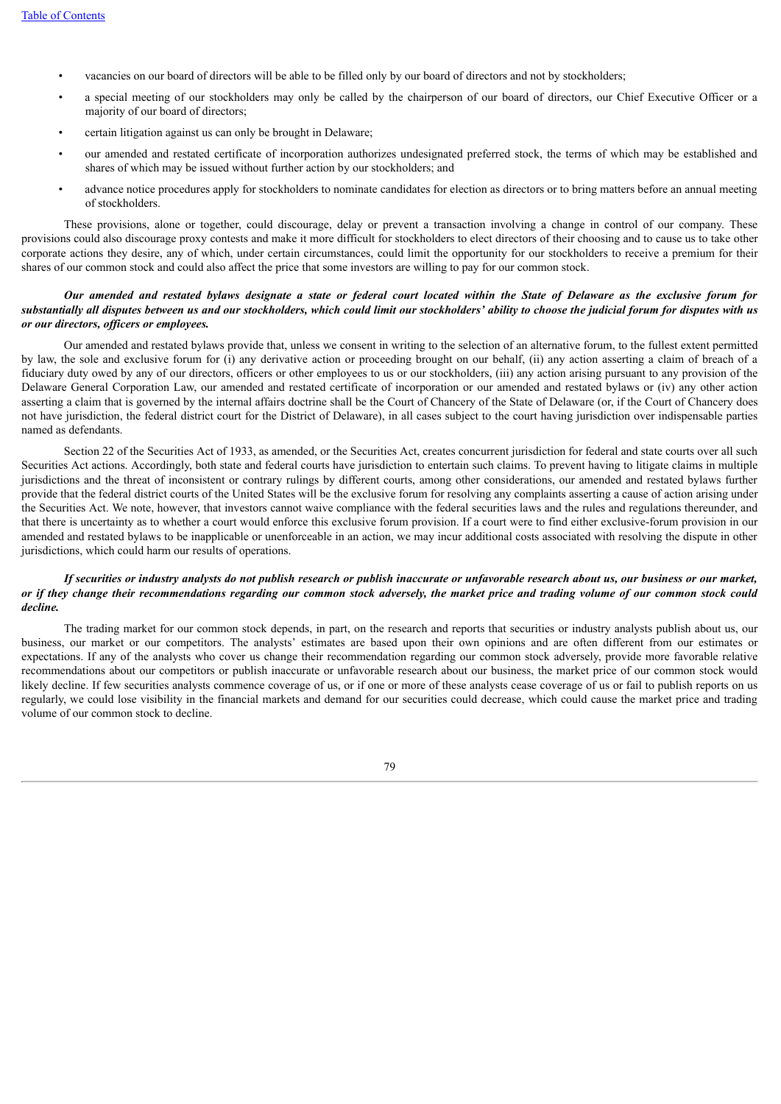- vacancies on our board of directors will be able to be filled only by our board of directors and not by stockholders;
- a special meeting of our stockholders may only be called by the chairperson of our board of directors, our Chief Executive Officer or a majority of our board of directors;
- certain litigation against us can only be brought in Delaware;
- our amended and restated certificate of incorporation authorizes undesignated preferred stock, the terms of which may be established and shares of which may be issued without further action by our stockholders; and
- advance notice procedures apply for stockholders to nominate candidates for election as directors or to bring matters before an annual meeting of stockholders.

These provisions, alone or together, could discourage, delay or prevent a transaction involving a change in control of our company. These provisions could also discourage proxy contests and make it more difficult for stockholders to elect directors of their choosing and to cause us to take other corporate actions they desire, any of which, under certain circumstances, could limit the opportunity for our stockholders to receive a premium for their shares of our common stock and could also affect the price that some investors are willing to pay for our common stock.

### Our amended and restated bylaws designate a state or federal court located within the State of Delaware as the exclusive forum for substantially all disputes between us and our stockholders, which could limit our stockholders' ability to choose the judicial forum for disputes with us *or our directors, of icers or employees.*

Our amended and restated bylaws provide that, unless we consent in writing to the selection of an alternative forum, to the fullest extent permitted by law, the sole and exclusive forum for (i) any derivative action or proceeding brought on our behalf, (ii) any action asserting a claim of breach of a fiduciary duty owed by any of our directors, officers or other employees to us or our stockholders, (iii) any action arising pursuant to any provision of the Delaware General Corporation Law, our amended and restated certificate of incorporation or our amended and restated bylaws or (iv) any other action asserting a claim that is governed by the internal affairs doctrine shall be the Court of Chancery of the State of Delaware (or, if the Court of Chancery does not have jurisdiction, the federal district court for the District of Delaware), in all cases subject to the court having jurisdiction over indispensable parties named as defendants.

Section 22 of the Securities Act of 1933, as amended, or the Securities Act, creates concurrent jurisdiction for federal and state courts over all such Securities Act actions. Accordingly, both state and federal courts have jurisdiction to entertain such claims. To prevent having to litigate claims in multiple jurisdictions and the threat of inconsistent or contrary rulings by different courts, among other considerations, our amended and restated bylaws further provide that the federal district courts of the United States will be the exclusive forum for resolving any complaints asserting a cause of action arising under the Securities Act. We note, however, that investors cannot waive compliance with the federal securities laws and the rules and regulations thereunder, and that there is uncertainty as to whether a court would enforce this exclusive forum provision. If a court were to find either exclusive-forum provision in our amended and restated bylaws to be inapplicable or unenforceable in an action, we may incur additional costs associated with resolving the dispute in other jurisdictions, which could harm our results of operations.

#### If securities or industry analysts do not publish research or publish inaccurate or unfavorable research about us, our business or our market, or if they change their recommendations regarding our common stock adversely, the market price and trading volume of our common stock could *decline.*

The trading market for our common stock depends, in part, on the research and reports that securities or industry analysts publish about us, our business, our market or our competitors. The analysts' estimates are based upon their own opinions and are often different from our estimates or expectations. If any of the analysts who cover us change their recommendation regarding our common stock adversely, provide more favorable relative recommendations about our competitors or publish inaccurate or unfavorable research about our business, the market price of our common stock would likely decline. If few securities analysts commence coverage of us, or if one or more of these analysts cease coverage of us or fail to publish reports on us regularly, we could lose visibility in the financial markets and demand for our securities could decrease, which could cause the market price and trading volume of our common stock to decline.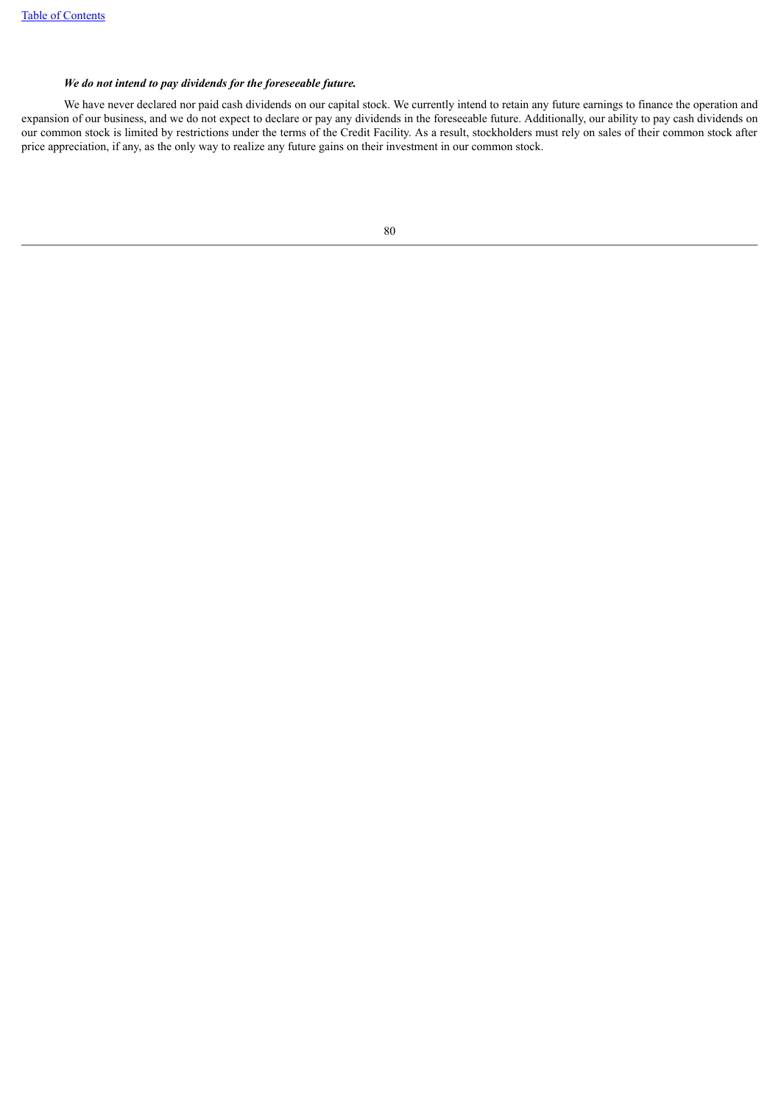## *We do not intend to pay dividends for the foreseeable future.*

We have never declared nor paid cash dividends on our capital stock. We currently intend to retain any future earnings to finance the operation and expansion of our business, and we do not expect to declare or pay any dividends in the foreseeable future. Additionally, our ability to pay cash dividends on our common stock is limited by restrictions under the terms of the Credit Facility. As a result, stockholders must rely on sales of their common stock after price appreciation, if any, as the only way to realize any future gains on their investment in our common stock.

| I  |    |
|----|----|
|    |    |
|    | ۰, |
| I  |    |
| ×  | ٦  |
| ×  | ×  |
| ۰, | ۰. |
|    |    |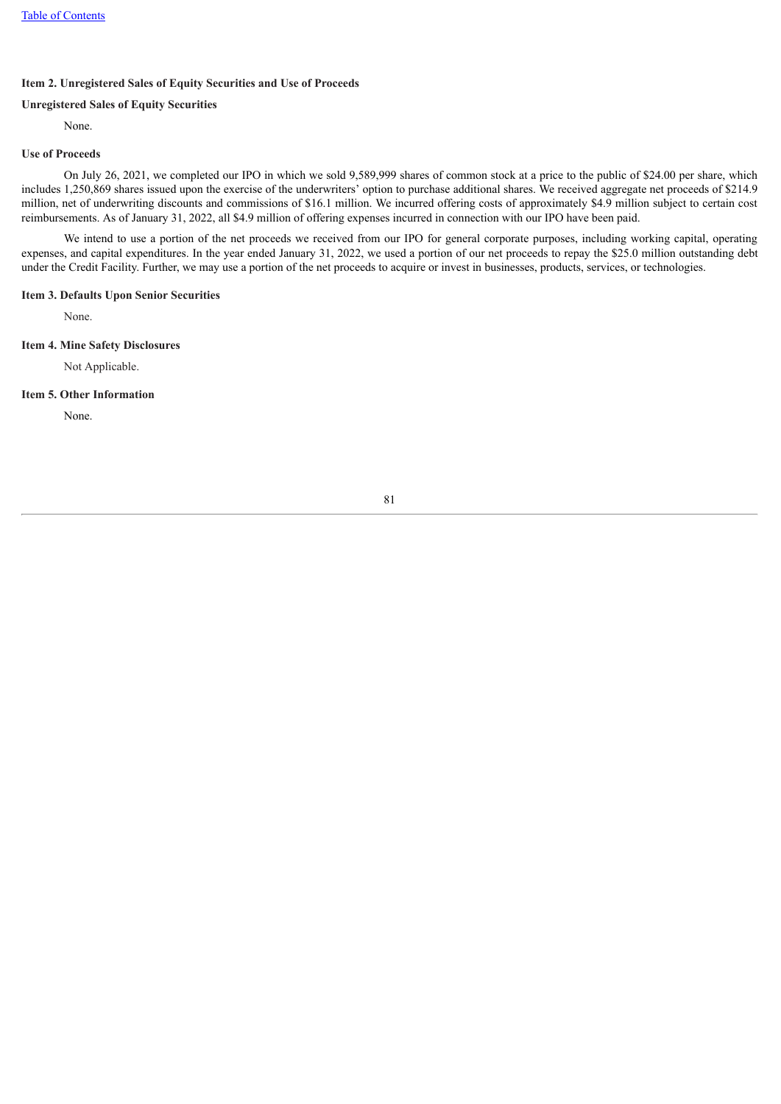# **Item 2. Unregistered Sales of Equity Securities and Use of Proceeds**

## **Unregistered Sales of Equity Securities**

None.

## **Use of Proceeds**

On July 26, 2021, we completed our IPO in which we sold 9,589,999 shares of common stock at a price to the public of \$24.00 per share, which includes 1,250,869 shares issued upon the exercise of the underwriters' option to purchase additional shares. We received aggregate net proceeds of \$214.9 million, net of underwriting discounts and commissions of \$16.1 million. We incurred offering costs of approximately \$4.9 million subject to certain cost reimbursements. As of January 31, 2022, all \$4.9 million of offering expenses incurred in connection with our IPO have been paid.

We intend to use a portion of the net proceeds we received from our IPO for general corporate purposes, including working capital, operating expenses, and capital expenditures. In the year ended January 31, 2022, we used a portion of our net proceeds to repay the \$25.0 million outstanding debt under the Credit Facility. Further, we may use a portion of the net proceeds to acquire or invest in businesses, products, services, or technologies.

# **Item 3. Defaults Upon Senior Securities**

None.

## **Item 4. Mine Safety Disclosures**

Not Applicable.

# **Item 5. Other Information**

None.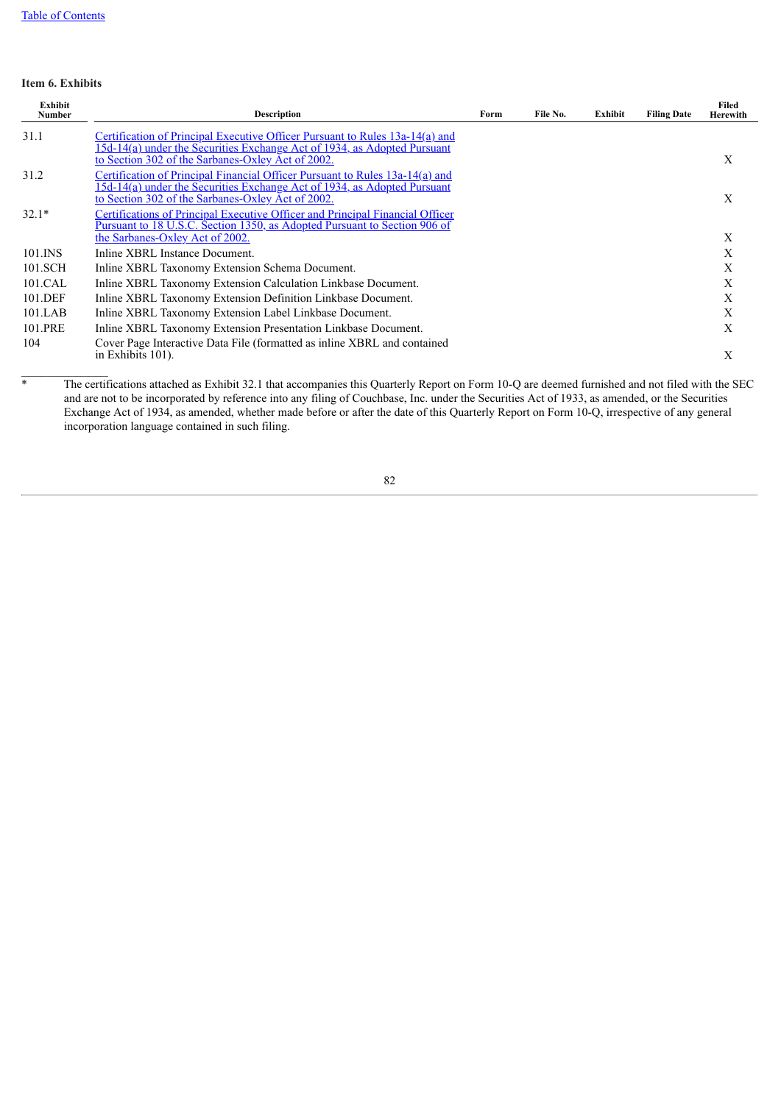## **Item 6. Exhibits**

| Exhibit<br><b>Number</b> | <b>Description</b>                                                                                                                                       | Form | File No. | Exhibit | <b>Filing Date</b> | Filed<br>Herewith |
|--------------------------|----------------------------------------------------------------------------------------------------------------------------------------------------------|------|----------|---------|--------------------|-------------------|
| 31.1                     | Certification of Principal Executive Officer Pursuant to Rules 13a-14(a) and<br>15d-14(a) under the Securities Exchange Act of 1934, as Adopted Pursuant |      |          |         |                    |                   |
|                          | to Section 302 of the Sarbanes-Oxley Act of 2002.                                                                                                        |      |          |         |                    | X                 |
| 31.2                     | Certification of Principal Financial Officer Pursuant to Rules 13a-14(a) and                                                                             |      |          |         |                    |                   |
|                          | 15d-14(a) under the Securities Exchange Act of 1934, as Adopted Pursuant<br>to Section 302 of the Sarbanes-Oxley Act of 2002.                            |      |          |         |                    | Х                 |
| $32.1*$                  | <b>Certifications of Principal Executive Officer and Principal Financial Officer</b>                                                                     |      |          |         |                    |                   |
|                          | <u>Pursuant to 18 U.S.C. Section 1350, as Adopted Pursuant to Section 906 of</u><br>the Sarbanes-Oxley Act of 2002.                                      |      |          |         |                    | X                 |
|                          |                                                                                                                                                          |      |          |         |                    |                   |
| 101.INS                  | Inline XBRL Instance Document.                                                                                                                           |      |          |         |                    | X                 |
| 101.SCH                  | Inline XBRL Taxonomy Extension Schema Document.                                                                                                          |      |          |         |                    | X                 |
| 101.CAL                  | Inline XBRL Taxonomy Extension Calculation Linkbase Document.                                                                                            |      |          |         |                    | X                 |
| 101.DEF                  | Inline XBRL Taxonomy Extension Definition Linkbase Document.                                                                                             |      |          |         |                    | X                 |
| 101.LAB                  | Inline XBRL Taxonomy Extension Label Linkbase Document.                                                                                                  |      |          |         |                    | X                 |
| 101.PRE                  | Inline XBRL Taxonomy Extension Presentation Linkbase Document.                                                                                           |      |          |         |                    | X                 |
| 104                      | Cover Page Interactive Data File (formatted as inline XBRL and contained                                                                                 |      |          |         |                    |                   |
|                          | in Exhibits 101).                                                                                                                                        |      |          |         |                    | X                 |

<sup>\*</sup> The certifications attached as Exhibit 32.1 that accompanies this Quarterly Report on Form 10-Q are deemed furnished and not filed with the SEC and are not to be incorporated by reference into any filing of Couchbase, Inc. under the Securities Act of 1933, as amended, or the Securities Exchange Act of 1934, as amended, whether made before or after the date of this Quarterly Report on Form 10-Q, irrespective of any general incorporation language contained in such filing.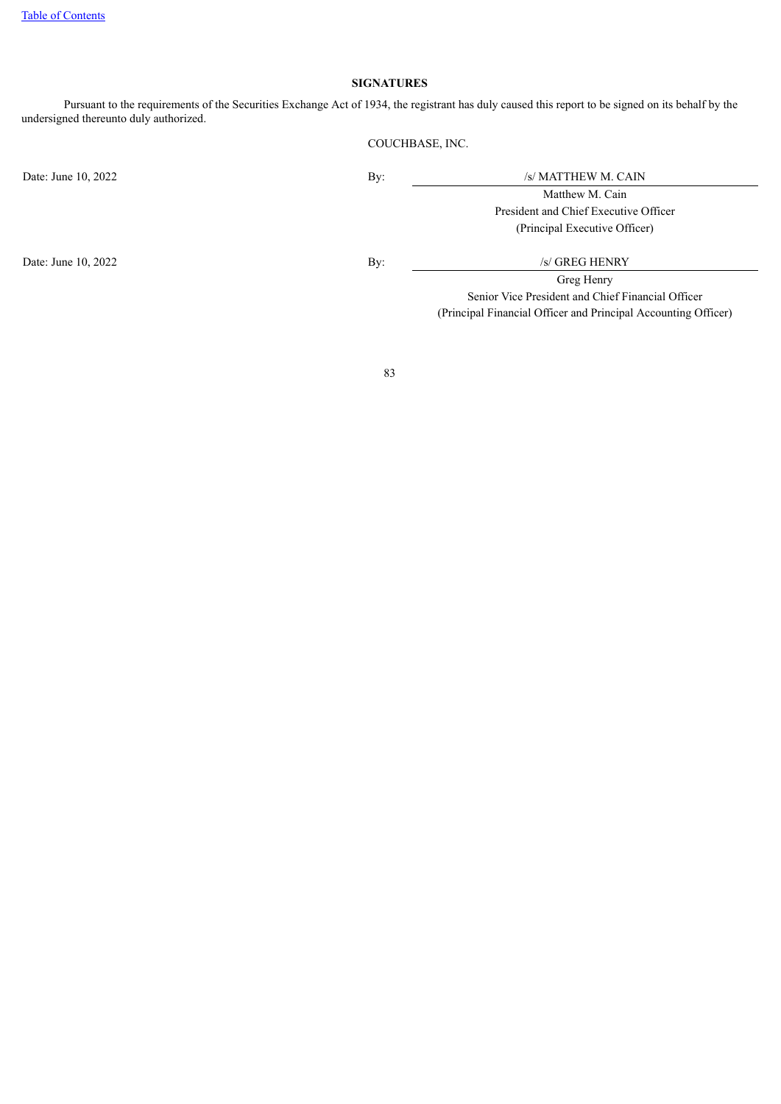## **SIGNATURES**

Pursuant to the requirements of the Securities Exchange Act of 1934, the registrant has duly caused this report to be signed on its behalf by the undersigned thereunto duly authorized.

COUCHBASE, INC.

Date: June 10, 2022 By: /s/ MATTHEW M. CAIN Matthew M. Cain President and Chief Executive Officer (Principal Executive Officer) Date: June 10, 2022 By: /s/ GREG HENRY Greg Henry Senior Vice President and Chief Financial Officer (Principal Financial Officer and Principal Accounting Officer)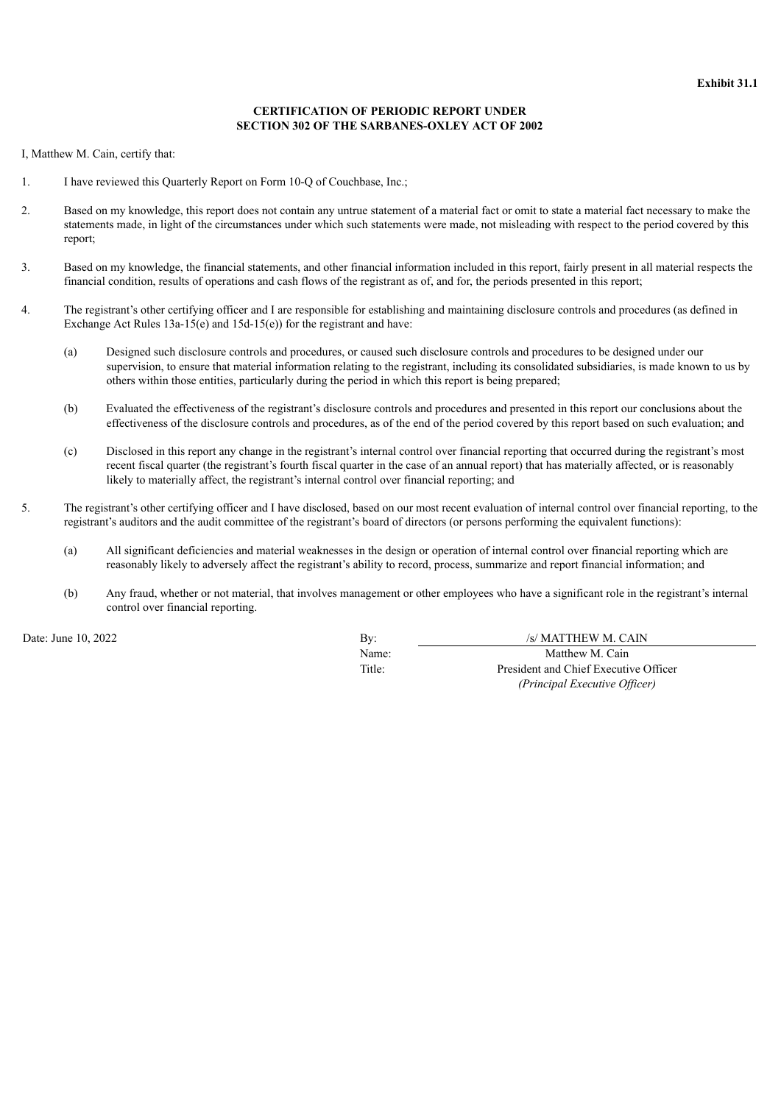### **CERTIFICATION OF PERIODIC REPORT UNDER SECTION 302 OF THE SARBANES-OXLEY ACT OF 2002**

<span id="page-84-0"></span>I, Matthew M. Cain, certify that:

- 1. I have reviewed this Quarterly Report on Form 10-Q of Couchbase, Inc.;
- 2. Based on my knowledge, this report does not contain any untrue statement of a material fact or omit to state a material fact necessary to make the statements made, in light of the circumstances under which such statements were made, not misleading with respect to the period covered by this report;
- 3. Based on my knowledge, the financial statements, and other financial information included in this report, fairly present in all material respects the financial condition, results of operations and cash flows of the registrant as of, and for, the periods presented in this report;
- 4. The registrant's other certifying officer and I are responsible for establishing and maintaining disclosure controls and procedures (as defined in Exchange Act Rules 13a-15(e) and 15d-15(e)) for the registrant and have:
	- (a) Designed such disclosure controls and procedures, or caused such disclosure controls and procedures to be designed under our supervision, to ensure that material information relating to the registrant, including its consolidated subsidiaries, is made known to us by others within those entities, particularly during the period in which this report is being prepared;
	- (b) Evaluated the effectiveness of the registrant's disclosure controls and procedures and presented in this report our conclusions about the effectiveness of the disclosure controls and procedures, as of the end of the period covered by this report based on such evaluation; and
	- (c) Disclosed in this report any change in the registrant's internal control over financial reporting that occurred during the registrant's most recent fiscal quarter (the registrant's fourth fiscal quarter in the case of an annual report) that has materially affected, or is reasonably likely to materially affect, the registrant's internal control over financial reporting; and
- 5. The registrant's other certifying officer and I have disclosed, based on our most recent evaluation of internal control over financial reporting, to the registrant's auditors and the audit committee of the registrant's board of directors (or persons performing the equivalent functions):
	- (a) All significant deficiencies and material weaknesses in the design or operation of internal control over financial reporting which are reasonably likely to adversely affect the registrant's ability to record, process, summarize and report financial information; and
	- (b) Any fraud, whether or not material, that involves management or other employees who have a significant role in the registrant's internal control over financial reporting.

Date: June 10, 2022

| Bv:                | /s/ MATTHEW M. CAIN                   |
|--------------------|---------------------------------------|
| Name:              | Matthew M. Cain                       |
| Title <sup>-</sup> | President and Chief Executive Officer |
|                    | (Principal Executive Officer)         |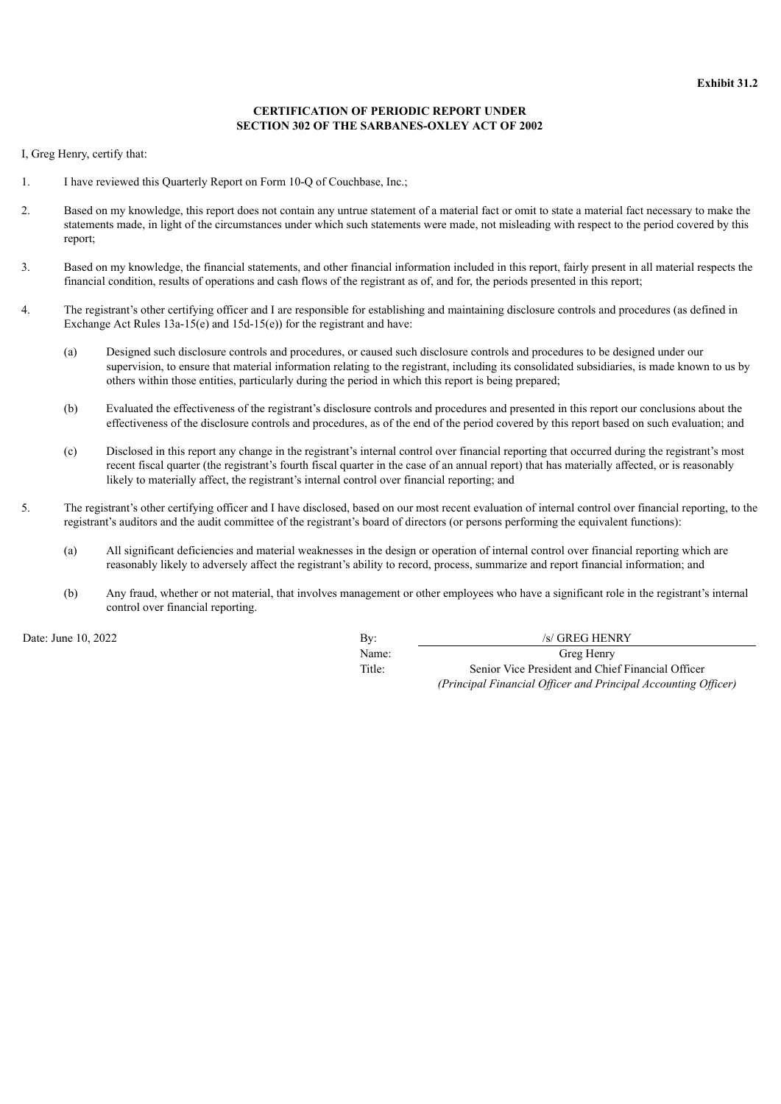### **CERTIFICATION OF PERIODIC REPORT UNDER SECTION 302 OF THE SARBANES-OXLEY ACT OF 2002**

<span id="page-85-0"></span>I, Greg Henry, certify that:

- 1. I have reviewed this Quarterly Report on Form 10-Q of Couchbase, Inc.;
- 2. Based on my knowledge, this report does not contain any untrue statement of a material fact or omit to state a material fact necessary to make the statements made, in light of the circumstances under which such statements were made, not misleading with respect to the period covered by this report;
- 3. Based on my knowledge, the financial statements, and other financial information included in this report, fairly present in all material respects the financial condition, results of operations and cash flows of the registrant as of, and for, the periods presented in this report;
- 4. The registrant's other certifying officer and I are responsible for establishing and maintaining disclosure controls and procedures (as defined in Exchange Act Rules 13a-15(e) and 15d-15(e)) for the registrant and have:
	- (a) Designed such disclosure controls and procedures, or caused such disclosure controls and procedures to be designed under our supervision, to ensure that material information relating to the registrant, including its consolidated subsidiaries, is made known to us by others within those entities, particularly during the period in which this report is being prepared;
	- (b) Evaluated the effectiveness of the registrant's disclosure controls and procedures and presented in this report our conclusions about the effectiveness of the disclosure controls and procedures, as of the end of the period covered by this report based on such evaluation; and
	- (c) Disclosed in this report any change in the registrant's internal control over financial reporting that occurred during the registrant's most recent fiscal quarter (the registrant's fourth fiscal quarter in the case of an annual report) that has materially affected, or is reasonably likely to materially affect, the registrant's internal control over financial reporting; and
- 5. The registrant's other certifying officer and I have disclosed, based on our most recent evaluation of internal control over financial reporting, to the registrant's auditors and the audit committee of the registrant's board of directors (or persons performing the equivalent functions):
	- (a) All significant deficiencies and material weaknesses in the design or operation of internal control over financial reporting which are reasonably likely to adversely affect the registrant's ability to record, process, summarize and report financial information; and
	- (b) Any fraud, whether or not material, that involves management or other employees who have a significant role in the registrant's internal control over financial reporting.

Date: June  $10, 2022$ 

| Bv:    | /s/ GREG HENRY                                                 |
|--------|----------------------------------------------------------------|
| Name:  | Greg Henry                                                     |
| Title: | Senior Vice President and Chief Financial Officer              |
|        | (Principal Financial Officer and Principal Accounting Officer) |